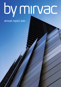# by mirvac

# annual report 2010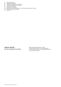- 
- 01 DIRECTORS' REPORT<br>09 REMUNERATION REP 09 REMUNERATION REPORT<br>25 AUDITOR'S INDEPENDENC
- 25 AUDITOR'S INDEPENDENCE DECLARATION<br>26 CORPORATE GOVERNANCE STATEMENT
- 26 CORPORATE GOVERNANCE STATEMENT<br>39 FINANCIAL STATEMENTS
- FINANCIAL STATEMENTS
- 127 DIRECTORS' DECLARATION
- 128 INDEPENDENT AUDITOR'S REPORT TO THE SHAREHOLDERS OF MIRVAC LIMITED 130 SECURITYHOLDER INFORMATION
- SECURITYHOLDER INFORMATION
- 133 **DIRECTORY**

annual report For the year ended 30 June 2010

Mirvac Group comprises Mirvac Limited (ABN 92 003 280 699) and its controlled entities (including Mirvac Property Trust (ARSN 086 780 645) and its controlled entities).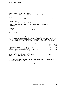# Directors' Report

The Directors of Mirvac Limited present their report, together with the consolidated report of Mirvac Group ("Mirvac" or "Group") for the year ended 30 June 2010.

Mirvac comprises Mirvac Limited ("parent entity") and its controlled entities, which includes Mirvac Property Trust ("MPT" or "Trust") and its controlled entities.

#### **Directors**

The following persons were Directors of Mirvac Limited during the whole of the year and up to the date of this report:

- — James MacKenzie
- Nicholas Collishaw
- Paul Biancardi (was a Director from the beginning of the year until his retirement on 21 June 2010)
- Adrian Fini (was a Director from the beginning of the year until his retirement on 11 June 2010)
- Peter Hawkins
- James Millar (appointed as a Director on 19 November 2009)
- Penny Morris
- John Mulcahy (appointed as a Director on 19 November 2009)
- Richard Turner (was a Director from the beginning of the year until his retirement on 24 August 2009)

#### **Principal activities**

The principal continuing activities of Mirvac consist of real estate investment, development, hotel management and investment management. Mirvac has two core divisions, Development (comprising residential and commercial development) and Investment (comprising MPT), with Hotel Management and Investment Management (including Mirvac Asset Management ("MAM")) facilitating capital interaction between the two core divisions and undertaking the management of hotels and external funds. In line with the Group's strategy, the rationalisation of non-aligned and unscaleable funds within Investment Management continued during the year. Details are provided within the review of operations. There has been no other significant change in the principal activities of the Group during the year.

#### **Dividends/distributions**

Dividends/distributions paid to stapled securityholders during the year were as follows:

| 2010<br>\$m                                                                    | 2009<br>\$m |
|--------------------------------------------------------------------------------|-------------|
|                                                                                |             |
| June 2009 quarterly dividend/distribution paid on 31 July 2009<br>3.4          | 90.5        |
| 0.200 cents (2009: 8.225 cents) per stapled security                           |             |
| September 2009 quarterly dividend/distribution paid on 30 October 2009<br>56.1 | 56.8        |
| 2.000 cents (2009: 5.000 cents) per stapled security                           |             |
| December 2009 quarterly dividend/distribution paid on 29 January 2010<br>59.9  | 47.5        |
| 2.000 cents (2009: 2.800 cents) per stapled security                           |             |
| March 2010 quarterly dividend/distribution paid on 30 April 2010<br>60.0       |             |
| 2.000 cents (2009: nil cents) per stapled security                             |             |
| Total dividends/distributions paid<br>179.4                                    | 194.8       |

The June 2010 quarterly dividend/distribution of 2.000 cents per stapled security totalling \$65.3m declared on 30 June 2010 was paid on 30 July 2010.

Dividends and distributions paid and payable by Mirvac for the year ended 30 June 2010 totalled \$241.3m, being 8.000 cents per stapled security (2009: \$107.7m — 8.000 cents per stapled security). The payments for the year ended 30 June 2010 and previous year were distributions made by the Trust.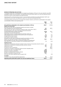#### **Review of operations and activities**

The statutory profit after tax attributable to the stapled securityholders of Mirvac for the year ended 30 June 2010 was \$234.7m (2009: net loss \$1,078.1m). The operating profit (profit before specific non-cash and significant items) was \$275.3m which is above guidance provided previously.

Operating profit is a financial measure which is not prescribed by Australian Accounting Standards ("AAS") and represents the profit under AAS adjusted for specific non-cash items and significant items.

The following table summarises key reconciling items between statutory profit after tax attributable to the stapled securityholders of Mirvac and operating profit:

|                                                                                                                                                                                                                               | 2010<br>\$m          | 2009<br>\$m         |
|-------------------------------------------------------------------------------------------------------------------------------------------------------------------------------------------------------------------------------|----------------------|---------------------|
| Net profit/(loss) attributable to the stapled security holders of Mirvac                                                                                                                                                      | 234.7                | (1,078.1)           |
| Specific non-cash items                                                                                                                                                                                                       |                      |                     |
| Net losses from fair value of investment properties and owner-occupied<br>hotel management lots and freehold hotels                                                                                                           | 6.9                  | 487.2               |
| Net losses from fair value of investment properties under construction ("IPUC")                                                                                                                                               | 112.8                |                     |
| Net (gains)/losses on fair value of derivative financial instruments<br>and associated foreign exchange movements<br>Expensing of security based payments                                                                     | (15.8)<br>8.7        | 104.0<br>7.1        |
| Depreciation of owner-occupied investment properties, hotels and<br>hotel management lots (including hotel property, plant and equipment)<br>Straight-lining of lease revenue<br>Amortisation of lease incentives             | 7.7<br>(2.5)<br>10.1 | 6.4<br>(1.2)<br>8.3 |
| Net losses from fair value of investment properties, derivatives and other<br>specific non-cash items included in share of associates' losses<br>Net losses/(gains) from fair value of investment properties, derivatives and | 33.3                 | 150.9               |
| other specific non-cash items included in non-controlling interest ("NCI")                                                                                                                                                    | 1.1                  | (6.3)               |
| <b>Significant items</b>                                                                                                                                                                                                      |                      |                     |
| Impairment of investments and loans included in share of net loss of associates and joint ventures                                                                                                                            |                      | 33.2                |
| Impairment of investments including associates and joint ventures                                                                                                                                                             | 6.2                  | 41.7                |
| Impairment of loans                                                                                                                                                                                                           | 5.4                  | 42.7                |
| Provision for loss on inventories                                                                                                                                                                                             |                      | 186.5               |
| Impairment of goodwill, management rights and other intangible assets                                                                                                                                                         |                      | 273.6               |
| Net gains from sale of non-aligned assets                                                                                                                                                                                     | (9.0)                |                     |
| Discount on business combination                                                                                                                                                                                              | (119.8)              |                     |
| Net gain on remeasurement of equity interest                                                                                                                                                                                  | (30.9)               |                     |
| Business combination transaction costs                                                                                                                                                                                        | 19.4                 |                     |
| Net losses from other significant items included in NCI                                                                                                                                                                       |                      | (1.0)               |
| <b>Tax effect</b>                                                                                                                                                                                                             |                      |                     |
| Tax effect of non-cash and significant adjustments                                                                                                                                                                            | 7.0                  | (54.2)              |
| Operating profit (profit before specific non-cash and significant items)                                                                                                                                                      | 275.3                | 200.8               |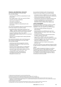#### **Financial and operational highlights**

Key financial highlights for the year ended 30 June 2010 included:

- operating profit of \$275.3m, representing 9.3 cents per security <sup>1</sup>;
- Net Tangible Assets ("NTA") per security of \$1.66<sup>2</sup>;
- operating cash flow of \$340.0m;
- — total assets of \$7,887.5m;
- net assets of \$5,455.4m; and
- distribution of \$241.3m, representing 8.0 cents per security.

Key operational highlights within the Investment Division for the year ended 30 June 2010 included:

- acquired the Mirvac Real Estate Investment Trust ("MREIT") portfolio, realising a total gain for the Group of \$140m above the net fair value of assets acquired;
- acquired the Westpac Office Trust ("WOT") portfolio, adding approximately \$1,137.1m of investment grade assets<sup>3</sup>;
- disposed of 13 non-aligned assets realising \$234.8m (before costs)<sup>4</sup>.

Key operational highlights within Hotel Management and Investment Management for the year ended 30 June 2010 included:

- commenced new hotel management contracts bringing the total number of hotel rooms across the portfolio to 5,812;
- $-$  joined the world's largest alliance of independent hotel brands, the Global Hotel Alliance ("GHA");
- received 14 major hotel industry awards including "Accommodation Chain of the Year" 5; and
- completed the further rationalisation of non-aligned funds within the Investment Management business unit.

Key operational highlights within the Development Division for the year ended 30 June 2010 included:

- exchanged contracts of \$802.4m<sup>6</sup> for new residential projects and achieved 1,805 residential lot settlements;
- commenced development of large-scale. masterplanned, generational residential projects; and
- commenced development of commercial projects including a 140,000 square metre industrial distribution facility at Hoxton Park, Sydney, NSW.

#### **Capital management**

During the year Mirvac undertook a number of capital management activities. Key capital management highlights for the year ended 30 June 2010 included:

- raised approximately \$375.8m through new equity raisings;
- issued and priced a new \$150.0m five year fixed domestic Medium Term Note ("MTN") with a margin of 265 basis points;
- $-$  increased and extended an unsecured bank facility to \$150m, expiring in April 2013;
- repaid \$457m of MREIT's debt upon acquisition, utilising capital raised in the year ended 30 June 2009;
- maintained a BBB/A-2, with a positive outlook credit rating from Standard & Poor's; and
- maintained a low level of balance sheet gearing at 18.1 per cent<sup>7</sup>.

The Group continued to enjoy significant headroom within its debt covenants, maintaining its strong capital position.

#### Outlook

Mirvac's capital management strategy is to continue to diversify its sources of debt capital and further extend its debt maturity profile. Mirvac remains focused on managing its strong capital structure to ensure it can continue to meet its strategic objectives without increasing its overall risk profile.

- 2) NTA based on issued securities, excluding Employee Incentive Scheme ("EIS") securities.
- 3) WOT was acquired post 30 June 2010; name changed to Mirvac Office Trust on 4 August 2010.
- 4) Includes three disposals that occurred post 30 June 2010 including James Ruse Business Park, Northmead, NSW, Hawdon Industry Park, Dandenong, VIC and 253 Wellington Road, Mulgrave, VIC. Includes Morayfield Supacentre, Morayfield QLD, which is now unconditionally exchanged. Settlement is forecast for August 2010.
- 5) 2009 HM Awards, 14 August 2009.
- 6) Total exchanged contracts as at 20 August 2010, adjusted for Mirvac's share of JV interests and Mirvac managed funds.

<sup>1)</sup> Diluted earnings excluding specific non-cash and significant items.

<sup>7)</sup> Net debt after cross currency interest rate ("CCIR") swaps excluding leases/(total tangible assets - cash).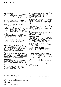#### **Operational highlights and divisional strategy Investment Division**

The Investment Division had a total portfolio value of \$5,787.7m<sup>1</sup>, with investments in 77<sup>1</sup> direct property assets, covering the office, retail, industrial and hotel sectors, as well as investments in other funds managed by Mirvac.

For the year ended 30 June 2010, the Investment Division's statutory net profit before tax was \$306.4m and operating profit before tax was \$325.1m.

Key highlights for the Trust for the year ended 30 June 2010 included:

- $-$  acquired the MREIT portfolio which was in line with the Group's strategy of securing Australian recurring rental earnings, with this transaction adding approximately  $$915.0m<sup>2</sup>$  of investment grade assets to the Group;
- acquired the \$1,137.1m WOT portfolio post 30 June 2010;
- acquired 23 Furzer Street, Canberra, ACT for \$208.8m;
- disposed of 13 assets that no longer fit MPT's investment criteria (two office, seven industrial and four retail assets) for a total realisation of  $$234.8m<sup>3</sup>$ (before costs); and
- $-$  added value to the existing portfolio with the completion of four projects totalling \$295.3m, securing renewed long-term lease commitments.

The Trust maintained its high portfolio occupancy of 97.6 per cent<sup>4</sup> and minimal lease expiries with a weighted average lease expiry of approximately 6.1 years 4. The Trust's earnings continue to be secure with 96.0 per cent of FY11 rent reviews being fixed or linked to the Consumer Price Index ("CPI"), and 76.6 per cent of revenue derived from multinational, national, Australian Securities Exchange ("ASX") listed and government tenants.

#### Outlook

The Investment Division remains focused on active asset management, enhancing income security, and the quality of its portfolio. The strategy for the Division is to continue to increase exposure in Australian investment grade property focused on the east coast of Australia.

#### **Hotel Management**

Mirvac's Hotel Management business unit manages hotels and resorts across Australia and New Zealand. Hotel Management is a fee based business with three separate types of management agreements covering leasing, management lots and management agreements.

For the year ended 30 June 2010, Hotel Management achieved a statutory net loss before tax of \$10.8m and an operating profit before tax of \$11.6m.

The business unit continued to expand during the year with new hotel management contracts including Citigate Mount Panorama, Bathurst, NSW (111 rooms) and The Sebel Deep Blue Warrnambool, Warrnambool, VIC (80 rooms), bringing the total hotels managed to 46, covering 5,812 rooms.

Key highlights for Hotel Management during the year included:

- $-$  increased brand exposure through joining GHA which includes 280 international hotels and a loyalty program of approximately 1m members and affiliations with 14 frequent flyer programs;
- 70 per cent of Mirvac's hotels achieved a ranking that placed them in the top three of their respective market competitor sets:<sup>5</sup> and
- awarded "Accommodation Chain of the Year" 2009, HM Awards, 14 August 2009.

#### **Outlook**

Hotel Management will continue to increase the number of hotels under its key brands in strategic and underrepresented areas within Australia.

#### **Investment Management**

Mirvac's Investment Management ("MIM") business unit provides capital interaction between the Group's two core Divisions — Investment and Development — through the establishment of investment partnerships with major financial institutions and institutional investors.

For the year ended 30 June 2010, MIM recorded a statutory net loss before tax of \$0.1m and an operating loss before tax of \$7.8m.<sup>6</sup>

In line with the Group's stated strategy, the rationalisation of non-aligned and unscaleable funds continued during the year. Key highlights included:

- transfer of management rights for Mirvac Mezzanine Capital Fund to Quadrant Real Estate Advisors ("Quadrant") in July 2009. Quadrant also assumed responsibility for managing Mirvac's investment in the RedZed mortgage warehouse in July 2009;
- transfer of management rights for Mirvac Tourist Park Fund in September 2009;
- sale of Mirvac PFA in April 2010;
- sale of the UK operating business in December 2009; and
- sale of Mirvac's 50 per cent interest in Mirvac AQUA to its joint venture partner, Balmain NB in April 2010.

#### Outlook

The focus for MIM is to continue to support and source capital for the Group's core divisions — Investment and Development — through the establishment of investment partnerships with wholesale institutional investors.

1) Post 30 June 2010, following the WOT acquisition.

<sup>2)</sup> Adjusted for fair value of assets on acquisition and the sale of Pender Place Shopping Centre, Maitland, NSW and 605-609 Doncaster Road, Doncaster, VIC prior to completion of the transaction.

<sup>3)</sup> Includes three disposals that occurred post 30 June 2010 including James Ruse Business Park, Northmead, NSW, Hawdon Industry Park, Dandenong, VIC and 253 Wellington Road, Mulgrave, VIC. Includes Morayfield Supacentre, Morayfield QLD, which is now unconditionally exchanged. Settlement is forecast for August 2010.

<sup>4)</sup> MPT at 30 June 2010 adjusted for the acquisition of WOT at 4 August 2010.

<sup>5)</sup> STR Global.

<sup>6)</sup> Includes MAM.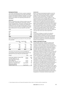#### **Development Division**

The Group's Development Division conducts residential and commercial development across New South Wales, Victoria, Queensland and Western Australia. For the year ended 30 June 2010, the Division's statutory net profit before tax was \$19.6m and operating profit before tax was \$20.1m.

#### Residential

Mirvac's residential product offering includes house and land packages, masterplanned communities, small lot homes and apartments. The Division continued to deliver quality residential product resulting in the settlement of 1,805 lots at 30 June 2010 (including Mirvac share of joint venture interest and Mirvac managed funds). State based settlements for the year ended 30 June 2010:

| State        | Lots  |
|--------------|-------|
| <b>NSW</b>   | 917   |
| <b>VIC</b>   | 167   |
| QLD          | 276   |
| WA           | 445   |
| <b>Total</b> | 1,805 |

State based settlements by product for the year ended 30 June 2010:

|            | (9/6) | House/land Apartments<br>(%) | Total<br>(%) |
|------------|-------|------------------------------|--------------|
| <b>NSW</b> | 33.9  | 17.0                         | 50.8         |
| <b>VIC</b> | 9.2   | 0.1                          | 9.3          |
| QLD        | 5.8   | 9.5                          | 15.3         |
| <b>WA</b>  | 15.9  | 8.8                          | 24.7         |
| Total      | 64.8  | 35.2                         | 100          |

The Division secured future income with \$802.4m<sup>1</sup> of exchanged contracts with key projects forecast to be delivered in the year ending 30 June 2011 being:

| Project                                   | Type       | Lots |
|-------------------------------------------|------------|------|
|                                           |            |      |
| Parkbridge, Middleton Grange, NSW         | House      | 208  |
| Laureate, Melbourne, VIC                  | House      | 28   |
| Yarra's Edge River Homes,                 |            |      |
| Yarra's Edge, VIC                         | House      | 18   |
| Waverley Park, Mulgrave, VIC              | House      | 73   |
| Waterfront, Newstead, QLD                 | Apartments | 55   |
| Beachside Leighton,<br>Leighton Beach, WA | Apartments | 56   |

#### Commercial

Mirvac's commercial development pipeline covers the office, retail, industrial and hotel sectors. Completed projects may be incorporated into MPT's property portfolio or sold to third parties. Consistent with the recent improvement in market conditions in the commercial sector across Australia, Mirvac is in various stages of commencing ten strategic development projects. During the year Mirvac secured a major precommitment on a significant industrial development project, Hoxton Distribution Park at Hoxton Park, Sydney, NSW. Hoxton Distribution Park will be one of the largest industrial development projects undertaken in Australia. The new facility is 100 per cent pre-let to Woolworths Limited covering approximately 140,000 square metres of industrial space that will house major distribution centres for BIG W and Dick Smith, with terms agreed for a 25 year lease and 20 year lease respectively.

#### **Outlook**

The Division's strategy is to build on its extensive in-house experience and proven track record to continue to deliver Australia's pre-eminent residential developments and focus on large-scale, generational, masterplanned residential communities. The Division will continue to advance its commercial development projects in prime locations.

#### **Market and Group outlook**

The Australian economy continues to perform well and has recovered from a relatively mild downturn. The labour market continues to improve and housing investment is set to accelerate over the remainder of the calendar year. Australia remains well placed to absorb any global downside impacts as a result of its relatively low public debt and sound banking system. Australia however is truly part of the global economy and is substantially impacted by overseas events in Europe and North America and the strength of our largest resource trading partner, China. As a result we remain cautious about predicting the level of future growth in markets in which we participate. A global tightening of credit and, or, a reduction in demand for Australia's resources will quickly lead to higher real interest rates and loss of consumer confidence. Whilst acknowledging housing affordability is a major issue for first homebuyers, Mirvac continues to provide appropriately priced homes and apartments for its target market. Overall, Mirvac believes the outlook for well positioned and priced residential property remains sound. In the commercial market, conditions have been less buoyant however, asset values appear to have stabilised and a shortage of new supply in all sectors may see a return to rental growth in the year ahead. In these uncertain times Mirvac will continue to focus on its major competitive strength of large-scale. pre-eminent residential developments and the proactive management of Australian investment grade assets.

1) Total exchanged contracts as at 20 August 2010, adjusted for Mirvac's share of JV interests and Mirvac managed funds.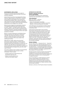#### **Environmental regulations**

Mirvac and its business operations are subject to compliance with both Federal and State environment protection legislation.

At the Federal level, Mirvac has triggered the Energy Efficiency Opportunities Act 2006 ("EEO") threshold and is required to participate. An EEO Assessment and Reporting Schedule ("ARS") has been approved under section 16 of the EEO and Mirvac is progressing assessments in accordance with the ARS with all Round 1 assessments to be complete by 30 June 2011.

Mirvac has also triggered the participation threshold of the National Greenhouse and Energy Reporting Act 2007 ("NGER"). The NGER requires large energyusing companies to report annually on greenhouse gas emissions, reductions, removals and offsets, and energy consumption and production figures. Mirvac must report annually by 31 October.

Mirvac is currently preparing for the Building Energy Efficiency Disclosure Act 2010 which commenced July 2010. This involves the disclosure of energy efficiency-related information at the point of sale or lease of commercial office space greater than 2,000 square metres.

Within Mirvac's health, safety and environment performance reporting systems, including internal and external audits and inspections, no incidents of significant harm to the environment occurred in the year ended 30 June 2010. Mirvac's development projects across Australia were issued a total of two environmental infringement notices throughout the year with a total value of \$4,500.

The notices related to minor incidents of environmental impact at development sites and were rectified immediately. These included:

- working outside hours determined by the development approval; and
- $-$  failing to prevent pollution from entering a stormwater system.

#### **Information on Directors**

#### **Directors' experience and areas of special responsibilities**

The members of the Board, their qualifications, experience and responsibilities are set out below:

#### **James MacKenzie**

B Bus, FCA, FAICD — Chairman — Independent Non‑Executive

- Chair of the Nomination Committee
- Member of Audit, Risk and Compliance Committee
- Member of the Human Resources Committee

James MacKenzie was appointed to the Mirvac Board in January 2005 and assumed the role of Chairman in November 2005.

James led the transformation of the Victorian Government's Personal Injury Schemes as Chairman of the Transport Accident Commission ("TAC") and Victorian WorkCover Authority from 2000 to 2007. He has previously held senior executive positions with ANZ Banking Group Limited, Norwich Union and Standard Chartered Bank, and was Chief Executive Officer of the TAC. A Chartered Accountant by profession, James was a partner in both the Melbourne and Hong Kong offices of an international accounting firm now part of Deloitte.

#### **Nicholas Collishaw**

SA (Fin), AAPI, FRICS — Managing Director — Dependent

Nicholas Collishaw was appointed Managing Director on 26 August 2008. Prior to this appointment he was the Executive Director — Investment responsible for Mirvac's Investment operations including MPT, funds management and hotel management, having been appointed to the Mirvac Board on 19 January 2006.

Nicholas has been involved in property and investment management for over 25 years and has extensive experience in development and investment management of real estate in all major sectors and geographies throughout Australia.

Prior to joining Mirvac in 2005 following its merger with the James Fielding Group, Nicholas was an Executive Director and Head of Property at James Fielding Group. He has also held senior positions with Deutsche Asset Management, Paladin Australia Limited and Schroders Australia.

Nicholas is a Director of the Property Industry Foundation.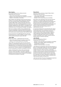#### **Peter Hawkins**

B CA (Hons), FAICD, SF Fin, FAIM, ACA (NZ) — Independent Non-Executive

- Chair of the Human Resources Committee
- — Member of the Audit, Risk and Compliance Committee
- Member of Nomination Committee

Peter Hawkins was appointed a Non-Executive Director of Mirvac on 19 January 2006, following his retirement from the Australia and New Zealand Banking Group Limited ("ANZ") after a career of 34 years. Prior to his retirement, Peter was Group Managing Director, Group Strategic Development, responsible for the expansion and shaping of ANZ's businesses, mergers, acquisitions and divestments and for overseeing its strategic cost agenda.

Peter was a member of ANZ's Group Leadership Team and sat on the Boards of Esanda Limited, ING Australia Limited and ING (NZ) Limited, the funds management and life insurance joint ventures between ANZ and ING Group.

He was previously Group Managing Director, Personal Financial Services, as well as holding a number of other senior positions during his career with ANZ.

#### **James Millar**

B.Com, FCA, FAICD — Independent Non-Executive

- Chair of the Audit, Risk and Compliance Committee
- Member of the Human Resources Committee

James Millar was appointed a Non-Executive Director of Mirvac on 19 November 2009 and is the former Area Managing Partner and Australian Chief Executive Officer of Ernst & Young, one of the world's leading professional services firms. He was a member of the global Board of Ernst & Young and is currently a Consultant to the firm.

James commenced his career in the reconstruction practice, conducting some of the largest corporate workouts of the early 1990s. James has qualifications in business and accounting, and is a Fellow of The Institute of Chartered Accountants of Australia.

#### **Penny Morris**

AM, B.Arch (Hons), M.EnvSci, DipCD, FRAIA, FAICD — Independent Non-Executive

- Chair of the Health, Safety, Environment and Sustainability Committee
- Member of the Human Resources Committee

Penny Morris was appointed a Non-Executive Director of Mirvac on 19 January 2006, and has extensive experience in property development and management, having formerly been Group Executive Lend Lease Property Services, General Manager and Director, Lend Lease Commercial and Director of Commonwealth Property within the Federal Department of Administrative Services.

An experienced Director for more than 18 years, Penny has also been a Director of Aristocrat Leisure Limited, Colonial State Bank, Australia Postal Corporation, Howard Smith Limited, Energy Australia, Indigenous Land Corporation, Country Road Limited, Jupiters Limited, Principal Real Estate Investors (Australia) Limited, Strathfield Group Limited, Landcom and the Sydney Harbour Foreshore Authority.

#### **John Mulcahy**

PhD (Civil Engineering), FIEAust — Independent Non‑Executive

- — Member of the Audit, Risk and Compliance Committee
- — Member of the Health, Safety, Environment and Sustainability Committee
- $-$  Member of the Nomination Committee

John Mulcahy was appointed a Non-Executive Director of Mirvac on 19 November 2009 and is the former Managing Director and Chief Executive Officer of Suncorp-Metway Limited ("Suncorp"). Prior to Suncorp, John held a number of senior executive roles at Commonwealth Bank, including Group Executive, Investment and Insurance Services. He also held a number of senior roles during his 14 years at Lend Lease Corporation, including Chief Executive Officer, Lend Lease Property Investment and Chief Executive Officer, Civil and Civic.

John has more than 27 years of management experience in financial services and property investment.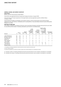#### **General Counsel and Company Secretary**

#### **Sonya Harris**

B.Econ, LLB (First Class Honours), MLM, MAICD

Sonya Harris was appointed General Counsel and Company Secretary in August 2009.

Sonya has had over 19 years experience in the legal industry and was appointed a partner at Minter Ellison in Sydney in 1999.

Sonya brings her breadth of knowledge in the property industry, and her broad property and commercial legal experience to her role at Mirvac. Immediately prior to joining Mirvac, Sonya was Deputy General Counsel at Brookfield Multiplex from 2005.

#### **Meetings of Directors**

The number of meetings of the Board of Directors and of each Board Standing Committee held during the year ended 30 June 2010 and the number of meetings attended by each Director are detailed below:

|                       |                 | Board | committee <sup>1</sup> | Board | compliance<br>committee<br>("ARCC") | Audit,<br>risk and | resources<br>committee | Human<br>(''HRC") | Health, safety,<br>environment<br>sustainability<br>committee<br>("HSE&SC") | and | Nomination<br>committee |   |
|-----------------------|-----------------|-------|------------------------|-------|-------------------------------------|--------------------|------------------------|-------------------|-----------------------------------------------------------------------------|-----|-------------------------|---|
| Director              | A               | Β     | A                      | B     | A                                   | B                  | A                      | B                 | A                                                                           | B   | A                       | B |
| James MacKenzie       | 18              | 18    | 6                      | 6     | 4 <sup>2</sup>                      | 5                  | 3 <sup>2</sup>         | 4                 |                                                                             |     | 4                       | 4 |
| Nicholas Collishaw    | 18              | 18    |                        |       |                                     |                    |                        |                   |                                                                             |     |                         |   |
| Paul Biancardi        | 17 <sup>2</sup> | 18    | 5                      | 5     | 7 <sup>2</sup>                      | 8                  | 3 <sup>2</sup>         | 4                 |                                                                             |     | 4                       | 4 |
| Adrian Fini           | 16 <sup>2</sup> | 17    |                        |       |                                     |                    |                        |                   |                                                                             |     |                         |   |
| <b>Peter Hawkins</b>  | 18              | 18    | 2                      | 2     | 7 <sup>2</sup>                      | 8                  | 4                      | 4                 |                                                                             |     | 4                       | 4 |
| James Millar          | 11              | 11    | 3                      | 3     | 5                                   | 5                  |                        | 3                 |                                                                             |     |                         |   |
| Penny Morris          | 18              | 18    |                        |       | 4                                   | 4                  | 4                      | 4                 | 10                                                                          | 10  |                         |   |
| John Mulcahy          | 11              | 11    |                        |       | 5                                   | 5                  |                        |                   | 4                                                                           | 4   |                         |   |
| <b>Richard Turner</b> |                 |       |                        |       | 1 <sup>3</sup>                      | 1 <sup>3</sup>     |                        |                   |                                                                             |     |                         |   |

1) Committees of the Board established to deal with particular major transactions during the year.

2) Leave of absence granted.

3) Includes only attendance as a Director, the table on page 32 also includes attendance as an independent member.

A) Indicates number of meetings attended during the period the Director was a member of the Board or Committee.

B) Indicates the number of meetings held during the period the Director was a member of the Board or Committee.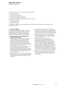### Directors' Report

Remuneration Report

This remuneration report is set out under the following sections:

- 1 Executive summary
- 2 Remuneration governance
- 3 Remuneration strategy and structure
- 4 Non-Executive Directors' remuneration
- 5 Relationship between remuneration and Mirvac performance
- 6 Details of remuneration
- 7 Service agreements
- 8 Additional information

The information provided in this remuneration report has been audited as required by section 308(3C) of the Corporations Act 2001.

#### **1 Executive summary**

The purpose of remuneration at Mirvac is to support the execution of the business strategy. This requires programs that reward annual and long-term value creation and retain the individuals most capable of delivering successful outcomes for securityholders.

- **a) Key points on Mirvac's remuneration for the year ended 30 June 2010**
- i) The HRC continues to review Mirvac's approach to remuneration in light of changes to both the economic and regulatory environments. A key focus of this work is on ensuring that Mirvac's remuneration strategy continues to support the business strategy and drive value for securityholders through all stages of the business cycle.
- ii) A salary freeze was in place during the year ended 30 June 2010 with adjustments only made in exceptional circumstances. In response to improved market conditions, the Board has approved a budget for increases in fixed remuneration for the year ending 30 June 2011.
- iii) Short-term incentive ("STI") amounts were paid for results achieved during the year ended 30 June 2010 reflecting improvements in business performance from 2009.
- iv) The 2010 long-term incentive ("LTI") grants were delayed until June 2010 due to uncertainty created by changes to the tax treatment of employee share schemes announced in the May 2009 Federal Budget.
- v) The performance period for the LTI grants made during 2007 finished on 30 June 2010. In total, 25 per cent of the performance rights and options granted in 2007 vested.
- vi) Consistent with what was presented to securityholders at the 2009 Annual General Meeting/General Meeting, the LTI grant for the year ended 30 June 2010 used two performance measures — Relative Total Securityholder Return ("TSR"), and Return on Equity ("ROE"). For the LTI grants that will be made in the year ending 30 June 2011, the intention is to use Relative TSR as the sole performance condition based on the view that relative TSR is the simplest, most objective measure of total value creation delivered to securityholders.
- vii) Any new contract or contract variation will impose a limitation on executive termination payments of no more than 12 months salary, consistent with new legislation.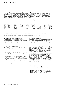#### **b) Summary of actual payments received by key management personnel ("KMP")**

The value of the cash and other benefits actually received by the executives during the year ended 30 June 2010 will be different to the figures presented in the table on page 19. This is because the table on page 19 presents the accounting value for long-term incentives which will include amounts for grants that have not vested, and may not vest because of the presence of performance conditions. The following table presents the actual value of the remuneration receivable by the disclosed executives during the year:

| Executive             | Fixed<br>remuneration | STI <sup>1</sup> | LT1 <sup>2</sup> | Employee<br>loans <sup>3</sup> | Termination<br>benefits | Other  | Total     |
|-----------------------|-----------------------|------------------|------------------|--------------------------------|-------------------------|--------|-----------|
| Nicholas Collishaw    | 2,000,000             | 1,750,000        | 38.253           | 404.546                        |                         | 32.979 | 4,225,778 |
| John Carfi            | 649.272               | 403,000          | 8.965            | 530,402                        |                         | 10,940 | 1,602,579 |
| <b>Brett Draffen</b>  | 855,285               | 634.000          | 23,910           | 451.406                        |                         | 13,858 | 1,978,459 |
| <b>Gary Flowers</b>   | 600,000               | 318,000          |                  | 68.737                         |                         | 9.736  | 996.473   |
| Chris Freeman         | 460.814               |                  |                  | 24.157                         | 254,227                 | 14.404 | 753,602   |
| <b>Grant Hodgetts</b> | 465.932               |                  | 13.284           | 318,087                        | 897.930                 | 26.146 | 1,721,379 |
| Justin Mitchell       | 650,000               | 345,000          | 12.752           | 317,519                        |                         | 10.394 | 1,335,665 |

1) STI values reflect payments to be made in September 2010 in recognition of performance during the year ended 30 June 2010.

2) LTI amounts represent the value to the participant during the year ended 30 June 2010 arising from performance rights whose performance period ended 30 June 2010, the exercising of options, or the net proceeds following the sale of securities granted under a loan based plan.

3) Amount reported includes amounts forgiven during the year, imputed interest and related Fringe Benefits Tax ("FBT").

#### **c) Mirvac's response to regulatory changes**

The global financial crisis has led to a significant increase in Federal Government and regulator action on remuneration issues. Following is a description of some of the more significant changes that were announced during 2009, accompanied by a summary of Mirvac's response in each case.

#### i) Tax on employee share schemes

During 2009, the Federal Government made significant changes to the taxation of employee share schemes. Mirvac's response to these changes can be summarised as follows:

- grants under the Long-term Performance Plan ("LTP") were delayed due to the uncertainty created by the tax changes;
- the HRC determined that grants under the LTP will be made in the form of performance rights; and
- $-$  previously, securities issued to participants under the LTP after rights had vested were subject to a seven year holding lock. The HRC exercised its discretion to waive the holding lock over any securities that vest from the 2010 grant.

#### ii) Termination payments cap

In November 2009, changes were made to the legislation dealing with termination payments. As a result of the amendments, in the future it will no longer be possible to make termination payments in excess of 12 months fixed remuneration to affected executives without receiving securityholder approval. The legislation provides that transitionary arrangements will apply whereby contractual termination payments in place prior to the new legislation can still be honoured without the requirement for securityholder approval. This is provided that an executive's contract has not been substantially varied subsequent to 24 November 2009.

The HRC has reviewed Mirvac's approach to termination payments in light of the legislative changes. All new contracts with senior executives will impose a cap on termination payments equivalent to 12 months fixed remuneration. Mirvac will honour existing contractual entitlements on termination that would exceed the cap of 12 months fixed remuneration, provided there has been no substantial variation to the executive's contract. Given that an adjustment to fixed remuneration would likely be considered a variation under the regulations, at the next scheduled remuneration review affected executives will be given the option to either:

- forego any increase to their fixed remuneration and therefore retain their existing termination entitlements; or
- have their fixed remuneration reviewed and in so doing accept a cap on their termination entitlements equivalent to 12 months fixed remuneration.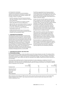#### iii) Productivity Commission

The Board has recognised the recommendations made by the Productivity Commission on director and executive remuneration and is already compliant with a number of these. For example:

- the HRC comprises of four Non-Executive Directors with each Committee member, including the Chairman, being independent;
- executives are prohibited from hedging unvested equity under Mirvac's security trading policy;
- when the HRC uses remuneration advisers in respect of KMP remuneration, these advisers are commissioned by the HRC, independent of management;
- $-$  an executive summary has been included in the remuneration report; and
- a table presenting 'actual' levels of remuneration received by each of the disclosed executives has been included in the remuneration report.

#### **2 Remuneration governance**

The Board places great importance on having strong remuneration governance processes. These processes are designed to ensure that Mirvac continues to derive maximum value from its remuneration spend, while also ensuring that remuneration decisions are made in a fair and transparent manner. The HRC, consisting of four independent, Non-Executive Directors, is responsible for reviewing the remuneration strategy annually. It advises the Board on remuneration policies and practices generally, and makes specific recommendations on remuneration packages, incentives and other terms of employment for Non-Executive and Executive Directors, including the Managing Director, as well as KMP.

#### **3 Remuneration strategy and structure**

#### **a) Remuneration strategy**

Mirvac's remuneration strategy creates the platform upon which all pay decisions are made. The strategy defines the framework for setting fixed remuneration and the design parameters of STI and LTI programs. The purpose of remuneration at Mirvac is to support the execution of the business strategy. This requires programs that reward annual and long-term value creation and retain the individuals most capable of delivering successful outcomes for securityholders.

The Group holds a significant portion of total remuneration for senior employees as variable and "at risk" if performance criteria are not met or exceeded each year. The proportion of variable at risk remuneration increases significantly in line with seniority. The following table provides the average remuneration mix at target for different levels of employees at 30 June 2010:

|                          | Fixed        |      |      | At risk      |  |
|--------------------------|--------------|------|------|--------------|--|
|                          | remuneration | STI  | LTI  | remuneration |  |
| Employee level           | $\%$         | $\%$ | $\%$ | $\%$         |  |
| <b>Managing Director</b> | 31           | 23   | 46   | 69           |  |
| Senior executives        | 42           | 23   | 35   | 58           |  |
| Executives               | 68           |      | 20   | 32           |  |
| Managers                 | 91           |      |      | 9            |  |
| Other employees          | 100          |      |      |              |  |

When assessing remuneration for KMP and other senior executives, Mirvac looks primarily at its Australian Real Estate Investment Trust ("A-REIT") peer group and secondly at a general industry peer group with a similar (market capitalisation) size.

The HRC has appointed Ernst & Young as external remuneration adviser to provide both information on current market practice and independent input into key remuneration decisions. The HRC also has access to Mirvac's Group General Manager, Human Resources to support its decision making.

As part of its role, the HRC regularly reviews the STI and LTI schemes to ensure they continue to provide an appropriate return for securityholders, while also serving to attract, motivate and retain suitably qualified employees. The HRC also reviews and approves the performance targets set for Mirvac's STI and LTI schemes, as well as the assessment of Mirvac's performance against these targets that ultimately determines the size of the STI and LTI pools. The HRC performs this role to ensure that incentive outcomes are determined in an objective manner.

KMP remuneration, incentives and other terms of employment are reviewed annually by the HRC in conjunction with recommendations made by the Managing Director. The review considers individual results against key performance indicators, relevant business performance, as well as the Group's overall results and returns to its securityholders.

Recommendations for individuals below senior executive level are submitted by that person's directreport manager, in turn to their manager for approval, ensuring that any fixed remuneration increases or incentive payments have two levels of approval, reducing subjectivity and maintaining relativities.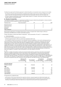The Board has approved the following approach to determining Mirvac remuneration levels compared to the market:

- $-$  the reference point for fixed remuneration is targeted at the median of peer groups. However, differences in the scope of role and individual performance will mean that fixed remuneration will vary from the median; and
- STI and LTI plans are positioned to deliver market median reward for "at target" performance and above market median reward for strong performance.

#### **b) Structure of remuneration**

The employee population at Mirvac is segmented into different groups to determine participation in various incentive and employee security programs as shown in the table below:

| Employee level    | Fixed remuneration |  | <b>EEP</b> |
|-------------------|--------------------|--|------------|
| Managing Director |                    |  |            |
| Senior executives |                    |  |            |
| Executives        |                    |  |            |
| Managers          |                    |  |            |
| Other employees   |                    |  |            |

Remuneration approaches vary between these levels in order to recognise their relative impact on Mirvac's performance and differences in market remuneration practices.

Further information on these three distinct components — fixed remuneration, STI and LTI — is outlined below.

#### i) Fixed remuneration

The key drivers of fixed remuneration are as follows:

- individual appraisal based on Mirvac's performance appraisal system; and

- the competitive market environment for the individual's skills and capabilities or the role the individual performs.

Fixed remuneration comprises base salary plus statutory superannuation contributions. Employees also have the opportunity to sacrifice some of their base salary for additional voluntary superannuation contributions and/or novated leases for motor vehicles. Executives also have the flexibility to allocate a portion of their base salary to certain other benefits. In such circumstances, the executive is also charged any resultant FBT in order that there is no additional cost to Mirvac in allowing the executive to take advantage of the particular benefit. A salary freeze was in place during the year ended 30 June 2010. In light of changing market conditions and improved business performance, and to ensure that Mirvac continues to be able to attract, motivate and retain talented employees, the Board has approved a budget for increases in fixed remuneration for the year ending 30 June 2011.

#### $ii)$   $STI$

Short-term variable remuneration consists of an annual incentive paid as a cash bonus. Executives and managers at Mirvac are eligible to participate in the STI plan based on their responsibility for achieving annual objectives. Remaining staff are eligible for a discretionary bonus where management recognises that exceptional individual performance has been achieved. STI outcomes for individuals can range from zero to double their STI target depending upon results. The maximum STI opportunity as a percentage of fixed remuneration for KMP, together with details of the actual STI payments they each received for the year ended 30 June 2010 are shown in the following table:

|                                                 | Maximum STI<br>percentage of<br>fixed remuneration<br>% | STI included in<br>remuneration | STI achieved<br>percentage of<br>potential maximum<br>$\%$ | STI forfeited<br>percentage of<br>potential maximum<br>$\%$ |
|-------------------------------------------------|---------------------------------------------------------|---------------------------------|------------------------------------------------------------|-------------------------------------------------------------|
| <b>Executive Director</b><br>Nicholas Collishaw | 150                                                     | 1.750.000                       | 58                                                         | 42                                                          |
| <b>KMP</b>                                      |                                                         |                                 |                                                            |                                                             |
| John Carfi                                      | 120                                                     | 403,000                         | 53                                                         | 47                                                          |
| <b>Brett Draffen</b>                            | 140                                                     | 634,000                         | 53                                                         | 47                                                          |
| Chris Freeman                                   | 120                                                     |                                 |                                                            | 100                                                         |
| Gary Flowers                                    | 100                                                     | 318,000                         | 53                                                         | 47                                                          |
| <b>Grant Hodgetts</b>                           | 100                                                     |                                 |                                                            | 100                                                         |
| Justin Mitchell                                 | 100                                                     | 345,000                         | 53                                                         | 47                                                          |

STI payments are conditional upon:

- performance of the Group overall and the respective divisions, measured against pre-determined targets; and

— an individual's contribution to the Group or division's financial performance as well as their own performance in meeting or exceeding pre-determined objectives as measured during the performance appraisal process.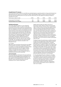#### **Group/divisional STI measures**

The STI pool for the year ended 30 June 2010 was calculated based on operating profit at a Group and divisional level. Operating profit was chosen as it is an objective, readily understandable measure of Mirvac's performance during the year. Once the operating profit for the year has been determined, the HRC applied the following schedule to calculate the STI pool:

| Performance relative to plan    | 90% | 90% | 100% | 120% | 120% |
|---------------------------------|-----|-----|------|------|------|
| Group payout (% of target)      | 0%  | 75% | 100% | 150% | 150% |
| Divisional payout (% of target) | 0%  | 75% | 100% | 150% | 150% |

#### **Individual performance**

The Group's appraisal system is a core component of its remuneration review. It is used to review past performance and set future objectives and development plans for employees at all levels. At the beginning of each year, clear objectives are set for all employees to provide clarity and focus to the individual and organisation as to what is expected in the ensuing period. The objectives used to evaluate KMP for the year ended 30 June 2010 were based on the following key responsibility areas: finance; strategy; customer/stakeholder; corporate responsibility; and people. Additional business or divisional specific objectives may also be set by the Managing Director each year, which are also reviewed by the HRC. The Committee also sets specific targets and key performance indicators annually for the Managing Director.

#### iii) LTI plans

KMP, other senior executives and executives are eligible, at the discretion of the HRC, to participate in Mirvac's LTI schemes. LTI scheme participation is limited to these employees because they have the largest strategic impact on the long-term success of Mirvac. The LTI schemes in tandem with driving performance and facilitating retention, are also an important means of facilitating executive security ownership.

#### **LTP (current plan)**

Mirvac's LTP plan was introduced in the year ended 30 June 2008 following approval by securityholders at the 2007 Annual General Meeting/General Meeting. This plan applies to the Managing Director, other Executive Directors, senior executives and other executive employees only for reasons stated above.

Awards under this plan are made in the form of performance rights. Awards of options have also been made under this plan in previous years. A performance right is a right to acquire one fully paid stapled security in Mirvac provided a specified performance hurdle is met. The rights offered under the scheme can only be exercised if and when these performance conditions are achieved over a three year period. If the performance rights vest and are exercised, entitlements will be satisfied by either an allotment of new securities or by purchase on market of existing securities, at the Board's discretion. Non-Executive Directors are not eligible to participate in this LTP. No loans are made to participants under this plan.

The Board reviews the performance conditions annually to determine the appropriate hurdles based on Mirvac's strategy and prevailing market practice. The Board determined, on the recommendation of the HRC, that the performance conditions to apply to the vesting of the grants made during the year ended 30 June 2010 would be Relative TSR and ROE. TSR was chosen given that it is an objective measure of securityholder value creation and the wide level of understanding and acceptance of the measure among various key stakeholders. ROE was chosen because it measures how well management has used securityholder funds and reinvested earnings to generate additional earnings for securityholders.

For the anticipated 2011 grant, the Board is intending to use Relative TSR as the sole performance condition. This reflects the Board's desire for executives to focus on delivering value for securityholders. Furthermore, Mirvac has a well defined peer group of comparable organisations. By delivering superior returns to securityholders relative to these peer organisations, Mirvac will have both greater access to capital and a lower cost of capital.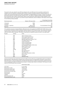The grant for the year ended 30 June 2010 was delayed until June 2010 due to the uncertainty created by the changes to the tax treatment of employee share schemes. However, the Board resolved to make the grant in a manner that ensured participants were neither advantaged nor disadvantaged by the delay. To reflect this intent, the performance period for the grant will still commence from 1 July 2009 as originally intended. Similarly, participants also received the same number of performance rights as they would have, had the grant not been delayed. For the grant made during the year ended 30 June 2010, the grant entitlements under the Relative TSR measure will be based on the following vesting schedule:

| Performance level                     | Relative TSR (percentile) | Percentage of securities<br>subject to this criterion to vest |
|---------------------------------------|---------------------------|---------------------------------------------------------------|
| <b><threshold< b=""></threshold<></b> | <50th                     | Nil                                                           |
| Threshold                             | 50th                      | 50                                                            |
| Threshold $-$ maximum                 | 50th to 75th              | Pro-rata between 50 and 100                                   |
| Maximum                               | 75th and above            | 100                                                           |

The comparison group for assessing Relative TSR performance will comprise the S&P/ASX 200 A-REIT Index as well as Lend Lease Corporation Limited, Australand Property Group and FKP Property Group. This comparison group was chosen because it represents the organisations with which Mirvac competes most directly with for investor capital within the sectors Mirvac operates. The entities comprising the comparison group are shown in the table below:

| Number | Symbol       | Entity                                   |  |
|--------|--------------|------------------------------------------|--|
|        | ABP          | Abacus Property Group                    |  |
| 2      | AJA          | Astro Japan Property Group               |  |
|        |              |                                          |  |
| 3      | <b>ALZ</b>   | <b>Australand Property Group</b>         |  |
| 4      | <b>BWP</b>   | <b>Bunnings Warehouse Property Trust</b> |  |
| 5      | <b>CFX</b>   | CFS Retail Property Trust                |  |
| 6      | <b>CHC</b>   | <b>Charter Hall Group</b>                |  |
| 7      | CQO          | Charter Hall Office REIT                 |  |
| 8      | <b>CQR</b>   | <b>Charter Hall Retail REIT</b>          |  |
| 9      | <b>CPA</b>   | Commonwealth Property Office Fund        |  |
| 10     | <b>DXS</b>   | Dexus Property Group                     |  |
| 11     | <b>FKP</b>   | <b>FKP Property Group</b>                |  |
| 12     | GMG          | Goodman Group                            |  |
| 13     | <b>GPTDA</b> | <b>GPT Group</b>                         |  |
| 14     | ШF           | <b>ING Industrial Fund</b>               |  |
| 15     | <b>IOF</b>   | <b>ING Office Fund</b>                   |  |
| 16     | <b>LLC</b>   | Lend Lease Corporation Limited           |  |
| 17     | <b>MGR</b>   | Mirvac Group                             |  |
| 18     | <b>SGP</b>   | Stockland                                |  |
| 19     | <b>WDC</b>   | Westfield Group                          |  |

At the end of the three year performance period, the HRC receives data from an independent external consultant to determine Mirvac TSR performance relative to the comparison group. An independent consultant is used to ensure that performance is measured objectively. The HRC then determines the number of performance rights that will vest, if any, by applying the data to the TSR vesting schedule. In valuing rights linked to the Relative TSR measure, the key inputs for the 2010 grant were as follows:

|                              | Performance rights |
|------------------------------|--------------------|
|                              |                    |
| Grant date                   | 8 June 2010        |
| Performance hurdle           | Relative TSR       |
| Performance period start     | 1 July 2009        |
| Performance testing date     | 30 June 2012       |
| Security price at grant date | \$1.28             |
| Exercise price               | <b>Snil</b>        |
| Expected life                | 2.1 years          |
| Volatility                   | 68%                |
| Risk-free interest rate      | 4.45%              |
| Dividend/distribution yield  | 6.1%               |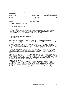For the year ended 30 June 2010 grant, entitlements under the ROE measure will be based on the following vesting schedule:

| Performance level                     | Return on equity               | Percentage of securities<br>subject to this criterion to vest |
|---------------------------------------|--------------------------------|---------------------------------------------------------------|
| <b><threshold< b=""></threshold<></b> | $\langle$ CPI + 3.0%           | Nil                                                           |
| Threshold                             | $CPI + 3.0\%$                  | 50                                                            |
| Threshold $-$ maximum                 | $CPI + 3.0\%$ to $CPI + 5.5\%$ | Pro-rata between 50 and 100                                   |
| Maximum                               | $CPI + 5.5%$ and above         | 100                                                           |

The formula for calculating ROE is as follows:

ROE = Adjusted statutory profit Adjusted securityholder equity

where: adjusted statutory profit =

reported statutory profit

- +/– net losses/gains on fair value of derivative financial instruments and associated foreign exchange movements
- + depreciation of owner-occupied administration properties, owner-occupied hotel management lots and
- owner-occupied freehold hotels (including hotel property, plant and equipment)

adjusted securityholder equity = securityholder equity

- excess in fair value over cost (investment properties)
- asset revaluation reserve

Each of the components used in calculating ROE can be found on pages 40 to 42 in the financial statements.

At the end of the three year performance period, the HRC receives a ROE calculation based on figures included in the financial statements. The HRC then determines the number of performance rights that will vest, if any, by applying the data to the ROE vesting schedule.

At the end of the three year performance period, all performance rights that vest are automatically converted to Mirvac securities. However, if the performance rights do not vest at the end of the three year performance period, they will lapse. Participants are prohibited from hedging both their unvested performance rights and options. Directors have also indicated that there is no intention to re-test the performance conditions in the future.

In the event that an employee resigns, or is dismissed by Mirvac, all unvested rights are forfeited. In the event that an employee leaves Mirvac due to retirement, redundancy or death, the number of rights held is pro-rated based on completed years of service, and the remaining rights continue to be subject to the original performance period and hurdles.

At 30 June 2010, 22,238,221 (2009: 9,923,912) performance rights and 7,995,367 (2009: 10,464,491) options had been issued to participants under the plan. The number of issued rights and options are net of adjustments due to forfeiture of rights and options as a result of termination of employment. A total of 1,304,300 performance rights (2009: nil) and no options (2009: nil) vested during the year to 30 June 2010. Performance rights and options granted under the LTP scheme in 2007 did not vest with individuals until after 30 June 2010.

#### **Employee Exemption Plan ("EEP")**

The Mirvac EEP is designed to encourage security ownership across the broader employee population. The EEP provides eligible employees with \$1,000 worth of Mirvac securities at nil cost. The plan is open to Australian based employees with more than 12 months of continuous service, who do not participate in other Mirvac equity plans. Securities acquired under this plan must be held for a minimum of three years (or earlier at cessation of employment with the Group) during which time the securities are subject to a restriction on disposal. Otherwise, holders enjoy the same rights and benefits as other holders of Mirvac's stapled securities. On termination, employees retain any securities granted to them. At 30 June 2010, 2,634,713 stapled securities (2009: 1,614,783) had been issued to employees under the general EEP.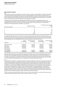#### **Plans closed for new grants**

#### **FRP**

During the year ended 30 June 2009, a small number of senior executives, including KMP, were invited to participate in an interest-free loan program designed to assist in retaining employees critical to Mirvac's ongoing success. No further awards will be made under this program, consistent with Mirvac's intention to eliminate the use of loan plans as part of employee reward. While the loans under this program were offered during the year ended 30 June 2009, some of the loan amounts were drawn down in the year ended 30 June 2010.

The amounts of the loans range from \$500,000 to \$2,000,000 and must be secured against property, or an unconditional bank guarantee. The loan was granted on a full recourse basis. A progressively increasing forgiveness schedule allows for no more than 50 per cent of the total loan balance in total to be forgiven. The forgiveness schedule for the Managing Director and KMP is set out below:

| Anniversary number | <b>Managing Director</b><br>% | Percentage of Ioan forgiven<br>KMP<br>$\%$ |
|--------------------|-------------------------------|--------------------------------------------|
|                    |                               | 5                                          |
| 2                  | 10                            | 7.5                                        |
| 3                  | 15                            | 10                                         |
| 4                  | 20                            | 12.5                                       |
| 5                  | N/A                           | 15                                         |

The repayment date of the loan is the earlier of 12 months after the participant ceases to be employed by Mirvac, or 12 months after the fifth anniversary of the loan. Interest is payable for any period in which the loan remains unpaid after the repayment date. The following table presents the amounts forgiven during the year ended 30 June 2010 for the Managing Director and KMP, together with the outstanding balance at the end of the year:

| Executive             | Original<br>loan amount | Amount forgiven<br>during year | Loan balance<br>30 June 2010 | Annual retention<br>value |
|-----------------------|-------------------------|--------------------------------|------------------------------|---------------------------|
| Nicholas Collishaw    | 2,000,000               | 100.000                        | 1,900,000                    | 404.546                   |
| John Carfi            | 2,000,000               | 100.000                        | 1,900,000                    | 379,381                   |
| <b>Brett Draffen</b>  | 2,000,000               | 100.000                        | 1,900,000                    | 306,134                   |
| <b>Gary Flowers</b>   | 1,000,000               |                                | 1,000,000                    | 68,737                    |
| Chris Freeman         |                         |                                |                              |                           |
| <b>Grant Hodgetts</b> | 2,000,000               | 100.000                        | 1,900,000                    | 318,087                   |
| Justin Mitchell       | 2,000,000               | 100.000                        | 1,900,000                    | 317,519                   |

The annual retention value to the individual includes amounts forgiven during the year, imputed interest and related FBT. This value is offset against the value of the individual's LTP grant in each year until the retention program is complete. This means that the individual's annual total maximum remuneration each year does not change. As such, any retention grant replaces a portion of the LTP award, consistent with participants having already been identified as crucial to long-term securityholder value. On termination, no further amounts are forgiven.

#### EIS

Until 2006, Mirvac's long-term variable remuneration scheme for employees was its EIS. The scheme, which was open to all permanent employees, was designed to share the benefits of the Group's performance through the provision of loans to purchase Mirvac stapled securities. Allocations were made annually, were unrestricted and fully vested on allotment. The loans were repayable via distributions received on the securities or upon their sale. Loans were provided on a recourse basis to Executive Directors but were provided on a non-recourse basis to other participants in the scheme. If the loan value is greater than the value of securities, the remaining balance is written off and the securities are forfeited. If an employee resigns or is dismissed, the outstanding loan balance is required to be paid when employment ceases. In the event of redundancy, retirement or death, the employee has 12 months after employment ceases in which to repay the loan. If the loan value is greater than the value of securities when the loan balance is due, the remaining balance is written off and the securities are forfeited.

The EIS was closed to new participants in 2006 as it was no longer considered to be consistent with market practice. However, existing arrangements remain in place until all current loans are repaid.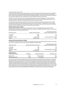#### Long-Term Incentive Plan ("LTIP")

A revised long-term variable remuneration scheme, the LTIP was introduced in 2006 and approved by securityholders at the Group's 2006 Annual General Meeting/General Meeting. Participation in the plan was open to the Managing Director, other Executive Directors, other executives and eligible employees. Under this plan, participants were offered a loan which was applied to fund the acquisition of Mirvac's stapled securities at market value.

The term of the loan is eight years. Any loan balance outstanding at the end of the eighth year must be repaid at that time. The loan is reduced annually by applying the after-tax amounts of any distributions paid by Mirvac to the outstanding principal. The loans are interest free and non-recourse over their term.

Two performance conditions were required to be met before the securities acquired under the plan vest in full with the participant: Relative TSR and Absolute earnings per security ("EPS") growth. The satisfaction of each condition was given an equal weighting in terms of the total number of securities that may vest (that is 50 per cent of the total securities held by a participant was subject to each performance condition).

#### **Relative TSR performance condition**

An entitlement to vesting of the securities was contingent on Mirvac's TSR ranking being at or above the 50th percentile of the comparison group (being the entities that comprise the S&P/ASX 200 A-REIT Index) over a three year period as detailed in the vesting schedule below:

| Performance level     | Relative TSR (percentile) | Percentage of securities<br>subject to this criterion to vest |
|-----------------------|---------------------------|---------------------------------------------------------------|
| < Threshold           | < 50th                    | Nil                                                           |
| Threshold             | 50th                      | 50                                                            |
| Threshold $-$ stretch | 50th to 75th              | Pro-rata between 50 and 100                                   |
| Stretch               | 75th and above            | 100                                                           |

#### **Absolute EPS growth performance condition**

An entitlement to vesting under this condition was contingent on Mirvac's Absolute EPS growth reaching or exceeding four per cent compound over a three year period, as detailed in the table below:

| Performance level                                                                     | Absolute EPS growth (compound) |                    | Percentage of securities<br>subject to this criterion to vest |
|---------------------------------------------------------------------------------------|--------------------------------|--------------------|---------------------------------------------------------------|
| <threshold< th=""><th></th><th><math>\langle 4\%</math></th><th>Nil</th></threshold<> |                                | $\langle 4\%$      | Nil                                                           |
| Threshold                                                                             |                                | 4%                 | 50                                                            |
| Threshold - stretch                                                                   |                                | 4% to 9%           | Pro-rata between 50 and 100                                   |
| Stretch                                                                               |                                | 9% and above       | 100                                                           |
| <b>Vesting outcome</b><br>Performance condition                                       | Weighting                      | Mirvac performance | Vesting outcome                                               |
| Relative TSR                                                                          | 50%                            | 62nd percentile    | 74%                                                           |
| Absolute EPS growth                                                                   | 50%                            | < 4 % growth       | 0%                                                            |

On vesting, 53.5 per cent of the original loan to fund the purchase of the vested securities was waived. The remaining balance of the loan will continue to be reduced by after-tax distributions until either the loan has been fully repaid or the eight year term expires, whichever occurs first. If a participant terminates their employment after securities have vested, any outstanding loans have to be repaid in full immediately or the underlying securities will be forfeited. Any unvested securities at the time of termination are required to be sold with the proceeds payable to the Group. The EIS and its replacement, the LTIP introduced in 2006, are both closed to new participants and will remain in "run-off" mode until all loans made under each arrangement are extinguished. Trading windows and hedging rules apply to securities under both plans. At 30 June 2010, 562,908 (2009: 2,817,308) securities remain on issue under the 2006 plan.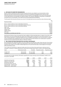#### **4 Non-Executive Directors' remuneration**

Mirvac Limited's Constitution provides that Non-Executive Directors are entitled to such remuneration as they determine, but that the total amount provided to all Directors (excluding the Managing Director and any other Executive Directors) for their services as Directors must not exceed in the aggregate in any year the sum from time to time determined by securityholders at a general meeting. The maximum aggregate remuneration of \$1,950,000 was approved by securityholders at the 2009 Annual General Meeting/General Meeting.

The fees paid to Non-Executive Directors are set out in the table below and are annual fees unless otherwise stated:

|                                                               | Fee     |
|---------------------------------------------------------------|---------|
| Board/Committee                                               |         |
| Mirvac Limited and Mirvac Funds Limited Board Chairman        | 465,000 |
| Mirvac Limited and Mirvac Funds Limited Board Deputy Chairman | 270,000 |
| Mirvac Limited and Mirvac Funds Limited Board Member          | 185,000 |
| <b>ARCC Chair</b>                                             | 30,000  |
| ARCC member                                                   | 15,000  |
| <b>HSE&amp;S Chair</b>                                        | 30,000  |
| <b>HSE&amp;S</b> member                                       | 15,000  |
| <b>HRC Chair</b>                                              | 15,000  |
| Due diligence committee (per diem fee)                        | 4.000   |

Non-Executive Directors have not received any fees in addition to those described above in respect of any other duties performed or services provided within the scope of the ordinary duties of a Director, do not receive bonuses or any other incentive payments or retirement benefits and are not eligible to participate in any of the executive or employee security acquisition plans established by the Group. However Non-Executive Directors are reimbursed for expenses properly incurred in performing their duties as a Director of Mirvac.

#### **5 Relationship between remuneration and Mirvac performance**

No STI payments were made with respect to the year ended 30 June 2009 and a salary freeze was also in force during the year ended 30 June 2010. In light of the improvement in the Group's performance and the economic environment during the year ended 30 June 2010, the Board approved an STI pool and fixed salary review budget for the August 2010 remuneration review.

The LTI plans are tied directly to objective hurdles and will only vest when those performance criteria are met or exceeded. A summary of vesting under Mirvac's performance-hurdled equity grants is shown in the following table:

| Grant             | Performance hurdle | Test date    | Proportion vested | Proportion lapsed |
|-------------------|--------------------|--------------|-------------------|-------------------|
| FY2007 LTIP       | TSR and EPS        | 30 June 2009 | 37%               | 63%               |
| <b>FY2008 LTP</b> | TSR and EPS        | 30 June 2010 | 25%               | 75%               |

The table below provides summary information regarding the Group's earnings and securityholder's wealth for the five years to June 2010:

|                                 | 2010  | 2009      | 2008  | 2007  | 2006  |
|---------------------------------|-------|-----------|-------|-------|-------|
| Operating earnings (\$m)        | 275.3 | 200.8     | 352.2 | 319.1 | 274.4 |
| Statutory net profit (\$m)      | 234.7 | (1.078.1) | 171.8 | 556.1 | 441.1 |
| Distributions paid (\$m)        | 179.4 | 194.8     | 339.2 | 300.7 | 274.3 |
| Security price at 30 June (\$)  | 1.32  | 1.08      | 2.96  | 5.70  | 4.35  |
| Operating EPS - diluted (cents) | 9.3   | 13.4      | 33.4  | 33.0  | 31.6  |
| Statutory EPS $-$ basic (cents) | 8.0   | (65.2)    | 14.9  | 58.7  | 52.2  |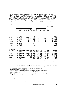#### **6 Details of remuneration**

Details of the remuneration of each Director and the KMP (as defined in AASB 124 Related Party Disclosures) of Mirvac are set out in the following section. The Executive Leadership Team ("ELT") was established during 2009 and was delegated the authority and responsibility for planning, directing and controlling the activities of Mirvac. For the year ended 30 June 2010, the ELT comprised the Managing Director, the Chief Financial Officer, the Chief Operating Officer and the Chief Executive Officer — Development. The charter was amended in July 2010 to include the Chief Executive Officer — Investment. The members of the ELT are considered to be the KMP of the parent entity and of the Group. The establishment of the ELT has resulted in a reduction in the number of KMP disclosed in this year's remuneration report compared to previous years. In addition to the ELT, remuneration details are disclosed in respect of Grant Hodgetts — Chief Executive Investment Management (left the Group on 15 April 2010), Chris Freeman — Chairman Mirvac UAE, UK and Queensland Development (left the Group on 15 January 2010) and John Carfi — Chief Executive Developments New South Wales and Victoria as they are among the five highest remuneration Group Executives and disclosure is required under the Corporations Act 2001.

| Cash<br>Value of<br>Super<br>Long<br>salary<br>Non-cash Employee<br>Value of<br>Value of<br>issued<br>contri-<br>service<br>STI <sup>2</sup><br>Ioan <sup>4</sup><br>options <sup>5</sup><br>rights <sup>5</sup> securities <sup>5</sup><br>benefits $3$<br>leave <sup>6</sup><br>and fees<br>butions<br>\$<br>\$<br>Year<br>\$<br>\$<br>S<br>S<br>S<br>S<br><b>Non-Executive Directors</b><br>James MacKenzie<br>2010 465,539<br>14,461<br>2009<br>406,255<br>13,745<br>Paul Biancardi<br>2010<br>310,000<br>50,000<br>-<br>-<br>2009<br>178,173<br>91,827<br>۳<br>-<br>$\overline{a}$<br>$\overline{\phantom{0}}$<br>-<br>-<br>$\overline{\phantom{0}}$<br>Adrian Fini<br>2010<br>194,751<br>148,002 <sup>9</sup><br>15,253<br>-<br>-<br>- | Total     |
|----------------------------------------------------------------------------------------------------------------------------------------------------------------------------------------------------------------------------------------------------------------------------------------------------------------------------------------------------------------------------------------------------------------------------------------------------------------------------------------------------------------------------------------------------------------------------------------------------------------------------------------------------------------------------------------------------------------------------------------------|-----------|
|                                                                                                                                                                                                                                                                                                                                                                                                                                                                                                                                                                                                                                                                                                                                              | \$        |
|                                                                                                                                                                                                                                                                                                                                                                                                                                                                                                                                                                                                                                                                                                                                              |           |
|                                                                                                                                                                                                                                                                                                                                                                                                                                                                                                                                                                                                                                                                                                                                              |           |
|                                                                                                                                                                                                                                                                                                                                                                                                                                                                                                                                                                                                                                                                                                                                              | 480,000   |
|                                                                                                                                                                                                                                                                                                                                                                                                                                                                                                                                                                                                                                                                                                                                              | 420,000   |
|                                                                                                                                                                                                                                                                                                                                                                                                                                                                                                                                                                                                                                                                                                                                              | 360,000   |
|                                                                                                                                                                                                                                                                                                                                                                                                                                                                                                                                                                                                                                                                                                                                              | 270,000   |
|                                                                                                                                                                                                                                                                                                                                                                                                                                                                                                                                                                                                                                                                                                                                              | 358,006   |
| 2009<br>477,197<br>6,162<br>270,224<br>22,803<br>5,382<br>30,996<br>625,000<br>10,848<br>-                                                                                                                                                                                                                                                                                                                                                                                                                                                                                                                                                                                                                                                   | 1,448,612 |
| 2010 200,539<br>14,461<br>Peter Hawkins<br>-<br>$\qquad \qquad$<br>-                                                                                                                                                                                                                                                                                                                                                                                                                                                                                                                                                                                                                                                                         | 215,000   |
| 9,877<br>2009<br>190,553<br>$\qquad \qquad -$<br>$\qquad \qquad -$                                                                                                                                                                                                                                                                                                                                                                                                                                                                                                                                                                                                                                                                           | 200,430   |
| 2010<br>9,152<br>James Millar<br>114,121<br>-<br>٠<br>-                                                                                                                                                                                                                                                                                                                                                                                                                                                                                                                                                                                                                                                                                      | 123,273   |
| 2009<br>$\overline{a}$                                                                                                                                                                                                                                                                                                                                                                                                                                                                                                                                                                                                                                                                                                                       |           |
| 2010<br>204,740<br>17,760<br>Penny Morris<br>-<br>-<br>-                                                                                                                                                                                                                                                                                                                                                                                                                                                                                                                                                                                                                                                                                     | 222,500   |
| 185,000<br>2009<br>۳<br>$\overline{\phantom{0}}$<br>-<br>-                                                                                                                                                                                                                                                                                                                                                                                                                                                                                                                                                                                                                                                                                   | 185,000   |
| 2010<br>9,152<br>114,121<br>John Mulcahy<br>-<br>۰<br>$\overline{\phantom{0}}$                                                                                                                                                                                                                                                                                                                                                                                                                                                                                                                                                                                                                                                               | 123,273   |
| 2009<br>$\overline{\phantom{a}}$<br>$\overline{\phantom{0}}$<br>$\overline{a}$<br>$\overline{a}$<br>$\overline{\phantom{0}}$<br>$\overline{\phantom{0}}$                                                                                                                                                                                                                                                                                                                                                                                                                                                                                                                                                                                     |           |
| 37,232<br>Richard Turner<br>2010<br>6,585<br>-<br>-<br>-                                                                                                                                                                                                                                                                                                                                                                                                                                                                                                                                                                                                                                                                                     | 43,817    |
| 2009<br>226,248<br>18,752<br>$\overline{a}$                                                                                                                                                                                                                                                                                                                                                                                                                                                                                                                                                                                                                                                                                                  | 245,000   |
| <b>Executive Director</b>                                                                                                                                                                                                                                                                                                                                                                                                                                                                                                                                                                                                                                                                                                                    |           |
| 32,979<br>Nicholas Collishaw<br>2010 1,985,539 1,750,000 148,002 404,546<br>14,461<br>347,194 987,027                                                                                                                                                                                                                                                                                                                                                                                                                                                                                                                                                                                                                                        | 5,669,748 |
| 300,188<br>30,996<br>2009 1,837,529<br>167,903<br>13.745<br>423,475<br>32,995                                                                                                                                                                                                                                                                                                                                                                                                                                                                                                                                                                                                                                                                | 2,806,831 |
| КМР                                                                                                                                                                                                                                                                                                                                                                                                                                                                                                                                                                                                                                                                                                                                          |           |
| John Carfi<br>2010<br>634,811 403,000<br>55,502 530,402<br>14,461<br>50,375 165,299<br>10,940                                                                                                                                                                                                                                                                                                                                                                                                                                                                                                                                                                                                                                                | 1,864,790 |
| 9,708<br>2009<br>584.393<br>193,976<br>13.745<br>50,375<br>82,674<br>12,247<br>-                                                                                                                                                                                                                                                                                                                                                                                                                                                                                                                                                                                                                                                             | 947,118   |
| Brett Draffen<br>2010 840,824 634,000<br>111,001<br>451,406<br>126,327 306,982<br>13,858<br>- 2,498,859<br>14,461<br>$\qquad \qquad \blacksquare$                                                                                                                                                                                                                                                                                                                                                                                                                                                                                                                                                                                            |           |
| 841,255<br>76,773<br>13,745<br>96,948<br>13,973<br>2009<br>130,673<br>23,497                                                                                                                                                                                                                                                                                                                                                                                                                                                                                                                                                                                                                                                                 | 1,196,864 |
| 2010 553,539 318,000<br>68,737<br>26,281<br>97,557<br>9,736<br>Gary Flowers<br>46,461<br>$\qquad \qquad \blacksquare$                                                                                                                                                                                                                                                                                                                                                                                                                                                                                                                                                                                                                        | 1,120,311 |
| 368,657<br>48,309<br>8,076<br>2009<br>$\overline{\phantom{0}}$<br>26,281<br>38,860<br>998<br>$\overline{\phantom{0}}$                                                                                                                                                                                                                                                                                                                                                                                                                                                                                                                                                                                                                        | 491,181   |
| 60,179<br>2010 400,635<br>143,906<br>24,157<br>855,621<br>Chris Freeman<br>$\qquad \qquad \blacksquare$<br>- 254,227<br>-                                                                                                                                                                                                                                                                                                                                                                                                                                                                                                                                                                                                                    | 1,738,725 |
| 48,598<br>73,702<br>98,473<br>2009<br>667,672<br>213,905<br>27,246<br>12,480                                                                                                                                                                                                                                                                                                                                                                                                                                                                                                                                                                                                                                                                 | 1,142,076 |
| 897,930 1,800,596<br>Grant Hodgetts <sup>8</sup><br>2010 421,855<br>118,647<br>318,087<br>44,077<br>$\overline{\phantom{a}}$<br>$\overline{\phantom{a}}$<br>$\overline{\phantom{a}}$<br>-                                                                                                                                                                                                                                                                                                                                                                                                                                                                                                                                                    |           |
| 93,343<br>2009<br>474,857<br>10,047<br>100,000<br>70,273<br>19,747<br>8,290<br>$\qquad \qquad -$<br>$\qquad \qquad -$                                                                                                                                                                                                                                                                                                                                                                                                                                                                                                                                                                                                                        | 776,557   |
| Justin Mitchell<br>2010 635,539 345,000<br>62,161<br>317,519<br>14,461<br>73,675 164,249<br>10,394<br>-                                                                                                                                                                                                                                                                                                                                                                                                                                                                                                                                                                                                                                      | 1,622,998 |
| 58,006<br>2009<br>636,255<br>13,745<br>78,998<br>13,597<br>10,568                                                                                                                                                                                                                                                                                                                                                                                                                                                                                                                                                                                                                                                                            | 811,169   |
| Total<br>2010 7,113,785 3,450,000<br>787,221 2,114,854 345,385 623,852 2,576,735<br>77,907 1,152,157 18,241,896<br>-                                                                                                                                                                                                                                                                                                                                                                                                                                                                                                                                                                                                                         |           |
| 2009 7,074,044<br>64,807<br>782,578<br>458,766<br>612,919 1,067,310<br>159,324<br>96,090<br>625,000 10,940,838<br>$\qquad \qquad -$                                                                                                                                                                                                                                                                                                                                                                                                                                                                                                                                                                                                          |           |

1) Salary and wages includes accrued annual leave paid out as part of salary and salary sacrifice amounts.

2) Bonuses relate to amounts accrued for the relevant year.

3) Non-cash benefits include outplacement fees and debt wavier benefits and are inclusive of related FBT where applicable.

4) Employee loans are interest free and provided for personal use (excludes EIS loans). Disclosed value includes amounts forgiven during the year, imputed interest and related FBT.

5) Valuation of options, rights and securities is conducted by an external accounting firm. Negative amounts (if any) relate to forfeiture of some or all participation in equity plans due to terminations. Refer to note 34(f) for details.

6) Long service leave relates to amounts accrued during the financial period.

7) Termination benefits include annual leave and long service leave paid on termination.

8) Termination payment for Grant Hodgetts was based on contractual entitlements. These entitlements were in place prior to the introduction of the new termination payments legislation, and Mr Hodgetts' contract had not been varied subsequent to the legislation being introduced. As a result, consistent with the provisions of the new legislation, a payment in excess of one year's salary was contractually required.

9) This benefit relates to an LTIP grant made in 2006, prior to Adrian Fini becoming a Non-Executive Director.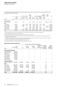|                           |                                    |                        |                          | Short-term benefits                          | Post-<br>employ-<br>ment    |                                  | Share-based payment |                                                                   | Other<br>long-term<br>benefits              | Termin-<br>ation<br>benefits <sup>7</sup> | Total               |
|---------------------------|------------------------------------|------------------------|--------------------------|----------------------------------------------|-----------------------------|----------------------------------|---------------------|-------------------------------------------------------------------|---------------------------------------------|-------------------------------------------|---------------------|
| 2009                      | Cash<br>salary<br>and fees<br>Year | STI <sup>2</sup><br>\$ | benefits $3$             | Non-cash Employee<br>Ioan <sup>4</sup><br>\$ | Super<br>contri-<br>butions | Value of<br>options <sup>5</sup> | Value of            | Value of<br>issued<br>rights <sup>5</sup> securities <sup>5</sup> | Long<br>service<br>leave <sup>6</sup><br>\$ | \$                                        | \$                  |
| <b>Executive Director</b> |                                    |                        |                          |                                              |                             |                                  |                     |                                                                   |                                             |                                           |                     |
| Gregory Paramor           | 393,398                            | -                      | 3,524                    | $\qquad \qquad -$                            | 15,727                      | 30,509                           | 15,137              | 131,989                                                           |                                             | $-$ 2,000,000 2,590,284                   |                     |
| <b>KMP</b>                |                                    |                        |                          |                                              |                             |                                  |                     |                                                                   |                                             |                                           |                     |
| Evan Campbell             | 600,000                            | -                      | 6,162                    | 151,783                                      | 50.000                      | 77,383                           | 103.323             | 12.997                                                            | 10,569                                      | -                                         | 1,012,217           |
| Gregory Collins           | 636,255                            | -                      | 62,649                   | 151,783                                      | 13.745                      | 77,383                           | 103.323             | 17,872                                                            | 10,568                                      | -                                         | 1,073,578           |
| Adrian Harrington         | 430,431                            | -                      | 133,947                  | -                                            | 6,872                       | (9,793)                          | (15, 182)           |                                                                   | -                                           | 1,086,708                                 | 1,632,983           |
| Timothy Regan             | 137,986                            |                        |                          | -                                            | 3,436                       | (57, 126)                        | (73,077)            | (44,997)                                                          | -                                           | 718,057                                   | 684,279             |
| Andrew Turner             | 472,255                            |                        | $\overline{\phantom{m}}$ | 142,626                                      | 77.745                      | 60,103                           | 78.852              | 19.747                                                            | 7,910                                       | -                                         | 859,238             |
| Matthew Wallace           | 526,680                            | -                      | 7,434                    | 151,783                                      | 13.745                      | 45,988                           | 75,650              | 9.997                                                             | 8,748                                       | -                                         | 840,025             |
| Total                     | 3,197,005                          | -                      | 213,716                  | 597.975                                      | 181,270                     | 224.447                          | 288.026             | 147.605                                                           | 37.795                                      |                                           | 3.804.765 8.692.604 |

The table below presents the 2009 remuneration details of executives not included in the preceding table, but who were disclosed in the 2009 report.

1) Salary and wages includes accrued annual leave paid out as part of salary and salary sacrifice amounts, where applicable.

2) Bonuses relate to amounts accrued for the relevant year.

3) Non-cash benefits include car parking and relocation costs and are inclusive of related FBT.

4) Employee loans are interest free and provided for personal use (excludes EIS loans). Disclosed value includes amounts forgiven during the year, imputed interest and related FBT.

5) Valuation of options, rights and securities is conducted by an external accounting firm. Negative amounts (if any) relate to forfeiture of some or all participation in equity plans due to terminations. Refer to note 34(f) for details.

6) Long service leave relates to amounts accrued during the financial period.

7) Termination benefits include annual leave and long service leave paid on termination.

#### **Remuneration related to performance**

|                                |                             |           |                          | Remuneration related to performance |              |                                                                          |                                                 |
|--------------------------------|-----------------------------|-----------|--------------------------|-------------------------------------|--------------|--------------------------------------------------------------------------|-------------------------------------------------|
| 2010                           | Total<br>remuneration<br>\$ | STI<br>\$ | Value of<br>options<br>S | Value of<br>rights                  | issued<br>\$ | Value of Performance<br>related<br>securities remuneration<br>% of total | Value of<br>options<br>granted as<br>% of total |
| <b>Non-Executive Directors</b> |                             |           |                          |                                     |              |                                                                          |                                                 |
| James MacKenzie                | 480,000                     |           |                          |                                     |              |                                                                          |                                                 |
| Paul Biancardi                 | 360,000                     |           |                          |                                     |              |                                                                          |                                                 |
| Adrian Fini                    | 358,006                     |           |                          |                                     |              |                                                                          |                                                 |
| <b>Peter Hawkins</b>           | 215,000                     |           |                          |                                     |              |                                                                          |                                                 |
| James Millar                   | 123,273                     |           |                          |                                     |              |                                                                          |                                                 |
| Penny Morris                   | 222,500                     |           |                          |                                     |              |                                                                          |                                                 |
| John Mulcahy                   | 123,273                     |           |                          |                                     |              |                                                                          |                                                 |
| <b>Richard Turner</b>          | 43,817                      |           |                          |                                     |              |                                                                          |                                                 |
| <b>Executive Director</b>      |                             |           |                          |                                     |              |                                                                          |                                                 |
| Nicholas Collishaw             | 5,669,748                   | 1,750,000 | 347,194                  | 987,027                             |              | 54                                                                       | 6                                               |
| <b>KMP</b>                     |                             |           |                          |                                     |              |                                                                          |                                                 |
| John Carfi                     | 1,864,790                   | 403,000   | 50,375                   | 165,299                             |              | 33                                                                       | 3                                               |
| <b>Brett Draffen</b>           | 2,498,859                   | 634,000   | 126,327                  | 306,982                             |              | 43                                                                       | 5                                               |
| Gary Flowers                   | 1,120,311                   | 318,000   | 26,281                   | 97,557                              |              | 39                                                                       | 2                                               |
| Chris Freeman                  | 1,738,725                   |           |                          | 855,621                             |              | 49                                                                       |                                                 |
| <b>Grant Hodgetts</b>          | 1,800,596                   |           |                          |                                     |              |                                                                          |                                                 |
| Justin Mitchell                | 1,622,998                   | 345,000   | 73,675                   | 164,249                             |              | 36                                                                       | 5                                               |
| <b>Total</b>                   | 18,241,896                  | 3,450,000 | 623,852                  | 2,576,735                           |              | 36                                                                       | 3                                               |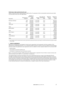#### **Performance rights granted during the year**

Details of the performance rights granted to KMP as the LTI component of their remuneration during the year ended 30 June 2010 are set out in the table below:

|                        |                          | Number of<br>performance |                            | Fair value per               | Minimum           | Maximum              |
|------------------------|--------------------------|--------------------------|----------------------------|------------------------------|-------------------|----------------------|
| Executive <sup>1</sup> | Performance<br>measure   | rights<br>granted        | date                       | Vesting performance<br>right | value of<br>grant | value of<br>grant    |
| Nicholas Collishaw     | <b>TSR</b>               | 1,106,800                | 1 July 2012                | 0.77                         |                   | 852,236              |
| Total                  | <b>ROE</b>               | 1,106,800<br>2,213,600   | 1 July 2012                | 0.56                         |                   | 619,808<br>1,472,044 |
| John Carfi             | <b>TSR</b><br><b>ROE</b> | 147,850<br>147,850       | 1 July 2012<br>1 July 2012 | 0.77<br>0.56                 |                   | 113,845<br>82,796    |
| Total                  |                          | 295,700                  |                            |                              |                   | 196,641              |
| <b>Brett Draffen</b>   | <b>TSR</b>               | 294,950                  | 1 July 2012                | 0.77                         |                   | 227,112              |
| Total                  | <b>ROE</b>               | 294,950<br>589,900       | 1 July 2012                | 0.56                         |                   | 165,172<br>392,284   |
| <b>Gary Flowers</b>    | <b>TSR</b><br><b>ROE</b> | 132,400<br>132,400       | 1 July 2012<br>1 July 2012 | 0.77<br>0.56                 |                   | 101,948<br>74,144    |
| Total                  |                          | 264,800                  |                            |                              |                   | 176,092              |
| Justin Mitchell        | <b>TSR</b>               | 137,500                  | 1 July 2012                | 0.77                         |                   | 105,875              |
| Total                  | <b>ROE</b>               | 137,500<br>275,000       | 1 July 2012                | 0.56                         |                   | 77,000<br>182,875    |

1) Grant Hodgetts and Chris Freeman did not receive a performance rights grant during the year ended 30 June 2010 and therefore have been excluded from this table.

#### **7 Service agreements**

KMP terms of employment are detailed in formal service agreements. Each agreement, with the exception of the agreement for the Managing Director, is of a continuing duration and has no set term of service (subject to the termination provisions within the agreement). Each agreement covers (in addition to other standard matters) for the relevant KMP:

- general duties;
- remuneration and other benefits; and
- termination of employment and termination benefits.

Mirvac can generally terminate a KMP employment without notice or payment in lieu of notice in cases of serious and wilful misconduct by the KMP, or in certain other circumstances.

The following tables summarise the details of the service agreements that are in place for the Managing Director and KMP. As outlined previously, the existing contractual terms described below entitle KMP to payments in excess of 12 months fixed remuneration. However, the Board has resolved that the termination entitlements for these executives will be reduced to a maximum of 12 months salary, consistent with the maximum amount permissible without requiring securityholder approval under the revised legislation. This change will be made at the next point a variation is made to each affected executive's contracts (including when a change is made to their fixed remuneration).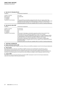#### **a) Key terms for Managing Director**

| Condition                                                                                             | Contractual arrangement                                                                                                                                                                                                                                                                                                                                                                                                                                                                                                                                                                                         |
|-------------------------------------------------------------------------------------------------------|-----------------------------------------------------------------------------------------------------------------------------------------------------------------------------------------------------------------------------------------------------------------------------------------------------------------------------------------------------------------------------------------------------------------------------------------------------------------------------------------------------------------------------------------------------------------------------------------------------------------|
| Length of contract<br>Notice period<br>STI eligibility<br>LTI eligibility<br>Treatment on termination | Four years<br>Not applicable<br>Yes<br>Yes<br>In the event Mirvac terminates employment with notice, for reasons other than<br>unsatisfactory performance, termination payment consists of the fixed pay that would<br>otherwise have been paid for the remaining balance of the term of the contract.                                                                                                                                                                                                                                                                                                          |
|                                                                                                       | Outstanding balance for ERP loan is payable within 12 months of ceasing employment.                                                                                                                                                                                                                                                                                                                                                                                                                                                                                                                             |
| b) Key terms for other KMP                                                                            |                                                                                                                                                                                                                                                                                                                                                                                                                                                                                                                                                                                                                 |
| Condition                                                                                             | Contractual arrangement                                                                                                                                                                                                                                                                                                                                                                                                                                                                                                                                                                                         |
| Length of contract                                                                                    | No fixed term                                                                                                                                                                                                                                                                                                                                                                                                                                                                                                                                                                                                   |
| Notice period                                                                                         | Three months                                                                                                                                                                                                                                                                                                                                                                                                                                                                                                                                                                                                    |
| STI eligibility                                                                                       | Yes                                                                                                                                                                                                                                                                                                                                                                                                                                                                                                                                                                                                             |
| LTI eligibility                                                                                       | Yes                                                                                                                                                                                                                                                                                                                                                                                                                                                                                                                                                                                                             |
| Treatment on termination                                                                              | In the event of redundancy, termination payment consists of nine months fixed<br>remuneration and an STI payment equivalent to 75 per cent of target.<br>In the event of a corporate amalgamation where there is a material change of status<br>or responsibilities of the executive termination payment consists of 18 months fixed<br>remuneration and an STI payment equivalent to 150 per cent of target.<br>In the event of redundancy, a pro-rated portion of LTP grants is retained after<br>termination based on completed years of service, subject to the original performance<br>period and hurdles. |
|                                                                                                       | Outstanding balance for ERP loan is payable within 12 months of ceasing employment.                                                                                                                                                                                                                                                                                                                                                                                                                                                                                                                             |

#### **8 Additional information**

#### **a) Equity instruments held by KMP**

The relevant interests held in stapled securities of Mirvac by the KMP are detailed in note 33 to the financial statements.

#### **b) Other benefits**

Fees paid by Mirvac for Directors' and Officers' liability insurance are not itemised for each Director and, as their disclosure would breach the terms of the policy, are not set out in this report. Executives and Directors (including Non-Executive Directors) are entitled to participate in arrangements available to directly purchase Mirvac developed residential property, on the same terms and conditions as apply to other employees within the Group.

#### **c) Loans to KMP**

Information on loans to Executive Directors and other KMP is disclosed in note 33 to the financial statements. Loans are not provided to Non-Executive Directors.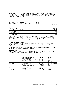#### **d) Directors' interests**

Particulars of Directors' relevant interests in the stapled securities of Mirvac or a related body corporate, in debentures of (or interests in a registered scheme made available by) Mirvac or a related body corporate and their rights or options over any such securities, debentures or registered scheme interests as notified by the Directors to the ASX at 30 June 2010 are as follows:

|                                                            | Interests in securities |                           |  |
|------------------------------------------------------------|-------------------------|---------------------------|--|
| <b>Directors</b>                                           | of related entities     | Mirvac stapled securities |  |
| James MacKenzie (direct)                                   |                         | 129,914                   |  |
| Mirvac Industrial Trust $-$ units (direct)                 | 122.643                 |                           |  |
| Mirvac Development Fund $-$ Seascapes $-$ units (indirect) | 300,000                 |                           |  |
| Nicholas Collishaw (direct and indirect)                   |                         | 2,056,004                 |  |
| Mirvac Development Fund $-$ Seascapes $-$ units (indirect) | 25,000                  |                           |  |
| Options                                                    |                         | 2.336.340                 |  |
| Performance rights                                         |                         | 3,199,560                 |  |
| Peter Hawkins (direct and indirect)                        |                         | 596,117                   |  |
| James Millar (indirect)                                    |                         | 40,714                    |  |
| Penny Morris (direct and indirect)                         |                         | 241,136                   |  |
| John Mulcahy (indirect)                                    |                         | 25,000                    |  |

During the year ended 30 June 2009, Mirvac introduced a security acquisition plan for Non-Executive Directors whereby a portion of their Directors' fees could be sacrificed on a monthly basis and applied to acquire additional Mirvac stapled securities. No Non-Executive Directors purchased securities through this plan during the preceding year due to changes to the tax treatment of securities acquired under the plan. However, securities purchased in prior years continue to be held in the plan.

#### **e) Options over unissued securities**

During the year ended 30 June 2010, no options over Mirvac stapled securities were issued to executives pursuant to Mirvac's LTIP. Options over 108,332 Mirvac stapled securities were forfeited during the year as a result of employees leaving the Group.

No securities in the Group or any of its controlled entities were issued during or since the year ended 30 June 2010 as a result of the exercise of an option over unissued securities.

#### **Other directorships**

Details of all directorships of other listed companies held by each Director in the three years immediately before 30 June 2010 and the period for which each directorship was held are as follows:

| Director        | Company                              | Date appointed   | Date ceased            |
|-----------------|--------------------------------------|------------------|------------------------|
| James MacKenzie | <b>Bravura Solutions Limited</b>     | April 2006       | November 2008          |
|                 | Circadian Technologies Limited       | <b>July 2002</b> | <b>July 2008</b>       |
|                 | Gloucester Coal Limited              | June 2009        | Current                |
|                 | Melco Crown Entertainment Limited    | April 2008       | Current                |
|                 | Pacific Brands Limited               | May 2008         | Current                |
|                 | Strategic Pooled Development Limited | November 2005    | October 2007           |
| Peter Hawkins   | St George Bank Limited               | April 2007       | Delisted December 2008 |
|                 | Visa Inc                             | October 2007     | Current                |
|                 | <b>Westpac Banking Corporation</b>   | December 2008    | Current                |
| Penny Morris    | Aristocrat Leisure Limited           | February 2004    | April 2010             |
|                 | Clarius Group Limited                | August 2005      | Current                |
| John Mulcahy    | Suncorp-Metway Limited               | January 2003     | <b>March 2009</b>      |
|                 | Coffey International Limited         | September 2009   | Current                |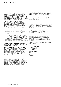#### **Non-audit services**

Mirvac may decide to employ the auditor on assignments additional to their statutory audit duties where the auditor's expertise and experience with the Group are relevant (non-audit services). Details of the amounts paid or payable to the auditor (PricewaterhouseCoopers) for audit and non-audit services provided during the year are set out in note 37 to the financial statements.

The Board has considered the position and, in accordance with the advice received from the ARCC is satisfied that the provision of non-audit services is compatible with the general standard of independence for auditors imposed by the Corporations Act 2001. The Directors are satisfied that the provision of nonaudit services by the auditor, as set in note 37, did not compromise the auditor independence requirements of the Corporations Act 2001 for the following reasons:

- all non-audit services have been reviewed by the ARCC to ensure they do not impact the impartiality and objectivity of the auditor; and
- $-$  none of the services undermines the general principles relating to auditor independence as set out in APES 110 Code of Ethics for Professional Accountants, including reviewing or auditing the auditor's own work, acting in a management or a decision making capacity for the company, acting as advocate for the company or jointly sharing economic risk and rewards.

#### **Significant changes in the state of affairs**

Details of the state of affairs of the Group are disclosed within the review of operations.

## **Matters subsequent to the end of the year**

On 4 August 2010 the Group acquired 100 per cent of the issued securities in WOT, a ASX listed real estate investment trust, for consideration of approximately \$404.1m. The acquisition is expected to increase the Group's market share and reduce cost through economies of scale. The financial effects of this transaction have not been brought to account at 30 June 2010. The information provided in note 40 represents amounts disclosed in the 30 June 2010 financial statements of WOT, lodged with the Australian Securities and Investment Commission ("ASIC") on 3 August 2010. Due to the timing of this acquisition the exercise to identify any adjustments to the fair value of the assets and liabilities attained on acquisition date has not been finalised, and therefore the initial accounting for the business combination remains incomplete.

Except for the new acquisition discussed above, no other matter or circumstance has arisen since 30 June 2010 that has significantly affected, or may significantly affect:

- the Group's operations in future years; or
- the results of those operations in future years; or
- $-$  the Group's state of affairs in future years.

#### **Insurance of officers**

During the year, Mirvac paid a premium for an insurance policy insuring any past, present or future Director, Secretary, executive officer or employee of the Group against certain liabilities. In accordance with commercial practice, the insurance policy prohibits disclosure of the nature of the liabilities insured against and the amount of the premium.

#### **Auditor's independence declaration**

A copy of the Auditor's independence declaration required under section 307C of the Corporations Act 2001 is set out on page 25.

#### **Rounding of amounts**

Mirvac is of the kind referred to in Class Order 98/0100 issued by the ASIC, relating to the "rounding off" of amounts in the financial statements. Amounts in the financial statements have been rounded off to the nearest tenth of a million ("m") dollars in accordance with that Class Order.

This statement is made in accordance with a resolution of the Directors.

**Nicholas Collishaw** Director Sydney 24 August 2010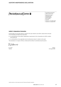# PRICEWATERHOUSE COPERS ®

PricewaterhouseCoopers ABN 52 780 433 757 Darling Park Tower 2 201 Sussex Street GPO BOX 2650 Sydney NSW 1171 DX 77 Sydney Australia Telephone +61 2 8266 0000 Facsimile +61 2 8266 9999

#### **Auditor's Independence Declaration**

As lead auditor for the audit of Mirvac Limited for the year ended 30 June 2010, I declare that to the best of my knowledge and belief, there have been:

- a) no contraventions of the auditor independence requirements of the Corporations Act 2001 in relation to the audit; and
- b) no contraventions of any applicable code of professional conduct in relation to the audit.

This declaration is in respect of Mirvac Limited and the entities it controlled during the period.

mA

R L Gavin Sydney Partner 2010 **Partner** 24 August 2010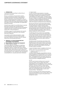#### **1 Introduction**

This section of the Annual Report outlines Mirvac's governance framework.

Mirvac is committed to ensuring that its systems, procedures and practices reflect a high standard of corporate governance. The Directors believe that Mirvac's corporate governance framework is critical in maintaining high standards of corporate governance and fostering a culture that values ethical behaviour, integrity and respect to protect securityholders and stakeholders' interests at all times.

During the year ended 30 June 2010, Mirvac's corporate governance framework was consistent with the Corporate Governance Principles and Recommendations released by the ASX Corporate Governance Council in August 2007 ("Recommendations").

The table on pages 37 and 38 indicates where specific Recommendations are dealt with in this corporate governance statement.

In accordance with the Recommendations, copies of the Group policies referred to in this corporate governance statement are posted to Mirvac's website: www.mirvac.com/corporate-governance.

#### **2 Principle 1: Lay solid foundations for management and oversight**

#### **a) Responsibilities of the Board and management**

#### i) Primary objective of Board

The primary objective of the Board is to build longterm securityholder value with due regard to other stakeholder interests. The Board does this by setting strategic direction and context, such as Mirvac's mission, vision and values, and focusing on issues critical for its successful execution such as personnel, performance and the management of risk. The Board is also responsible for overseeing Mirvac's corporate governance framework.

#### ii) Board charter

In order to promote high standards of corporate governance and to clarify the role and responsibilities of the Board, the Board has formalised its roles and responsibilities into a Board charter. The Board charter sets out the Board's accountabilities and responsibilities, including in relation to strategy and planning, personnel, remuneration, capital management and financial reporting, performance monitoring, risk management, audit and compliance and Board processes and policies.

Non-Executive Directors would spend approximately 25-30 days each year on Board activities and business, including attendance at Board meetings, Board Committee meetings, strategy and budget meetings with management, visits to interstate sites and meetings with Mirvac stakeholders. During the year ended 30 June 2010, the Board visited Mirvac offices and sites in Brisbane, Melbourne, Perth and Sydney.

The Managing Director provides open and detailed reports on Mirvac's performance and related matters to each Board meeting. The Chief Financial Officer also provides open and comprehensive reports on Mirvac's financial performance and other relevant matters such as Mirvac's debt position and the status of Mirvac's financing facilities.

The Board monitors the decisions and actions of the Managing Director and the performance of the Group to gain assurance that progress is being made towards attainment of the approved strategies and plans. The Board also monitors the performance of the Group through its Board Committees.

A copy of the Board charter is available on the Group's website: www.mirvac.com/corporate-governance.

#### iii) Delegation to Managing Director and senior executives

The Board charter delegates responsibility for the day to day management and administration of the Group to the Managing Director, assisted by the senior executive team. The Managing Director and senior executives of the Group operate in accordance with Board-approved policies and limits of delegated authority.

#### iv) ELT

The ELT was formed by the Board and is governed by the ELT charter. The ELT charter sets out the responsibilities and accountabilities of the ELT and the delegated authority of the Board which may be exercised by the ELT. The terms of the ELT charter specify the membership of the ELT, which at 30 June 2010 comprised the Managing Director, the Chief Financial Officer, the Chief Operating Officer and the Chief Executive Officer — Development.

All senior executives have their position descriptions, roles and responsibilities set out in writing, either in their employment contract or as part of the performance management system.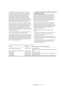v) Evaluation of performance of senior executives The performance of senior executives is reviewed on an annual cycle, with an interim six monthly review. This is part of Mirvac's performance management system, which is in place for all Mirvac employees. The performance management system comprises a series of KPIs which are set against Mirvac's strategic objectives. Performance is measured against the agreed KPIs and against consistency of senior executives' behaviour against the agreed Mirvac corporate values.

On an annual basis, the Chairman of the Board formally reviews the performance of the Managing Director. The Managing Director is assessed against qualitative and quantitative criteria, including profit performance of Mirvac and achievement of other measures, including safety performance and alignment of Group performance to strategic objectives.

In turn, the Managing Director reviews the performance of his direct reports against their agreed KPIs.

A performance evaluation of all senior executives and the Managing Director took place during the year ended 30 June 2010 in accordance with the process referred to above. Further information on performance evaluation and remuneration (including assessment criteria) is set out in the remuneration report.

#### **3 Principle 2: Structure the board to add value**

#### **a) Structure of the Board**

Together, the Board members have a broad range of financial and other skills, expertise and experience required to effectively oversee Mirvac's business. The Board comprises five Non-Executive Directors and one Executive Director (being the Managing Director). The Chairman of the Board, James MacKenzie, is an independent, Non-Executive Director.

The skills, experience and expertise of each Director are set out on pages 6 to 7 in the Directors' report. The Board determines its size and composition subject to the limits imposed by Mirvac's Constitutions, which provide that there be a minimum of three and a maximum of 10 Directors.

The Board charter provides that the Board should comprise:

- a majority of independent Non-Executive Directors;
- Directors with an appropriate range of skills, experience and expertise;
- Directors who have a proper understanding of, and competence to deal with, current and emerging issues of the business; and
- Directors who can effectively review and challenge the performance of management and exercise independent judgement.

The period of office held by each current Director is as follows:

| Director                                            | Appointed    | Last elected at an Annual General Meeting                                         |
|-----------------------------------------------------|--------------|-----------------------------------------------------------------------------------|
| James MacKenzie (Chairman)                          | January 2005 | 16 November 2007<br>Will stand for re-election at the 2010 Annual General Meeting |
| Nicholas Collishaw (Managing Director) January 2006 |              | N/A                                                                               |
| Peter Hawkins                                       | January 2006 | 14 November 2008                                                                  |
| James Millar                                        |              | November 2009 Will stand for election at the 2010 Annual General Meeting          |
| Penny Morris                                        | January 2006 | 14 November 2008                                                                  |
| John Mulcahy                                        |              | November 2009 Will stand for election at the 2010 Annual General Meeting          |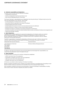# Corporate governance statement

#### **b) Chairman's responsibilities and independence**

The Board charter provides that the Chairman of the Board:

- $-$  is appointed by the Directors;
- must be an independent, Non-Executive Director; and
- must not be the Managing Director of the Group.

The Group's Chairman is James MacKenzie, an independent, Non-Executive Director. The Board charter sets out the roles and responsibilities of the Chairman. These include:

- providing leadership to the Board and to the Group;
- ensuring the efficient organisation and conduct of the Board;
- monitoring Board performance annually;
- facilitating Board discussions to ensure core issues facing the Group are addressed;
- briefing all Directors in relation to issues arising at Board meetings;
- facilitating the effective contribution and ongoing development of all Directors;
- promoting consultative and respectful relations between Board members and between the Board and management; and
- chairing securityholder meetings.

#### **c) Board independence**

The Board charter contains guidelines for assessing the independence of its Directors which are consistent with the Recommendations. The guidelines for assessing the independence of Mirvac's Directors and Mirvac's materiality thresholds are contained in the Board charter, which is published on Mirvac's website: www.mirvac.com/corporate-governance.

The ARCC is responsible for reviewing the independence of Directors each year. It is Mirvac's view and that of Mirvac's ARCC and its Board, that the status of its Directors at the date of this report is as follows:

| Independent Non-Executive Directors | Executive Director                     |
|-------------------------------------|----------------------------------------|
| James MacKenzie (Chairman)          | Nicholas Collishaw (Managing Director) |
| Peter Hawkins                       |                                        |
| James Millar                        |                                        |
| Penny Morris                        |                                        |
| John Mulcahy                        |                                        |

It is Mirvac's view that all of its Directors have exercised judgment and discharged their responsibilities in an unrestricted and independent manner throughout the year.

#### **d) Board committees**

To assist the Board in carrying out its functions, the Board has established:

- $-$  a ARCC (see section 5(a) of this statement);
- $-$  a Nomination committee (see section 3(e) of this statement):
- $-$  a HRC (see section 9(a) of this statement); and
- $-$  a HSE&SC (see section 3(j) of this statement).

All Directors are entitled to attend meetings of the Board Committees.

Minutes of all Board Committee and ELT meetings are provided to Directors in each Board pack. Proceedings of each Board Committee meeting are reported by the Committee Chair at the subsequent Board meeting.

Each Committee is entitled to the resources and information it requires to discharge its responsibilities, including direct access to senior executives, employees and advisers as needed.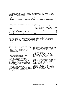#### **e) Nomination committee**

The Nomination committee was formed by resolution of the Board, in accordance with the Board charter. The Nomination committee is governed by the Nomination committee charter, which is available on Mirvac's website: www.mirvac.com/corporate-governance.

The objective of this committee is to assist the Board in ensuring that Mirvac has Boards and Committees of effective composition, size, expertise and commitment to adequately discharge their responsibilities and duties, having regard to the law and the highest standards of governance, with the specific responsibilities as set out in its Charter.

The Nomination committee consists of three members. Members are appointed by the Board from the independent, Non-Executive Directors. The current members of the Nomination Committee are James MacKenzie (Chair), Peter Hawkins and John Mulcahy. John Mulcahy was appointed as a member of the Nomination Committee effective at 21 June 2010, following the resignation of Paul Biancardi on that date.

Details of attendance of the members of the Nomination Committee are contained in the following table:

| Director                                                         | Meetings held during<br>the year as a member | Meetings attended during<br>the year as a member |
|------------------------------------------------------------------|----------------------------------------------|--------------------------------------------------|
| James MacKenzie (Chair)                                          |                                              | 4                                                |
| Paul Biancardi (retired as a Director 21 June 2010)              |                                              | 4                                                |
| Peter Hawkins                                                    |                                              | 4                                                |
| John Mulcahy (appointed to Nomination committee on 21 June 2010) |                                              |                                                  |

The accountabilities and responsibilities of the Nomination committee are set out in the Nomination committee charter. The responsibilities include reviewing Non-Executive Director remuneration, assessing the skills and necessary industry, technical or functional experience required on the Board, conducting searches for new Board members, ensuring succession plans are in place for Board members and assisting the Chairman to evaluate the performance of the Board as a whole, as well as individual Non-Executive Directors.

#### **f) Board and Director performance evaluation**

The performance of the Board, the Board Committees and each individual Director is reviewed annually.

The Board performance review is conducted by way of initial questionnaires completed by each Director to review:

- the performance of the Board and each Board Committee against the requirements of their respective charters;
- the individual performance of the Chairman and each other Director; and
- the processes and procedures of the Board, to identify areas for improvement.

The Chairman provides open and transparent performance feedback to the Board, the Board Committees and each individual Director, based on the information in the questionnaire. The Chairman also seeks feedback on the performance of the Board and Directors from the Managing Director and other members of the ELT.

The Board performance review process conducted during the year ended 30 June 2010 indicated no major issues or concerns in relation to Board, Board Committee or individual Director performance which required further attention.

#### **g) Induction**

Management and the Board provide new Directors with an induction program. This includes meetings with senior executives, briefings on Mirvac's strategy, independent meetings with Mirvac's external auditors, provision of all relevant corporate governance material and policies and discussions with the Chairman and other Directors.

#### **h) Access to information, indemnification and independent advice**

The General Counsel and Company Secretary provides assistance to the Board and Directors also have access to senior executives at any time to request any relevant information.

Under the relevant Constitutions and relevant Deeds with Directors (and only to the extent permitted by law). Mirvac indemnifies Directors against certain liabilities incurred in their capacity as Directors of Mirvac and against certain legal costs incurred in defending any action for those liabilities.

The Board charter provides that Directors may obtain independent professional advice, at the expense of Mirvac, with the consent of the Chairman, which will not be unreasonably withheld or delayed.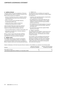#### **i) Conflicts of interest**

The Board charter sets out the obligations of Directors in dealing with any conflicts of interest. Pursuant to the Board charter, Directors are obliged to:

- disclose to the Board any actual or potential conflicts of interest which may exist as soon as they become aware of the issue;
- take any necessary and reasonable measures to resolve the conflict; and
- $-$  comply with all law in relation to disclosure of interests and restrictions on voting.

Unless the Board determines otherwise, a Director with any actual or potential conflict of interest in relation to a matter before the Board, does not:

- receive any Board papers in relation to that matter; and
- $-$  participate in any discussion or decision making in relation to that matter.

Mirvac's code of conduct also sets down guidelines for dealing with conflicts of interest that may arise particularly for executives and other employees.

#### **j) HSE&SC charter**

The HSE&SC was formed by resolution of the Board, in accordance with the Board charter. The HSE&SC is governed by the HSE&SC charter, which is available on Mirvac's website: www.mirvac.com/corporate-governance.

#### i) HSE&SC role

The objectives of this committee are to assist the Board lead the Group's commitment to HSE&S matters by reporting on:

- $-$  compliance with applicable statutory requirements, codes, standards and guidelines;
- the establishment of measurable objectives and targets aimed at the elimination of work related incidents or impacts from the Group's activities, products and services;
- the establishment and implementation of measures to progress towards achieving HSE&SC objectives and targets; and
- the assessment of performance against HSE&S objectives and targets.

#### ii) HSE&SC composition

The membership of the HSE&SC is determined by the HSE&SC charter. The HSE&SC currently consists of Penny Morris (Chair), John Mulcahy and a number of senior executives.

Each member of this Committee has the technical expertise to enable the Committee to effectively discharge its mandate. The Chair of the committee, Penny Morris, has extensive experience in HSE&S matters particularly in the property development and construction industries.

Details of attendance of the Non-Executive Director members of the HSE&SC are contained in the following table:

| Director                                               | Meetings held during<br>the year as a member | Meetings attended during<br>the year as a member |
|--------------------------------------------------------|----------------------------------------------|--------------------------------------------------|
| Penny Morris (Chair)                                   |                                              | 10                                               |
| John Mulcahy (appointed to HSE&SC on 17 December 2009) |                                              |                                                  |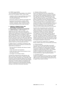#### iii) HSE&SC responsibilities

The accountabilities and responsibilities of the HSE&SC are set out in the HSE&SC charter. These include:

- compliance with the Group's standards and practices and legal compliance with health, safety and environmental legislation;
- performance against set objectives and targets; and
- development and integration of leading HSE&S initiatives to minimise risk to employees, service providers, employees, visitors, customers and the environment arising from the Group's activities.

#### **4 Principle 3: Promote ethical and responsible decision making**

#### **a) Responsibilities of the Board and management**

 $i)$  Conduct and ethics – code of conduct Integrity is one of the Group's core values. In the Group's 38 year history, it has built a reputation for integrity and in dealing fairly, honestly and transparently with all stakeholders. Mirvac has adopted a code of conduct which espouses its core values and reflects the Recommendations in terms of the matters addressed. All senior executives certify to the ARCC their adherence to the requirements of the code on a quarterly basis. The code of conduct applies to the Board, executives and all other employees. A copy of the code is posted to Mirvac's website: www.mirvac.com/corporate-governance.

In addition, Mirvac is committed to maintaining a high standard of ethical business behaviour at all times and requires Mirvac employees to:

- treat other Mirvac employees with fairness, honesty and respect;
- comply with all laws and regulations;
- comply with Mirvac policies and procedures in force from time to time; and
- not engage in any improper conduct.

The Board has implemented the Whistleblower and Open Line Policy, which assists in creating an ethical environment where employees may, in good faith, make a disclosure reporting what they believe to be improper conduct without any adverse action being taken against the discloser. The Policy applies to all employees and outlines the processes for reporting alleged improper conduct (including anonymous disclosures and outlines the ways in which Mirvac will protect disclosers).

#### ii) Dealings in Mirvac securities

Mirvac has implemented a Security Trading Policy which covers dealings in Mirvac securities by Directors, executives and other designated employees, as well as their respective associates. Designated persons may only deal in Mirvac securities, or in securities of other public, listed entities that are related to Mirvac, in certain periods as identified in the Policy. Notwithstanding this, no Director, executive or other employee may deal in Mirvac securities if they are in possession of price sensitive information. Any securities dealing in the Group by Directors is notified to the ASX within five business days of the dealing. Mirvac does not stipulate any minimum security holding requirements by its Directors.

As noted in the remuneration report, performance rights or options relating to Mirvac securities are granted to employees in accordance with the Mirvac remuneration strategy. The Security Trading Policy prohibits senior executives and other employees from hedging any unvested awards relating to Mirvac securities. Employees may only hedge vested Mirvac securities if all vesting conditions in relation to the award have been satisfied and only if the fact and nature of the hedging arrangement have been fully disclosed in writing to the Company Secretary within five business days after the hedging arrangement is entered into.

A copy of the Security Trading Policy is available at Mirvac's website: www.mirvac.com/corporate-governance.

#### iii) Political donations

As a result of recent New South Wales Government legislation, Mirvac and certain Directors and officers of Mirvac are prohibited from making political donations of any kind. In response to this legislation, the Board established a Political Donations Policy, which prohibits any Mirvac employee from making any political donation on behalf of the Group. During the year ended 30 June 2010, Mirvac made no political donations.

#### iv) Charitable donations

The Mirvac Foundation is the focus of Mirvac's charitable support on both a national and state basis. Mirvac staff make donations to the Foundation and donate their time to support these charities' activities.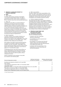#### **5 Principle 4: Safeguard integrity in financial reporting**

#### **a) ARCC**

#### i) ARCC charter

The ARCC was formed by resolution of the Board, in accordance with the Board charter. The ARCC is governed by the ARCC charter, which is available on Mirvac's website: www.mirvac.com/corporate-governance.

#### ii) ARCC role

The objective of the ARCC is to assist the Board in fulfilling its corporate governance and oversight responsibilities in relation to the Group's financial reporting, systems of internal controls and management of risk, internal and external audit functions and processes for monitoring compliance with law and the Group code of conduct. It is the ARCC role, in conjunction with the external auditors, to ensure that the Group's financial statements and disclosures are complete and accurate and are in accordance with generally accepted accounting principles and applicable law.

#### iii) ARCC composition

The ARCC consists of four members. Members are appointed by the Board from the Non-Executive Directors, all of whom are also independent. The current members of the ARCC are James Millar (Chair), James MacKenzie, Peter Hawkins and John Mulcahy.

Each member of the ARCC has the technical expertise to enable the Committee to effectively discharge its mandate. The Chair of the ARCC, James Millar, is the former Chief Executive Officer of Ernst & Young. Further details of the members qualifications can be found at pages 6 to 7 in the Director's report.

The Managing Director and Chief Financial Officer, as well as representatives of the external and internal auditors attend all meetings by invitation. The ARCC regularly meets with the external auditors without management present.

Details of attendance of the members of the ARCC are contained in the following table:

#### iv) ARCC responsibilities

The ARCC charter sets out the responsibilities of the ARCC. The ARCC responsibilities include the review of external financial accounting, internal control and risk management, external audit, internal audit, special investigations and managed investment schemes.

#### v) Scheme compliance committee

Also reporting to the ARCC is the scheme compliance committee which has direct responsibility for monitoring and reviewing the Compliance Plans of Mirvac's registered managed investment schemes and wholly-owned subsidiaries holding Australian Financial Services ("AFS") licences, as well as overseeing their adherence to all applicable laws and regulations. The scheme compliance committee meets on a quarterly basis and comprises four members, three of whom are independent.

#### **6 Principle 5: Make timely and balanced disclosure**

#### **a) Commitment to disclosure**

Mirvac is committed to ensuring:

- compliance with ASX Listing Rule disclosure requirements;
- accountability at a senior executive level for that compliance;
- $-$  the facilitation of an efficient and informed market in Mirvac securities by keeping the market appraised through ASX announcements of all material information; and
- $-$  compliance with the requirements of the Corporations Act, ASX Listing Rules and the Recommendations.

| Director/independent member                                                     | Meetings held during<br>the year as a member | Meetings attended during<br>the year as a member |
|---------------------------------------------------------------------------------|----------------------------------------------|--------------------------------------------------|
| Paul Biancardi (retired as a Director on 21 June 2010)                          | 8                                            | 7 <sup>1</sup>                                   |
| Peter Hawkins                                                                   | 8                                            | 7 <sup>1</sup>                                   |
| James MacKenzie (appointed to ARCC on 17 December 2009)<br>James Millar (Chair) | ר                                            | 4 <sup>1</sup>                                   |
| (appointed to ARCC on 17 December 2009 and appointed Chair on 21 June 2010)     | 5                                            | 5.                                               |
| Penny Morris (retired from ARCC on 17 December 2009)                            |                                              | $\overline{A}$                                   |
| John Mulcahy (appointed to ARCC on 17 December 2009)                            |                                              | 5                                                |
| Richard Turner (independent member from 24 August 2009)                         | 8                                            | 6 <sup>1</sup>                                   |

1) Leave of absence granted.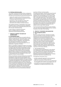#### **b) Continuous disclosure policy**

The Group's Continuous Disclosure Policy is designed to support its commitment to a fully informed market in its securities by ensuring that the Group announcements are:

- made to the market (via the ASX Announcements platform) in a timely manner, are factual and contain all relevant material information; and
- expressed in a clear and objective manner that allows investors to assess the impact of the information when making investment decisions.

The Company Secretary is responsible for the Group's compliance with its continuous disclosure obligations and for overseeing and coordinating disclosures to the ASX and other interested parties.

A copy of Mirvac's Continuous Disclosure Policy is available at Mirvac's website: www.mirvac.com/corporate-governance.

#### **7 Principle 6: Respect the rights of shareholders**

#### **a) Communication policy**

All Mirvac ASX announcements are posted to Mirvac's website including half year and annual reports, results releases, market briefings, notices of meetings and the Mirvac property compendium. Teleconferencing and webcasting and facilities are provided for market briefings to encourage participation from all stakeholders, regardless of location.

Mirvac is committed to rotating the location of its Annual General Meeting/General Meeting, to allow securityholders in locations other than Sydney to participate in person. The 2009 meetings were held in Sydney and the 2010 meetings will be held in Brisbane. Mirvac encourages securityholders to attend the Annual General/General Meeting. At those meetings, securityholders are entitled to ask questions about the management of Mirvac and questions of Mirvac's external auditor.

Notices of meeting for general meetings are accompanied by explanatory notes to provide securityholders with information to enable them to decide whether to attend the Annual General/General Meeting. Full copies of notices of meetings and explanatory notes are posted on Mirvac's website. Securityholders who are unable to attend the Annual General/General Meeting may vote by appointing a proxy, using the form attached to the notice of meeting or an online facility. Securityholders are also invited to submit questions in advance of the Annual General/ General Meeting so that Mirvac can ensure those issues are addressed at the Annual General/General Meeting.

A partner of Mirvac's external auditor,

PricewaterhouseCoopers, attends both Annual General/ General Meeting of Mirvac and is available to answer questions from securityholders on the conduct of the audit of the Group. Securityholders are also provided with a reasonable opportunity to ask questions of the external auditor at the meetings. The external auditor is also allowed a reasonable opportunity to answer written questions submitted by securityholders to the meetings. No questions were directed to the auditors in regard to the conduct of the audit of the Group's 2009 financial statements and no questions were directed to the auditors at the Group's 2009 meetings.

The Annual General/General Meeting are also webcast each year, with access details posted to Mirvac's website in advance of the date of the meetings.

#### **8 Principle 7: Recognise and manage risk**

#### **a) Risk management policies**

#### i) Risks

Mirvac is a leading ASX listed, integrated real estate group with activities involving real estate investment, residential and commercial development, hotel management and investment management. These activities involve risks of varying types and to varying extents. Risk can relate to both threats to existing activities, as well as a failure to take advantage of opportunities that may arise. Mirvac's objective is to ensure those risks are identified and, where practical and economically viable, measures implemented to mitigate or otherwise manage the impact those risks may have on the Group's activities.

#### ii) Risk management policy

In recognition that risk management is a key element of an organisation's effective corporate governance processes, the Board has adopted a Risk Management policy statement and associated procedures for identifying, assessing and managing Mirvac's strategic, operational, financial and reputational risks.

The objectives of the policy are to:

- $-$  provide a systematic approach to risk management aligned to the Group's strategic objectives;
- define the mechanisms by which the Group determines its risk appetite and considers and manages risks; and
- articulate the roles and accountabilities for the management, oversight and governance of risk.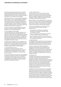## Corporate governance statement

The approach defined within this Policy is consistent with the Australian and New Zealand standard on risk management (ISO 31000: 2009). The Policy applies to all legal entities within the Group to enable an enterprise wide approach to managing risk to be applied.

Supporting this Policy is a "Risk Management Roadmap and Framework" which has been prepared to guide the various business units in addressing their particular risk exposures through a structured implementation of risk management processes. Although structured, the Framework maintains a sufficient degree of flexibility to allow the respective business units to adopt appropriate strategies to address their risk exposures.

A copy of the approach to Risk Management Internal Compliance Control is available at Mirvac's website: www.mirvac.com/corporate-governance.

#### iii) Risk management responsibility

The Board determines the overall risk appetite for the Group and has approved the strategies, policies and practices to ensure that risks are identified and managed within the context of this risk appetite. The application of the Group's policies and procedures to manage risk is ultimately the responsibility of the Board, which has in turn delegated specific authority to the ARCC (as more fully detailed in the ARCC charter).

The ARCC advises the Board on risk management and is responsible for reviewing policies for approval by the Board and for reviewing the effectiveness of the Group's approach to risk management. Risk management is a standing agenda item for all ARCC meetings.

#### iv) Risk management function

The Board has charged management with the responsibility for managing risk within the Group and the implementation of mitigation measures, under the direction of the Managing Director supported by senior executives.

A Group risk management function has been established to facilitate the process by providing a centralised role in advising the various business units on executing risk management and mitigation strategies, as well as consolidating risk reporting to the senior executives, the ARCC and ultimately the Board.

#### v) Role of internal audit

Internal audit's role is to assess risks and controls, enhance processes and monitor controls to provide assurance to the ARCC and the Board that the material risks and compliance obligations are being effectively managed. The Head of Internal Audit has open access to the ARCC and its Chairman at all times.

Mirvac's approach to risk management is to establish an effective control environment to manage material risks to its business. A material risk is defined as the probability that an action, inaction or natural event may hinder or prevent the achievement of key business objectives.

The Group's risk management and internal control systems are designed to provide reasonable assurance that:

- risk exposures are identified and adequately monitored and managed through appropriate risk mitigation measures;
- financial, management and operational information is accurate, relevant, timely and reliable; and
- there is compliance with the spirit of, as well as the letter of, policies, standards, procedures and applicable laws, regulations and licences.

#### vi) Operational risks

The Managing Director supported by senior executives is responsible for implementing and maintaining effective risk management and internal control systems for the operational risks that arise from the Group's activities.

To ensure consistent and effective practices are employed, each business unit has established a risk management function and developed risk registers detailing the key risks facing the particular business unit. These registers also detail the controls implemented to manage or mitigate the identified risks, as well as the persons responsible for implementing the controls and managing the risks.

#### vii) Financial risks

The Board has also approved principles and policies to manage the financial risks arising from the Group's operations, including its financing and treasury management activities. The ARCC reports to the Board in relation to the integrity of the Group's financial reporting, internal control structure, risk management systems as well as the internal and external audit functions. Executive assurance is also provided to the Board and the ARCC as to the effectiveness of the Group's risk management and internal control systems in relation to financial reporting risks.

The ARCC also oversees, and reports to various Boards within the Group on, the specific risks and compliance requirements arising from the activities of the Group's AFS licensed entities and respective registered managed investment schemes. The ARCC is assisted in this process by the scheme compliance committee, comprising four members (three of whom are independent), which reviews the compliance performance of these licensed entities and their various schemes and funds on a quarterly basis.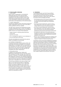## **b) External auditor relationship**

#### i) Role of ARCC

Mirvac's ARCC is responsible for overseeing the relationship with the Group's external auditor, PricewaterhouseCoopers, including the terms of engagement of the external auditor and the scope of the external audit program each year. The ARCC is also responsible for monitoring and evaluating the performance, and independence, of the external auditor.

#### ii) Auditor independence

The Board has adopted a policy and practice protocol for auditor independence which forms part of the ARCC's charter published on Mirvac's website.

The ARCC policy endorses the fundamental principles of auditor independence that, in order to be eligible to undertake any non-audit related services, the external auditor must not, as a result of that assignment:

- create a mutual or conflicting interest with that of the Group;
- audit their own work:
- act in a management capacity or as an employee; or
- act as an advocate for the Group.

The policy also details the services that the external auditor is prohibited from performing.

#### iii) Certificate of independence

PricewaterhouseCoopers has provided the ARCC with a half yearly and annual certification of its continued independence, in accordance with the requirements of the Corporations Act 2001, and in particular confirmed that it did not carry out any services or assignments during the year ended 30 June 2010 that were not compatible with auditor independence.

#### iv) Non-audit services

In addition to the audit partner rotation and appointment requirements set out in the policy and in the Corporations Act 2001, the ARCC also reviews and approves, or declines, as considered appropriate before the engagement commences, any individual engagement for non-audit services involving fees exceeding \$100,000. Below this amount, approval, or otherwise as considered appropriate, is delegated to the Chief Financial Officer.

No work will be awarded to the external auditor if the ARCC (or the Chief Financial Officer as applicable) believes such work would give rise to a "self review threat" (as defined in APES 110 Code of Ethics for Professional Accountants) or would create a conflict, or perceived conflict, of interest for the external auditor or any member of the audit team, or would otherwise compromise the Auditor's independence requirements under the Corporations Act 2001.

## **c) Assurances**

The Managing Director and Chief Financial Officer have provided the following assurance to the Board in connection with the Group's full year financial statements and reports, namely that in their opinion, to the best of their knowledge and belief:

- the financial records of the Group for the year ended 30 June 2010 have been properly maintained in accordance with section 286 of the Corporations Act 2001;
- the Group's financial statements, and the notes to those statements, for the year ended 30 June 2010 comply with the relevant accounting standards;
- the Group's financial statements, and the notes to those statements, for the year ended 30 June 2010 give a true and fair view of the financial position, operational results and the performance of the Group;
- $-$  the statements referred to in the points above are founded on a system of risk management and internal compliance and control which implements the policies adopted by the Board; and
- Mirvac's risk management and internal compliance and control system is operating effectively in all material respects in relation to financial reporting risks.

The effective control environment established by the Board supports this assurance provided by the Managing Director and Chief Financial Officer. However, it should be noted that associates and joint ventures, which are not controlled by Mirvac, are not covered for the purpose of this assurance or declaration given under section 295A of the Corporations Act 2001. Further, these declarations provide a reasonable but not absolute level of assurance about risk management, internal compliance and control systems, and do not imply a guarantee against adverse events or more volatile conditions and outcomes in the future.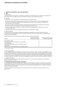# **9 Principle 8: Remunerate fairly and responsibly**

## **a) HRC**

i) HRC charter

The HRC was formed by resolution of the Board, in accordance with the Board charter. The HRC is governed by the HRC charter, which is available on the Group's website: www.mirvac.com/corporate-governance.

# ii) HRC role

The objectives of this Committee are to assist the Board in ensuring the Group:

- has coherent remuneration policies and practices which are consistent with the Group's strategic goals and human resource objectives by attracting and retaining Directors and executives and other employees who will create value for securityholders:
- fairly and responsibly remunerates Directors and executives, having regard to the performance of the Group, the performance of the individuals and the general remuneration environment;
- $-$  has effective policies and procedures to attract, motivate and retain appropriately skilled persons to meet the Group's needs; and
- integrates human capital and organisational issues to the overall business strategy.
- iii) HRC composition

The HRC consists of four members. Members are appointed by the Board from the Non-Executive Directors, all of whom are also independent. The current members of the HRC are Peter Hawkins (Chair), James MacKenzie, James Millar and Penny Morris.

Details of attendance of the members of the HRC are contained in the following table:

| Director                                                 | Meetings held during<br>the year as a member | Meetings attended during<br>the year as a member |
|----------------------------------------------------------|----------------------------------------------|--------------------------------------------------|
| Peter Hawkins (Chair)                                    | 4                                            | $\overline{A}$                                   |
| Paul Biancardi (retired as a Director on 21 June 2010)   |                                              | $\mathcal{B}$                                    |
| James MacKenzie                                          | 4                                            | 3                                                |
| James Millar (appointed to HRC on 17 December 2009)      |                                              | 3                                                |
| Penny Morris                                             |                                              | $\overline{A}$                                   |
| Richard Turner (retired as a Director on 24 August 2009) |                                              |                                                  |

1) Leave of absence granted.

# iv) HRC responsibilities

The accountabilities and responsibilities of the HRC are set out in the HRC charter. The HRC's responsibilities include review and recommendation of compensation programs and performance targets for the Managing Director, Executive Directors and senior executives, review of the Group's recruitment, retention and termination policies and procedures for executives and senior management and review and approval of the strategy and principles for people management including compensation programs, performance management processes and career and skills development initiatives.

# v) Remuneration policy

Information on the Group's remuneration policies and practices is set out in the remuneration report starting on page 9 in the Directors' report.

# **b) Distinguish Non-Executive Director remuneration**

The remuneration of Non-Executive Directors is fixed and is paid according to the role of the Non-Executive Director and the Board Committees on which they serve and their role on the Board Committees. Non-Executive Directors do not participate in other remuneration components such as performance related short-term or long-term incentives, options of variable remuneration.

Information relating to the remuneration of Non-Executive Directors is disclosed in the remuneration report on pages 9 to 23.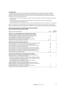# **10 Conclusion**

The Board is satisfied with its level of compliance and corporate governance requirements. However, the Board recognises that processes and procedures require continual monitoring and improvement. Mirvac's corporate governance framework will remain under review, to ensure that it remains effective and compliant with changing requirements. In particular, the Board notes:

- the amendments to the Recommendations in relation to diversity, nomination committee composition and security trading policies;
- the recommendations and Federal Government response to the Productivity Commission Inquiry Report "Executive Remuneration in Australia"; and
- the amendments to the ASX Listing Rules relating to security trading policies which come into effect on 1 January 2011.

Mirvac is reviewing those recommendations and amendments in order to determine any changes to processes and policies which may be required to ensure Mirvac's compliance with the Corporations Act 2001, and the Recommendations.

#### **ASX Corporate Governance Council's Principles and Recommendations Mirvac's corporate governance statement 2010**

| Principles and recommendations                                                                                                                     | Page      | Mirvac<br>compliance |
|----------------------------------------------------------------------------------------------------------------------------------------------------|-----------|----------------------|
| Principle 1: Lay solid foundations for management and oversight                                                                                    |           |                      |
| Recommendation 1.1: Establish the functions reserved to the board<br>and those delegated to senior executives and disclose those functions.        | 26        | ✓                    |
| Recommendation 1.2: Companies should disclose the process                                                                                          |           |                      |
| for evaluating the performance of senior executives.                                                                                               | 27        | ✓                    |
| Recommendation 1.3: Companies should provide the information<br>indicated in the Guide to reporting on Principle 1.                                | $26 - 27$ | ✓                    |
| Principle 2: Structure the board to add value                                                                                                      |           |                      |
| Recommendation 2.1: A majority of the board should be independent directors.                                                                       | 27        | ✓                    |
| <i>Recommendation 2.2:</i> The chair should be an independent director.                                                                            | 28        | ✓                    |
| <i>Recommendation 2.3:</i> The roles of the chair and the chief executive officer<br>should not be exercised by the same individual.               | 28        | ✓                    |
| <i>Recommendation 2.4:</i> The board should establish a nomination committee.                                                                      | 29        | ✓                    |
| Recommendation 2.5: Companies should disclose the process for evaluating<br>the performance of the board, its committees and individual directors. | 29        | ✓                    |
| Recommendation 2.6: Companies should provide the information indicated<br>in the Guide to reporting on Principle 2.                                | $27 - 29$ | ✓                    |
| Principle 3: Promote ethical and responsible decision making                                                                                       |           |                      |
| Recommendation 3.1: Companies should establish a code of conduct and<br>disclose the code or a summary of the code as to:                          | 31        | ✓                    |
| - the practices necessary to maintain confidence in the company's integrity;                                                                       |           |                      |
| - the practices necessary to take into account their legal obligations and the<br>reasonable expectations of stakeholders; and                     |           |                      |
| - the responsibility and accountability of individuals for reporting<br>and investigating reports of unethical practices.                          |           |                      |
| Recommendation 3.2: Companies should establish a policy concerning<br>trading in company securities by directors, senior executives and employees, |           |                      |
| and disclose the policy or a summary of that policy.                                                                                               | 31        | ✓                    |
| Recommendation 3.3: Companies should provide the information<br>indicated in the Guide to reporting on Principle 3.                                | 31        | ✓                    |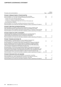# Corporate governance statement

| Principles and recommendations                                                                                                                                                            | Page      | Mirvac<br>compliance |
|-------------------------------------------------------------------------------------------------------------------------------------------------------------------------------------------|-----------|----------------------|
| Principle 4: Safeguard integrity in financial reporting                                                                                                                                   |           |                      |
| Recommendation 4.1: The board should establish an audit committee.                                                                                                                        | 32        | ✓                    |
| <i>Recommendation 4.2:</i> The audit committee should be structured so that it:                                                                                                           | 32        | ✓                    |
| - consists only of non-executive directors;                                                                                                                                               |           |                      |
| - consists of a majority of independent directors;                                                                                                                                        |           |                      |
| - is chaired by an independent chair, who is not chair of the board; and                                                                                                                  |           |                      |
| - has at least three members.                                                                                                                                                             |           |                      |
| Recommendation 4.3: The audit committee should have a formal charter.                                                                                                                     | 32        | ✓                    |
| Recommendation 4.4: Provide the information indicated in Guide to reporting on Principle 4.                                                                                               | 32        | ✓                    |
| Principle 5: Make timely and balanced disclosure                                                                                                                                          |           |                      |
| Recommendation 5.1: Establish written policies designed to ensure compliance with                                                                                                         |           |                      |
| ASX Listing Rule disclosure requirements and to ensure accountability at a senior                                                                                                         |           |                      |
| executive level for that compliance and disclose those policies or a summary of those policies.                                                                                           | 32        | ✓                    |
| Recommendation 5.2: Provide the information indicated in Guide to reporting on Principle 5.                                                                                               | 32        | ✓                    |
| Principle 6: Respect the rights of shareholders                                                                                                                                           |           |                      |
| Recommendation 6.1: Design a communications policy for promoting effective                                                                                                                |           |                      |
| communication with shareholders and encouraging their participation at<br>general meetings and disclose their policy of a summary of that policy.                                         | 33        |                      |
| Recommendation 6.2: Provide the information indicated in Guide to reporting on Principle 6.                                                                                               | 33        | ✓<br>✓               |
|                                                                                                                                                                                           |           |                      |
| Principle 7: Recognise and manage risk                                                                                                                                                    |           |                      |
| Recommendation 7.1: Establish policies for the oversight and management                                                                                                                   |           |                      |
| of material business risks and disclose a summary of those policies.                                                                                                                      | 33        | ✓                    |
| Recommendation 7.2: The board should require management to design and implement<br>the risk management and internal control system to manage the company's material                       |           |                      |
| business risks and report to it on whether those risks are being managed effectively.                                                                                                     |           |                      |
| The board should disclose that management has reported to it as to the effectiveness                                                                                                      |           |                      |
| of the company's management of the material business risks.                                                                                                                               | 33        | ✓                    |
| Recommendation 7.3: The board should disclose whether it has received assurance from                                                                                                      |           |                      |
| the chief executive officer (or equivalent) and the chief financial officer (or equivalent)<br>that the declaration provided in accordance with section 295A of the Corporations Act 2001 |           |                      |
| is founded on a sound system of risk management and internal control and that the system                                                                                                  |           |                      |
| is operating effectively in all material respects in relation to financial reporting risks.                                                                                               | 35        | ✓                    |
| Recommendation 7.4: Provide the information indicated in Guide to reporting on Principle 7.                                                                                               | $33 - 35$ | ✓                    |
| Principle 8: Remunerate fairly and responsibly                                                                                                                                            |           |                      |
| Recommendation 8.1: The board should establish a remuneration committee.                                                                                                                  | 36        | ✓                    |
| Recommendation 8.2: Clearly distinguish the structure of non-executive directors'                                                                                                         |           |                      |
| remuneration from that of executive directors and senior executives.                                                                                                                      | 36        | ✓                    |
| Recommendation 8.3: Provide the information indicated in Guide to reporting on Principle 8.                                                                                               | 36        | ✓                    |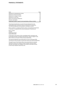# financial Statements

| Index                                                              | Page |
|--------------------------------------------------------------------|------|
| Statement of comprehensive income                                  | 40   |
| Statement of financial position                                    | 42   |
| Statement of changes in equity                                     | 43   |
| Statement of cash flows                                            | 44   |
| Notes to the financial statements                                  | 45   |
| Directors' declaration                                             | 127  |
| Independent auditor's report to the shareholders of Mirvac Limited | 128  |

These financial statements cover the financial statements for the consolidated entity consisting of Mirvac Limited and its subsidiaries. The financial statements are presented in Australian currency.

Mirvac Limited is a company limited by shares, incorporated and domiciled in Australia. Its registered office and principal place of business are:

Mirvac Limited Level 26 60 Margaret Street Sydney NSW 2000.

A description of the nature of the consolidated entity's operations and its principal activities is included in the Directors' report on pages 1 to 24, both of which are not part of these financial statements.

The financial statements were authorised for issue on 24 August 2010. The Directors have the power to amend and reissue the financial statements.

Through the use of the internet, Mirvac has ensured that its corporate reporting is timely and complete. All press releases, financial reports and other information are available in the Investor Information section on the Group's website: www.mirvac.com.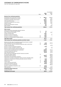# Statement of comprehensive income

For the Year Ended 30 June 2010

|                                                                                             |      | Consolidated |            |
|---------------------------------------------------------------------------------------------|------|--------------|------------|
|                                                                                             | Note | 2010<br>\$m  | 2009<br>Sm |
| Revenue from continuing operations                                                          |      |              |            |
| Development and construction revenue                                                        | 4    | 862.2        | 1,090.8    |
| Development management fee revenue                                                          |      | 31.1         | 24.2       |
| Investment properties rental revenue                                                        |      | 403.2        | 329.9      |
| Hotel operating revenue                                                                     |      | 146.8        | 147.4      |
| Investment management fee revenue                                                           |      | 30.8         | 46.6       |
| Interest revenue                                                                            | 4    | 40.4         | 23.0       |
| Dividend and distribution revenue                                                           |      | 0.5          | 1.1        |
| Other revenue                                                                               |      | 11.8         | 12.8       |
| Total revenue from continuing operations                                                    |      | 1,526.8      | 1,675.8    |
| Other income                                                                                |      |              |            |
| Share of net profit of associates and joint ventures                                        |      |              |            |
| accounted for using the equity method                                                       | 13   | 1.9          |            |
| Gain on financial instruments                                                               | 4    | 3.7          | 113.3      |
| Foreign exchange gains                                                                      |      | 25.6         |            |
| Net gain on sale of investments                                                             |      | 10.4         | 1.0        |
| Discount on business combination                                                            | 39   | 119.8        |            |
| Net gain on remeasurement of equity interest                                                | 39   | 30.9         |            |
| Total other income                                                                          |      | 192.3        | 114.3      |
| Total revenue from continuing operations and other income                                   |      | 1,719.1      | 1,790.1    |
| Net loss from fair value of investment properties and owner-occupied                        |      |              |            |
| hotel management lots and freehold hotels                                                   | 16   | (6.9)        | (487.2)    |
| Net loss from fair value on investment properties under construction                        | 16   | (112.8)      |            |
| Foreign exchange losses                                                                     |      |              | (72.5)     |
| Net loss on sale of investment properties                                                   |      | (0.2)        |            |
| Net loss on assets classified as held for sale                                              |      |              | (0.1)      |
| Net loss on sale of property, plant and equipment                                           |      | (1.1)        |            |
| Cost of property development and construction                                               |      | (789.7)      | (971.2)    |
| Investment properties expenses                                                              |      | (102.2)      | (81.4)     |
| Hotel operating expenses                                                                    |      | (46.3)       | (45.3)     |
| Share of net loss of associates and joint ventures accounted<br>for using the equity method | 13   |              | (158.0)    |
| Employee benefits expenses                                                                  |      | (190.7)      | (183.8)    |
| Depreciation and amortisation expenses                                                      | 5    | (31.2)       | (28.3)     |
| Impairment of goodwill, management rights and other intangible assets                       | 18   |              | (273.6)    |
| Impairment of investments including associates and joint ventures                           |      | (6.2)        | (41.6)     |
| Impairment of loans                                                                         | 5    | (5.6)        | (59.4)     |
| Finance costs                                                                               | 5    | (58.8)       | (87.9)     |
| Loss on financial instruments                                                               | 5    | (13.6)       | (144.5)    |
| Selling and marketing expenses                                                              |      | (23.9)       | (25.4)     |
| Provision for loss on inventories                                                           |      |              | (186.5)    |
| Business combination transaction costs                                                      | 39   | (19.4)       |            |
| Other expenses                                                                              |      | (80.9)       | (87.9)     |
| Profit/(loss) before income tax                                                             |      | 229.6        | (1,144.5)  |
| Income tax benefit                                                                          | 6    | 7.8          | 65.3       |
| Profit/(loss) for the year                                                                  |      | 237.4        | (1,079.2)  |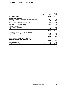# STATEMENT OF COMPREHENSIVE INCOME

For the Year Ended 30 June 2010

|                                                                                                                                    |      |                | Consolidated       |  |
|------------------------------------------------------------------------------------------------------------------------------------|------|----------------|--------------------|--|
|                                                                                                                                    | Note | 2010<br>\$m    | 2009<br>\$m        |  |
| Profit/(loss) for the year                                                                                                         |      | 237.4          | (1,079.2)          |  |
| Other comprehensive income for the year                                                                                            |      |                |                    |  |
| Decrement on revaluation of property, plant and equipment, net of tax<br>Exchange differences on translation of foreign operations |      | (0.3)<br>(0.9) | (32.3)<br>3.2      |  |
| Other comprehensive income for the year, net of tax                                                                                |      | (1.2)          | (29.1)             |  |
| Total comprehensive income for the year                                                                                            |      | 236.2          | (1,108.3)          |  |
| Profit/(loss) is attributable to:                                                                                                  |      |                |                    |  |
| - Stapled securityholders of Mirvac<br>$-$ NCI                                                                                     |      | 234.7<br>2.7   | (1,078.1)<br>(1.1) |  |
|                                                                                                                                    |      | 237.4          | (1,079.2)          |  |
| Total comprehensive income for the year is attributable to:<br>- Stapled securityholders of Mirvac                                 |      | 233.5          | (1,107.2)          |  |
| – NCI                                                                                                                              |      | 2.7            | (1.1)              |  |
|                                                                                                                                    |      | 236.2          | (1,108.3)          |  |
| Earnings per stapled security for net profit/(loss)<br>attributable to the stapled securityholders of Mirvac                       |      |                |                    |  |
|                                                                                                                                    |      | Cents          | Cents              |  |
| Basic earning per security                                                                                                         | 7    | 7.95           | (65.21)            |  |
| Diluted earnings per security                                                                                                      | 7    | 7.90           | (64.53)            |  |

The above statement of comprehensive income should be read in conjunction with the accompanying notes.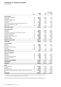AT 30 June 2010

|                                                                       |      |             |             | Consolidated                   |  |
|-----------------------------------------------------------------------|------|-------------|-------------|--------------------------------|--|
|                                                                       | Note | 2010<br>\$m | 2009<br>\$m | 1 July 2008 <sup>1</sup><br>Sm |  |
| <b>Current assets</b>                                                 |      |             |             |                                |  |
| Cash and cash equivalents                                             | 38   | 582.0       | 896.5       | 29.3                           |  |
| Receivables                                                           | 8    | 203.8       | 248.4       | 310.5                          |  |
| Derivative financial assets                                           | 14   | 2.0         | 5.5         |                                |  |
| Current tax assets                                                    | 6    | 2.1         | 6.4         | 63.3                           |  |
| Inventories                                                           | 9    | 573.3       | 629.3       | 683.2                          |  |
| Other financial assets at fair value through profit or loss           | 10   | 15.3        | 18.5        | 19.3                           |  |
| Assets classified as held for sale                                    | 11   | 53.7        |             | 6.3                            |  |
| Other assets                                                          | 12   | 26.0        | 41.1        | 49.4                           |  |
| Total current assets                                                  |      | 1,458.2     | 1,845.7     | 1,161.3                        |  |
| Non-current assets                                                    |      |             |             |                                |  |
| Receivables                                                           | 8    | 182.2       | 204.2       | 182.2                          |  |
| Inventories                                                           | 9    | 1,060.9     | 1,095.6     | 1,016.8                        |  |
| Investments accounted for using the equity method                     | 13   | 410.6       | 397.6       | 600.2                          |  |
| Derivative financial assets                                           | 14   | 14.0        | 7.5         | 95.1                           |  |
| Investment properties                                                 | 16   | 4,226.5     | 3,210.1     | 3,436.8                        |  |
| Property, plant and equipment                                         | 17   | 355.2       | 549.0       | 633.5                          |  |
| Intangible assets                                                     | 18   | 54.9        | 58.6        | 320.8                          |  |
| Deferred tax assets                                                   | 6    | 125.0       | 56.6        | 64.1                           |  |
| Total non-current assets                                              |      | 6,429.3     | 5,579.2     | 6,349.5                        |  |
| Total assets                                                          |      | 7,887.5     | 7,424.9     | 7,510.8                        |  |
| <b>Current liabilities</b>                                            |      |             |             |                                |  |
| Payables                                                              | 19   | 340.0       | 278.4       | 325.4                          |  |
| <b>Borrowings</b>                                                     | 20   | 327.7       | 422.6       | 138.0                          |  |
| Derivative financial liabilities                                      | 23   | 0.5         |             |                                |  |
| Provisions                                                            | 21   | 71.9        | 10.1        | 95.6                           |  |
| Other liabilities                                                     | 22   | 10.6        | 21.0        | 33.9                           |  |
| Total current liabilities                                             |      | 750.7       | 732.1       | 592.9                          |  |
| <b>Non-current liabilities</b>                                        |      |             |             |                                |  |
| Payables                                                              | 19   | 10.4        | 63.9        | 39.8                           |  |
| <b>Borrowings</b>                                                     | 20   | 1,516.6     | 1,681.3     | 2,201.9                        |  |
| Derivative financial liabilities                                      | 23   | 52.4        | 43.1        | 110.6                          |  |
| Deferred tax liabilities                                              | 6    | 95.9        | 38.2        | 137.3                          |  |
| Provisions                                                            | 21   | 6.1         | 5.8         | 23.3                           |  |
| <b>Total non-current liabilities</b>                                  |      | 1,681.4     | 1,832.3     | 2,512.9                        |  |
| <b>Total liabilities</b>                                              |      | 2,432.1     | 2,564.4     | 3,105.8                        |  |
| <b>Net assets</b>                                                     |      | 5,455.4     | 4,860.5     | 4,405.0                        |  |
| <b>Equity</b>                                                         |      |             |             |                                |  |
| Contributed equity                                                    | 24   | 6,098.8     | 5.447.4     | 3,771.5                        |  |
| Reserves                                                              | 25   | 114.3       | 110.5       | 133.8                          |  |
| Retained earnings                                                     | 26   | (768.7)     | (762.2)     | 430.1                          |  |
| Equity and reserves attributable to stapled securityholders of Mirvac |      | 5,444.4     | 4,795.7     | 4,335.4                        |  |
| <b>NCI</b>                                                            | 27   | 11.0        | 64.8        | 69.6                           |  |
| <b>Total equity</b>                                                   |      | 5,455.4     | 4,860.5     | 4,405.0                        |  |

1) A third statement of financial position is required due to the restatement of prior periods, as a result of the application of IFRIC 15. See note 1(n) for further details regarding the change in accounting policy.

The above statement of financial position should be read in conjunction with the accompanying notes.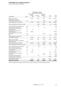# STATEMENT OF CHANGES IN EQUITY

For the Year Ended 30 June 2010

|                                                                    |          |                              | Attributable to stapled<br>securityholders of Mirvac |                            |            |              |
|--------------------------------------------------------------------|----------|------------------------------|------------------------------------------------------|----------------------------|------------|--------------|
| Consolidated                                                       | Note     | Contributed<br>equity<br>\$m | Reserves<br>Sm                                       | Retained<br>earnings<br>Sm | NCI<br>\$m | Total<br>\$m |
| Balance 1 July 2008                                                |          | 3,771.5                      | 133.8                                                | 435.3                      | 69.6       | 4,410.2      |
| Adjustment on change of<br>accounting policy (net of tax)          | 1(n)     |                              |                                                      | (5.2)                      |            | (5.2)        |
| Total restated equity 1 July 2008                                  |          | 3,771.5                      | 133.8                                                | 430.1                      | 69.6       | 4,405.0      |
| Total comprehensive income for the year                            |          |                              | (29.1)                                               | (1,078.1)                  | (1.1)      | (1,108.3)    |
| Security based payment transactions                                | 25       |                              | 5.8                                                  |                            |            | 5.8          |
| Security based compensation                                        | 26       |                              |                                                      | 0.6                        |            | 0.6          |
| LTI and EIS securities converted,<br>sold or forfeited             | 24       | 3.3                          |                                                      |                            |            | 3.3          |
| Contributions of equity, net of<br>transaction costs               | 24       | 1,672.6                      |                                                      |                            |            | 1.672.6      |
| Dividends/distributions provided<br>for or paid                    | 26       |                              |                                                      | (107.7)                    |            | (107.7)      |
| <b>NCI</b>                                                         | 27       |                              |                                                      |                            | (3.7)      | (3.7)        |
| Total transactions with owners in<br>their capacity as owners      |          | 1,675.9                      | 5.8                                                  | (107.1)                    | (3.7)      | 1,570.9      |
| Balance 30 June 2009                                               |          | 5.447.4                      | 110.5                                                | (755.1)                    | 64.8       | 4.867.6      |
| Adjustment on change of accounting<br>policy (net of tax)          | 1(n)     |                              |                                                      | (7.1)                      |            | (7.1)        |
| Total restated equity 1 July 2009                                  |          | 5,447.4                      | 110.5                                                | (762.2)                    | 64.8       | 4,860.5      |
| Total comprehensive income for the year                            |          |                              | (1.2)                                                | 234.7                      | 2.7        | 236.2        |
| Security based payment transactions<br>Security based compensation | 25<br>26 |                              | (1.2)                                                | 0.1                        |            | (1.2)<br>0.1 |
| LTI and EIS securities converted,<br>sold or forfeited             | 24       | 20.7                         |                                                      |                            |            | 20.7         |
| Contributions of equity, net of<br>transaction costs               | 24       | 630.7                        |                                                      |                            | 0.2        | 630.9        |
| Dividends/distributions provided<br>for or paid                    | 26       |                              |                                                      | (241.3)                    | (1.8)      | (243.1)      |
| Discount on acquisition of NCI                                     |          |                              | 6.2                                                  |                            |            | 6.2          |
| NCI eliminated on acquisition                                      |          |                              |                                                      |                            | (54.9)     | (54.9)       |
| Total transactions with owners in<br>their capacity as owners      |          | 651.4                        | 5.0                                                  | (241.2)                    | (56.5)     | 358.7        |
| Balance 30 June 2010                                               |          | 6,098.8                      | 114.3                                                | (768.7)                    | 11.0       | 5.455.4      |

The above statement of changes in equity should be read in conjunction with the accompanying notes.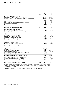For the Year Ended 30 June 2010

|                                                                           |       |             | Consolidated |
|---------------------------------------------------------------------------|-------|-------------|--------------|
|                                                                           | Note  | 2010<br>\$m | 2009<br>Sm   |
| Cash flows from operating activities                                      |       |             |              |
| Receipts from customers (inclusive of goods and services tax)             |       | 1,623.8     | 1,859.4      |
| Payments to suppliers and employees (inclusive of goods and services tax) |       | (1,193.7)   | (1,734.7)    |
|                                                                           |       | 430.1       | 124.7        |
| Interest received                                                         |       | 28.7        | 16.2         |
| Associates and joint ventures dividends/distributions received            |       | 19.7        | 39.3         |
| Dividends/distributions received                                          |       | 0.5         | 1.1          |
| Borrowing costs paid                                                      |       | (148.1)     | (174.4)      |
| Income tax refund                                                         |       | 9.1         | 41.2         |
| Net cash inflows from operating activities                                | 38(b) | 340.0       | 48.1         |
| Cash flows from investing activities                                      |       |             |              |
| Payments for property, plant and equipment <sup>1</sup>                   |       | (7.2)       | (74.5)       |
| Proceeds from sale of property, plant and equipment                       |       | 0.3         | 0.5          |
| Payments for investment properties <sup>1</sup>                           |       | (273.0)     | (26.6)       |
| Proceeds from sale of investment properties                               |       | 146.7       | 6.0          |
| Proceeds from loans to related entities                                   |       | 4.0         | 3.3          |
| Payments for loans to unrelated entities                                  |       | (17.4)      | (12.6)       |
| Proceeds from loans to unrelated entities                                 |       | 34.2        | 1.1          |
| Contributions to associates and joint ventures                            |       | (105.6)     | (76.2)       |
| Proceeds from associates and joint ventures                               |       | 17.2        | 2.3          |
| Acquisition of subsidiaries, net of cash acquired                         |       | (23.2)      | (11.8)       |
| Proceeds from sale of investments                                         |       | 8.8         | 1.0          |
| Net cash outflows from investing activities                               |       | (215.2)     | (187.5)      |
| <b>Cash flows from financing activities</b>                               |       |             |              |
| Proceeds from borrowings                                                  |       | 368.9       | 1,273.0      |
| Repayments of borrowings                                                  |       | (1,109.3)   | (1,684.8)    |
| Payment for NCI                                                           |       | (13.7)      |              |
| Proceeds from issue of stapled securities                                 |       | 513.3       | 1,600.5      |
| Contributed equity raising costs                                          |       | (12.8)      | (40.8)       |
| Dividends/distributions paid as part of business combination              |       | (6.3)       |              |
| Dividends/distributions paid                                              | 28    | (179.4)     | (141.2)      |
| Net cash (outflows)/inflows from financing activities                     |       | (439.3)     | 1,006.7      |
| Net (decrease)/increase in cash and cash equivalents                      |       | (314.5)     | 867.3        |
| Overdraft received on acquisition of subsidiaries                         |       |             | (0.2)        |
| Cash and cash equivalents at the beginning of the year                    |       | 896.5       | 29.3         |
| Effects of exchange rate changes on cash and cash equivalents             |       |             | 0.1          |
| Cash and cash equivalents at the end of the vear                          | 38(a) | 582.0       | 896.5        |

1) Payments in respect of investment properties under construction were included within payments for property, plant and equipment for the year ended 30 June 2009. As a result of changes to AASB 140: Investment Property these are now included as payments for investment properties, refer to note 1(t) for further details.

The above statement of cash flows should be read in conjunction with the accompanying notes.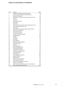# Notes to the Financial Statements

| Note | Contents                                                    | Page |
|------|-------------------------------------------------------------|------|
| 1    | Summary of significant accounting policies                  | 46   |
| 2    | Critical accounting judgements and estimates                | 61   |
| 3    | Segmental information                                       | 63   |
| 4    | Revenue from continuing operations and other income         | 68   |
| 5    | Expenses                                                    | 68   |
| 6    | Income tax                                                  | 69   |
| 7    | Earnings per security                                       | 72   |
| 8    | Receivables                                                 | 72   |
| 9    | Inventories                                                 | 74   |
| 10   | Other financial assets at fair value through profit or loss | 75   |
| 11   | Assets classified as held for sale                          | 75   |
| 12   | Other assets                                                | 75   |
| 13   | Investments accounted for using the equity method           | 76   |
| 14   | Derivative financial assets                                 | 76   |
| 15   | Other financial assets                                      | 77   |
| 16   | Investment properties                                       | 83   |
| 17   | Property, plant and equipment                               | 86   |
| 18   | Intangible assets                                           | 87   |
| 19   | Payables                                                    | 88   |
| 20   | <b>Borrowings</b>                                           | 89   |
| 21   | Provisions                                                  | 91   |
| 22   | Other liabilities                                           | 91   |
| 23   | Derivative financial liabilities                            | 92   |
| 24   | Contributed equity                                          | 92   |
| 25   | Reserves                                                    | 94   |
| 26   | Retained earnings                                           | 95   |
| 27   | Non-controlling interests                                   | 95   |
| 28   | Dividends/distributions                                     | 96   |
| 29   | Investments in associates                                   | 96   |
| 30   | Investments in joint ventures                               | 99   |
| 31   | Contingent liabilities                                      | 103  |
| 32   | Commitments                                                 | 103  |
| 33   | Key management personnel                                    | 104  |
| 34   | Employee benefits                                           | 109  |
| 35   | Related parties                                             | 112  |
| 36   | Financial risk management                                   | 112  |
| 37   | Remuneration of auditors                                    | 119  |
| 38   | Notes to the statement of cash flows                        | 120  |
| 39   | Acquisition of businesses                                   | 121  |
| 40   | Events occurring after the end of the reporting period      | 123  |
| 41   | Parent entity financial information                         | 125  |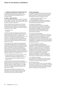# **1 Summary of significant accounting policies**

The financial statements of Mirvac consist of the consolidated financial statements of Mirvac Limited and its controlled entities including MPT and its controlled entities.

### **a) Mirvac — stapled securities**

A Mirvac stapled security comprises one Mirvac Limited share "stapled" to one MPT unit to create a single listed security traded on the ASX. The stapled securities cannot be traded or dealt with separately.

With the establishment of the Group and its common investors, Mirvac Limited and Mirvac Funds Limited (as responsible entity for MPT) have common directors and common business objectives, and operate as Mirvac Group with two core divisions:

- Development; and
- Investment.

The entities forming the stapled group entered into a Deed of Cooperation which provided that the members consider the interests of Mirvac as a whole, when entering into any agreement or arrangement, or carrying out any act. This Deed of Cooperation means that members of the stapled group, where permitted by law, will carry out activities with other members on a cost recovery basis, thereby maintaining the best interests of Mirvac as a whole.

The two Mirvac entities comprising the stapled group, remain separate legal entities in accordance with the Corporations Act 2001, and are each required to comply with the reporting and disclosure requirements of AAS and the Corporations Act 2001. In accordance with Urgent Issues Group Interpretation 1013 Consolidated Financial Reports in relation to Pre-Date-of-Transition Stapling Arrangements, Mirvac Limited has been deemed the parent entity of MPT. The stapled security structure will cease to operate on the first to occur of:

- Mirvac Limited or MPT resolving by special resolution in general meeting and in accordance with its constitution to terminate the stapling provisions; or
- $-$  the commencement of the winding up of Mirvac Limited or MPT.

The ASX reserves the right (but without limiting its absolute discretion) to remove one or more entities with stapled securities from the official list if any of their securities cease to be 'stapled' together, or any equity securities of the same class are issued by one entity which are not stapled to equivalent securities in the other entity or entities.

The principal accounting policies adopted in the preparation of the financial report are set out below. These policies have been consistently applied to all the years presented, unless otherwise stated.

#### **b) Basis of preparation**

These general purpose financial statements have been prepared in accordance with AAS, other authoritative pronouncements of the AASB, Urgent Issues Group Interpretations and the Corporations Act 2001.

# i) Compliance with International Financial Reporting Standards ("IFRS")

The consolidated financial statements of the Group also comply with IFRS as issued by the International Accounting Standards Board ("IASB").

### ii) Historical cost convention

These financial statements have been prepared under the historical cost convention, as modified by the revaluation of available-for-sale financial assets, financial assets and liabilities (including derivative instruments) at fair value through profit or loss, certain classes of property, plant and equipment and investment properties.

### iii) Critical accounting estimates

The preparation of financial statements in conformity with AAS requires the use of certain critical accounting estimates. It also requires management to exercise its judgement in the process of applying Mirvac's accounting policies. The areas involving a higher degree of judgement or complexity, or areas where assumptions and estimates are significant to the financial statements are disclosed in note 2.

# iv) Financial statements preparation

The Group has applied the revised AASB 101 Presentation of Financial Statements which became effective on 1 January 2009. The revised standard requires the separate presentation of a statement of comprehensive income and a statement of changes in equity. All non-owner changes in equity must now be presented in the statement of comprehensive income. As a consequence, the Group had to change the presentation of its financial statements. Comparative information has been re-presented so that it is also in conformity with the revised standard.

#### v) Comparative information

Where necessary, comparative information has been reclassified to achieve consistency in disclosure with current year amounts and other disclosures.

#### vi) Rounding of amounts

Mirvac is of the kind referred to in Class Order 98/0100 issued by ASIC, relating to the "rounding off" of amounts in the financial report. Amounts in the financial report have been rounded off to the nearest tenth of a million dollars in accordance with that class order.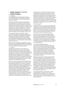# **c) Principles of consolidation**

#### i) Subsidiaries

The consolidated financial statements incorporate the assets and liabilities of all subsidiaries of Mirvac at 30 June 2010 and the results of all subsidiaries for the year then ended.

Subsidiaries are all those entities (including special purpose entities) over which Mirvac has the power to govern the financial and operating policies, generally accompanying an interest of more than one-half of the voting rights. The existence and effect of potential voting rights that are currently exercisable or convertible are considered when assessing whether Mirvac controls another entity. Subsidiaries are fully consolidated from the date on which control is transferred to Mirvac. They are de-consolidated from the date that control ceases.

The acquisition method of accounting is used to account for the business combinations undertaken by Mirvac (note 1(i) Business combinations). Intercompany transactions and balances between Mirvac entities are eliminated. Unrealised losses are also eliminated. Accounting policies of subsidiaries have been changed where necessary to ensure consistency with the policies adopted by the Group.

NCI in the results and equity of subsidiaries are shown separately in the consolidated statement of comprehensive income, consolidated statement of financial position and consolidated statement of changes in equity.

#### ii) Associates

Associates are all entities over which Mirvac has significant influence but not control or joint control, generally accompanying a holding of between 20 per cent and 50 per cent of the voting rights. Investments in associates are accounted for in the consolidated financial statements using the equity method of accounting, after initially being recognised at cost. Investments in associates are accounted for in the parent entity financial statements using the cost method. Mirvac's investment in associates includes goodwill (net of any accumulated impairment loss) identified on acquisition.

Mirvac's share of its associates' post-acquisition profits or losses is recognised in profit or loss, and its share of post-acquisition movements in reserves is recognised in other comprehensive income. The cumulative postacquisition movements are adjusted against the carrying amount of the investment. Dividends/distributions receivable from associates reduce the carrying amount of the investments. Dividends/distributions receivable from associates are recognised in the parent entity profit or loss. When Mirvac's share of losses in an associate equals or exceeds its interest in the associate, including any other unsecured receivables, Mirvac does not recognise further losses, unless it has incurred obligations or made payments on behalf of the associate. Unrealised gains on transactions between Mirvac and its associates are eliminated to the extent of Mirvac's interest in the associates. Unrealised losses are also eliminated. Accounting policies of associates have been changed where necessary to ensure consistency with the policies adopted by Mirvac. Investments in associates within certain asset classes, including infrastructure investments, have been measured at fair value. Changes in fair value are recognised as income or expenses in the statement of comprehensive income in the year in which the change occurred.

### iii) Joint ventures

Interests in joint ventures entities and partnerships are accounted for in the consolidated financial statements using the equity method and are carried at cost by the parent entity. Under the equity method, the share of the profits or losses of the partnerships are recognised in profit or loss, and the share of movements in reserves is recognised in other comprehensive income.

Profits or losses on transactions establishing the joint venture partnership and transactions with the joint venture are eliminated to the extent of Mirvac's ownership interest until such time as they are realised by the joint venture partnership on consumption or sale. However, a loss on the transaction is recognised immediately if the loss provides evidence of a reduction in the net realisable value ("NRV") of current assets, or an impairment loss.

#### iv) Changes in ownership interests

The Group treats transactions with NCI that do not result in a loss of control as transactions with equity owners of the Group. A change in ownership interest results in an adjustment between the carrying amounts of the controlling interests and NCI to reflect their relative interests in the subsidiary. Any difference between the amount of the adjustment to NCI and any consideration paid or received is recognised in a separate reserve within equity attributable to stapled securityholders of Mirvac.

When the Group ceases to have control, joint control or significant influence, any retained interest in the entity is remeasured to its fair value with the change in carrying amount recognised in profit or loss. The fair value is the initial carrying amount for the purpose of subsequently accounting for the retained interest as an associate, jointly controlled entity or financial asset. In addition, any amounts previously recognised in other comprehensive income in respect of that entity are accounted for as if Mirvac had directly disposed of the related assets or liabilities. This may mean that amounts previously recognised in other comprehensive income are reclassified to profit or loss.

If the ownership interest in an associate or jointly controlled entity is reduced but joint control or significant influence is retained, only a proportionate share of the amounts previously recognised in other comprehensive income are reclassified to profit or loss where appropriate.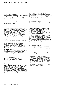v) Change in accounting policy Mirvac has changed its accounting policy for transactions

with NCI and the accounting for loss of control, joint control or significant influence from 1 July 2009 when the revised AASB 127 Consolidated and Separate Financial Statements became operative. The revisions to AASB 127 contained consequential amendments to AASB 128 Investments in Associates and AASB 131 Interests in Joint Ventures.

Previously, transactions with NCI were treated as transactions with parties external to the Group. Disposals therefore resulted in gains or losses in profit or loss and purchases resulted in the recognition of goodwill. On disposal or partial disposal, a proportionate interest in reserves attributable to the subsidiary was reclassified to profit or loss or directly to retained earnings. Previously when the Group ceased to have control, joint control or significant influence over an entity, the carrying amount of the investment at the date control, joint control or significant influence ceased became its cost for the purpose of subsequently accounting for the retained interests as an associate, jointly venture or financial asset.

Transactions with NCI are now treated as transactions with owners.

Mirvac has applied the new policy prospectively to transactions occurring on or after 1 July 2009. As a consequence, no adjustments were necessary to any of the amounts previously recognised in the financial statements.

# **d) Segment reporting**

Operating segments are reported in a manner consistent with the internal reporting provided to the chief operating decision maker. The chief operating decision maker, who is responsible for allocating resources and assessing performance of the operating segments, has been identified as the ELT.

# Change in accounting policy

Mirvac has adopted AASB 8 Operating Segments from 1 July 2009. AASB 8 replaces AASB 114 Segment Reporting. The new standard requires a 'management approach', under which segment information is presented on the same basis as that used for internal reporting purposes. This has resulted in no change in the number of reportable segments presented; however, one business unit (MAM) is now reported under MIM whereas previously it was included in Investment. In addition, the segments are reported in a manner that is consistent with the internal reporting provided to the ELT. The change in reportable segments has not required any reallocation of goodwill. There has been no further impact on the measurement of the Group's assets and liabilities. Comparatives for 2009 have been restated.

# **e) Foreign currency translation**

i) Functional and presentation currency Items included in the financial statements of each of the Group's entities are measured using the currency of the primary economic environment in which the entity operates ("functional currency"). The consolidated financial statements are presented in Australian dollars, which is Mirvac's functional and presentation currency.

#### ii) Transactions and balances

Foreign currency transactions are translated into the functional currency using the exchange rates prevailing at the dates of the transactions. Foreign exchange gains and losses resulting from the settlement of such transactions and from the translation at year-end exchange rates of monetary assets and liabilities denominated in foreign currencies are recognised in profit or loss, except when deferred in equity as qualifying cash flow hedges and qualifying net investment hedges or are attributable to part of the net investment in a foreign operation.

Translation differences on non-monetary financial assets and liabilities are reported as part of the fair value gain or loss. Translation differences on non-monetary financial assets and liabilities such as equities held at fair value through profit or loss are recognised in profit or loss as part of the fair value gain or loss. Translation differences on non-monetary financial assets such as equities classified as available-for-sale financial assets are included in a fair value reserve in equity.

# iii) Foreign controlled entities

The results and financial position of entities (none of which has the currency of a hyperinflationary economy) that have a functional currency different from the presentation currency are translated into the presentation currency as follows:

- assets and liabilities at the end of the reporting period are translated at the closing rate at the end of the reporting period;
- $-$  income and expenses for each statement of comprehensive income are translated at average exchange rates (unless this is not a reasonable approximation of the cumulative effect of the rate prevailing on the transaction dates, in which case income and expenses are translated at the dates of the transactions); and
- all resulting exchange differences are recognised in other comprehensive income.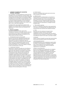On consolidation, exchange differences arising from the translation of any net investment in foreign entities, and of borrowings and other financial instruments designated as hedges of such investments, are recognised in other comprehensive income. When a foreign operation is sold or any borrowings forming part of the net investment are repaid, a proportionate share of such exchange differences is reclassified to profit or loss, as part of the gain or loss on sale where applicable.

Goodwill and fair value adjustments arising on the acquisition of a foreign entity are treated as assets and liabilities of the foreign entities and translated at the closing rate.

# **f) Revenue recognition**

Revenue is measured at the fair value of the consideration received or receivable. Amounts disclosed as revenue are net of returns, trade allowances and duties and taxes paid. Revenue is recognised for the major business activities as follows:

# i) Development projects and land sales

Revenue from the sale of development projects and land is recognised upon settlement, which has been determined to be when the significant risks and rewards of ownership are transferred to the purchaser. Other revenue from development projects such as project management fees is recognised as services are performed. Refer to note 1(n) for details of changes to this accounting policy in the year.

#### ii) Construction contracts

Agreements to develop real estate are only defined as construction contracts when the purchaser is able to specify the main elements of the design of the project. Where this is not the case, the project is treated as a development project. Revenue and expenses are recognised in accordance with the percentage of completion method unless the outcome of the contract cannot be reliably estimated. The stage of completion is determined by costs incurred to date as a percentage of total expected cost. Where it is probable that a loss will arise from a construction contract, the excess of total costs over revenue is recognised as an expense immediately. When the outcome of a contract cannot be reliably estimated, contract costs are recognised as an expense as incurred, and where it is probable that the costs will be recovered, revenue is recognised to the extent of costs incurred. Refer to note 1(n) for details of changes to this accounting policy in the year.

## iii) Hotel revenue

Revenue is recognised when goods and services have been provided to the customer.

#### iv) Rental income

Rental revenue for operating leases is recognised on a straight line basis over the term of the lease, except when an alternative basis is more representative of the pattern of service rendered through the provision of the leased premises. Lease incentives offered under operating leases are amortised on a straight line basis in profit or loss.

## v) Recoverable outgoings

Recovery of outgoings as specified in lease agreements is accrued on an estimated basis and adjusted when the actual amounts are invoiced to the respective tenants.

#### vi) Fees

Revenues from the rendering of property funds management, property advisory and facilities management services are recognised upon the delivery of the service to the customers or where there is a signed unconditional contract for the sale or purchase of assets.

#### vii) Interest

Interest revenue is brought to account when earned, taking into account the effective yield on the financial asset.

### viii) Dividends/distributions

Dividends/distributions are recognised as revenue when the right to receive payment is established. This applies even if they are paid out of pre-acquisition profits. However, the investment may need to be tested for impairment as a consequence.

#### Change in accounting policy

Mirvac has changed its accounting policy for dividends paid out of pre-acquisition profits from 1 July 2009 when the revised AASB 127 Consolidated and Separate Financial Statements became operative. Previously, dividends paid out of pre-acquisition profits were deducted from the cost of the investment. In accordance with the transitional provisions, the new accounting policy is applied prospectively. It was therefore not necessary to make any adjustments to any of the amounts previously recognised in the financial statements.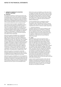## **g) Income tax**

The income tax expense or revenue for the year is the tax payable on the current year's taxable income based on the applicable income tax rate for each jurisdiction adjusted by changes in deferred tax assets and liabilities attributable to temporary differences between the tax bases of assets and liabilities and their carrying amounts in the financial statements, and to unused tax losses.

The current income tax charge is calculated on the basis of the tax laws enacted or substantively enacted at the end of the reporting period in the countries where the company's subsidiaries, associates and joint ventures and generate taxable income. Management periodically evaluates positions taken in tax returns with respect to situations in which applicable tax regulation is subject to interpretation. It establishes provisions where appropriate on the basis of amounts expected to be paid to the tax authorities.

Deferred tax assets and liabilities are recognised for temporary differences at the tax rates expected to apply when the assets are recovered or liabilities are settled, based on those tax rates which are enacted or substantively enacted. The relevant tax rates are applied to the cumulative amounts of deductible and taxable temporary differences to measure the deferred tax asset or liability. An exception is made for certain temporary differences arising from the initial recognition of an asset or a liability. No deferred tax asset or liability is recognised in relation to these temporary differences if they arose in a transaction, other than a business combination, that at the time of the transaction did not affect either accounting profit or taxable profit or loss.

Deferred tax assets are recognised for deductible temporary differences and unused tax losses only if it is probable that future taxable amounts will be available to utilise those temporary differences and losses.

Deferred tax assets and liabilities are not recognised for temporary differences between the carrying amount and tax bases of investments in controlled entities where the parent entity is able to control the timing of the reversal of the temporary differences and it is probable that the differences will not reverse in the foreseeable future.

Deferred tax assets and liabilities are offset when there is a legally enforceable right to offset current tax assets and liabilities and when the deferred tax balances relate to the same taxation authority. Current tax assets and tax liabilities are offset where the entity has a legally enforceable right to offset and intends either to settle on a net basis, or to realise the asset and settle the liability simultaneously.

Current and deferred tax is recognised in profit or loss, except to the extent that it relates to items recognised in other comprehensive income or directly in equity. In this case, the tax is also recognised in other comprehensive income or directly in equity respectively.

#### i) Investment allowances

Companies within the Group may be entitled to claim special tax deductions for investments in qualifying assets (investment allowances). The Group accounts for such allowances as tax credits, which means that the allowance reduces income tax payable and current tax expense. A deferred tax asset is recognised for unclaimed tax credits that are carried forward as deferred tax assets.

#### **h) Leases**

Leases of property, plant and equipment where Mirvac has substantially all the risks and rewards of ownership are classified as finance leases. Finance leases are capitalised at the lease's inception at the lower of the fair value of the leased property and the present value of the minimum lease payments. The corresponding rental obligations, net of finance charges, are included in other long-term payables. Each lease payment is allocated between the liability and finance costs. The finance costs are charged to the statement of comprehensive income over the lease period so as to produce a constant periodic rate of interest on the remaining balance of the liability for each period. The property, plant and equipment acquired under finance leases are depreciated over the shorter of the asset's useful life and the lease term if there is no reasonable certainty that the Group will obtain ownership at the end of the lease term.

Leases in which a significant portion of the risks and rewards of ownership are retained by the lessor, are classified as operating leases. Payments made under operating leases (net of any incentives received from the lessor) are charged to profit or loss on a straight line basis over the period of the lease.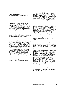# **i) Business combinations**

The acquisition method of accounting is used to account for all business combinations, including business combinations involving entities or businesses under common control, regardless of whether equity instruments or other assets are acquired. The consideration transferred for the acquisition of a subsidiary comprises the fair values of the assets transferred, the liabilities incurred and the equity interests issued by the Group. The consideration transferred also includes the fair value of any contingent consideration arrangement and the fair value of any pre-existing equity interest in the subsidiary. Acquisition related costs are expensed as incurred. Identifiable assets acquired and liabilities and contingent liabilities assumed in a business combination are, with limited exceptions, measured initially at their fair values at the acquisition date. On an acquisition-byacquisition basis, the Group recognises any NCI in the acquiree either at fair value or at the NCI proportionate share of the acquiree's net identifiable assets.

The excess of the consideration transferred, the amount of any NCI in the acquiree and the acquisitiondate fair value of any previous equity interest in the acquiree over the fair value of the Group's share of the net identifiable assets acquired is recorded as goodwill. If those amounts are less than the fair value of the net identifiable assets of the subsidiary acquired and the measurement of all amounts has been reviewed, the difference is recognised directly in profit or loss as a discount on business combination.

Where settlement of any part of cash consideration is deferred, the amounts payable in the future are discounted to their present value at the date of exchange. The discount rate used is the entity's incremental borrowing rate, being the rate at which a similar borrowing could be obtained from an independent financier under comparable terms and conditions. Contingent consideration is classified either as equity or a financial liability. Amounts classified as a financial liability are subsequently remeasured to fair value with changes in fair value recognised in profit or loss.

# Change in accounting policy

The revised AASB 3 Business Combinations became operative on 1 July 2009. While the revised standard continues to apply the acquisition method to business combinations, there have been some significant changes. All purchase consideration is now recorded at fair value at the acquisition date. Contingent payments classified as debt are subsequently remeasured through profit or loss. Under Mirvac's previous policy, contingent payments were only recognised when the payments were probable and could be measured reliably and were accounted for as an adjustment to the cost of acquisition. Acquisition related costs are expensed as incurred. Previously, they were recognised as part of the cost of acquisition and therefore included in goodwill. NCI in an acquiree are now recognised either at fair value or at the NCI proportionate share of the acquiree's net identifiable assets. This decision is made on an acquisition-by-acquisition basis. Under the previous policy, the NCI was always recognised at its share of the acquiree's net identifiable assets. If the Group recognises previous acquired deferred tax assets after the initial acquisition accounting is completed, there will no longer be any adjustment to goodwill. As a consequence, the recognition of the deferred tax asset will increase the Group's NPAT.

The changes were implemented prospectively from 1 July 2009 and affected the accounting for the acquisition of MREIT disclosed in note 39. Acquisition related costs of \$19.4m were recognised in profit or loss. Mirvac has chosen to recognise the NCI at the fair value of the net identifiable assets of MREIT for this acquisition.

#### **j) Impairment of assets**

Goodwill and intangible assets that have an indefinite useful life are not subject to amortisation and are tested annually for impairment or more frequently if events or changes in circumstances indicate that they might be impaired. Other assets are tested for impairment whenever events or changes in circumstances indicate that the carrying amount may not be recoverable.

An impairment loss is recognised for the amount by which the asset's carrying amount exceeds its recoverable amount. The recoverable amount is the higher of an asset's fair value less costs to sell, and value in use. In assessing value in use, the estimated future cash flows are discounted to their present value using the post-tax discount rate that reflects current market assessments of both the time value of money and the risk specific to the asset for which the estimates of future cash flows have not been adjusted. An impairment loss is recognised for the amount by which the asset's (or cash generating unit(s) ("CGUs")) carrying amount exceeds its recoverable amount.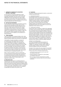For the purpose of assessing impairment, assets are grouped at the lowest levels for which there are separately identifiable cash flows which are largely independent of the cash inflows from other assets or groups of assets (CGUs). The lowest level at which Mirvac allocates and monitors goodwill is at the primary reporting segments level (refer to note 3).

# **k) Cash and cash equivalents**

For the statement of cash flows presentation purposes, cash and cash equivalents includes cash on hand, deposits held at call with financial institutions, other short-term, highly liquid investments with original maturities of three months or less that are readily convertible to known amounts of cash and which are subject to an insignificant risk of changes in value, and bank overdrafts. Bank overdrafts are shown within borrowings in current liabilities on the statement of financial position.

# **l) Trade receivables**

Trade receivables are recognised initially at fair value and subsequently measured at amortised cost using the effective interest method, less provision for impairment.

Collectability of trade receivables is reviewed on an ongoing basis. Receivables which are known to be uncollectible are written off. A provision for impairment of trade receivables is established when there is objective evidence that Mirvac will not be able to collect all amounts due according to the original terms of receivables. The amount of the provision is the difference between the asset's carrying amount and the present value of estimated future cash flows, discounted at the effective interest rate. The amount of the provision is recognised in profit or loss.

When a trade receivable for which an impairment provision had been recognised becomes uncollectible in a subsequent period, it is written off against the provision account. Subsequent recoveries of amounts previously written off are credited against other expenses in profit or loss.

#### **m) Mezzanine loans**

Mezzanine loans are loans to unrelated parties for predominately real estate property development. These loans are secured by a second ranking mortgage, behind that of the senior lender. Mezzanine loans are recognised initially at fair value. Collectability of loans is reviewed on an ongoing basis and those which are considered uncollectible are written off to profit or loss.

### **n) Inventories**

Inventories comprise development projects, construction contracts and hotel stock.

#### i) Development projects

Development projects are valued at the lower of cost and NRV. Cost includes the costs of acquisition, development, borrowings and all other costs directly related to specific projects, including an allocation of direct overhead expenses. Upon completion of the contract of sale, borrowing costs and other holding charges are expensed as incurred. Profits on development projects are not brought to account until settlement of the contract of sale.

### ii) Construction contracts

Construction work in progress is stated at the aggregate of contract costs incurred to date plus recognised profits less recognised losses and progress billings. If there are contracts where progress billings exceed the aggregate costs incurred plus profits less losses, the net amounts are presented under payables. Contract costs include all costs directly related to specific contracts and costs that are specifically chargeable to the customer under the terms of the contract. The stage of completion is measured using the percentage of completion method unless the outcome of the contract cannot be reliably measured.

### Change in accounting policy

The Group has applied AASB Interpretation 15 Agreements for the Construction of Real Estate ("AASB-I 15") (effective 1 January 2009). AASB-I 15 clarifies whether AASB 111 Construction Contracts should be applied to particular transactions.

Included in the results of the year ended 30 June 2009 and prior years was \$12.3m of profit after tax related to projects that had the following characteristics:

- construction was in progress but the sale had not settled at that time;
- revenue had been recognised on a percentage of completion basis; and
- they no longer met the requirements to qualify as construction contracts under the terms outlined in IFRIC 15.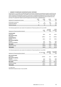On that basis, at 1 July 2009, the applicable projects have been reclassified as development projects, and \$12.3m was written back to retained earnings at 1 July 2009. In the current and future periods, income relating to those projects will be recognised as development revenue as construction is completed and settlement has occurred, which is the point at which Mirvac has determined the significant risks and rewards of ownership have been transferred to the purchaser. The adjustment relates to profit recognised over three years, as detailed below:

| Statement of comprehensive income | 2007<br>Sm | 2008<br>Sm | 2009<br>Sm | Total<br>Sm |
|-----------------------------------|------------|------------|------------|-------------|
| Profit before income tax          | O:         |            | 10.2       | 17.6        |
| Income tax expense                |            | (2.2)      | (3.1)      | (5.3)       |
| Profit for the year               |            | ς.         |            |             |

The following adjustments were made to the statement of financial position at 30 June 2009:

| Statement of financial position (extract) | 2009<br>\$m | Increase/<br>(decrease)<br>\$m | 2009<br>(restated)<br>\$m |
|-------------------------------------------|-------------|--------------------------------|---------------------------|
|                                           |             |                                |                           |
| <b>Current assets</b>                     |             |                                |                           |
| Inventories                               | 590.1       | 39.2                           | 629.3                     |
| Non-current assets                        |             |                                |                           |
| Inventories                               | 1,080.3     | 15.3                           | 1,095.6                   |
| <b>Current liabilities</b>                |             |                                |                           |
| Payables                                  | 226.5       | 51.9                           | 278.4                     |
| <b>Non-current liabilities</b>            |             |                                |                           |
| Payables                                  | 43.7        | 20.2                           | 63.9                      |
| Deferred tax liabilities                  | 43.5        | (5.3)                          | 38.2                      |
| <b>Net assets</b>                         | 1,419.7     | (12.3)                         | 1,407.4                   |
| Retained earnings                         | (749.9)     | (12.3)                         | (762.2)                   |
| <b>Total equity</b>                       | (685.1)     | (12.3)                         | (697.4)                   |

The following adjustments were made to the statement of financial position at 1 July 2008:

| Statement of financial position (extract) | 30 June 2008<br>\$m | Increase/<br>(decrease)<br>Şm | 1 July 2008<br>(restated)<br>Şm |
|-------------------------------------------|---------------------|-------------------------------|---------------------------------|
|                                           |                     |                               |                                 |
| Non-current assets                        |                     |                               |                                 |
| Inventories                               | 1,000.8             | 16.0                          | 1,016.8                         |
| Non-current liabilities                   |                     |                               |                                 |
| Payables                                  | 16.4                | 23.4                          | 39.8                            |
| Deferred tax liabilities                  | 139.5               | (2.2)                         | 137.3                           |
| Net assets                                | 1,469.6             | (5.2)                         | 1,464.4                         |
| Retained earnings                         | 435.3               | (5.2)                         | 430.1                           |
| Total equity                              | 504.9               | (5.2)                         | 499.7                           |

iii) Hotel stock Hotel stock is stated at lower of cost and NRV.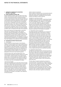# **o) Assets classified as held for sale**

Assets classified as held for sale are stated at the lower of their carrying amount and fair value less costs to sell if their carrying amount will be recovered principally through a sale transaction rather than through continuing use. Investment properties classified as held for sale are carried at fair value. An impairment loss is recognised for any initial or subsequent write down of the asset to fair value less costs to sell. A gain is recognised for any subsequent increases in fair value less costs to sell of an asset, but not in excess of any cumulative impairment loss previously recognised. A gain or loss not previously recognised by the date of the sale of the asset classified as held for sale is recognised at the date of de-recognition.

Non-current assets are not depreciated or amortised while they are classified as held for sale. Interest and other expenses attributable to the liabilities of a disposal group classified as held for sale continue to be recognised. Non-current assets classified as held for sale are presented separately from the other assets in the statement of financial position. The liabilities of a disposal group classified as held for sale are presented separately from other liabilities in the statement of financial position.

#### **p) Investments and other financial assets**

#### i) Classification

Mirvac classifies its financial assets in the following categories: financial assets at fair value through profit or loss, loans and receivables, held to maturity investments and available-for-sale financial assets. The classification depends on the purpose for which the investments were acquired. Management determines the classification of its investments at initial recognition and, in the case of assets classified as held to maturity, re-evaluates this designation at the end of each reporting period.

## Financial assets at fair value through profit or loss

Financial assets classified as held for trading are included in the category "financial assets at fair value through profit or loss". Financial assets are classified as held for trading if they are acquired for the purpose of selling in the near term. Derivatives are also categorised as held for trading unless they are designated as hedges.

### Loans and receivables

Loans and receivables are non-derivative financial assets with fixed or determinable payments that are not quoted in an active market. They arise when Mirvac provides money, goods or services directly to a debtor with no intention of selling the receivable. They are included in current assets, except for those with maturities greater than 12 months after the end of the reporting period which are classified as non-current assets. Loans and receivables are included in receivables in the statement of financial position.

#### Held to maturity investments

Held to maturity investments are non-derivative financial assets with fixed or determinable payments and fixed maturities that Mirvac's management has the positive intention and ability to hold to maturity.

#### Available for sale financial assets

Available for sale financial assets, comprising principally marketable equity securities, are non-derivatives that are either designated in this category or not classified in any of the other categories. They are included in non-current assets unless management intends to dispose of the investment within 12 months of the end of the reporting period. Investments are designated as available for sale if they do not have fixed maturities and fixed or determinable payments and management intends to hold them for the medium to long term.

#### ii) Recognition and de-recognition

Purchases and sales of investments are recognised on trade date being the date on which Mirvac commits to purchase or sell the asset. Investments are initially recognised at fair value plus transaction costs for all financial assets not carried at fair value through profit or loss. Financial assets carried at fair value through profit or loss are initially recognised at fair value and transaction costs are expensed in profit or loss. Financial assets are de-recognised when the rights to receive cash flows from the financial assets have expired or have been transferred and Mirvac has transferred substantially all the risks and rewards of ownership. When securities classified as available-for-sale are sold, the accumulated fair value adjustments recognised in other comprehensive income are reclassified to profit or loss as gains and losses from investment securities.

#### iii) Subsequent measurement

Available for sale financial assets and financial assets at fair value through profit or loss are subsequently carried at fair value. Loans and receivables and held to maturity investments are carried at amortised cost using the effective interest method. Realised and unrealised gains and losses arising from changes in the fair value of the "financial assets at fair value through profit or loss" category are included in profit or loss in the period in which they arise.

The fair values of quoted investments are based on current bid prices. If the market for a financial asset is not active (and for unlisted securities), Mirvac establishes fair value by using valuation techniques. These include reference to the fair values of recent arm's length transactions, involving the same instruments or other instruments that are substantially the same, discounted cash flow ("DCF") analysis and option pricing models refined to reflect the issuer's specific circumstances.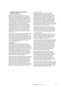#### iv) Impairment of financial assets

Mirvac assesses at the end of each reporting period whether there is objective evidence that a financial asset or group of financial assets is impaired. In the case of equity securities classified as available for sale, a significant or prolonged decline in the fair value of a security below its cost is considered in determining whether the security is impaired. If any such evidence exists for available-for-sale financial assets, the cumulative loss (measured as the difference between the acquisition cost and the current fair value) less any impairment loss on that financial asset previously recognised in profit or loss is removed from equity and recognised in profit or loss as a reclassification adjustment. Impairment losses recognised in profit or loss on equity instruments are not reversed through profit or loss.

If there is evidence of impairment for any of the Group's financial assets carried at amortised cost, the loss is measured as the difference between the asset's carrying amount and the present value of estimated future cash flows, excluding future credit losses that have not been incurred. The cash flows are discounted at the financial asset's original effective interest rate. The loss is recognised in profit or loss.

#### **q) Derivatives**

Derivatives are initially recognised at fair value on the date a derivative contract is entered into and are subsequently remeasured to their fair value at the end of each reporting period. The method of recognising the resulting gain or loss depends on whether the derivative is designated as a hedging instrument, and if so, the nature of the item being hedged. Mirvac designates certain derivatives as either: (1) hedges of the fair value of recognised assets, liabilities or firm commitments (fair value hedges); or (2) hedges of highly probable forecast transactions (cash flow hedges).

Mirvac documents at the inception of the transaction the relationship between hedging instruments and hedged items, as well as its risk management objective and strategy for undertaking various hedge transactions. Mirvac also documents its assessment, both at hedge inception and on an ongoing basis, of whether the derivatives that are used in hedging transactions have been and will continue to be highly effective in offsetting changes in fair values or cash flows of hedged items.

#### i) Fair value hedges

Changes in the fair value of derivatives that are designated and qualify as fair value hedges are recorded in profit or loss, together with any changes in the fair value of the hedged asset or liability that are attributable to the hedged risk. The gain or loss relating to the effective portion of interest rate swaps hedging fixed rate borrowings is recognised in profit or loss within finance costs, together with changes in the fair value of the hedged fixed rate borrowings attributable to interest rate risk. The gain or loss relating to the ineffective portion is recognised in profit or loss within other income or other expenses.

If the hedge no longer meets the criteria for hedge accounting, the adjustment to the carrying amount of a hedged item for which the effective interest method is used is amortised to profit or loss over the period to maturity using a recalculated effective interest rate.

### ii) Cash flow hedges

The effective portion of changes in the fair value of derivatives that are designated and qualify as cash flow hedges is recognised in equity in a hedging reserve. The gain or loss relating to the ineffective portion is recognised immediately in profit or loss.

Amounts accumulated in equity are reclassified to profit or loss in the periods when the hedged item will affect profit or loss (for instance when the forecast sale that is hedged takes place). However, when the forecast transaction that is hedged results in the recognition of a non-financial asset (for example, inventories) or a non-financial liability, the gains and losses previously deferred in equity are transferred from equity and included in the measurement of the initial cost or carrying amount of the asset or liability.

When a hedging instrument expires or is sold or terminated, or when a hedge no longer meets the criteria for hedge accounting, any cumulative gain or loss existing in equity at that time remains in equity and is recognised when the forecast transaction is ultimately recognised in profit or loss. When a forecast transaction is no longer expected to occur, the cumulative gain or loss that was reported in equity is immediately transferred to profit or loss.

iii) Derivatives that do not qualify for hedge accounting Certain derivative instruments do not qualify for hedge accounting. Changes in the fair value of any derivative instrument that does not qualify for hedge accounting are recognised immediately in profit or loss.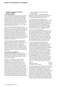### **r) Fair value estimation**

The fair value of financial assets and financial liabilities must be estimated for recognition and measurement or for disclosure purposes. The fair value of financial instruments traded in active markets (such as publicly traded derivatives, and trading and available-for-sale securities) is based on quoted market prices at the end of each reporting period. The quoted market price used for financial assets held by Mirvac is the current bid price; the appropriate quoted market price for financial liabilities is the current ask price.

The fair value of financial instruments that are not traded in an active market (for example, over-the-counter derivatives) is determined using valuation techniques. Mirvac uses a variety of methods and makes assumptions that are based on market conditions existing at the end of the reporting period. Quoted market prices or dealer quotes for similar instruments are used for longterm debt instruments held. Other techniques, such as estimated DCF, are used to determine fair value for the remaining financial instruments. The fair value of interest rate swaps is calculated as the present value of the estimated future cash flows.

The nominal value less estimated credit adjustments of trade receivables and payables are assumed to approximate their fair values. The fair value of financial liabilities for disclosure purposes is estimated by discounting the future contractual cash flows at the current market interest rate that is available to Mirvac for similar financial instruments. Transaction costs are included in the initial carrying amounts of the financial instruments, which are not carried at fair value through profit or loss.

#### **s) Property, plant and equipment**

Property, plant and equipment comprises land and buildings, plant and equipment (including hotel plant and equipment), owner-occupied hotel management lots, owner-occupied freehold hotels and owner-occupied administration properties.

Increases in the carrying amounts arising on the revaluation of certain classes of property, plant and equipment are credited, net of tax, in other comprehensive income and accumulated in reserves in equity. To the extent that the increase reverses a decrease previously recognised in profit or loss, the increase is first recognised in profit or loss. Decreases that reverse previous increases of the same asset are first recognised in other comprehensive income to the extent of the remaining surplus attributable to the asset; all other decreases are charged to profit or loss. Each year, the difference between depreciation based on the revalued carrying amount of the asset charged to profit or loss and depreciation based on the asset's original cost, net of tax, is reclassified from the property, plant and equipment revaluation surplus to retained earnings.

#### i) Plant and equipment (including hotel plant and equipment)

Plant and equipment (including hotel plant and equipment) is stated at historical cost less depreciation. Historical cost includes expenditure that is directly attributable to the acquisition of the items.

#### ii) Owner-occupied hotel management lots Hotel management lots are classified as owner-occupied where the lot is owned and managed by Mirvac. The management lots, land and buildings are shown at fair value, less subsequent depreciation for buildings. Fair values are derived internally by management. Any accumulated depreciation at the date of revaluation is eliminated against the gross carrying amount of the asset and the net amount is revalued to fair value.

#### iii) Owner-occupied freehold hotels

Owner-occupied freehold hotels are shown at fair value, less subsequent depreciation for buildings. Fair values are determined by external valuers on a rotation basis with approximately one-half of the portfolio being valued annually. Those assets which are not subject to an external valuation at the end of each reporting period are fair valued internally by management. Any accumulated depreciation at the date of revaluation is eliminated against the gross carrying amount of the asset and the net amount is revalued to fair value.

iv) Owner-occupied administration properties Administration properties are classified as owneroccupied where Mirvac occupies more than 10 per cent of the total lettable area of the individual property. Owner-occupied administration properties are shown at fair value, less subsequent depreciation for buildings. Fair values are determined by external valuers on a rotation basis with one-half of the portfolio being revalued annually. Those assets which are not subject to an external valuation at the end of the reporting period are fair valued internally by management. Any accumulated depreciation at the date of revaluation is eliminated against the gross carrying amount of the asset and the net amount is revalued to fair value. Land is not depreciated. Depreciation on other assets is calculated using the straight line method to allocate their cost or revalued amounts, net of their residual values, over their estimated useful lives, as follows:

| <b>Buildings</b>              | 40 years   |
|-------------------------------|------------|
| Plant and equipment           | 3-15 years |
| Office leasehold improvements | 1-10 years |

The assets' residual values and useful lives are reviewed, and adjusted if appropriate, at the end of each reporting period. An asset's carrying amount is written down immediately to its recoverable amount if the asset's carrying amount is greater than its estimated recoverable amount (refer to note 1(j): Impairment of assets). Gains and losses on disposals are determined by comparing proceeds with carrying amount. These are included in profit or loss on a net basis when the risks and rewards pass to the purchaser. When revalued assets are sold, it is Mirvac's policy to transfer the amounts included in other reserves in respect of those assets to retained earnings.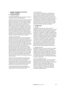# **t) Investment properties**

#### i) Investment properties Investment properties are properties held for long-term rental yields and for capital appreciation.

Investment properties are carried at fair value, being the amounts for which the properties could be exchanged between willing parties in an arm's length transaction, based on current prices in an active market for similar properties in the same location and condition and subject to similar leases, with any gain or loss arising from a change in fair value recognised in profit or loss. Investment properties are revalued by external valuers on a rotation basis with approximately one-half of the portfolio being valued annually. Investment properties which are not subject to an external valuation at the end of the reporting period are fair valued internally by management. The carrying amount of the investment properties recorded in the statement of financial position includes components relating to lease incentives.

# Change in accounting policy

Investment properties now also include properties that are under construction for future use as investment properties. These are also carried at fair value unless the fair value cannot yet be reliably determined. Where that is the case, the property will be accounted for at cost until either the fair value becomes reliably determinable or construction is complete. This is different to previous years where properties under construction were accounted for at cost and presented under property, plant and equipment until construction was complete. The change in policy was necessary following changes made to AASB 140 Investment Property as a result of the IASB's 2008 Improvements standard. Mirvac elected to adopt the revised rules prospectively from 1 July 2009. The net loss from fair value of IPUC was \$112.8m (2009: \$nil). The carrying value of \$89.5m at the end of the reporting period is included in the investment properties (refer to note 16).

The fair value of IPUC is determined on the basis of either DCF or residual methods. The estimated value of future assets is based on the expected future income from the project, using current yields of similar completed properties. The remaining expected costs of completion plus risk adjusted development margin are deducted from the estimated future asset value.

ii) Investment properties under redevelopment Existing investment properties being redeveloped for continued future use are carried at fair value.

# iii) Lease incentives

Lease incentives provided under an operating lease are recognised on a straight line basis against rental income. As these incentives are repaid out of future lease payments, they are recognised as an asset in the statement of financial position as a component of the carrying amount of investment properties and amortised over the lease period. Where the investment property is supported by a valuation that incorporates the value of lease incentives, the investment property is revalued back to the valuation amount after the lease incentive amortisation has been charged as an expense.

# **u) Intangible assets**

### i) Goodwill

Goodwill represents the excess of the cost of an acquisition over the fair value of Mirvac's share of the net identifiable assets of the acquired subsidiary, associate or joint venture at the date of acquisition. Goodwill on acquisitions of subsidiaries is included in intangible assets. Goodwill on acquisition of associates and joint ventures is included in investments in associates and joint ventures respectively. Goodwill acquired in business combinations is not amortised. Instead, goodwill is tested for impairment annually or more frequently if events or changes in circumstances indicate that it might be impaired, and is carried at cost less accumulated impairment losses. Gains and losses on the disposal of an entity include the carrying amount of goodwill relating to the entity sold. Goodwill is allocated to CGUs for the purpose of impairment testing. Each of those CGUs represents Mirvac's primary reporting segments (refer to note 3).

# ii) Management rights

Management rights are carried at cost less accumulated amortisation and impairment losses. Amortisation is charged to the statement of comprehensive income on a straight line basis over the estimated useful lives of the intangible assets. Management rights held in relation to an unlisted property fund are amortised over the useful life of seven years. All other management rights have an indefinite useful life and are not amortised but tested annually for impairment.

# iii) Carbon sequestration rights

Carbon sequestration rights are recorded as intangible assets and are stated at historic cost. Cost includes expenditure that is directly attributable to the acquisition of the items. Carbon sequestration rights are not amortised. Instead, carbon sequestration rights are tested for impairment annually or more frequently if events or changes in circumstances indicate that they might be impaired, and are carried at cost less accumulated impairment losses.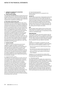#### **v) Trade and other payables**

These amounts represent liabilities for goods and services provided to Mirvac prior to the end of the year which are unpaid. The amounts are unsecured and are usually paid within 30 days of recognition. Payables, whose settlement is deferred, are measured at amortised cost.

#### **w) Borrowings and borrowing costs**

Borrowings are initially recognised at fair value, net of transaction costs incurred. Borrowings are subsequently measured at amortised cost. Any difference between the proceeds (net of transaction costs) and the redemption amount is recognised in profit or loss over the period of the borrowings using the effective interest method. Fees paid on the establishment of loan facilities, which are not an incremental cost relating to the actual drawdown of the facility, are recognised as prepayments and amortised on a straight line basis over the term of the facility. Borrowings are classified as current liabilities unless Mirvac has an unconditional right to defer settlement of the liability for at least 12 months after the end of the reporting period. Borrowing costs incurred for the construction of any qualifying asset are capitalised during the period of time that is required to complete and prepare the asset for its intended use or sale. Other borrowing costs are expensed.

## **x) Employee benefits**

i) Wages and salaries, annual leave and sick leave Liabilities for wages and salaries, including nonmonetary benefits, annual leave and accumulating sick leave expected to be settled within 12 months of the end of the reporting period are recognised in other creditors and accruals in respect of employees' services up to the end of the reporting period and are measured at the amounts expected to be paid when the liabilities are settled. Liabilities for non-accumulating sick leave are recognised when the leave is taken and measured at the rates paid or payable.

#### ii) Long service leave ("LSL")

The liability for LSL vesting within 12 months of the end of the reporting period is recognised and is measured in accordance with (i) above and included in provisions. The liability for LSL vesting more than 12 months from the end of the reporting period is recognised and measured as the present value of expected future payments to be made in respect of services provided by employees up to the end of each reporting period using the projected unit credit method. Consideration is given to expected future wage and salary levels, experience of employee departures and periods of service. Expected future payments are discounted using interest rates attaching, at the end of the reporting period, to national government guaranteed securities with terms to maturity that match, as closely as possible, the estimated future cash flows.

#### iii) Security based payments Security based payments are recognised for the following plans:

**Current LTI**

The fair value at grant date is independently determined using a binomial option pricing model that takes into account the exercise price, the vesting and performance criteria, the impact of dilution, the security price at grant date and expected price volatility of the underlying security, the expected dividend yield and the risk-free interest rate for the term of the equity instrument. The fair value is then expensed on a straight line basis over the vesting period of equity instruments.

#### **EEP**

Security based charge relating to the securities issued under the EEP are included in profit or loss in the year in which they are granted with a corresponding increase to Mirvac's contributed equity.

#### **Superseded plans**

The fair value of equity instruments granted under the superseded LTI plan and EIS is recognised in employee benefits expenses with a corresponding increase in equity. The fair value is measured at grant date and recognised over the vesting period. No expense relating to EIS has been recognised in the year ended 30 June 2010.

#### $iv)$   $STI$

A liability for STI payable is recognised in accruals where there is a present obligation to settle the liability and at least one of the following conditions is met:

- $-$  there are formal terms for determining the amount of the benefit;
- $-$  the amounts to be paid are determined before the time of completion of the financial statements; or
- $-$  past practice gives clear evidence of the amount of the obligation.

Liabilities for STI are expected to be settled within 12 months and are measured at the amounts expected to be paid when they are settled.

#### v) Termination benefits

Termination benefits are payable when employment is terminated before the normal retirement date, or when an employee accepts voluntary redundancy in exchange for these benefits. Mirvac recognises termination benefits when it is demonstrably committed to either terminating the employment of current employees according to a detailed formal plan without possibility of withdrawal or providing termination benefits as a result of an offer made to encourage voluntary redundancy. Benefits falling due more than 12 months after the end of the reporting period are discounted to present value.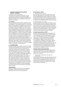## vi) Retirement benefit obligations

Contributions to the defined contribution fund are recognised as an expense as they become payable. Prepaid contributions are recognised as an asset to the extent that a cash refund or a reduction in the future payments is available.

# **y) Provisions**

Provisions for legal claims, forward contracts and make good obligations are recognised when the Group has a present legal or constructive obligation as a result of past events, it is probable that an outflow of resources will be required to settle the obligation and the amount has been reliably estimated. Provisions are not recognised for future operating losses. Where there are a number of similar obligations, the likelihood that an outflow will be required in settlement is determined by considering the class of obligations as a whole. A provision is recognised even if the likelihood of an outflow with respect to any one item included in the same class of obligations may be small. Provisions are measured at the present value of management's best estimate of the expenditure required to settle the present obligation at the end of the reporting period. The discount rate used to determine the present value reflects current market assessments of the time value of money and the risks specific to the liability. The increase in the provision due to the passage of time is recognised as interest expense.

#### **z) Contributed equity**

Ordinary securities are classified as equity. Incremental costs directly attributable to the issue of new securities or options are shown in equity as a deduction, net of tax, from the proceeds. Incremental costs directly attributable to the issue of new securities or options, or for the acquisition of a business, are not included in the cost of the acquisition as part of the purchase consideration. In accordance with AASB 2 Share-based Payment, securities issued as part of the LTI plan and EIS are not classified as ordinary securities, until such time as the employee loans are fully repaid or the employee leaves Mirvac. If Mirvac reacquires its own equity instruments, for example, as the result of a security buy-back, those instruments are deducted from equity and the associated securities are cancelled. No gain or loss is recognised in profit or loss and the consideration paid including any directly attributable incremental costs (net of income taxes) is recognised directly in equity.

# **aa) Distributions**

Provision is made for the amount of any distribution declared at or before the end of the year but not distributed at the end of the reporting period.

## **bb) Earnings per security**

#### i) Basic earnings per security

Basic earnings per security are calculated by dividing the profit attributable to securityholders of the Group by the weighted average number of ordinary securities outstanding during the year. In calculating basic earnings per security, securities issued under the EIS have been excluded from the weighted average number of securities.

#### ii) Diluted earnings per security

Diluted earnings per security adjusts the figures used in the determination of basic earnings per security to take into account the after income tax effect of interest and other financing costs associated with dilutive potential ordinary securities (including those securities issued under the EIS) and the weighted average number of securities assumed to have been issued for no consideration in relation to dilutive potential ordinary securities.

# **cc) Goods and services tax ("GST")**

Revenues, expenses and assets are recognised net of the amount of associated GST, unless the GST incurred is not recoverable from the taxation authority. In this case, it is recognised as part of the cost of acquisition of the asset or as part of the expense. Receivables and payables are stated inclusive of the amount of GST receivable or payable. The net amount of GST recoverable from, or payable to, the taxation authority is included with other receivables or payables in the statement of financial position. Cash flows are presented on a gross basis. The GST components of cash flows arising from investing or financing activities which are recoverable from or payable to the taxation authority, are presented as operating cash flow.

# **dd) Parent entity financial information**

The financial information for the parent entity, Mirvac Limited, disclosed in note 41 has been prepared on the same basis as the consolidated financial statements, except as set out below:

# i) Investments in subsidiaries, associates and joint ventures

Investments in subsidiaries, associates and joint ventures are accounted for at cost in the financial statements of Mirvac Limited. Dividends/distributions received from associates are recognised in the parent entity's profit or loss, rather than being deducted from the carrying amount of these investments.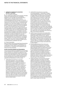ii) Tax consolidation legislation

Mirvac Limited and its wholly-owned Australian controlled entities have implemented the tax consolidation legislation as of 1 July 2003. The head entity, Mirvac Limited, and the controlled entities in the tax consolidated group continue to account for their own current and deferred tax amounts. These tax amounts are measured as if each entity in the tax consolidated group continues to be a stand alone taxpayer in its own right. In addition to its own current and deferred tax amounts, Mirvac Limited also recognises the current tax liabilities (or assets) and the deferred tax assets arising from unused tax losses and unused tax credits assumed from controlled entities in the tax consolidated group. Assets or liabilities arising under tax funding agreements within the tax consolidated group are recognised as amounts receivable from or payable to other entities in the Group. Details about the tax funding agreement are disclosed in note 6(d). Any difference between the amounts assumed and amounts receivable or payable under the tax funding agreement are recognised as a contribution to (or distribution from) wholly-owned tax consolidated entities. Under the current income tax legislation, MPT is not liable for income tax, provided its taxable income is fully distributed to unitholders each year.

## iii) Financial guarantees

Where the parent entity has provided financial guarantees in relation to loans and payables of subsidiaries for no compensation, the fair values of these guarantees are accounted for as contributions and recognised as part of the cost of the investment.

**ee) New accounting standards and interpretations**

In the current year, Mirvac has adopted all of the new and revised standards and interpretations issued by the AASB that are relevant to its operations and effective for the current annual reporting period. Certain new accounting standards and interpretations have been published that are not mandatory for 30 June 2010 reporting periods. The Group's assessment of the impact of these new standards and interpretations is set out below:

i) AASB 2009-8 Amendments to Australian Accounting Standards — Group Cash-Settled Share-based Payment Transactions [AASB 2] (effective from 1 January 2010) The amendments made by the AASB to AASB 2 confirm that an entity receiving goods or services in a group share based payment arrangement must recognise an expense for those goods or services regardless of which entity in the Group settles the transaction or whether the transaction is settled in shares or cash. They also clarify how the Group share based payment arrangement should be measured, that is, whether it is measured as an equity or a cash-settled transaction. Mirvac will apply the amended standard from 1 July 2010; there will be no financial impact as the Group does not receive goods or services which are equity settled.

- ii) AASB 2009-10 Amendments to Australian Accounting Standards — Classification of Rights Issues [AASB 132] (effective from 1 February 2010) In October 2009, the AASB issued an amendment to AASB 132 Financial Instruments: Presentation which addresses the accounting for rights issues that are denominated in a currency other than the functional currency of the issuer. Provided certain conditions are met, such rights issues are now classified as equity regardless of the currency in which the exercise price is denominated. Previously, these issues had to be accounted for as derivative liabilities. The amendment must be applied retrospectively in accordance with AASB 108 Accounting Policies, Changes in Accounting Estimates and Errors. Mirvac will apply the amended standard from 1 July 2010. As the Group has not made any such rights issues, the amendment will not have any effect on the financial statements.
- iii) AASB 9 Financial Instruments and AASB 2009-11 Amendments to Australian Accounting Standards arising from AASB 9 (effective from 1 January 2013) AASB 9 Financial Instruments addresses the classification and measurement of financial assets and is likely to affect the Group's accounting for its financial assets. The standard is not applicable until 1 January 2013 but is available for early adoption. Mirvac is yet to assess its impact and decide when to adopt AASB 9.
- iv) Revised AASB 124 Related Party Disclosures and AASB 2009-12 Amendments to Australian Accounting Standards (effective from 1 January 2011) In December 2009, the AASB issued a revised AASB 124 Related Party Disclosures. It is effective for accounting periods beginning on or after 1 January 2011 and must be applied retrospectively. When the amendments are applied, the Group will need to disclose any transactions between its subsidiaries, associates and joint ventures. Mirvac already has systems in place to capture the necessary information and does not believe there will be any financial impact of the amendment.
- v) AASB Interpretation 19 Extinguishing Financial Liabilities with Equity Instruments and AASB 2009-13 Amendments to Australian Accounting Standards arising from Interpretation 19 (effective from 1 July 2010) AASB Interpretation 19 clarifies the accounting when an entity renegotiates the terms of its debt with the result that the liability is extinguished by the debtor issuing its own equity instruments to the creditor (debt for equity swap). It requires a gain or loss to be recognised in profit or loss which is measured as the difference between the carrying amount of the financial liability and the fair value of the equity instruments issued. Mirvac will apply the interpretation from 1 July 2010. It is not expected to have any impact on the Group's financial statements since it is only retrospectively applied from the beginning of the earliest period presented (1 July 2009) and the Group has not entered into any debt for equity swaps since that date.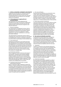# **2 Critical accounting judgements and estimates**

Judgements and estimates are continually evaluated, based on historical experience and other factors, including expectations of future events that may have a financial impact and are believed to be reasonable under the circumstances.

### **a) Critical judgements in applying Mirvac's accounting policies**

The following are the critical judgements that management has made in the process of applying the Group's accounting policies and that have the most significant effect on the amounts recognised in the financial statements:

### i) Revenue recognition

The measurement of development revenue, which is recognised when the significant risks and rewards of ownership are transferred to the purchaser, requires management to exercise its judgement in setting selling prices, given due consideration to cost inputs and market conditions.

The measurement of construction revenue, which is recognised upon construction contracts on a percentage of completion basis, requires an estimate of expenses incurred to date as a percentage of total estimated costs.

### ii) Cost of goods sold

Inventories are expensed as cost of goods sold upon sale. Management uses its judgement in determining the apportionment of cost of goods sold, through either unit entitlement or percentage of revenue, the quantum of cost of goods sold, which includes both costs incurred to date and forecast final costs, and the nature of cost of goods sold, which may include acquisition costs, borrowing costs and those costs incurred in bringing the inventory to a saleable state.

#### iii) Provision for inventory

Mirvac is required to carry inventories at the lower of cost and NRV. Through the use of project feasibility assessments, which are based on the most reliable evidence available at the time, and incorporate both quantitative and qualitative factors, such as estimated selling rates and costs to complete, judgement is made concerning estimated NRV, which, in some cases, has resulted in the establishment of a provision.

### iv) Investment properties and owner-occupied administration properties

Mirvac is required to make a judgement to determine whether a property qualifies as an investment property or property, plant and equipment in the cases where part of the building is occupied by the Group. Each property is considered individually. Where 10 per cent or more of the lettable space is occupied by the Group, the property is normally treated as owner-occupied and accounted for as part of property, plant and equipment.

## v) Fair value estimation

Financial assets and liabilities are carried at fair value. The fair value is based on assumptions of future events and involves significant estimates. The basis of valuation is set out in note 1(r) however the fair values of derivatives reported at the end of the reporting period may differ if there is volatility in market rates, indexes, equity prices or foreign exchange rates in future periods.

## vi) Share based payment transactions

The Group measures the cost of equity settled securities allocated to employees by reference to the fair value of the equity instruments at the date at which they are granted. As explained in note 34(f) the fair value is determined by an external valuer using the Monte-Carlo simulation pricing method, this method includes a number of judgments and assumptions. These judgments and assumptions relating to share-based payments would have no impact on the carrying amounts of assets and liabilities in the statement of financial position but may impact, the share based payment expense taken to profit or loss and equity.

# **b) Key sources of estimation uncertainty**

In preparing the financial statements, management is required to make estimations and assumptions. The following are the key assumptions concerning the future, and other key sources of estimation uncertainty at the end of the reporting period, that have a significant risk of causing material adjustment to the carrying amounts of assets and liabilities within the next year:

#### i) Inventories

The NRV of inventories is the estimated selling price in the ordinary course of business less estimated costs of completion and cost to sell. Such estimates take into consideration fluctuations of price or cost directly relating to events occurring after the end of the period to the extent that such events confirm conditions existing at the end of the reporting period. The key assumptions require the use of management judgement and are reviewed half-yearly. During the year Mirvac has expensed \$nil (2009: \$186.5m) in relation to inventories that were carried in excess of the NRV.

#### ii) Impairment of goodwill

Mirvac annually tests whether goodwill has suffered any impairment, in accordance with the accounting policy stated in note 1. Determining whether goodwill is impaired requires an estimation of the value in use of the CGUs to which goodwill has been allocated. The value in use calculation requires the entity to estimate the future cash flows expected to arise from each CGU and a suitable discount rate in order to calculate the net present value ("NPV"). The carrying amount of goodwill at the end of the reporting period was \$44.4m (2009: \$45.5m). There was no impairment loss recognised during the year (2009: \$224.1m). Details on the assumptions used are provided in note 18.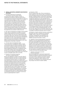### **2 Critical accounting judgements and estimates / CONTINUED**

## iii) Estimated impairment of investments accounted for using the equity method

During the period, Mirvac impaired a number of investments accounted for using the equity method. The investments are tested for impairment, by comparing recoverable amounts (higher of value in use, and fair value less costs to sell) with the carrying amounts, whenever there is an indication that the investment may be impaired. In determining the value in use of the investment, Mirvac estimates the present value of the estimated future cash flows expected to arise from distributions to be received from the investment and from its ultimate disposal. Details of this impairment and the assumptions used by management in assessing the impairment are provided in notes 29 and 30.

iv) Fair value of investments not traded in active markets The fair value of investments not traded in an active market is determined by the unit price as advised by the fund manager. The unit price is determined by NPV calculations using future cash flows and an appropriate post-tax discount rate. The carrying value of investments not traded in an active market determined using the above techniques and assumptions is \$15.3m (2009: \$18.5m) and is disclosed as financial assets at fair value through profit or loss (refer to note 10).

# v) Carrying value of management rights

The carrying value of management rights is initially carried at fair value at the date of acquisition. Mirvac has used DCF analysis to assess the carrying value of the acquired management rights. During the period, Mirvac assessed an impairment of management rights of \$nil (2009: \$48.5m) which was expensed during the year. The carrying value of management rights at 30 June 2010 was \$10.5m (2009: \$13.1m) and is disclosed as part of intangible assets (refer to note 18).

### vi) Valuation of investment properties and owner-occupied properties

Mirvac uses judgement in respect of the fair values of investment properties and owner-occupied properties. Investment properties and owner-occupied properties are revalued by external valuers on a rotation basis with approximately one-half of the portfolio being valued annually. Investment properties which are not subject to an external valuation at the end of the reporting period are fair valued internally by management. The assumptions used in the estimations of fair values include expected future market rentals, discount rates, market prices and economic conditions. The carrying value at the end of the reporting period for investment properties is \$4,226.5m (2009: \$3,210.1m) and owneroccupied properties \$272.7m (2009: \$254.9m). Details on investment properties are provided in note 16 and owner-occupied properties in note 17.

# vii) Valuation of IPUC

IPUC are valued at fair value. There are generally no active markets for IPUC and fair value is considered to be the estimated market price that would be paid for the partially completed property, reflecting the expectations of market participants of the value of the property when complete less deductions for the estimated costs to complete with appropriate adjustments for risk and profit. The fair value is determined on the basis of either DCF or residual methods. Both methods require consideration of the project risks which are relevant to the development process, including but not limited to construction and letting risks. The estimated value of future assets is based on the expected future income from the project, using current yields of similar completed properties. The net loss from fair value of IPUC was \$112.8m (2009: \$nil). The carrying value of \$89.5m at the end of the reporting period is included in investment properties (refer to note 16).

viii) Valuation of assets acquired in business combinations During the year, Mirvac completed the acquisition of MREIT (refer to note 39). On recognising this acquisition, management used estimations and assumptions on the fair value of the assets and liabilities assumed at the date of control.

ix) Valuation of security based payment transactions Valuation of security based payment transactions is performed using judgements around the fair value of the equity instruments on the date at which they are granted. The fair value is determined using a binominal option pricing model. Mirvac recognises a security based payment over the vesting period which is based on the estimation of the number of equity instruments likely to vest. At the end of the vesting period, Mirvac will assess the total expense recognised comparison to the number of equity instruments that ultimately vested.

### x) Valuation of derivatives and other financial instruments

Mirvac uses judgement in selecting the appropriate valuation technique for financial instruments not quoted in an active market. Valuation of derivative financial instruments involves assumptions based on quoted market rates adjusted for specific features of the instrument. The valuations of any financial instrument may change in the event of market volatility.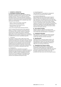#### **3 Segmental information**

### **a) Descriptions of business segments**

Management has determined the segments based on the reports reviewed by the ELT that are used to make strategic decisions. The ELT considers the business from both a product, and within Australia a geographic, perspective. Each division prepares an executive finance report on a monthly basis; this is a detailed report that summarises the following:

- historic results of the division, using both statutory profit and operating profit;
- future forecast of the division for the remainder of the year; and
- key risks and opportunities facing the division.

The ELT assesses the performance of the segments based on a number of measures, both financial and non-financial, which include a measure of operating profit; the use of capital; and success in delivering against KPIs. The ELT has identified two core divisions, Development and Investment. Applying the requirements of AASB 8, Mirvac has four reportable segments:

### i) Investment

The division is made up solely of MPT which holds investments in properties covering the retail, commercial, industrial and hotel sectors throughout Australia, held for the purpose of producing rental income, predominately through the Trust, its subsidiary trusts and corporate entities holding investment properties. Income is also derived from investments in associates including Mirvac Industrial Trust and Mirvac Wholesale Hotel Fund.

# ii) Development

The division's primary operations are property development and construction of residential, commercial, industrial and retail development projects throughout Australia. In addition, project management fees are received from the management of development and construction projects on behalf of associates, joint ventures and residential development funds.

#### iii) Hotel Management

Hotel Management is responsible for management of hotels across Australia and New Zealand.

#### iv) Investment Management

MIM manages listed and unlisted property funds on behalf of retail and institutional investors. MIM has been disposing of non-aligned funds over the past two years and closure of the UK office during the year ended 30 June 2010, both in line with the Group's strategy to focus on wholesale investor partnerships, providing capital for the Group's two core divisions, Investment and Development. MIM also includes MAM. MAM manages assets on behalf of MPT and external property owners across the real estate spectrum.

### **b) Inter-segment transfers**

Segment revenues, expenses and results include transfers between segments. Such transfers are on an arm's length basis and eliminated on consolidation.

### **c) Comparative information**

When necessary, comparative information has been reclassified to achieve consistency in disclosure in current year amounts and other disclosures.

## **d) Operating profit**

Operating profit is a financial measure which is not prescribed by AAS and represents the profit under AAS adjusted for specific non-cash items and other significant items which management considers to reflect the core earnings of the Group.

#### **e) Geographical and customer analysis**

Mirvac operates predominately in Australia with investments in New Zealand, the United States of America and the United Kingdom. Materially, all revenue is derived in Australia and all assets are in Australia. No single customer in the current or prior year provided more than 10 per cent of the Group's revenue.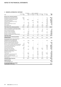| 2010                                                                                                 | Development<br>\$m | Investment<br>\$m        | Hotel<br>\$m             | Investment<br>MPT Management Management Unallocated<br>\$m | \$m                      | Elimination<br>Sm | Total<br>\$m   |
|------------------------------------------------------------------------------------------------------|--------------------|--------------------------|--------------------------|------------------------------------------------------------|--------------------------|-------------------|----------------|
|                                                                                                      |                    |                          |                          |                                                            |                          |                   |                |
| Revenue from continuing operations                                                                   |                    |                          |                          |                                                            |                          |                   |                |
| Development and construction revenue                                                                 | 861.5              |                          |                          |                                                            |                          | 0.7               | 862.2          |
| Development management fee revenue                                                                   | 32.2               |                          |                          |                                                            |                          | (1.1)             | 31.1           |
| Investment properties rental revenue                                                                 | 1.0                | 400.2                    |                          | 7.0                                                        |                          | (5.0)             | 403.2          |
| Hotel operating revenue                                                                              | ⋍                  | L.                       | 146.9                    | $\equiv$                                                   | L.                       | (0.1)             | 146.8          |
| Investment management fee revenue                                                                    | $\equiv$           |                          |                          | 37.8                                                       | $\overline{\phantom{a}}$ | (7.0)             | 30.8           |
| Interest revenue                                                                                     | 7.1                | 19.9                     | 0.2                      | 5.8                                                        | 8.6                      | (1.2)             | 40.4           |
| Dividend and distribution revenue                                                                    | $\equiv$           | 1.0                      | $\equiv$                 | $\overline{\phantom{0}}$                                   | $\equiv$                 | (0.5)             | 0.5            |
| Other revenue                                                                                        | 4.0                | 2.2                      | 0.8                      | 3.7                                                        | 2.8                      | (1.7)             | 11.8           |
| Inter-segment sales                                                                                  | 34.4               | 56.7                     | 0.2                      | 10.6                                                       | (2.2)                    | (99.7)            |                |
| Total revenue from continuing operations                                                             | 940.2              | 480.0                    | 148.1                    | 64.9                                                       | 9.2                      | (115.6)           | 1,526.8        |
| Share of net profit/(loss) of associates and joint<br>ventures accounted for using the equity method | 15.9               | 1.5                      | $\equiv$                 | (9.1)                                                      | 0.1                      | (6.5)             | 1.9            |
| Gain on financial instruments                                                                        |                    |                          |                          |                                                            | 3.7                      |                   | 3.7            |
| Foreign exchange (losses)/gains                                                                      |                    | (0.7)                    | 0.1                      | 3.4                                                        | 22.8                     |                   | 25.6           |
| Net gain on sale of investments                                                                      | 0.1                | 0.5                      | $\equiv$                 | 10.3                                                       | $\overline{\phantom{0}}$ | (0.5)             | 10.4           |
| Discount on business combination                                                                     |                    | 119.8                    | L.                       | $\equiv$                                                   |                          |                   | 119.8          |
| Net gain on remeasurement of equity interest                                                         |                    | 25.3                     |                          | (1.1)                                                      |                          | 6.7               | 30.9           |
| <b>Total other income</b>                                                                            | 16.0               | 146.4                    | 0.1                      | 3.5                                                        | 26.6                     | (0.3)             | 192.3          |
| Total revenue from continuing operations<br>and other income                                         | 956.2              | 626.4                    | 148.2                    | 68.4                                                       | 35.8                     | (115.9)           | 1,719.1        |
| Net loss/(gain) from fair value of investment<br>properties and owner-occupied hotel                 |                    |                          |                          |                                                            |                          |                   |                |
| management lots and freehold hotels<br>Net loss from fair value adjustments on                       | 0.1                | (8.0)                    | 21.0                     |                                                            |                          | (6.2)             | 6.9            |
| investment properties under construction                                                             |                    | 112.8                    |                          |                                                            |                          |                   | 112.8          |
| Net loss on sale of investment properties                                                            | 0.1                | 0.1                      |                          |                                                            |                          | -                 | 0.2            |
| Net loss on sale of property, plant and equipment                                                    | 0.8                |                          |                          | 0.3                                                        |                          |                   | 1.1            |
| Cost of property development and construction                                                        | 822.9              | L.                       | $\equiv$                 |                                                            | $\overline{\phantom{0}}$ | (33.2)            | 789.7          |
| Investment properties expenses                                                                       |                    | 112.1                    |                          |                                                            |                          | (9.9)             | 102.2          |
| Hotel operating expenses                                                                             | 0.8                | L.                       | 47.5                     | $\overline{a}$                                             | ÷                        | (2.0)             | 46.3           |
| Employee benefits expenses                                                                           | 30.7               | $\overline{\phantom{a}}$ | 70.6                     | 33.3                                                       | 55.5                     | 0.6               | 190.7          |
| Depreciation and amortisation                                                                        | 3.2                | 15.9                     | 5.0                      | 0.6                                                        | 2.5                      | 4.0               | 31.2           |
| Impairment of investments including<br>associates and joint ventures                                 | 0.2                |                          |                          | 6.0                                                        | ۰                        |                   | 6.2            |
| Impairment of loans                                                                                  |                    | $\equiv$                 | $\equiv$                 | 0.2                                                        | 5.4                      | $\equiv$          | 5.6            |
| Finance costs                                                                                        | 32.3               | 48.2                     | $\overline{\phantom{0}}$ | 17.4                                                       | 14.9                     | (54.0)            | 58.8           |
| Loss/(profit) on financial instruments                                                               |                    | 10.9                     |                          | (0.1)                                                      | 2.4                      | 0.4               | 13.6           |
| Selling and marketing expenses                                                                       | 13.9               | $\equiv$                 | 8.6                      | 0.8                                                        | 0.6                      |                   | 23.9           |
| Business combination transaction costs                                                               |                    | 19.4                     | $\overline{\phantom{0}}$ |                                                            | L,                       |                   | 19.4           |
| Other expenses                                                                                       | 31.6               | 8.6                      | 6.3                      | 10.0                                                       | 36.1                     | (11.7)            | 80.9           |
| Profit/(loss) before income tax<br>Income tax benefit                                                | 19.6               | 306.4                    | (10.8)                   | (0.1)                                                      | (81.6)                   | (3.9)             | 229.6<br>7.8   |
| Profit for the year<br>Profit attributable to NCI                                                    |                    |                          |                          |                                                            |                          |                   | 237.4<br>(2.7) |
| Net profit attributable to the stapled<br>securityholders of the Group                               |                    |                          |                          |                                                            |                          |                   | 234.7          |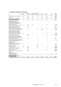| Development<br>2010                                                                                                                                       | \$m                       | Investment<br>\$m | Hotel<br>\$m                       | Investment<br>MPT Management Management<br>\$m | Unallocated<br>\$m          | Elimination<br>\$m | Tax<br>\$m                      | Total<br>\$m   |
|-----------------------------------------------------------------------------------------------------------------------------------------------------------|---------------------------|-------------------|------------------------------------|------------------------------------------------|-----------------------------|--------------------|---------------------------------|----------------|
|                                                                                                                                                           |                           |                   |                                    |                                                |                             |                    |                                 |                |
| Net profit/(loss) after tax before NCI<br>Less: NCI                                                                                                       | 19.6<br>$\qquad \qquad -$ | 306.4<br>(1.4)    | (10.8)<br>$\overline{\phantom{0}}$ | (0.1)<br>$\equiv$                              | (81.6)<br>$\qquad \qquad -$ | (3.9)<br>(1.3)     | 7.8<br>$\overline{\phantom{0}}$ | 237.4<br>(2.7) |
| Net profit/(loss) attributable<br>to the stapled securityholders                                                                                          | 19.6                      | 305.0             | (10.8)                             | (0.1)                                          | (81.6)                      | (5.2)              | 7.8                             | 234.7          |
| Specific non-cash items                                                                                                                                   |                           |                   |                                    |                                                |                             |                    |                                 |                |
| Net losses/(gains) from fair value<br>of investment properties and<br>owner-occupied hotel management<br>lots and freehold hotels                         | 0.1                       | (8.0)             | 21.0                               |                                                |                             | (6.2)              |                                 | 6.9            |
| Net losses from fair value of investment<br>properties under construction                                                                                 |                           | 112.8             |                                    |                                                |                             |                    |                                 | 112.8          |
| Net losses/(gains) on fair value of<br>derivative financial instruments and<br>associated foreign exchange movements                                      |                           | 11.6              |                                    | (3.7)                                          | (24.1)<br>8.7               | 0.4                |                                 | (15.8)<br>8.7  |
| Expensing of security based payments<br>Depreciation of owner-occupied<br>investment properties, hotels and<br>hotel management lots (including           |                           |                   |                                    |                                                |                             |                    |                                 |                |
| hotel property, plant and equipment)                                                                                                                      | 0.4                       |                   | 1.4<br>$\overline{\phantom{0}}$    |                                                |                             | 5.9                |                                 | 7.7            |
| Straight-lining of lease revenue<br>Amortisation of lease incentives                                                                                      | $\equiv$                  | (2.5)<br>12.0     |                                    |                                                |                             | (1.9)              |                                 | (2.5)<br>10.1  |
| Net losses/(gains) from fair value of<br>investment properties, derivatives and<br>other specific non-cash items included                                 |                           | 20.4              |                                    | 9.5                                            |                             |                    |                                 | 33.3           |
| in share of associates' losses<br>Net gains from fair value of investment<br>properties, derivatives and other specific<br>non-cash items included in NCI | (0.1)                     |                   |                                    |                                                |                             | 3.5<br>1.1         |                                 | 1.1            |
| <b>Significant items</b>                                                                                                                                  |                           |                   |                                    |                                                |                             |                    |                                 |                |
| Impairment of investments including<br>associates and joint ventures                                                                                      | 0.2                       |                   |                                    | 6.0                                            |                             |                    |                                 | 6.2            |
| Impairment of loans                                                                                                                                       |                           |                   |                                    | (11.7)                                         | 17.1                        |                    |                                 | 5.4            |
| Net (gains)/losses from sale<br>of non-aligned assets                                                                                                     | (0.1)                     | (0.5)             |                                    | (8.9)                                          |                             | 0.5                |                                 | (9.0)          |
| Discount on business combination                                                                                                                          | $\qquad \qquad -$         | (119.8)           |                                    | $\overline{\phantom{0}}$                       |                             |                    | ▃                               | (119.8)        |
| Net gain on remeasurement<br>of equity interest                                                                                                           |                           | (25.3)            |                                    | 1.1                                            |                             | (6.7)              |                                 | (30.9)         |
| Business combination transaction costs                                                                                                                    |                           | 19.4              |                                    | $\overline{a}$                                 |                             |                    |                                 | 19.4           |
| Tax effect                                                                                                                                                |                           |                   |                                    |                                                |                             |                    |                                 |                |
| Tax effect of non-cash and<br>significant adjustments                                                                                                     |                           |                   |                                    |                                                |                             |                    | 7.0                             | 7.0            |
| Operating profit/(loss)<br>(profit before specific non-cash<br>and significant items)                                                                     | 20.1                      | 325.1             | 11.6                               | (7.8)                                          | (79.9)                      | (8.6)              | 14.8                            | 275.3          |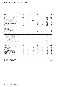| 2009                                                                                    | Development<br>\$m       | Investment<br>\$m        | Hotel<br>\$m             | Investment<br>MPT Management Management Unallocated<br>\$m | \$m                      | Elimination<br>\$m | Total<br>\$m      |
|-----------------------------------------------------------------------------------------|--------------------------|--------------------------|--------------------------|------------------------------------------------------------|--------------------------|--------------------|-------------------|
| Revenue from continuing operations                                                      |                          |                          |                          |                                                            |                          |                    |                   |
| Development and construction revenue                                                    | 1,093.0                  |                          |                          |                                                            |                          | (2.2)              | 1.090.8           |
| Development management fee revenue                                                      | 31.6                     |                          |                          |                                                            |                          | (7.4)              | 24.2              |
| Investment properties rental revenue                                                    | 0.1                      | 325.4                    |                          | 18.4                                                       |                          | (14.0)             | 329.9             |
| Hotel operating revenue                                                                 | L.                       |                          | 147.4                    |                                                            |                          |                    | 147.4             |
| Investment management fee revenue                                                       | 5.1                      |                          | $\equiv$                 | 45.0                                                       | $\equiv$                 | (3.5)              | 46.6              |
| Interest revenue                                                                        | 9.4                      | 0.8                      | 0.5                      | 8.3                                                        | 4.7                      | (0.7)              | 23.0              |
| Dividend and distribution revenue                                                       | 0.2                      | 1.1                      | ÷,                       | O.1                                                        | $\overline{\phantom{0}}$ | (0.3)              | 1.1               |
| Other revenue                                                                           | 5.6                      | 0.7                      | 0.5                      | 4.0                                                        | 2.1                      | (0.1)              | 12.8              |
| Inter-segment sales                                                                     | 105.1                    | 67.5                     |                          | 9.5                                                        | 2.6                      | (184.7)            |                   |
| Total revenue from continuing operations                                                | 1,250.1                  | 395.5                    | 148.4                    | 85.3                                                       | 9.4                      | (212.9)            | 1,675.8           |
| Other income                                                                            |                          |                          |                          |                                                            |                          |                    |                   |
| Gain on financial instruments                                                           |                          |                          |                          |                                                            | 113.3                    |                    | 113.3             |
| Net gain on sale of investments                                                         | $\overline{\phantom{0}}$ | $\overline{\phantom{0}}$ | $\overline{\phantom{0}}$ | 1.0                                                        |                          | $\qquad \qquad -$  | 1.0               |
| Total other income                                                                      | $\equiv$                 | $\overline{\phantom{0}}$ | $\equiv$                 | 1.0                                                        | 113.3                    | ÷,                 | 114.3             |
| Total revenue from continuing operations<br>and other income                            | 1,250.1                  | 395.5                    | 148.4                    | 86.3                                                       | 122.7                    | (212.9)            | 1.790.1           |
| Net loss from fair value of investment properties                                       |                          | 515.6                    |                          |                                                            |                          | (28.4)             | 487.2             |
| Foreign exchange (gains)/losses                                                         |                          |                          | (0.1)                    |                                                            | 72.6                     |                    | 72.5              |
| Net loss on assets classified as held for sale                                          | O.1                      |                          | $\overline{\phantom{0}}$ |                                                            |                          |                    | 0.1               |
| Cost of property development and construction                                           | 1.075.2                  |                          |                          |                                                            | $\overline{\phantom{0}}$ | (104.0)            | 971.2             |
| Investment properties expenses                                                          |                          | 89.3                     |                          |                                                            |                          | (7.9)              | 81.4              |
| Hotel operating expenses                                                                | $\equiv$                 |                          | 48.1                     |                                                            | $\equiv$                 | (2.8)              | 45.3              |
| Share of net loss of associates and joint ventures<br>accounted for using equity method | 9.7                      | 120.3                    | $\sim$                   | 20.8                                                       |                          | 7.2                | 158.0             |
| Employee benefits expenses                                                              | 47.4                     |                          | 69.9                     | 38.0                                                       | 28.6                     | (0.1)              | 183.8             |
| Depreciation and amortisation                                                           | 3.0                      | 13.0                     | 5.3                      | 1.2                                                        | 2.6                      | 3.2                | 28.3              |
| Impairment of goodwill, management rights<br>and other intangible assets                | 125.9                    |                          |                          | 146.7                                                      |                          | 1.0                | 273.6             |
| Impairment of investments including associates                                          |                          |                          |                          |                                                            |                          |                    |                   |
| and joint ventures                                                                      | 10.0                     | 16.4                     |                          | 15.2                                                       |                          |                    | 41.6              |
| Impairment of loans                                                                     | 40.7                     |                          | $\overline{\phantom{0}}$ | 18.7                                                       |                          |                    | 59.4              |
| Finance costs                                                                           | 53.3                     | 76.4                     | 0.1                      | 14.6                                                       | 13.9                     | (70.4)             | 87.9              |
| Loss on financial instruments                                                           |                          | 110.3                    | $\overline{\phantom{0}}$ | 0.2                                                        | 34.5                     | (0.5)              | 144.5             |
| Selling and marketing expenses                                                          | 16.3                     |                          | 8.0                      | 0.9                                                        | 0.2                      |                    | 25.4              |
| Provision for loss on inventories                                                       | 186.5                    |                          |                          |                                                            |                          |                    | 186.5             |
| Other expenses                                                                          | 36.7                     | 5.3                      | 4.8                      | 46.2                                                       | 12.5                     | (17.6)             | 87.9              |
| (Loss)/profit before income tax<br>Income tax benefit                                   | (354.7)                  | (551.1)                  | 12.3                     | (216.2)                                                    | (42.2)                   | 7.4                | (1.144.5)<br>65.3 |
| Loss for the year                                                                       |                          |                          |                          |                                                            |                          |                    | (1.079.2)         |
| Loss attributable to NCI                                                                |                          |                          |                          |                                                            |                          |                    | 1.1               |
| Net loss attributable to the stapled<br>securityholders of the Group                    |                          |                          |                          |                                                            |                          |                    | (1,078.1)         |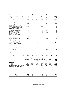| 2009                                                                                                                                                               | Development<br>Sm   | Investment<br>\$m | Hotel<br>\$m             | Investment<br>MPT Management Management Unallocated<br>\$m | \$m                | Elimination<br>Sm | Tax<br>Sm        | Total<br>\$m     |
|--------------------------------------------------------------------------------------------------------------------------------------------------------------------|---------------------|-------------------|--------------------------|------------------------------------------------------------|--------------------|-------------------|------------------|------------------|
| Net (loss)/profit after tax before NCI<br>Less: NCI                                                                                                                | (354.7)<br>$\equiv$ | (551.1)<br>0.1    | 12.3<br>$\equiv$         | (216.2)<br>÷                                               | (42.2)<br>$\equiv$ | 7.4<br>1.0        | 65.3<br>$\equiv$ | (1,079.2)<br>1.1 |
| Net (loss)/profit attributable to the<br>stapled securityholders                                                                                                   | (354.7)             | (551.0)           | 12.3                     | (216.2)                                                    | (42.2)             | 8.4               | 65.3             | (1,078.1)        |
| Specific non-cash items<br>Net losses/(gains) from fair<br>value of investment properties<br>(excluding owner-occupied)                                            |                     | 515.6             |                          |                                                            |                    | (28.4)            |                  | 487.2            |
| Net losses/(gains) on fair value of<br>derivative financial instruments and<br>associated foreign exchange movements                                               |                     | 110.3             |                          |                                                            | (6.3)              |                   |                  | 104.0            |
| Expensing of security based payments<br>Depreciation of owner-occupied<br>investment properties, hotels and                                                        |                     |                   |                          |                                                            | 7.1                |                   |                  | 7.1              |
| hotel management lots (including<br>hotel property, plant and equipment)                                                                                           |                     | $\qquad \qquad -$ | 1.4                      |                                                            |                    | 5.0               |                  | 6.4              |
| Straight-lining of lease revenue                                                                                                                                   |                     | (1.2)             | $\overline{\phantom{0}}$ |                                                            |                    | $\equiv$          |                  | (1.2)            |
| Amortisation of lease incentives<br>Net losses from fair value of<br>investment properties, derivatives<br>and other specific non-cash items                       |                     | 10.1              |                          |                                                            |                    | (1.8)             |                  | 8.3              |
| included in share of associates' losses<br>Net gains from fair value of investment<br>properties, derivatives and other<br>specific non-cash items included in NCI | 0.4                 | 141.2<br>(3.4)    |                          | 1.9                                                        |                    | 7.4<br>(2.9)      |                  | 150.9<br>(6.3)   |
|                                                                                                                                                                    |                     |                   |                          |                                                            |                    |                   |                  |                  |
| Significant items<br>Impairment of investments and<br>loans included in share of net loss<br>of associates and joint ventures                                      | 20.3                |                   |                          | 12.9                                                       |                    |                   |                  | 33.2             |
| Impairment of investments including                                                                                                                                |                     |                   |                          |                                                            |                    |                   |                  |                  |
| associates and joint ventures<br>Impairment of loans                                                                                                               | 10.0<br>40.7        | 16.3              | $\equiv$                 | 15.2<br>2.0                                                | 0.2<br>$\equiv$    |                   | -                | 41.7<br>42.7     |
| Provision for loss on inventories                                                                                                                                  | 186.5               |                   |                          |                                                            |                    |                   |                  | 186.5            |
| Impairment of goodwill, management                                                                                                                                 |                     |                   | $\overline{\phantom{0}}$ | 146.7                                                      |                    | 1.0               |                  | 273.6            |
| rights and other intangible assets<br>Net losses from other significant<br>items included in NCI                                                                   | 125.9               |                   |                          |                                                            |                    | (1.0)             |                  | (1.0)            |
| Tax effect                                                                                                                                                         |                     |                   |                          |                                                            |                    |                   |                  |                  |
| Tax effect of non-cash and<br>significant adjustments                                                                                                              |                     |                   |                          |                                                            |                    |                   | (54.2)           | (54.2)           |
| Operating profit/(loss)<br>(profit before specific non-cash<br>and significant items)                                                                              | 29.1                | 237.9             | 13.7                     | (37.5)                                                     | (41.2)             | (12.3)            | 11.1             | 200.8            |

|                                                                                                            | Development<br>\$m | Investment<br>\$m | Hotel<br>\$m | Investment<br>MPT Management Management<br>\$m | Unallocated<br>\$m | Elimination<br>\$m | Total<br>\$m  |
|------------------------------------------------------------------------------------------------------------|--------------------|-------------------|--------------|------------------------------------------------|--------------------|--------------------|---------------|
| 30 June 2010                                                                                               |                    |                   |              |                                                |                    |                    |               |
| Total assets                                                                                               | 6.111.4            | 5,812.4           | 419.4        | 553.2                                          | 6,308.6            | (11, 317.5)        | 7,887.5       |
| <b>Total liabilities</b>                                                                                   | 6,203.2            | 822.5             | 375.7        | 702.7                                          | 5.284.6            | (10,956.6)         | 2,432.1       |
| Investments in associates and joint ventures                                                               | 230.6              | 207.0             |              | 16.9                                           | 2.0                | (45.9)             | 410.6         |
| Acquisitions of investments and property,<br>plant and equipment<br>Depreciation and amortisation expenses | 17.8<br>3.2        | 366.7<br>15.9     | 3.0<br>5.0   | 2.3<br>0.6                                     | 0.6<br>2.5         | 4.0                | 390.4<br>31.2 |
| 30 June 2009                                                                                               |                    |                   |              |                                                |                    |                    |               |
| Total assets                                                                                               | 5,632.0            | 5,341.0           | 343.2        | 681.2                                          | 5,509.8            | (10,082.3)         | 7,424.9       |
| Total liabilities                                                                                          | 5,733.1            | 947.9             | 287.4        | 844.3                                          | 4.492.4            | (9,740.7)          | 2,564.4       |
| Investments in associates and joint ventures                                                               | 201.0              | 225.2             |              | 21.4                                           |                    | (50.0)             | 397.6         |
| Acquisitions of investments and property,<br>plant and equipment                                           | 99.6               | 9.6               | 2.0          | 4.5                                            | 1.9                |                    | 117.6         |
| Depreciation and amortisation expenses                                                                     | 3.0                | 13.0              | 5.3          | 1.2                                            | 2.6                | 3.2                | 28.3          |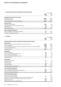# Notes to the Financial Statements

# **4 Revenue from continuing operations and other income**

|                                                                                             |            | Consolidated |
|---------------------------------------------------------------------------------------------|------------|--------------|
|                                                                                             | 2010<br>Sm | 2009<br>Sm   |
| Development and construction revenue                                                        |            |              |
| Development revenue                                                                         | 845.5      | 1,012.0      |
| Construction revenue                                                                        | 16.7       | 78.8         |
| Total development and construction revenue                                                  | 862.2      | 1,090.8      |
| Interest revenue                                                                            |            |              |
| Cash and cash equivalents                                                                   | 29.0       | 13.6         |
| Associates, joint ventures and related party loans                                          | 8.1        | 5.9          |
| Mezzanine Ioans                                                                             | 3.3        | 3.5          |
| Total interest revenue                                                                      | 40.4       | 23.0         |
| <b>Gain on financial instruments</b>                                                        |            |              |
| Gain on revaluation cross currency derivatives                                              | 3.7        | 113.3        |
| Total gain on financial instruments                                                         | 3.7        | 113.3        |
|                                                                                             |            |              |
| <b>EXPENSES</b><br>5                                                                        |            | Consolidated |
|                                                                                             | 2010       | 2009         |
|                                                                                             | Sm         | \$m          |
| Profit/(loss) before income tax includes the following specific expenses:                   |            |              |
| <b>Finance costs</b><br>Interest and finance charges paid/payable net of provision release  | 110.8      | 158.0        |
| Amount capitalised                                                                          | (80.6)     | (104.1)      |
| Interest capitalised in current and prior years expensed this year net of provision release | 25.9       | 31.6         |
| Borrowing costs amortised                                                                   | 2.7        | 2.4          |
| Total finance costs                                                                         | 58.8       | 87.9         |
| <b>Depreciation</b>                                                                         |            |              |
| Plant and equipment                                                                         | 9.2        | 10.2         |
| Owner-occupied hotel management lots                                                        | 1.4        | 1.5          |
| Owner-occupied freehold hotels                                                              | 1.3        | 0.7          |
| Owner-occupied administration properties                                                    | 5.2        | 4.3          |
| Total depreciation                                                                          | 17.1       | 16.7         |
| Amortisation                                                                                |            |              |
| Lease fit outs incentives                                                                   | 10.1       | 8.3          |
| Intangible assets<br>Lease incentives                                                       | 4.0        | 0.4<br>2.9   |
| <b>Total amortisation</b>                                                                   | 14.1       | 11.6         |
| Total depreciation and amortisation                                                         | 31.2       | 28.3         |
| <b>Loss on financial instruments</b>                                                        |            |              |
| Loss on interest rate derivatives                                                           | 10.4       | 143.4        |
| Loss on revaluation of other financial instruments                                          | 3.2        | 1.1          |
| Total loss on financial instruments                                                         | 13.6       | 144.5        |
| Other charges against assets                                                                |            |              |
| Provision for loss on inventories                                                           |            | 186.5        |
| Impairment of trade receivables                                                             | 0.7        | 1.1          |
| Impairment of goodwill, management rights and other intangible assets                       |            | 273.6        |
| Impairment of investments including associates and joint ventures                           | 6.2        | 41.6         |
| Impairment of loans                                                                         | 5.6        | 59.4         |
| Rental expense relating to operating leases                                                 | 9.3        | 5.9          |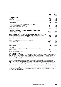# **6 Income tax**

|                                                                                                                 |         | Consolidated |
|-----------------------------------------------------------------------------------------------------------------|---------|--------------|
|                                                                                                                 | 2010    | 2009         |
|                                                                                                                 | \$m     | \$m          |
| a) Income tax benefit                                                                                           |         |              |
| Current tax                                                                                                     | 2.2     | 7.5          |
| Deferred tax                                                                                                    | (7.3)   | (70.1)       |
| Over provided in prior years                                                                                    | (2.7)   | (2.7)        |
| Income tax benefit                                                                                              | (7.8)   | (65.3)       |
| Deferred income tax benefit included in income tax benefit comprises:                                           |         |              |
| (Increase)/decrease in deferred tax assets                                                                      | (66.1)  | 10.9         |
| Increase/(decrease) in deferred tax liabilities                                                                 | 58.8    | (81.0)       |
| Deferred income tax benefit                                                                                     | (7.3)   | (70.1)       |
|                                                                                                                 |         |              |
| b) Numerical reconciliation of income tax benefit to prima facie tax payable<br>Profit/(loss) before income tax | 229.6   |              |
|                                                                                                                 |         | (1,144.5)    |
| Income tax calculated at 30 per cent                                                                            | 68.9    | (343.4)      |
| Tax effect of amounts which are not deductible/(taxable) in calculating taxable income                          |         |              |
| Non-deductible impairment of goodwill, management rights and other intangible assets                            | 0.3     | 81.9         |
| Non-deductible impairment of investments including associates and joint ventures                                | 8.7     | 6.8          |
| Non-deductible impairment of loans                                                                              | 1.7     | 12.8         |
| Other non-deductible/non-assessable items                                                                       | 27.3    | 19.5         |
| Utilisation of prior year tax losses not previously recognised                                                  | 0.3     | (2.7)        |
| Trust net (income)/loss                                                                                         | (112.3) | 162.5        |
|                                                                                                                 | (5.1)   | (62.6)       |
| Over provision in prior years                                                                                   | (2.7)   | (2.7)        |
| Income tax benefit                                                                                              | (7.8)   | (65.3)       |
| c) Tax losses                                                                                                   |         |              |
| Unused tax losses incurred by Australian entities for which no deferred tax asset                               |         |              |
| has been recognised                                                                                             | 58.5    | 57.6         |
| Potential tax benefit at 30 per cent                                                                            | 17.6    | 17.3         |
|                                                                                                                 |         |              |

# **d) Tax consolidation legislation**

Mirvac Limited and its wholly-owned Australian controlled entities have implemented the tax consolidation legislation as of 1 July 2003. The accounting policy in relation to this legislation is set out in note 1(dd). On adoption of the tax consolidation legislation, the entities in the tax consolidated group entered into a tax sharing agreement which, in the opinion of the Directors, limits the joint and several liability of the wholly-owned entities in the case of a default by the head entity, Mirvac Limited.

The entities within the consolidated tax group have also entered into a tax funding agreement under which the wholly-owned entities fully compensate Mirvac Limited for any current tax payable assumed and are compensated by Mirvac Limited for any current tax receivable and deferred tax assets relating to unused tax losses or unused tax credits that are transferred to Mirvac Limited under the tax consolidation legislation. The funding amounts are determined by reference to the amounts recognised in the wholly-owned entities' financial statements. The amounts receivable/payable under the tax funding agreement are due upon receipt of the funding advice from the head entity, which is issued as soon as practicable after the end of each year. The head entity may also require payment of interim funding amounts to assist with its obligations to pay tax instalments. The funding amounts are recognised as current intercompany receivables or payables.

Consolidated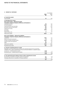# Notes to the Financial Statements

# **6 Income tax / continued**

| 6<br><b>INCOME TAX / CONTINUED</b>                                                                                                                                                                                                                                                                                                   |                                   | Consolidated                      |
|--------------------------------------------------------------------------------------------------------------------------------------------------------------------------------------------------------------------------------------------------------------------------------------------------------------------------------------|-----------------------------------|-----------------------------------|
|                                                                                                                                                                                                                                                                                                                                      | 2010<br>\$m                       | 2009<br>\$m                       |
| e) Current tax assets                                                                                                                                                                                                                                                                                                                |                                   |                                   |
| Tax receivable                                                                                                                                                                                                                                                                                                                       | 2.1                               | 6.4                               |
| f) Net deferred tax assets                                                                                                                                                                                                                                                                                                           |                                   |                                   |
| Non-current assets - deferred tax assets                                                                                                                                                                                                                                                                                             |                                   |                                   |
| The balance comprises temporary differences attributable to:                                                                                                                                                                                                                                                                         |                                   |                                   |
| Employee provisions                                                                                                                                                                                                                                                                                                                  | 7.8                               | 8.4                               |
| Accrued expenses                                                                                                                                                                                                                                                                                                                     | 20.3                              | 9.6                               |
| Unearned profits with associates                                                                                                                                                                                                                                                                                                     | 14.1                              | 15.2                              |
| Derivative financial instruments                                                                                                                                                                                                                                                                                                     | 8.9                               | 8.9                               |
| Impairment of loans                                                                                                                                                                                                                                                                                                                  | 6.4                               | 5.1                               |
| Tax losses                                                                                                                                                                                                                                                                                                                           | 65.8                              | 7.4                               |
| Receivables                                                                                                                                                                                                                                                                                                                          |                                   | 0.3                               |
| Equity raising costs                                                                                                                                                                                                                                                                                                                 | 1.7                               | 1.7                               |
| Deferred tax assets                                                                                                                                                                                                                                                                                                                  | 125.0                             | 56.6                              |
| Non-current liabilities - deferred tax liabilities<br>The balance comprises temporary differences attributable to:<br>Inventories<br>Equity accounted investments<br>Foreign exchange translation gains<br>Property, plant and equipment<br>Other                                                                                    | 59.5<br>7.1<br>22.0<br>3.7<br>3.6 | 11.3<br>7.0<br>13.0<br>3.2<br>3.7 |
| Deferred tax liabilities                                                                                                                                                                                                                                                                                                             | 95.9                              | 38.2                              |
| Net deferred tax assets                                                                                                                                                                                                                                                                                                              | 29.1                              | 18.4                              |
| g) Amounts recognised directly in equity<br>Aggregate current and deferred tax arising in the reporting period and not recognised<br>in profit or loss or other comprehensive income but directly debited or credited to equity:<br>Current tax - credited directly to equity<br>Net deferred $\tan x$ – credited directly to equity | (2.3)<br>(2.3)                    | (1.8)                             |
|                                                                                                                                                                                                                                                                                                                                      |                                   |                                   |
|                                                                                                                                                                                                                                                                                                                                      | (4.6)                             | (1.8)                             |
| h) Tax expense/(income) relating to items of other comprehensive income                                                                                                                                                                                                                                                              |                                   |                                   |
| Decrement on revaluation of property, plant and equipment                                                                                                                                                                                                                                                                            | 0.7                               | (1.5)                             |
| Exchange differences on translation of foreign operations                                                                                                                                                                                                                                                                            | (0.1)                             | 0.1                               |
|                                                                                                                                                                                                                                                                                                                                      | 0.6                               | (1.4)                             |
|                                                                                                                                                                                                                                                                                                                                      |                                   |                                   |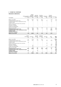## **6 Income tax / continued**

## **Movements in deferred tax**

| Balance 30 June 2010                               | (7.1)            | (22.0)                                                | 14.1                                   | 8.9                                    | 6,4                    | (3.7)                               |             |
|----------------------------------------------------|------------------|-------------------------------------------------------|----------------------------------------|----------------------------------------|------------------------|-------------------------------------|-------------|
| <b>Acquisition of subsidiary</b>                   |                  |                                                       |                                        |                                        |                        |                                     |             |
| Credited to equity                                 |                  |                                                       |                                        |                                        |                        |                                     |             |
| (Credited)/charged to other comprehensive income   |                  | 0.1                                                   |                                        |                                        |                        | (0.7)                               |             |
| (Credited)/charged to profit or loss               | (0.1)            | (9.1)                                                 | (1.1)                                  |                                        | 1.3                    | 0.2                                 | (0.3)       |
| Balance 30 June 2009                               | (7.0)            | (13.0)                                                | 15.2                                   | 8.9                                    | 5.1                    | (3.2)                               | 0.3         |
| Change in accounting policy                        |                  |                                                       |                                        |                                        |                        |                                     |             |
| Acquisition of subsidiary                          |                  |                                                       |                                        |                                        |                        |                                     |             |
| Disposal of subsidiary                             |                  |                                                       |                                        |                                        |                        |                                     |             |
| Transfer of prior year tax losses from current tax |                  |                                                       |                                        |                                        |                        |                                     |             |
| Credited to equity                                 |                  |                                                       |                                        |                                        |                        |                                     |             |
| (Credited)/charged to other comprehensive income   |                  |                                                       |                                        |                                        |                        | 1.4                                 |             |
| (Credited)/charged to profit or loss               | 8.4              | 21.7                                                  | 2.9                                    | (15.1)                                 | 5.1                    | 2.7                                 | 5.0         |
| Balance 1 July 2008                                | (15.4)           | (34.7)                                                | 12.3                                   | 24.0                                   |                        | (7.3)                               | (4.7)       |
| Consolidated                                       | \$m              | \$m                                                   | \$m                                    | \$m                                    | \$m                    | \$m                                 | \$m         |
|                                                    | Equity accounted | exchange<br>translation<br>investments gains/(losses) | Unearned<br>profits with<br>associates | Derivative<br>financial<br>instruments | Impairment<br>of loans | Property,<br>plant and<br>equipment | Receivables |
|                                                    |                  | Foreign                                               |                                        |                                        |                        |                                     |             |

| Balance 30 June 2010                               | 1.7           | (59.5)             | 20.3                       | 7.8                           | 65.8              | (3.6)        | 29.1         |
|----------------------------------------------------|---------------|--------------------|----------------------------|-------------------------------|-------------------|--------------|--------------|
| Acquisition of subsidiary                          |               | 1.7                |                            |                               |                   |              | 1.7          |
| <b>Credited to equity</b>                          | 0.6           |                    | 1.7                        |                               |                   |              | 2.3          |
| (Credited)/charged to other comprehensive income   |               |                    |                            |                               |                   |              | (0.6)        |
| (Credited)/charged to profit or loss               | (0.6)         | (49.9)             | 9.0                        | (0.6)                         | 58.4              | 0.1          | 7.3          |
| Balance 30 June 2009                               | 1.7           | (11.3)             | 9.6                        | 8.4                           | 7.4               | (3.7)        | 18.4         |
| Change in accounting policy                        |               | 5.3                |                            |                               |                   |              | 5.3          |
| Acquisition of subsidiary                          |               | 6.0                |                            |                               | 1.6               | 0.2          | 7.8          |
| Disposal of subsidiary                             |               |                    |                            |                               |                   | (0.1)        | (0.1)        |
| Transfer of prior year tax losses from current tax |               |                    |                            |                               | 7.4               |              | 7.4          |
| Credited to equity                                 | 1.8           |                    |                            |                               |                   |              | 1.8          |
| (Credited)/charged to other comprehensive income   |               |                    |                            |                               |                   |              | 1.4          |
| (Credited)/charged to profit or loss               | (0.5)         | 54.8               | (7.7)                      | (1.8)                         | (1.6)             | (3.8)        | 70.1         |
| Balance 1 July 2008                                | 0.4           | (77.4)             | 17.3                       | 10.2                          |                   |              | (75.3)       |
| raising costs                                      | Equity<br>\$m | Inventories<br>\$m | Accrued<br>expenses<br>\$m | Emplovee<br>provisions<br>\$m | Tax losses<br>\$m | Other<br>\$m | Total<br>\$m |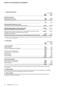## **7 Earnings per security**

| LARININGS FLR SLUURITT                                                                                                                               |                    | Consolidated  |
|------------------------------------------------------------------------------------------------------------------------------------------------------|--------------------|---------------|
|                                                                                                                                                      | 2010<br>Cents      | 2009<br>Cents |
| Earnings per security                                                                                                                                |                    |               |
| Basic earnings per security                                                                                                                          | 7.95               | (65.21)       |
| Diluted earnings per security <sup>1</sup>                                                                                                           | 7.90               | (64.53)       |
|                                                                                                                                                      | \$m                | \$m           |
| Basic and diluted earnings per security                                                                                                              |                    |               |
| Net profit/(loss) used in calculating earnings per security                                                                                          | 234.7              | (1,078.1)     |
| Weighted average number of securities after rights<br>issue notional adjustment used as denominator <sup>1</sup>                                     | <b>Number</b><br>m | Number<br>m   |
| Weighted average number of securities used in calculating basic earnings per security<br>Adjustment for calculation of diluted earnings per security | 2,954.7            | 1,653.4       |
| Securities issued under EIS                                                                                                                          | 15.7               | 17.4          |
| Weighted average number of securities used in calculating diluted earnings per security                                                              | 2.970.4            | 1.670.8       |

1) Diluted securities do not include the options and rights issued under the previous LTI plans as the exercise of these equity instruments is contingent on conditions during the vesting period.

#### **8 Receivables**

|                                         | Consolidated |             |
|-----------------------------------------|--------------|-------------|
|                                         | 2010<br>\$m  | 2009<br>\$m |
| <b>Current receivables</b>              |              |             |
| Trade receivables                       | 52.8         | 87.0        |
| Provision for impairment of receivables | (2.3)        | (1.9)       |
|                                         | 50.5         | 85.1        |
| Amounts due from related parties        | 74.4         | 27.1        |
| Amounts due from unrelated parties      | 21.0         | 7.3         |
| Mezzanine Ioans                         | 20.7         | 20.6        |
| Accrued income                          | 13.4         | 11.3        |
| Other receivables                       | 23.8         | 97.0        |
|                                         | 203.8        | 248.4       |
| Non-current receivables                 |              |             |
| Loans to Directors and employees        | 19.4         | 7.5         |
| Amounts due from related parties        | 107.0        | 131.2       |
| Other receivables                       | 55.8         | 65.5        |
|                                         | 182.2        | 204.2       |

Further information in relation to amounts due from related entities is set out in note 35 and loans to KMP is set out in note 33.

#### **a) Trade receivables**

The average credit period on sales of goods is 30 days. No interest is charged on any outstanding trade receivables. Refer to note 8(d) on discussions regarding the credit risk of receivables.

#### **b) Other receivables**

These amounts generally arise from transactions outside of the classification of trade receivables such as GST receivables and other sundry debtors.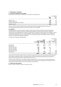#### **8 Receivables / continued**

## **c) Provision for impairment of receivables**

Movements in the provision for impairment of receivables are detailed below:

|                                     | Consolidated |            |  |
|-------------------------------------|--------------|------------|--|
|                                     | 2010<br>\$m  | 2009<br>Sm |  |
| Balance 1 July                      | (1.9)        | (1.3)      |  |
| Amounts written off                 | 0.3          | 0.5        |  |
| Provision for impairment recognised | (0.7)        | (1.1)      |  |
| Balance 30 June                     | (2.3)        | (1.9)      |  |

Mirvac has written off \$0.3m (2009: \$0.5m) of impairment of trade receivables during the current year. This loss has been applied against the provision for impairment of receivables.

#### **d) Credit risk**

Receivables consist of a large number of customers. Mirvac does not have any significant credit risk exposure to a single customer or groups of customers. Ongoing credit evaluation is performed on the financial condition of customers and, where appropriate, a provision for impairment of receivables is raised. Mirvac holds collateral in certain circumstances which takes the form of bank guarantees, security deposits, personal guarantee or a mortgage over property until completion. There is no concentration of credit risk with respect to receivables as Mirvac has a large number of customers, geographically dispersed.

The ageing of receivables is detailed below:

|                        |                    |                            |             | Consolidated  |
|------------------------|--------------------|----------------------------|-------------|---------------|
|                        |                    | 2010                       |             | 2009          |
|                        |                    | <b>Total Provision for</b> | Total       | Provision for |
|                        | <b>receivables</b> | impairment                 | receivables | impairment    |
|                        | Şm                 | Şm                         | Sm          | \$m           |
| Not past due           | 369.3              | (0.2)                      | 400.5       | (0.2)         |
| Renegotiated           |                    |                            |             |               |
| Past due $1-30$ day(s) | 10.5               | (0.1)                      | 36.2        |               |
| Past due 31-60 days    | 0.8                | (0.1)                      | 5.8         |               |
| Past due 61-90 days    | 0.2                |                            | 1.5         |               |
| Past due 91-120 days   | 0.1                |                            | 6.9         | (0.8)         |
| Past 120 days          | 7.4                | (1.9)                      | 3.6         | (0.9)         |
|                        | 388.3              | (2.3)                      | 454.5       | (1.9)         |

Under certain circumstances, Mirvac has not provided for all balances past due as it has been determined that there has not been a significant change in credit quality at the end of the reporting period based upon the customer's payment history and analysis of the customer's financial accounts.

The Group holds collateral over receivables of \$118.4m (2009: \$131.5m). The fair value of the collateral held equals the fair value of the receivables for which the collateral is held. The terms of the collateral are if payment due is not received per the agreed terms, Mirvac is able to claim the collateral held.

#### **e) Interest rate risk exposures**

Refer to note 36 for Mirvac's exposure to interest rate risk.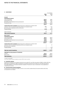#### **9 Inventories1**

|                                                                                    |            | Consolidated             |
|------------------------------------------------------------------------------------|------------|--------------------------|
|                                                                                    | 2010<br>Sm | 2009 <sup>2</sup><br>\$m |
| Current                                                                            |            |                          |
| <b>Development projects</b>                                                        |            |                          |
| Cost of acquisition                                                                | 242.5      | 388.1                    |
| Development costs                                                                  | 368.6      | 419.2                    |
| Borrowing costs capitalised during development                                     | 70.4       | 75.7                     |
| Provision for loss                                                                 | (109.3)    | (256.1)                  |
|                                                                                    | 572.2      | 626.9                    |
| <b>Construction work in progress</b> (amount due from customers for contract work) |            |                          |
| Contract costs incurred and recognised profits less recognised losses              | 17.2       | 91.6                     |
| Borrowing costs capitalised during construction                                    |            | 4.6                      |
| Progress billings                                                                  | (17.2)     | (95.0)                   |
|                                                                                    |            | 1.2                      |
| Hotel inventories                                                                  | 1.1        | 1.2                      |
| <b>Total current inventories</b>                                                   | 573.3      | 629.3                    |
| Non-current                                                                        |            |                          |
| <b>Development projects</b>                                                        |            |                          |
| Cost of acquisition                                                                | 681.5      | 682.9                    |
| Development costs                                                                  | 344.5      | 424.2                    |
| Borrowing costs capitalised during development                                     | 142.9      | 131.2                    |
| Provision for loss                                                                 | (108.0)    | (148.2)                  |
|                                                                                    | 1,060.9    | 1,090.1                  |
| <b>Construction work in progress</b> (amount due from customers for contract work) |            |                          |
| Contract costs incurred and recognised profits less recognised losses              |            | 7.7                      |
| Borrowing costs capitalised                                                        |            |                          |
| Progress billings                                                                  |            | (2.2)                    |
|                                                                                    |            | 5.5                      |
| <b>Total non-current inventories</b>                                               | 1,060.9    | 1,095.6                  |
| Aggregate carrying amount of inventories                                           |            |                          |
| Current                                                                            | 573.3      | 629.3                    |
| Non-current                                                                        | 1,060.9    | 1,095.6                  |
| <b>Total inventories</b>                                                           | 1.634.2    | 1,724.9                  |

1) Lower of cost and NRV.

2) Prior year numbers have been restated as a result of IFRIC 15; refer to note 1(n).

#### **a) Inventories expense**

Inventories recognised as an expense during the year ended 30 June 2010 amounted to \$789.7m (2009: \$971.2m). Write down of inventories to NRV recognised as an expense during the year ended 30 June 2010 amounted to \$nil (2009: \$186.5m). The expense has been included in 'Provision for loss on inventories' in the statement of comprehensive income.

#### **b) Current and non-current inventories**

The disclosure of inventories as either current or non-current is determined by the period within which they are expected to be realised.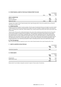#### **10 Other financial assets at fair value through profit or loss**

| TY YILLER\I HV\NYYI\NI/\YYEI\Y7\LII\NI\Y7\NIYEI IIH\YYYIII I\YI II YI\HYYYY |       |            | Consolidated |
|-----------------------------------------------------------------------------|-------|------------|--------------|
|                                                                             | Note  | 2010<br>Şm | 2009<br>Sm   |
| Units in unlisted fund                                                      |       |            |              |
| Balance 1 July                                                              |       | 18.5       | 19.3         |
| Loss on revaluation                                                         |       | (3.2)      | (0.8)        |
| Balance 30 June                                                             | 29(b) | 15.3       | 18.5         |

Changes in fair values of other financial assets at fair value through profit or loss are recorded as loss on financial instruments in profit or loss.

#### **a) Unlisted securities**

Unlisted securities are traded in inactive markets. The fair value of investments that are not traded in an active market is determined by the unit price as advised by the Trustee of the Fund. Included in unlisted securities in the Group are units in JF Infrastructure Yield Fund. James Fielding Trust, a wholly-owned Group entity owns 12.9m units (22 per cent) of this entity.

The fair value of the security is determined based on the value of the underlying assets held by the fund. The assets of the fund are subject to regular external valuations. These valuations are based on discounted net cash inflows from expected future income and/or comparable sales of similar assets. Appropriate discount rates determined by the external valuer are used to determine the present value of the net cash inflows based on a market interest rate adjusted for the risk premium specific to each asset. The fair value is determined using valuation techniques that are not supported by prices from an observable market; so the fair value recognised in the financial statements could change significantly if the underlying assumptions made in estimating the fair values were significantly changed.

#### **b) Price risk exposures**

Refer to note 36 for Mirvac's exposure to price risk on other financial assets at fair value through profit or loss.

#### **11 Assets classified as held for sale**

| TE ASSETS SEASSIFIED AS HEED FOR SAFE | Consolidated |             |  |
|---------------------------------------|--------------|-------------|--|
|                                       | 2010<br>\$m  | 2009<br>\$m |  |
| Investment properties                 | 53.7         |             |  |
|                                       |              |             |  |

#### **12 Other assets**

|                      |             | Consolidated |
|----------------------|-------------|--------------|
|                      | 2010<br>\$m | 2009<br>\$m  |
| Prepayments          | 16.2        | 20.9         |
| Monies held in trust | 9.8         | 20.2         |
|                      | 26.0        | 41.1         |

Monies held in trust relates to deposits received in respect of future sales of inventories.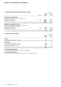#### **13 Investments accounted for using the equity method**

| INVESTIMENTS ACCOUNTED FOR USING THE EQUITT METHOD                                                   |             |                  | Consolidated |
|------------------------------------------------------------------------------------------------------|-------------|------------------|--------------|
|                                                                                                      | <b>Note</b> | 2010<br>\$m      | 2009<br>\$m  |
| <b>Statement of financial position</b>                                                               |             |                  |              |
| Investments accounted for using the equity method                                                    |             |                  |              |
| Investments in associates                                                                            | 29          | 110.3            | 168.4        |
| Investments in joint ventures                                                                        | 30          | 300.3            | 229.2        |
|                                                                                                      |             | 410.6            | 397.6        |
| Statement of comprehensive income                                                                    |             |                  |              |
| Share of net profit/(loss) of associates and joint ventures<br>accounted for using the equity method |             |                  |              |
| Investments in associates                                                                            | 29          | (3.4)            | (101.2)      |
| Investments in joint ventures                                                                        | 30          | 5.3              | (56.8)       |
|                                                                                                      |             | 1.9 <sup>°</sup> | (158.0)      |
| <b>14 DERIVATIVE FINANCIAL ASSETS</b>                                                                |             |                  | Consolidated |
|                                                                                                      |             |                  |              |
|                                                                                                      |             | 2010<br>\$m      | 2009<br>\$m  |
| Current                                                                                              |             |                  |              |
| Interest rate swap contracts - fair value                                                            |             | 2.0              | 5.5          |
| Non-current                                                                                          |             |                  |              |
| Interest rate swap contracts - fair value                                                            |             | 4.4              | 4.8          |
| Interest rate collar contracts - fair value                                                          |             | 0.1              |              |

Cross currency swaps – fair value **19.5** 2.7

**14.0** 7.5

#### **a) Instruments used by Mirvac**

Refer to note 36 for information on instruments used by Mirvac.

#### **b) Interest rate risk exposures**

Refer to note 36 for Mirvac's exposure to interest rate risk on interest rate swaps.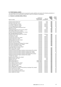## **15 Other financial assets**

The consolidated financial statements incorporate the assets, liabilities and results of the following subsidiaries in accordance with the accounting policy described in note 1(c) Principles of consolidation:

#### **a) Interests in controlled entities of Mirvac**

|                                                                                               |                                               |                          | <b>Equity</b>        | Equity                  |
|-----------------------------------------------------------------------------------------------|-----------------------------------------------|--------------------------|----------------------|-------------------------|
| Name of entity                                                                                | Country of<br>establishment/<br>incorporation | Class of<br>units/shares | holding<br>2010<br>% | holding<br>2009<br>$\%$ |
|                                                                                               |                                               |                          |                      |                         |
| 107 Mount Street Head Trust                                                                   | Australia                                     | Units                    | 100                  | 100                     |
| 107 Mount Street Sub Trust                                                                    | Australia                                     | Units                    | 100                  | 100                     |
| 197 Salmon Street Pty Limited <sup>1</sup>                                                    | Australia                                     | Ordinary                 | 100                  | 100                     |
| A.C.N. 087 773 859 Pty Limited                                                                | Australia                                     | Ordinary                 | 100                  | 100                     |
| A.C.N. 110 698 603 Pty Limited                                                                | Australia                                     | Ordinary                 | 100                  | 100                     |
| Australian Sustainable Investments Fund <sup>2</sup>                                          | Australia                                     | Units                    | 35                   | 35                      |
| Banksia Unit Trust                                                                            | Australia                                     | Units                    | 100                  | 100                     |
| Cambridge Management Services Pty Limited <sup>1</sup>                                        | Australia                                     | Ordinary                 | 100                  | 100                     |
| CMS Holdings (Mirvac) Pty Limited <sup>1</sup>                                                | Australia                                     | Ordinary                 | 100                  | 100                     |
| Domaine Investment Management Pty Limited                                                     | Australia                                     | Ordinary                 | 100                  | 100                     |
| Fast Track Bromelton Pty Limited<br>(formerly Mirvac ID (Bromelton) Pty Limited) <sup>1</sup> | Australia                                     | Ordinary                 | 100                  |                         |
| Ford Mirvac Unit Trust                                                                        | Australia                                     | Units                    | 100                  | 100                     |
| Fyfe Road Pty Limited                                                                         | Australia                                     | Ordinary                 | 100                  | 100                     |
| Gainsborough Greens Pty Limited                                                               | Australia                                     | Ordinary                 | 100                  | 100                     |
| Hexham Project Pty Limited                                                                    | Australia                                     | Ordinary                 | 100                  | 100                     |
| HIR Boardwalk Tavern Pty Limited <sup>1</sup>                                                 | Australia                                     | Ordinary                 | 100                  | 100                     |
| HIR Golf Club Pty Limited <sup>1</sup>                                                        | Australia                                     | Ordinary                 | 100                  | 100                     |
| HIR Golf Course Pty Limited <sup>1</sup>                                                      | Australia                                     | Ordinary                 | 100                  | 100                     |
| HIR Property Management Holdings Pty Limited <sup>1</sup>                                     | Australia                                     | Ordinary                 | 100                  | 100                     |
| HIR Property Management Pty Limited <sup>1</sup>                                              | Australia                                     | Ordinary                 | 100                  | 100                     |
| HIR Tavern Freehold Pty Limited <sup>1</sup>                                                  | Australia                                     | Ordinary                 | 100                  | 100                     |
| Hope Island Resort Services Limited <sup>3</sup>                                              | Australia                                     | Ordinary                 | -                    | 100                     |
| Hoxton Park Airport Limited <sup>1</sup>                                                      | Australia                                     | Ordinary                 | 100                  | 100                     |
| HPAL Holdings Pty Limited <sup>1</sup>                                                        | Australia                                     | Ordinary                 | 100                  | 100                     |
| Industrial Commercial Property Solutions (Constructions) Pty Limited <sup>1</sup>             | Australia                                     | Ordinary                 | 100                  | 100                     |
| Industrial Commercial Property Solutions (Finance) Pty Limited <sup>1</sup>                   | Australia                                     | Ordinary                 | 100                  | 100                     |
| Industrial Commercial Property Solutions (Holdings) Pty Limited <sup>1</sup>                  | Australia                                     | Ordinary                 | 100                  | 79                      |
| Industrial Commercial Property Solutions (Queensland) Pty Limited <sup>1</sup>                | Australia                                     | Ordinary                 | 100                  | 100                     |
| Industrial Commercial Property Solutions Pty Limited <sup>1</sup>                             | Australia                                     | Ordinary                 | 100                  | 100                     |
| JF (ASIF) Pty Limited <sup>1</sup>                                                            | Australia                                     | Ordinary                 | 100                  | 100                     |
| Magenta Shores Finance Pty Limited <sup>1</sup>                                               | Australia                                     | Ordinary                 | 100                  | 100                     |
| Magenta Shores Unit Trust                                                                     | Australia                                     | Units                    | 100                  | 100                     |
| Magenta Unit Trust                                                                            | Australia                                     | Units                    | 100                  | 100                     |
| MFM US Real Estate, Inc.                                                                      | <b>United States</b>                          | Ordinary                 | 100                  | 100                     |
| MGR US Real Estate, Inc.                                                                      | <b>United States</b>                          | Ordinary                 | 100                  | 100                     |
| Mirvac (Beacon Cove) Pty Limited <sup>1</sup>                                                 | Australia                                     | Ordinary                 | 100                  | 100                     |
| Mirvac (Docklands) Pty Limited <sup>1</sup>                                                   | Australia                                     | Ordinary                 | 100                  | 100                     |
| Mirvac (WA) Pty Limited <sup>1</sup>                                                          | Australia                                     | Ordinary                 | 100                  | 100                     |
| Mirvac (Walsh Bay) Pty Limited <sup>1</sup>                                                   | Australia                                     | Ordinary                 | 100                  | 100                     |
| Mirvac 8 Chifley Pty Limited (formerly Mirvac AustSuper Pty Limited) <sup>1</sup>             | Australia                                     | Ordinary                 | 100                  | 50                      |
| Mirvac Advisory Pty Limited <sup>1</sup>                                                      | Australia                                     | Ordinary                 | 100                  | 100                     |
| Mirvac Aero Company Pty Limited <sup>1</sup>                                                  | Australia                                     | Ordinary                 | 100                  | 100                     |
| Mirvac Capital Investments Pty Limited <sup>1</sup>                                           | Australia                                     | Ordinary                 | 100                  | 100                     |
| Mirvac Capital Pty Limited <sup>1</sup>                                                       | Australia                                     | Ordinary                 | 100                  | 100                     |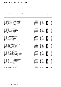## **a) Interests in controlled entities of Mirvac / continued**

|                                                                   |                |              | <b>Equity</b> | Equity  |
|-------------------------------------------------------------------|----------------|--------------|---------------|---------|
|                                                                   | Country of     |              | holding       | holding |
|                                                                   | establishment/ | Class of     | 2010          | 2009    |
| Name of entity                                                    | incorporation  | units/shares | %             | $\%$    |
| Mirvac Commercial Funding Pty Limited <sup>1</sup>                | Australia      | Ordinary     | 100           | 100     |
| Mirvac Commercial Sub SPV Pty Limited <sup>1</sup>                | Australia      | Ordinary     | 100           | 100     |
| Mirvac Constructions (Homes) Pty Limited <sup>1</sup>             | Australia      | Ordinary     | 100           | 100     |
| Mirvac Constructions (QLD) Pty Limited <sup>1</sup>               | Australia      | Ordinary     | 100           | 100     |
| Mirvac Constructions (SA) Pty Limited <sup>1</sup>                | Australia      | Ordinary     | 100           | 100     |
| Mirvac Constructions (VIC) Pty Limited <sup>1</sup>               | Australia      | Ordinary     | 100           | 100     |
| Mirvac Constructions (WA) Pty Limited <sup>1</sup>                | Australia      | Ordinary     | 100           | 100     |
| Mirvac Constructions Pty Limited <sup>1</sup>                     | Australia      | Ordinary     | 100           | 100     |
| Mirvac Design Pty Limited <sup>1</sup>                            | Australia      | Ordinary     | 100           | 100     |
| Mirvac Developments NZ Limited                                    | New Zealand    | Ordinary     | 100           | 100     |
| Mirvac Developments Pty Limited <sup>1</sup>                      | Australia      | Ordinary     | 100           | 100     |
| Mirvac Elderslie Pty Limited <sup>1</sup>                         | Australia      | Ordinary     | 100           | 100     |
| Mirvac ESAT Pty Limited <sup>1</sup>                              | Australia      | Ordinary     | 100           | 100     |
| Mirvac Finance Limited <sup>1</sup>                               | Australia      | Ordinary     | 100           | 100     |
| Mirvac Funds Limited                                              | Australia      | Ordinary     | 100           | 100     |
| Mirvac Funds Management Limited                                   | Australia      | Ordinary     | 100           | 100     |
| Mirvac George Street Pty Limited <sup>1</sup>                     | Australia      | Ordinary     | 100           | 100     |
| Mirvac Group Finance Limited <sup>1</sup>                         | Australia      | Ordinary     | 100           | 100     |
| Mirvac Group Funding Limited <sup>1</sup>                         | Australia      | Ordinary     | 100           | 100     |
| Mirvac Harbourtown Pty Limited <sup>1</sup>                       | Australia      | Ordinary     | 100           | 100     |
| Mirvac Holdings (WA) Pty Limited <sup>1</sup>                     | Australia      | Ordinary     | 100           | 100     |
| Mirvac Holdings Limited <sup>1</sup>                              | Australia      | Ordinary     | 100           | 100     |
| Mirvac Home Builders (VIC) Pty Limited <sup>1</sup>               | Australia      | Ordinary     | 100           | 100     |
| Mirvac Homes (NSW) Pty Limited <sup>1</sup>                       | Australia      | Ordinary     | 100           | 100     |
| Mirvac Homes (QLD) Pty Limited <sup>1</sup>                       | Australia      | Ordinary     | 100           | 100     |
| Mirvac Homes (SA) Pty Limited <sup>1</sup>                        | Australia      | Ordinary     | 100           | 100     |
| Mirvac Homes (VIC) Pty Limited <sup>1</sup>                       | Australia      | Ordinary     | 100           | 100     |
| Mirvac Homes (WA) Pty Limited <sup>1</sup>                        | Australia      | Ordinary     | 100           | 100     |
| Mirvac Hotel Services Pty Limited <sup>1</sup>                    | Australia      | Ordinary     | 100           | 100     |
| Mirvac Hotels Pty Limited <sup>1</sup>                            | Australia      | Ordinary     | 100           | 100     |
| Mirvac ID (Bromelton) Sponsor Pty Limited <sup>1</sup>            | Australia      | Ordinary     | 100           | 100     |
| Mirvac Industrial Developments Pty Limited <sup>1</sup>           | Australia      | Ordinary     | 100           | 100     |
| Mirvac International (Middle East) No. 2 Pty Limited <sup>1</sup> | Australia      | Ordinary     | 100           | 100     |
| Mirvac International (Middle East) No. 3 Pty Limited <sup>1</sup> | Australia      | Ordinary     | 100           | 100     |
| Mirvac International (Middle East) Pty Limited <sup>1</sup>       | Australia      | Ordinary     | 100           | 100     |
| Mirvac International Investments Limited <sup>1</sup>             | Australia      | Ordinary     | 100           | 100     |
| Mirvac International No 3 Pty Limited <sup>1</sup>                | Australia      | Ordinary     | 100           | 100     |
| Mirvac International Pty Limited <sup>1</sup>                     | Australia      | Ordinary     | 100           | 100     |
| Mirvac JV's Pty Limited <sup>1</sup>                              | Australia      | Ordinary     | 100           | 100     |
| Mirvac Management Limited <sup>1</sup>                            | Australia      | Ordinary     | 100           | 100     |
| Mirvac Mandurah Pty Limited <sup>1</sup>                          | Australia      | Ordinary     | 100           | 100     |
| Mirvac National Developments Pty Limited <sup>1</sup>             | Australia      | Ordinary     | 100           | 100     |
| Mirvac Newcastle Pty Limited <sup>1</sup>                         | Australia      | Ordinary     | 100           | 100     |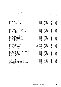## **a) Interests in controlled entities of Mirvac / continued**

|                                                               |                |              | <b>Equity</b> | Equity        |
|---------------------------------------------------------------|----------------|--------------|---------------|---------------|
|                                                               | Country of     |              | holding       | holding       |
|                                                               | establishment/ | Class of     | 2010          | 2009          |
| Name of entity                                                | incorporation  | units/shares | %             | $\frac{0}{0}$ |
| Mirvac Pacific Pty Limited <sup>1</sup>                       | Australia      | Ordinary     | 100           | 100           |
| Mirvac Parking Pty Limited <sup>1</sup>                       | Australia      | Ordinary     | 100           | 100           |
| Mirvac Parklea Pty Limited                                    | Australia      | Ordinary     | 100           | 100           |
| Mirvac PFA Limited <sup>4</sup>                               | Australia      | Ordinary     | -             | 100           |
| Mirvac Precinct 2 Pty Limited <sup>1</sup>                    | Australia      | Ordinary     | 100           | 100           |
| Mirvac Projects No 2 Pty Limited <sup>1</sup>                 | Australia      | Ordinary     | 100           | 100           |
| Mirvac Projects Pty Limited <sup>1</sup>                      | Australia      | Ordinary     | 100           | 100           |
| Mirvac Properties Pty Limited <sup>1</sup>                    | Australia      | Ordinary     | 100           | 100           |
| Mirvac Property Advisory Services Pty Limited <sup>1</sup>    | Australia      | Ordinary     | 100           | 100           |
| Mirvac Property Services Pty Limited <sup>1</sup>             | Australia      | Ordinary     | 100           | 100           |
| Mirvac Queensland Pty Limited <sup>1</sup>                    | Australia      | Ordinary     | 100           | 100           |
| Mirvac Real Estate Debt Funds Pty Limited <sup>1</sup>        | Australia      | Ordinary     | 100           | 100           |
| Mirvac Real Estate Pty Limited                                | Australia      | Ordinary     | 100           | 100           |
| Mirvac REIT Management Limited                                | Australia      | Ordinary     | 100           | 100           |
| Mirvac Retail Head SPV Pty Limited <sup>1</sup>               | Australia      | Ordinary     | 100           | 100           |
| Mirvac Retail Sub SPV Pty Limited <sup>1</sup>                | Australia      | Ordinary     | 100           | 100           |
| Mirvac Rockbank Pty Limited <sup>1</sup>                      | Australia      | Ordinary     | 100           | 100           |
| Mirvac Services Pty Limited <sup>1</sup>                      | Australia      | Ordinary     | 100           | 100           |
| Mirvac South Australia Pty Limited <sup>1</sup>               | Australia      | Ordinary     | 100           | 100           |
| Mirvac Spare Pty Limited <sup>1</sup>                         | Australia      | Ordinary     | 100           | 100           |
| Mirvac Spring Farm Limited <sup>1</sup>                       | Australia      | Ordinary     | 100           | 100           |
| Mirvac Treasury Limited <sup>1</sup>                          | Australia      | Ordinary     | 100           | 100           |
| Mirvac Treasury No 3 Limited <sup>1</sup>                     | Australia      | Ordinary     | 100           | 100           |
| Mirvac UK Limited                                             | United Kingdom | Ordinary     | 100           | 100           |
| Mirvac UK Property Limited <sup>5</sup>                       | United Kingdom | Ordinary     |               | 100           |
| Mirvac UK Services Limited                                    | United Kingdom | Ordinary     | 100           | 100           |
| Mirvac Victoria Pty Limited <sup>1</sup>                      | Australia      | Ordinary     | 100           | 100           |
| Mirvac Wholesale Funds Management Limited <sup>1</sup>        | Australia      | Ordinary     | 100           | 100           |
| Mirvac Wholesale Industrial Developments Limited <sup>1</sup> | Australia      | Ordinary     | 100           | 100           |
| Mirvac Woolloomooloo Pty Limited <sup>1</sup>                 | Australia      | Ordinary     | 100           | 100           |
| MRV Hillsdale Pty Limited <sup>1</sup>                        | Australia      | Ordinary     | 100           | 100           |
| MWID (Brendale) Pty Limited <sup>1</sup>                      | Australia      | Ordinary     | 100           | 100           |
| MWID (Mackay) Pty Limited <sup>1</sup>                        | Australia      | Ordinary     | 100           | 100           |
| Newington Homes Pty Limited <sup>1</sup>                      | Australia      | Ordinary     | 100           | 100           |
| Oakstand No 15 Hercules Street Pty Limited <sup>1</sup>       | Australia      | Ordinary     | 100           | 100           |
| Pigface Unit Trust                                            | Australia      | Units        | 100           | 100           |
| Planned Retirement Living Pty Limited <sup>1</sup>            | Australia      | Ordinary     | 100           | 100           |
| Spring Farm Finance Pty Limited <sup>1</sup>                  | Australia      | Ordinary     | 100           | 100           |
| Springfield Development Company Pty Limited <sup>1</sup>      | Australia      | Ordinary     | 100           | 100           |
| SPV Magenta Pty Limited <sup>1</sup>                          | Australia      | Ordinary     | 100           | 100           |
| Taree Shopping Centre Pty Limited                             | Australia      | Ordinary     | 100           | 100           |
| <b>TMT Finance Pty Limited</b>                                | Australia      | Ordinary     | 100           | 100           |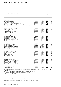**b) Interests in controlled entities of MPT**

| Name of entity                                                             | Country of<br>establishment/<br>incorporation | Class of<br>units/shares | <b>Equity</b><br>holding<br>2010<br>% | Equity<br>holding<br>2009<br>$\%$ |
|----------------------------------------------------------------------------|-----------------------------------------------|--------------------------|---------------------------------------|-----------------------------------|
| 10-20 Bond Street Trust <sup>6</sup>                                       | Australia                                     | Units                    | 100                                   |                                   |
| 1900-2000 Pratt Inc.                                                       | USA                                           | Ordinary                 | 100                                   | 100                               |
| 197 Salmon Street Trust <sup>8</sup>                                       | Australia                                     | Units                    | 100                                   | 50                                |
| 380 St Kilda Road Trust                                                    | Australia                                     | Units                    | 100                                   | 100                               |
| Australian Sustainable Investments Fund <sup>2</sup>                       | Australia                                     | Units                    | 25                                    | 25                                |
| Davey Financial Management Birkdale Fair Trust <sup>6</sup>                | Australia                                     | Units                    | 100                                   |                                   |
| Davey Financial Management Pender Place Shopping Centre Trust <sup>6</sup> | Australia                                     | Units                    | 100                                   |                                   |
| James Fielding Infrastructure Sustainable Equity Fund                      | Australia                                     | Units                    | 100                                   | 100                               |
| James Fielding Retail Property Sub-Trust <sup>6</sup>                      | Australia                                     | Units                    | 100                                   |                                   |
| James Fielding Trust                                                       | Australia                                     | Units                    | 100                                   | 100                               |
| JF Property Trust <sup>6</sup>                                             | Australia                                     | Units                    | 100                                   |                                   |
| JFIF New South Wales Trust <sup>6</sup>                                    | Australia                                     | Units                    | 100                                   |                                   |
| JFIF Victorian Trust <sup>6</sup>                                          | Australia                                     | Units                    | 100                                   | -                                 |
| JFM Hotel Trust <sup>6</sup>                                               | Australia                                     | Units                    | 100                                   | $\overline{\phantom{m}}$          |
| Lanyon Marketplace Trust <sup>6</sup>                                      | Australia                                     | Units                    | 100                                   |                                   |
| Meridian Investment Trust No 1 <sup>6</sup>                                | Australia                                     | Units                    | 100                                   |                                   |
| Meridian Investment Trust No 2 <sup>6</sup>                                | Australia                                     | Units                    | 100                                   | $\qquad \qquad -$                 |
| Meridian Investment Trust No 3 <sup>6</sup>                                | Australia                                     | Units                    | 100                                   |                                   |
| Meridian Investment Trust No 4 <sup>6</sup>                                | Australia                                     | Units                    | 100                                   | $\qquad \qquad -$                 |
| Meridian Investment Trust No 5 <sup>6</sup>                                | Australia                                     | Units                    | 100                                   |                                   |
| Meridian Investment Trust No 6 <sup>6</sup>                                | Australia                                     | Units                    | 100                                   |                                   |
| Mirvac 8 Chifley Trust <sup>7</sup>                                        | Australia                                     | Units                    | 100                                   | 50                                |
| Mirvac Broadway Sub-Trust                                                  | Australia                                     | Units                    | 100                                   | 100                               |
| Mirvac Commercial Trust                                                    | Australia                                     | Units                    | 100                                   | 100                               |
| Mirvac Funds Finance Pty Limited <sup>6</sup>                              | Australia                                     | Ordinary                 | 100                                   |                                   |
| Mirvac Funds Loan Note Pty Limited <sup>6</sup>                            | Australia                                     | Ordinary                 | 100                                   |                                   |
| Mirvac Glasshouse Sub-Trust                                                | Australia                                     | Units                    | 100                                   | 100                               |
| Mirvac Industrial Fund <sup>6</sup>                                        | Australia                                     | Units                    | 100                                   |                                   |
| Mirvac Lakehaven Sub-Trust                                                 | Australia                                     | Units                    | 100                                   | 100                               |
| Mirvac Property Trust No. 2                                                | Australia                                     | Units                    | 100                                   | 100                               |
| MREIT <sup>6</sup>                                                         | Australia                                     | Units                    | 100                                   | 25                                |
| Mirvac Retail Fund <sup>6</sup>                                            | Australia                                     | Units                    | 100                                   |                                   |
| Mirvac Retail Head Trust                                                   | Australia                                     | Units                    | 100                                   | 100                               |
| Mirvac Rhodes Sub-Trust                                                    | Australia                                     | Units                    | 100                                   | 100                               |
| Mt Sheridan Plaza Trust <sup>6</sup>                                       | Australia                                     | Units                    | 100                                   |                                   |
| Old Wallgrove Road Trust <sup>8</sup>                                      | Australia                                     | Units                    | 100                                   | 50                                |
| Peninsular Homemaker Centre Trust                                          | Australia                                     | Units                    | 100                                   | 100                               |
| Property Performance Fund No. 3 <sup>6</sup>                               | Australia                                     | Units                    | 100                                   |                                   |
| Property Performance Fund No. 4 <sup>6</sup>                               | Australia                                     | Units                    | 100                                   |                                   |
| Property Performance Fund No. 5 <sup>6</sup>                               | Australia                                     | Units                    | 100                                   |                                   |
| Springfield Regional Shopping Centre Trust <sup>8</sup>                    | Australia                                     | Units                    | 100                                   | 67                                |
| The George Street Trust                                                    | Australia                                     | Units                    | 100                                   | 100                               |
| The Mulgrave Trust                                                         | Australia                                     | Units                    | 100                                   | 100                               |

1) These subsidiaries have been granted relief at 30 June 2010 from the necessity to prepare financial reports in accordance with class order 98/1418 issued by ASIC.

2) The addition of Mirvac Limited and MPT interests in these entities are greater than 50 per cent.

- 3) Ownership in Hope Island Resort Services Limited was sold on 28 August 2009.
- 4) Ownership in Mirvac PFA Limited was sold on 12 April 2010.

5) Ownership in Mirvac UK Property Limited was sold on 15 December 2009.

6) These entities became controlled entities during the year as a result of MREIT acquisition and therefore consolidated as controlled entities from 7 December 2009.

7) Ownership in this entity increased to 100 per cent during the year and therefore the entity was consolidated as a controlled entity from 27 October 2009. This entity was previously known as Mirvac AustralianSuper Trust and changed its name on 27 October 2009.

8) Ownership in these entities increased to 100 per cent during the year as a result of the MREIT acquisition.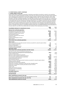#### **c) Entities subject to class order**

Certain wholly-owned companies incorporated in Australia are permitted to be parties to a deed of cross guarantee under which each company guarantees the debts of the others. By entering into the deed, the wholly-owned companies can be relieved from the requirements among other things to prepare a financial report and directors' report under class order 98/1418 (as amended up to class order C009/626) issued by ASIC. The entities included at 30 June 2010 are listed in note 15(a). Companies identified in note 15(a) above as being included in the class order, are a 'closed group' for the purpose of the class order, and as there are no other parties to the deed of cross guarantee that are controlled by the parent entity, they also represent the 'extended closed group'. As a condition of the class order, the companies have entered into a deed of cross guarantee. The effect of the deed is that Mirvac Limited has guaranteed to pay any deficiency in the event of winding up of a company in the closed group. The companies in the closed group also have given a similar guarantee in the event that Mirvac Limited is wound up. The consolidated statement of comprehensive income, a summary of movement in consolidated retained earnings and consolidated statement of financial position for the year ended 30 June 2010 of the entities which are members of the closed group are as follows:

| Revenue from continuing operations<br>Development and construction revenue<br>890.8<br>1,148.4<br>Development management fee revenue<br>31.1<br>21.4<br>Investment properties rental revenue<br>20.8<br>25.4<br>102.1<br>Hotel operating revenue<br>147.3<br>Investment management fee revenue<br>48.1<br>52.9<br>Interest revenue<br>21.4<br>Dividend and distribution revenue<br>11.3<br>Other revenue<br>Total revenue from continuing operations<br>1,125.6<br>Other income<br>Share of net profit from associates and joint ventures accounted for using the equity method<br>3.1<br>Gain on financial instruments<br>1.4<br>Foreign exchange gains<br>22.8<br>9.9<br>Net gain on sale of investments<br>Investment properties income<br><b>Total other income</b><br>37.2<br>1,162.8<br>1,508.5<br>Total revenue from continuing operations and other income<br>Net losses from fair value of investment properties and<br>(10.9)<br>owner-occupied hotel management lots and freehold hotels<br>(26.1)<br>Foreign exchange losses<br>(72.5)<br>Net loss on sale of investment properties<br>(0.1)<br>Net loss on sale of property, plant and equipment<br>(1.1)<br>Cost of property development and construction<br>(818.0)<br>(1,021.8)<br>Investment properties expenses<br>(2.9)<br>Hotel operating expenses<br>(29.5)<br>(48.1)<br>Share of net loss of associates and joint ventures accounted for using the equity method<br>(25.2)<br>Employee benefits expenses<br>(166.1)<br>(173.1)<br>Depreciation and amortisation expenses<br>(12.3)<br>(12.8)<br>Impairment of goodwill, management rights and other intangible assets<br>(1.1)<br>(221.2)<br>Impairment of investments including associates and joint ventures<br>(0.2)<br>(22.7)<br>Impairment of loans<br>(59.4)<br>(0.1)<br>Finance costs<br>(74.0)<br>(72.2)<br>Selling and marketing expenses<br>(21.4)<br>(25.8)<br>Provision for loss on inventories<br>(166.8)<br>(97.1)<br>(93.6)<br>Other expenses<br>Loss before income tax<br>(87.7)<br>(517.1)<br>8.4<br>Income tax benefit<br>(79.3)<br>Loss for the year<br>Other comprehensive income for the year<br>0.7<br>Decrement on revaluation of property, plant and equipment, net of tax<br>0.7<br>Other comprehensive income for the year, net of tax<br>(78.6)<br>Total comprehensive income for the year | <b>Consolidated statement of comprehensive income</b> | 2010<br>Sm | 2009<br>Sm |
|---------------------------------------------------------------------------------------------------------------------------------------------------------------------------------------------------------------------------------------------------------------------------------------------------------------------------------------------------------------------------------------------------------------------------------------------------------------------------------------------------------------------------------------------------------------------------------------------------------------------------------------------------------------------------------------------------------------------------------------------------------------------------------------------------------------------------------------------------------------------------------------------------------------------------------------------------------------------------------------------------------------------------------------------------------------------------------------------------------------------------------------------------------------------------------------------------------------------------------------------------------------------------------------------------------------------------------------------------------------------------------------------------------------------------------------------------------------------------------------------------------------------------------------------------------------------------------------------------------------------------------------------------------------------------------------------------------------------------------------------------------------------------------------------------------------------------------------------------------------------------------------------------------------------------------------------------------------------------------------------------------------------------------------------------------------------------------------------------------------------------------------------------------------------------------------------------------------------------------------------------------------------------------------------------------------------------------------------|-------------------------------------------------------|------------|------------|
|                                                                                                                                                                                                                                                                                                                                                                                                                                                                                                                                                                                                                                                                                                                                                                                                                                                                                                                                                                                                                                                                                                                                                                                                                                                                                                                                                                                                                                                                                                                                                                                                                                                                                                                                                                                                                                                                                                                                                                                                                                                                                                                                                                                                                                                                                                                                             |                                                       |            |            |
|                                                                                                                                                                                                                                                                                                                                                                                                                                                                                                                                                                                                                                                                                                                                                                                                                                                                                                                                                                                                                                                                                                                                                                                                                                                                                                                                                                                                                                                                                                                                                                                                                                                                                                                                                                                                                                                                                                                                                                                                                                                                                                                                                                                                                                                                                                                                             |                                                       |            |            |
|                                                                                                                                                                                                                                                                                                                                                                                                                                                                                                                                                                                                                                                                                                                                                                                                                                                                                                                                                                                                                                                                                                                                                                                                                                                                                                                                                                                                                                                                                                                                                                                                                                                                                                                                                                                                                                                                                                                                                                                                                                                                                                                                                                                                                                                                                                                                             |                                                       |            |            |
|                                                                                                                                                                                                                                                                                                                                                                                                                                                                                                                                                                                                                                                                                                                                                                                                                                                                                                                                                                                                                                                                                                                                                                                                                                                                                                                                                                                                                                                                                                                                                                                                                                                                                                                                                                                                                                                                                                                                                                                                                                                                                                                                                                                                                                                                                                                                             |                                                       |            |            |
|                                                                                                                                                                                                                                                                                                                                                                                                                                                                                                                                                                                                                                                                                                                                                                                                                                                                                                                                                                                                                                                                                                                                                                                                                                                                                                                                                                                                                                                                                                                                                                                                                                                                                                                                                                                                                                                                                                                                                                                                                                                                                                                                                                                                                                                                                                                                             |                                                       |            |            |
|                                                                                                                                                                                                                                                                                                                                                                                                                                                                                                                                                                                                                                                                                                                                                                                                                                                                                                                                                                                                                                                                                                                                                                                                                                                                                                                                                                                                                                                                                                                                                                                                                                                                                                                                                                                                                                                                                                                                                                                                                                                                                                                                                                                                                                                                                                                                             |                                                       |            |            |
|                                                                                                                                                                                                                                                                                                                                                                                                                                                                                                                                                                                                                                                                                                                                                                                                                                                                                                                                                                                                                                                                                                                                                                                                                                                                                                                                                                                                                                                                                                                                                                                                                                                                                                                                                                                                                                                                                                                                                                                                                                                                                                                                                                                                                                                                                                                                             |                                                       |            | 19.3       |
|                                                                                                                                                                                                                                                                                                                                                                                                                                                                                                                                                                                                                                                                                                                                                                                                                                                                                                                                                                                                                                                                                                                                                                                                                                                                                                                                                                                                                                                                                                                                                                                                                                                                                                                                                                                                                                                                                                                                                                                                                                                                                                                                                                                                                                                                                                                                             |                                                       |            | 0.3        |
|                                                                                                                                                                                                                                                                                                                                                                                                                                                                                                                                                                                                                                                                                                                                                                                                                                                                                                                                                                                                                                                                                                                                                                                                                                                                                                                                                                                                                                                                                                                                                                                                                                                                                                                                                                                                                                                                                                                                                                                                                                                                                                                                                                                                                                                                                                                                             |                                                       |            | 12.1       |
|                                                                                                                                                                                                                                                                                                                                                                                                                                                                                                                                                                                                                                                                                                                                                                                                                                                                                                                                                                                                                                                                                                                                                                                                                                                                                                                                                                                                                                                                                                                                                                                                                                                                                                                                                                                                                                                                                                                                                                                                                                                                                                                                                                                                                                                                                                                                             |                                                       |            | 1.427.1    |
|                                                                                                                                                                                                                                                                                                                                                                                                                                                                                                                                                                                                                                                                                                                                                                                                                                                                                                                                                                                                                                                                                                                                                                                                                                                                                                                                                                                                                                                                                                                                                                                                                                                                                                                                                                                                                                                                                                                                                                                                                                                                                                                                                                                                                                                                                                                                             |                                                       |            |            |
|                                                                                                                                                                                                                                                                                                                                                                                                                                                                                                                                                                                                                                                                                                                                                                                                                                                                                                                                                                                                                                                                                                                                                                                                                                                                                                                                                                                                                                                                                                                                                                                                                                                                                                                                                                                                                                                                                                                                                                                                                                                                                                                                                                                                                                                                                                                                             |                                                       |            |            |
|                                                                                                                                                                                                                                                                                                                                                                                                                                                                                                                                                                                                                                                                                                                                                                                                                                                                                                                                                                                                                                                                                                                                                                                                                                                                                                                                                                                                                                                                                                                                                                                                                                                                                                                                                                                                                                                                                                                                                                                                                                                                                                                                                                                                                                                                                                                                             |                                                       |            | 78.6       |
|                                                                                                                                                                                                                                                                                                                                                                                                                                                                                                                                                                                                                                                                                                                                                                                                                                                                                                                                                                                                                                                                                                                                                                                                                                                                                                                                                                                                                                                                                                                                                                                                                                                                                                                                                                                                                                                                                                                                                                                                                                                                                                                                                                                                                                                                                                                                             |                                                       |            |            |
|                                                                                                                                                                                                                                                                                                                                                                                                                                                                                                                                                                                                                                                                                                                                                                                                                                                                                                                                                                                                                                                                                                                                                                                                                                                                                                                                                                                                                                                                                                                                                                                                                                                                                                                                                                                                                                                                                                                                                                                                                                                                                                                                                                                                                                                                                                                                             |                                                       |            | 1.0        |
|                                                                                                                                                                                                                                                                                                                                                                                                                                                                                                                                                                                                                                                                                                                                                                                                                                                                                                                                                                                                                                                                                                                                                                                                                                                                                                                                                                                                                                                                                                                                                                                                                                                                                                                                                                                                                                                                                                                                                                                                                                                                                                                                                                                                                                                                                                                                             |                                                       |            | 1.8        |
|                                                                                                                                                                                                                                                                                                                                                                                                                                                                                                                                                                                                                                                                                                                                                                                                                                                                                                                                                                                                                                                                                                                                                                                                                                                                                                                                                                                                                                                                                                                                                                                                                                                                                                                                                                                                                                                                                                                                                                                                                                                                                                                                                                                                                                                                                                                                             |                                                       |            | 81.4       |
|                                                                                                                                                                                                                                                                                                                                                                                                                                                                                                                                                                                                                                                                                                                                                                                                                                                                                                                                                                                                                                                                                                                                                                                                                                                                                                                                                                                                                                                                                                                                                                                                                                                                                                                                                                                                                                                                                                                                                                                                                                                                                                                                                                                                                                                                                                                                             |                                                       |            |            |
|                                                                                                                                                                                                                                                                                                                                                                                                                                                                                                                                                                                                                                                                                                                                                                                                                                                                                                                                                                                                                                                                                                                                                                                                                                                                                                                                                                                                                                                                                                                                                                                                                                                                                                                                                                                                                                                                                                                                                                                                                                                                                                                                                                                                                                                                                                                                             |                                                       |            |            |
|                                                                                                                                                                                                                                                                                                                                                                                                                                                                                                                                                                                                                                                                                                                                                                                                                                                                                                                                                                                                                                                                                                                                                                                                                                                                                                                                                                                                                                                                                                                                                                                                                                                                                                                                                                                                                                                                                                                                                                                                                                                                                                                                                                                                                                                                                                                                             |                                                       |            |            |
|                                                                                                                                                                                                                                                                                                                                                                                                                                                                                                                                                                                                                                                                                                                                                                                                                                                                                                                                                                                                                                                                                                                                                                                                                                                                                                                                                                                                                                                                                                                                                                                                                                                                                                                                                                                                                                                                                                                                                                                                                                                                                                                                                                                                                                                                                                                                             |                                                       |            |            |
|                                                                                                                                                                                                                                                                                                                                                                                                                                                                                                                                                                                                                                                                                                                                                                                                                                                                                                                                                                                                                                                                                                                                                                                                                                                                                                                                                                                                                                                                                                                                                                                                                                                                                                                                                                                                                                                                                                                                                                                                                                                                                                                                                                                                                                                                                                                                             |                                                       |            |            |
|                                                                                                                                                                                                                                                                                                                                                                                                                                                                                                                                                                                                                                                                                                                                                                                                                                                                                                                                                                                                                                                                                                                                                                                                                                                                                                                                                                                                                                                                                                                                                                                                                                                                                                                                                                                                                                                                                                                                                                                                                                                                                                                                                                                                                                                                                                                                             |                                                       |            |            |
|                                                                                                                                                                                                                                                                                                                                                                                                                                                                                                                                                                                                                                                                                                                                                                                                                                                                                                                                                                                                                                                                                                                                                                                                                                                                                                                                                                                                                                                                                                                                                                                                                                                                                                                                                                                                                                                                                                                                                                                                                                                                                                                                                                                                                                                                                                                                             |                                                       |            |            |
|                                                                                                                                                                                                                                                                                                                                                                                                                                                                                                                                                                                                                                                                                                                                                                                                                                                                                                                                                                                                                                                                                                                                                                                                                                                                                                                                                                                                                                                                                                                                                                                                                                                                                                                                                                                                                                                                                                                                                                                                                                                                                                                                                                                                                                                                                                                                             |                                                       |            |            |
|                                                                                                                                                                                                                                                                                                                                                                                                                                                                                                                                                                                                                                                                                                                                                                                                                                                                                                                                                                                                                                                                                                                                                                                                                                                                                                                                                                                                                                                                                                                                                                                                                                                                                                                                                                                                                                                                                                                                                                                                                                                                                                                                                                                                                                                                                                                                             |                                                       |            |            |
|                                                                                                                                                                                                                                                                                                                                                                                                                                                                                                                                                                                                                                                                                                                                                                                                                                                                                                                                                                                                                                                                                                                                                                                                                                                                                                                                                                                                                                                                                                                                                                                                                                                                                                                                                                                                                                                                                                                                                                                                                                                                                                                                                                                                                                                                                                                                             |                                                       |            |            |
|                                                                                                                                                                                                                                                                                                                                                                                                                                                                                                                                                                                                                                                                                                                                                                                                                                                                                                                                                                                                                                                                                                                                                                                                                                                                                                                                                                                                                                                                                                                                                                                                                                                                                                                                                                                                                                                                                                                                                                                                                                                                                                                                                                                                                                                                                                                                             |                                                       |            |            |
|                                                                                                                                                                                                                                                                                                                                                                                                                                                                                                                                                                                                                                                                                                                                                                                                                                                                                                                                                                                                                                                                                                                                                                                                                                                                                                                                                                                                                                                                                                                                                                                                                                                                                                                                                                                                                                                                                                                                                                                                                                                                                                                                                                                                                                                                                                                                             |                                                       |            |            |
|                                                                                                                                                                                                                                                                                                                                                                                                                                                                                                                                                                                                                                                                                                                                                                                                                                                                                                                                                                                                                                                                                                                                                                                                                                                                                                                                                                                                                                                                                                                                                                                                                                                                                                                                                                                                                                                                                                                                                                                                                                                                                                                                                                                                                                                                                                                                             |                                                       |            |            |
|                                                                                                                                                                                                                                                                                                                                                                                                                                                                                                                                                                                                                                                                                                                                                                                                                                                                                                                                                                                                                                                                                                                                                                                                                                                                                                                                                                                                                                                                                                                                                                                                                                                                                                                                                                                                                                                                                                                                                                                                                                                                                                                                                                                                                                                                                                                                             |                                                       |            |            |
|                                                                                                                                                                                                                                                                                                                                                                                                                                                                                                                                                                                                                                                                                                                                                                                                                                                                                                                                                                                                                                                                                                                                                                                                                                                                                                                                                                                                                                                                                                                                                                                                                                                                                                                                                                                                                                                                                                                                                                                                                                                                                                                                                                                                                                                                                                                                             |                                                       |            |            |
|                                                                                                                                                                                                                                                                                                                                                                                                                                                                                                                                                                                                                                                                                                                                                                                                                                                                                                                                                                                                                                                                                                                                                                                                                                                                                                                                                                                                                                                                                                                                                                                                                                                                                                                                                                                                                                                                                                                                                                                                                                                                                                                                                                                                                                                                                                                                             |                                                       |            |            |
|                                                                                                                                                                                                                                                                                                                                                                                                                                                                                                                                                                                                                                                                                                                                                                                                                                                                                                                                                                                                                                                                                                                                                                                                                                                                                                                                                                                                                                                                                                                                                                                                                                                                                                                                                                                                                                                                                                                                                                                                                                                                                                                                                                                                                                                                                                                                             |                                                       |            |            |
|                                                                                                                                                                                                                                                                                                                                                                                                                                                                                                                                                                                                                                                                                                                                                                                                                                                                                                                                                                                                                                                                                                                                                                                                                                                                                                                                                                                                                                                                                                                                                                                                                                                                                                                                                                                                                                                                                                                                                                                                                                                                                                                                                                                                                                                                                                                                             |                                                       |            |            |
|                                                                                                                                                                                                                                                                                                                                                                                                                                                                                                                                                                                                                                                                                                                                                                                                                                                                                                                                                                                                                                                                                                                                                                                                                                                                                                                                                                                                                                                                                                                                                                                                                                                                                                                                                                                                                                                                                                                                                                                                                                                                                                                                                                                                                                                                                                                                             |                                                       |            |            |
|                                                                                                                                                                                                                                                                                                                                                                                                                                                                                                                                                                                                                                                                                                                                                                                                                                                                                                                                                                                                                                                                                                                                                                                                                                                                                                                                                                                                                                                                                                                                                                                                                                                                                                                                                                                                                                                                                                                                                                                                                                                                                                                                                                                                                                                                                                                                             |                                                       |            | 61.1       |
|                                                                                                                                                                                                                                                                                                                                                                                                                                                                                                                                                                                                                                                                                                                                                                                                                                                                                                                                                                                                                                                                                                                                                                                                                                                                                                                                                                                                                                                                                                                                                                                                                                                                                                                                                                                                                                                                                                                                                                                                                                                                                                                                                                                                                                                                                                                                             |                                                       |            | (456.0)    |
|                                                                                                                                                                                                                                                                                                                                                                                                                                                                                                                                                                                                                                                                                                                                                                                                                                                                                                                                                                                                                                                                                                                                                                                                                                                                                                                                                                                                                                                                                                                                                                                                                                                                                                                                                                                                                                                                                                                                                                                                                                                                                                                                                                                                                                                                                                                                             |                                                       |            |            |
|                                                                                                                                                                                                                                                                                                                                                                                                                                                                                                                                                                                                                                                                                                                                                                                                                                                                                                                                                                                                                                                                                                                                                                                                                                                                                                                                                                                                                                                                                                                                                                                                                                                                                                                                                                                                                                                                                                                                                                                                                                                                                                                                                                                                                                                                                                                                             |                                                       |            | (4.1)      |
|                                                                                                                                                                                                                                                                                                                                                                                                                                                                                                                                                                                                                                                                                                                                                                                                                                                                                                                                                                                                                                                                                                                                                                                                                                                                                                                                                                                                                                                                                                                                                                                                                                                                                                                                                                                                                                                                                                                                                                                                                                                                                                                                                                                                                                                                                                                                             |                                                       |            | (4.1)      |
|                                                                                                                                                                                                                                                                                                                                                                                                                                                                                                                                                                                                                                                                                                                                                                                                                                                                                                                                                                                                                                                                                                                                                                                                                                                                                                                                                                                                                                                                                                                                                                                                                                                                                                                                                                                                                                                                                                                                                                                                                                                                                                                                                                                                                                                                                                                                             |                                                       |            | (460.1)    |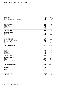## **15 Other financial assets / continued**

| 15 OTHER FINANCIAL ASSETS / CONTINUED             | 2010<br>Sm | 2009<br>\$m |
|---------------------------------------------------|------------|-------------|
| Movement in retained earnings                     |            |             |
| Balance 1 July                                    | (536.7)    | (116.8)     |
| Loss for the year                                 | (79.3)     | (456.0)     |
| Additions of subsidiaries into closed group       | (79.1)     | 36.1        |
| Balance 30 June                                   | (695.1)    | (536.7)     |
| <b>Current assets</b>                             |            |             |
| Cash and cash equivalents                         | 221.9      | 203.7       |
| Receivables                                       | 106.5      | 73.9        |
| Current tax assets                                | 5.9        | 6.4         |
| Inventories                                       | 632.2      | 641.6       |
| Other assets                                      | 16.7       | 30.3        |
| <b>Total current assets</b>                       | 983.2      | 955.9       |
| Non-current assets                                |            |             |
| Receivables                                       | 170.4      | 204.0       |
| Inventories                                       | 1,125.6    | 1,127.4     |
| Investments accounted for using the equity method | 211.6      | 185.4       |
| Derivative financial assets                       | 9.2        | 2.7         |
| Other financial assets                            | 72.1       | 62.2        |
| Investment properties                             | 142.8      | 129.7       |
| Property, plant and equipment                     | 119.4      | 87.2        |
| Intangible assets                                 | 0.3        | 4.0         |
| Deferred tax assets                               | 123.0      | 54.5        |
| Other non-current assets                          |            | 7.6         |
| Total non-current assets                          | 1,974.4    | 1,864.7     |
| <b>Total assets</b>                               | 2,957.6    | 2,820.6     |
| <b>Current liabilities</b>                        |            |             |
| Payables                                          | 130.9      | 83.1        |
| Borrowings                                        | 77.5       | 0.1         |
| Provisions                                        | 6.1        | 9.5         |
| Other liabilities                                 | 10.6       | 21.0        |
| <b>Total current liabilities</b>                  | 225.1      | 113.7       |
| <b>Non-current liabilities</b>                    |            |             |
| Payables                                          | 667.0      | 666.3       |
| <b>Borrowings</b>                                 | 1,366.6    | 1,306.7     |
| Derivative financial liabilities                  | 36.7       | 32.2        |
| Deferred tax liabilities                          | 99.3       | 53.8        |
| Provisions                                        | 5.3        |             |
| <b>Total non-current liabilities</b>              | 2,174.9    | 2,059.0     |
| <b>Total liabilities</b>                          | 2,400.0    | 2,172.7     |
| <b>Net assets</b>                                 | 557.6      | 647.9       |
| <b>Equity</b>                                     |            |             |
| Contributed equity                                | 1,223.7    | 1,153.7     |
| Reserves                                          | 29.0       | 30.9        |
| Retained earnings                                 | (695.1)    | (536.7)     |
| <b>Total equity</b>                               | 557.6      | 647.9       |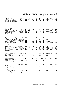| <b>INVESTMENT PROPERTIES</b><br>16                                                     |                            | Cost and                     |                              | Book value               |                          | Capitalisation rate      |                                                 | Discount rate            |                          |                          |
|----------------------------------------------------------------------------------------|----------------------------|------------------------------|------------------------------|--------------------------|--------------------------|--------------------------|-------------------------------------------------|--------------------------|--------------------------|--------------------------|
|                                                                                        |                            | additions                    |                              |                          |                          |                          |                                                 |                          |                          | Last                     |
|                                                                                        |                            | to 30 June<br>2010           | 30 June<br>2010              | 30 June<br>2009          | 30 June<br>2010          | 30 June<br>2009          | 30 June<br>2010                                 | 30 June<br>2009          | Date of last<br>external | external<br>valuation    |
|                                                                                        | Date of acquisition        | \$m                          | \$m                          | \$m                      | %                        | $\%$                     | %                                               | %                        | valuation                | \$m                      |
|                                                                                        |                            |                              |                              |                          |                          |                          |                                                 |                          |                          |                          |
| <b>MPT and its controlled entities</b>                                                 |                            |                              |                              |                          |                          |                          |                                                 |                          |                          |                          |
| 1 Castlereagh Street, Sydney NSW                                                       | December 1998              | 64.3                         | 68.0                         | 64.3                     | 7.65                     | 8.00                     | 9.50                                            | 9.50                     | June 2010                | 68.0                     |
| 1 Darling Island, Pyrmont, NSW                                                         | April 2004                 | 153.7                        | 163.0                        | 161.0                    | 7.25                     | 7.00                     | 9.25                                            | 9.25                     | December 2008            | 172.5                    |
| 10 Julius Avenue, North Ryde NSW <sup>1,5</sup>                                        | December 2005              | 67.8                         | 53.8                         | $\overline{\phantom{0}}$ | 8.25                     | ۰                        | 9.75                                            |                          |                          |                          |
| 101-103 Miller Street, Greenwood Plaza,<br>North Sydney NSW (50% interest)             | June 1994                  | 241.7                        | 242.2                        | 251.5                    |                          |                          | 6.75-7.00 6.25-6.50 9.00-9.50                   | 8.75-9.00                | December 2008            | 251.5                    |
| 10-20 Bond Street, Sydney NSW1,5                                                       | <b>July 2004</b>           | 156.7                        | 92.3                         | $\overline{\phantom{0}}$ | 7.50                     | $\overline{a}$           | 9.25                                            |                          | December 2009            | 85.0                     |
| 12 Cribb Street, Milton QLD <sup>1,5</sup>                                             | April 1999                 | 10.7                         | 13.3                         | $\overline{a}$           | 9.00                     | $\overline{a}$           | 10.25                                           | $\overline{\phantom{0}}$ | December 2009            | 13.3                     |
| 12 Julius Avenue, North Ryde NSW <sup>1,5</sup>                                        | November 1999              | 24.5                         | 24.2                         | $\overline{\phantom{a}}$ | 8.50                     | $\qquad \qquad -$        | 9.75                                            | $\overline{\phantom{0}}$ |                          |                          |
| 1-47 Percival Road, Smithfield NSW                                                     | November 2002              | 27.7                         | 27.5                         | 20.0                     | 8.25                     | 8.50                     | 9.75                                            | 9.25                     | March 2010               | 27.5                     |
| 189 Grey Street, Southbank QLD                                                         | April 2004                 | 61.9                         | 65.0                         | 65.0                     | 7.75                     | 7.75                     | 9.25                                            | 9.00                     | June 2010                | 65.0                     |
| 190 George Street, Sydney NSW                                                          | August 2003                | 36.9                         | 36.7                         | 39.0                     | 8.50                     | 8.00                     | 9.25                                            | 9.25                     | December 2009            | 36.7                     |
| 1900-2060 Pratt Boulevard,                                                             |                            |                              |                              |                          |                          |                          |                                                 |                          |                          |                          |
| Chicago, Illinois USA                                                                  | December 2007              | 35.4                         | 30.8                         | 40.7                     | 8.00                     | 8.00                     | 10.50                                           | 9.50                     | December 2009            | 33.6                     |
| 191-197 Salmon Street, Port Melbourne <sup>1, 5</sup>                                  | <b>July 2003</b>           | 91.6                         | 100.0                        | $\qquad \qquad -$        | 8.00                     | $\qquad \qquad -$        | 9.50                                            | $\overline{a}$           | June 2010                | 100.0                    |
| 200 George Street, Sydney NSW                                                          | October 2001               | 25.0                         | 24.8                         | 25.0                     | 8.25                     | 8.25                     | 9.25                                            | 9.50                     | December 2009            | 24.8                     |
| 23 Furzer Street, Woden ACT <sup>1,5</sup>                                             | <b>July 2008</b>           | 239.2                        | 225.0                        | $\overline{\phantom{0}}$ | 7.25                     | $\overline{\phantom{0}}$ | 9.25                                            | ۳                        | June 2010                | 225.0                    |
| 253 Wellington Road &                                                                  |                            | $\overline{\phantom{a}}$     |                              | 12.0                     |                          | 9.50                     |                                                 | 9.50                     |                          |                          |
| 18-20 Compark Circuit, Mulgrave VIC <sup>3</sup><br>271 Lane Cove Road, North Ryde NSW | August 2001                |                              |                              | 40.0                     |                          |                          | 9.50                                            | 9.25                     |                          | 33.0                     |
| 3 Rider Boulevard, Rhodes NSW <sup>1,5</sup>                                           | April 2000<br>January 2007 | 30.0<br>75.9                 | 33.0<br>73.0                 | $\qquad \qquad -$        | 8.00<br>8.00             | 8.00<br>$\overline{a}$   | 9.25                                            | -                        | June 2010                |                          |
| 30-32 Compark Circuit, Mulgrave VIC <sup>2</sup>                                       | February 2003              | $\qquad \qquad \blacksquare$ |                              | 6.5                      |                          | 9.50                     | -                                               | 9.50                     |                          |                          |
| 32 Sargents Road, Minchinbury NSW <sup>1,5</sup>                                       | February 2004              | 26.6                         | 24.1                         | $\overline{a}$           | 8.75                     | $\overline{a}$           | 9.25                                            |                          |                          |                          |
| 333-343 Frankston-Dandenong Road &                                                     |                            |                              |                              |                          |                          |                          |                                                 |                          |                          |                          |
| 4 Abbotts Road, Dandenong South, VIC <sup>3</sup>                                      | January 2004               | $\qquad \qquad \blacksquare$ | $\qquad \qquad \blacksquare$ | 13.2                     | -                        | 9.00                     | $\qquad \qquad \blacksquare$                    | 9.50                     |                          | $\overline{\phantom{0}}$ |
| 340 Adelaide Street, Brisbane QLD <sup>1,5</sup>                                       | September 1998             | 34.7                         | 67.0                         | $\qquad \qquad -$        | 9.00                     | $\qquad \qquad -$        | 9.50                                            | $\overline{\phantom{0}}$ |                          |                          |
| 38 Sydney Avenue, Forrest ACT                                                          | June 1996                  | 37.8                         | 37.5                         | 37.5                     | 8.75                     | 8.75                     | 9.25                                            | 9.50                     | December 2008            | 41.9                     |
| 40 Miller Street, North Sydney NSW                                                     | March 1998                 | 89.3                         | 93.5                         | 90.0                     | 7.50                     | 7.50                     | 9.25                                            | 9.00                     | June 2010                | 93.5                     |
| 44 Biloela Street, Villawood NSW <sup>2</sup>                                          | September 2003             | $\qquad \qquad \blacksquare$ | $\overline{\phantom{0}}$     | 12.7                     | $\overline{\phantom{0}}$ | 9.50                     | $\overline{\phantom{0}}$                        | 10.50                    |                          |                          |
| 47-67 Westgate Drive,                                                                  |                            |                              |                              |                          |                          |                          |                                                 |                          |                          |                          |
| Altona North VIC <sup>1,5</sup>                                                        | September 2007             | 19.8                         | 19.2                         | $\overline{\phantom{0}}$ | 9.50                     |                          | 10.00                                           | $\overline{a}$           | December 2009            | 19.0                     |
| 52 Huntingwood Drive,<br>Huntingwood NSW <sup>1,5</sup>                                | November 2004              | 27.5                         | 23.0                         | $\overline{\phantom{a}}$ | 9.00                     | $\qquad \qquad -$        | 9.50                                            | ۰                        |                          |                          |
| 54 Marcus Clarke Street, Canberra, ACT                                                 | October 1987               | 17.1                         | 16.0                         | 17.0                     | 9.50                     | 9.50                     | 9.75                                            | 9.75                     | December 2008            | 19.0                     |
| 64 Biloela Street, Villawood NSW                                                       | February 2004              | 21.5                         | 21.5                         | 21.5                     | 9.50                     | 9.00                     | 10.50                                           | 10.25                    | September 2009           | 21.5                     |
| Aviation House, 16 Furzer Street, Phillip ACT                                          | <b>July 2007</b>           | 64.5                         | 67.0                         | 67.0                     | 7.75                     | 7.50                     | 9.50                                            | 9.25                     | June 2010                | 67.0                     |
| Ballina Central,                                                                       |                            |                              |                              |                          |                          |                          |                                                 |                          |                          |                          |
| Pacific Highway, Ballina NSW                                                           | December 2004              | 33.8                         | 32.0                         | 34.5                     | 8.25                     | 8.00                     | 9.75                                            | 9.25                     | June 2009                | 34.5                     |
| Bay Centre, Pirrama Road, Pyrmont NSW                                                  | June 2001                  | 96.2                         | 97.0                         | 98.0                     | 7.50                     | 7.50                     | 9.25                                            | 9.00                     | June 2010                | 97.0                     |
| Blacktown MegaCentre,                                                                  |                            |                              |                              |                          |                          |                          |                                                 |                          |                          |                          |
| Blacktown Road, Blacktown NSW                                                          | June 2002                  | 34.8                         | 26.0                         | 36.5                     | 9.25                     | 9.00                     | 10.00                                           | 10.00                    | December 2008            | 40.0                     |
| Booz & Co Building,<br>10 Rudd Street, Canberra ACT <sup>2</sup>                       | October 1987               |                              |                              | 18.7                     |                          | 8.50                     |                                                 | 9.00                     |                          |                          |
| Broadway Shopping Centre,                                                              |                            |                              |                              |                          |                          |                          |                                                 |                          |                          |                          |
| Broadway NSW (50% interest)                                                            | January 2007               | 197.9                        | 221.5                        | 202.5                    | 6.25                     | 6.13                     | 9.00                                            | 8.75                     | June 2010                | 221.5                    |
| Building 1.2.3 & 7.                                                                    | April 2002 &               |                              |                              |                          |                          |                          |                                                 |                          |                          |                          |
| Riverside Quay, Southbank VIC                                                          | <b>July 2003</b>           | 145.0                        | 151.2                        |                          |                          |                          | 144.0 8.00-8.25 8.25-8.75 9.50-10.25 9.00-9.75  |                          | June 2010                | 151.2                    |
| Cherrybrook Village Shopping Centre,                                                   |                            |                              |                              |                          |                          |                          |                                                 |                          |                          |                          |
| Cherrybrook NSW <sup>1,5</sup>                                                         | June 2005<br>March 2004    | 71.1<br>43.4                 | 73.8<br>44.0                 |                          | 7.50<br>8.25             |                          | 9.50<br>9.75                                    | ۳                        |                          |                          |
| City Centre Plaza, Rockhampton QLD <sup>1,5</sup><br>Como Centre, Corner Toorak Road   |                            |                              |                              |                          |                          |                          |                                                 |                          |                          |                          |
| & Chapel Street, South Yarra VIC                                                       | August 1998                | 137.0                        | 117.5                        |                          |                          |                          | 111.4 8.25-9.00 8.25-9.25 9.25-11.25 9.25-10.75 |                          | June 2009                | 136.8                    |
| Cooleman Court, Weston ACT <sup>1,5</sup>                                              | July 2001 (50%)            |                              |                              |                          |                          |                          |                                                 |                          |                          |                          |
|                                                                                        | November 2004 (50%)        | 53.6                         | 44.0                         |                          | 7.75                     |                          | 9.50                                            | $\qquad \qquad -$        | June 2010                | 44.0                     |
| Gippsland Centre,                                                                      |                            |                              |                              |                          |                          |                          |                                                 |                          |                          |                          |
| Cunninghame Street, Sale VIC                                                           | January 1994               | 50.1                         | 49.8                         | 49.7                     | 8.25                     | 8.25                     | 9.50                                            | 9.75                     | June 2010                | 49.8                     |
| 8 Chifley Square, Sydney NSW <sup>1,5</sup>                                            | April 2006                 | 76.1                         | 30.0                         | $\qquad \qquad -$        | 8.25                     | $\overline{\phantom{a}}$ | 10.00                                           | $\overline{a}$           |                          |                          |
| Hinkler Central,<br>Maryborough Street, Bundaberg QLD                                  | August 2003                | 83.0                         | 88.0                         | 84.0                     | 7.75                     | 7.50                     | 9.50                                            | 9.25                     | March 2009               | 84.0                     |
| James Ruse Business Park,                                                              |                            |                              |                              |                          |                          |                          |                                                 |                          |                          |                          |
| 6 Boundary Road, Northmead NSW <sup>3</sup>                                            | <b>July 1994</b>           |                              |                              | 27.0                     |                          | 9.00                     |                                                 | 9.75                     |                          |                          |
| John Oxley Centre,                                                                     |                            |                              |                              |                          |                          |                          |                                                 |                          |                          |                          |
| 339 Coronation Drive, Milton QLD                                                       | May 2002                   | 53.7                         | 59.0                         | 54.0                     | 9.00                     | 9.00                     | 9.25                                            | 9.25                     | March 2009               | 54.0                     |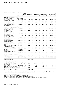|                                                                             |                                | Cost and<br>additions        |                        | Book value               |                      | Capitalisation rate  |                      | Discount rate        |                                       | Last                         |
|-----------------------------------------------------------------------------|--------------------------------|------------------------------|------------------------|--------------------------|----------------------|----------------------|----------------------|----------------------|---------------------------------------|------------------------------|
|                                                                             | Date of acquisition            | to 30 June<br>2010<br>\$m    | 30 June<br>2010<br>\$m | 30 June<br>2009<br>\$m   | 30 June<br>2010<br>% | 30 June<br>2009<br>% | 30 June<br>2010<br>% | 30 June<br>2009<br>% | Date of last<br>external<br>valuation | external<br>valuation<br>\$m |
| MPT and its controlled entities / continued                                 |                                |                              |                        |                          |                      |                      |                      |                      |                                       |                              |
| Kawana Shoppingworld,                                                       | December 1993 (50%)            |                              |                        |                          |                      |                      |                      |                      |                                       |                              |
| Nicklin Way, Buddina QLD<br>Kwinana Hub Shopping Centre,                    | June 1998 (50%)                | 186.4                        | 200.6                  | 188.0                    | 6.75                 | 6.50                 | 9.25                 | 9.00                 | June 2010                             | 200.6                        |
| Gilmore Avenue, Kwinana WA <sup>2</sup>                                     | September 2005                 | $\qquad \qquad \blacksquare$ |                        | 25.0                     |                      | 8.25                 |                      | 9.75                 |                                       |                              |
| Lake Haven MegaCentre, Lake Haven NSW                                       | January 2007                   | 27.8                         | 26.5                   | 27.0                     | 9.75                 | 9.50                 | 10.25                | 10.00                | December 2008                         | 30.0                         |
| Logan MegaCentre, Logan, QLD<br>Moonee Ponds Central (Stage II),            | October 2005                   | 63.7                         | 63.0                   | 63.5                     | 9.25                 | 9.00                 | 10.25                | 10.25                | December 2008                         | 71.0                         |
| Homer Street, Moonee Ponds VIC                                              | February 2008                  | 38.8                         | 39.0                   | 38.7                     | 8.50                 | 8.50                 | 9.75                 | 9.75                 | June 2010                             | 39.0                         |
| Moonee Ponds Central,<br>Homer Street, Moonee Ponds VIC                     | May 2003                       | 22.2                         | 22.8                   | 22.8                     | 7.75                 | 8.00                 | 9.50                 | 9.50                 | June 2010                             | 22.8                         |
| Morayfield SupaCentre, Morayfield QLD <sup>1,5</sup> September 2007         |                                | 46.0                         | 37.5                   | $\overline{\phantom{m}}$ | 9.75                 | -                    | 10.50                | $\overline{a}$       | December 2009                         | 38.5                         |
| Nexus Industry Park (Atlas),                                                |                                |                              |                        |                          |                      |                      |                      |                      |                                       |                              |
| Lyn Parade, Prestons NSW<br>Nexus Industry Park (Building 3),               | August 2004                    | 17,1                         | 17.1                   | 18.0                     | 8.25                 | 8.00                 | 9.75                 | 9.25                 | September 2009                        | 17.1                         |
| Lyn Parade, Prestons NSW                                                    | August 2004                    | 21.4                         | 21.5                   | 22.0                     | 8.75                 | 8.25                 | 9.50                 | 9.25                 | September 2009                        | 21.5                         |
| Nexus Industry Park (HPM),<br>Lyn Parade, Prestons NSW                      | August 2004                    | 14.7                         | 14.8                   | 15.5                     | 8.75                 | 8.25                 | 9.50                 | 9.25                 | December 2008                         | 16.6                         |
| Nexus Industry Park (Natsteel),                                             |                                |                              |                        |                          |                      |                      |                      |                      |                                       |                              |
| Lyn Parade, Prestons NSW                                                    | August 2004                    | 12.0                         | 12.0                   | 12.5                     | 8.75                 | 8.25                 | 9.50                 | 9.25                 | March 2009                            | 12.5                         |
| Orange City Centre,<br>Summer Street, Orange NSW                            | April 1993                     | 49.1                         | 49.0                   | 49.0                     | 8.25                 | 8.25                 | 9.25                 | 9.25                 | June 2010                             | 49.0                         |
| Orion Springfield Town Centre,<br>Springfield, QLD                          | August 2002                    | 135.5                        | 143.0                  | 140.5                    | 6.75                 | 6.50                 | 9.00                 | 9.00                 | December 2008                         | 140.5                        |
| Peninsula Lifestyle,<br>Nepean Highway, Mornington VIC                      | December 2003                  | 48.5                         | 46.0                   | 49.0                     | 9.25                 | 8.75                 | 10.00                | 10.00                | December 2008                         | 53.0                         |
| Quay West Car Park,                                                         |                                |                              |                        |                          |                      |                      |                      |                      |                                       |                              |
| 109-111 Harrington Street, Sydney NSW                                       | November 1989                  | 28.5                         | 28.5                   | 37.0                     | 8.50                 | 8.50                 | 10.25                | 10.75                | June 2009                             | 37.0                         |
| Rhodes Shopping Centre,<br>Rhodes NSW (50% interest)                        | January 2007<br>Oct 1995 (50%) | 86.9                         | 99.0                   | 90.5                     | 7.00                 | 6.63                 | 9.25                 | 9.00                 | June 2010                             | 99.0                         |
| Royal Domain Centre,<br>380 St Kilda Road, Melbourne VIC                    | Apr 2001 (50%)                 | 101.0                        | 104.0                  | 101.5                    | 8.25                 | 8.50                 | 9.25                 | 9.00                 | June 2009                             | 101.5                        |
| St George Centre,<br>60 Marcus Clarke Street, Canberra ACT                  | September 1989                 | 52.2                         | 51.5                   | 52.0                     | 8.50                 | 8.50                 | 9.00                 | 9.00                 | June 2009                             | 52.0                         |
| St Marys Village Centre,<br>Charles Hackett Drive, St Marys NSW             | January 2003                   | 40.3                         | 42.3                   | 40.2                     | 7.75                 | 8.00                 | 9.25                 | 9.25                 | December 2008                         | 44.5                         |
| Stanhope Village,<br>Sentry Drive, Stanhope Gardens NSW                     | November 2003                  | 53.2                         | 59.0                   | 53.1                     | 7.75                 | 8.00                 | 9.25                 | 9.00                 | June 2010                             | 59.0                         |
| Taree City Centre,                                                          | Jul 2001 (50%)                 |                              |                        |                          |                      |                      |                      |                      |                                       |                              |
| Taree NSW <sup>1,5</sup><br>Waverley Gardens Shopping Centre,               | Nov 2004 (50%)                 | 52.9                         | 55.5                   | $\overline{a}$           | 8.00                 |                      | 9.50                 |                      |                                       |                              |
| Corner Police & Jacksons Road,                                              |                                |                              |                        |                          |                      |                      |                      |                      |                                       |                              |
| Mulgrave VIC                                                                | November 2002                  | 128.7                        | 127.0                  | 132.6                    | 7.75                 | 7.50                 | 9.25                 | 9.50                 | June 2010                             | 127.0                        |
| Mirvac Limited and its controlled entities                                  | March 2004                     |                              | 59.5                   | 57.8                     |                      | 2.50                 | -                    | 11.20                |                                       |                              |
| Forestry land<br>5 Rider Boulevard, Rhodes NSW                              | January 2007                   | 102.6                        | 108.0                  | 104.8                    | 8.00                 | 7.75                 | 9.75                 | 9.50                 | February 2009                         | 107.0                        |
| Manning Mall, Taree, NSW                                                    | December 2006                  | 33.5                         | 34.7                   | 23.8                     | 8.50                 | 8.25                 | 9.50                 | 9.75                 | December 2009                         | 32.8                         |
| Blue Street, North Sydney                                                   | June 2001                      |                              |                        | 1.1                      |                      | 10.00                |                      |                      |                                       |                              |
| <b>Total investment properties</b>                                          |                                |                              | 4,137.0                | 3,210.1                  |                      |                      |                      |                      |                                       |                              |
| Investment properties under construction                                    |                                |                              |                        |                          |                      |                      |                      |                      |                                       |                              |
| Nexus Industry Park (Stage 5),                                              |                                |                              |                        |                          |                      |                      |                      |                      |                                       |                              |
| Lyn Parade, Prestons NSW <sup>4</sup>                                       | August 2004                    | 8.5                          | 8.5                    |                          | 8.25                 |                      | 9.75                 |                      |                                       |                              |
| Orion Springfield Land, Springfield QLD <sup>4</sup>                        | August 2002                    | 138.9                        | 75.0                   |                          | - 6.25-9.00          |                      | 9.00                 |                      |                                       |                              |
| Network, Old Wallgrove Road,<br>Eastern Creek NSW <sup>1, 4, 5</sup>        | December 2002                  | 14.9                         | 6.0                    |                          |                      |                      |                      |                      |                                       |                              |
| 4 Dalley Street & Laneway, Sydney NSW <sup>4</sup>                          | March 2004                     | 26.8                         |                        |                          | 6.75                 |                      | 9.25                 |                      |                                       |                              |
| Total investment properties under construction                              |                                |                              | 89.5                   | -                        |                      |                      |                      |                      |                                       |                              |
| Total investment properties and<br>investment properties under construction |                                |                              | 4,226.5                | 3,210.1                  |                      |                      |                      |                      |                                       |                              |

1) Investment properties acquired through business combination. These properties were recorded at their fair value on the date of acquisition (\$720.7m). However disclosure in the note above is the original date of acquisition and the original cost of, and addition to, these properties as recorded in the accounting records of the acquiree as this information is more relevant to users of the financial statements.

2) Investment properties disposed of during the year.

3) Investment properties reclassified as assets held for sale during the year.

4) Investment properties under construction transferred from property, plant and equipment.

5) Cost and additions and acquisition dates represent information based on disclosure of fund acquired through business combination.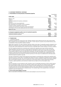#### **16 Investment properties / continued**

#### **a) Reconciliation of carrying amounts of investment properties**

|                                                                   |            | Consolidated |
|-------------------------------------------------------------------|------------|--------------|
| At fair value                                                     | 2010<br>Sm | 2009<br>\$m  |
| Balance 1 July                                                    | 3,210.1    | 3,436.8      |
| Additions                                                         | 309.3      | 41.6         |
| Additions resulting from business combination                     | 822.2      |              |
| <b>Disposals</b>                                                  | (146.9)    |              |
| Net losses from fair value adjustments                            | (98.6)     | (487.2)      |
| Net (losses)/gains from foreign currency translation              | (2.1)      | 9.0          |
| Transfers to assets classified as held for sale                   | (53.7)     |              |
| Transfers from inventories and property, plant and equipment      | 205.4      | 224.8        |
| Amortisation of fit out costs, leasing costs and rent incentive   | (19.2)     | (14.9)       |
| Balance 30 June                                                   | 4,226.5    | 3,210.1      |
| b) Amounts recognised in profit or loss for investment properties |            |              |
| Investment properties rental revenue                              | 403.2      | 329.9        |
| Investment properties expenses                                    | (102.2)    | (81.4)       |
|                                                                   | 301.0      | 248.5        |

#### **c) Valuation basis**

#### i) Investment properties

Investment properties are carried at fair value. Valuation methods used to determine the fair value include market sales comparison, DCF and capitalisation rate ("cap rate"). The fair value for a property may be determined by using a combination of these and other valuation methods.

Market sales comparison: The sales comparison approach utilises recent sales of comparable properties, adjusted for any differences including the nature, location and lease profile, to indicate the fair value of a property. Where there is a lack of recent sales, activity adjustments are made from previous comparable sales to reflect changes in economic conditions.

DCF: DCF projections derived from contracted rents, market rents, operating costs, lease incentives, lease fees, capital expenditure and future income on vacant space are discounted at a rate to arrive at a value. The discount rate is a market assessment of the risk associated with the cash flows, and the nature, location and tenancy profile of the property relative to returns from alternative investments, CPI rates and liquidity risk. It is assumed that the property is sold at the end of the investment period at a terminal value. The terminal value is determined by using an appropriate terminal cap rate. Mirvac's terminal cap rates are in the range of an additional 25 to 100 basis points above the respective property's cap rate.

Cap rate: An assessment is made of fully leased net income based on contracted rents, market rents, operating costs and future income on vacant space. The adopted fully leased net income is capitalised in perpetuity from the valuation date at an appropriate cap rate. The cap rate reflects the nature, location and tenancy profile of the property together with current market investment criteria, as evidenced by current sales evidence. Various adjustments including incentives, capital expenditure, and reversions to market rent are made to arrive at the property value.

#### $ii)$  IPUC

There are generally no active markets for IPUC, therefore a lack of comparable transactions of IPUC usually requires the use of estimation models. The two main estimation models used to value IPUC are residual and DCF valuations. The residual method of determining the value of a property uses the estimated total cost of the development, including construction and associated expenditures, finance costs, and an allowance for developer's risk and profit, is deducted from the end value of the completed project. The resultant figure is then adjusted back to the date of valuation to give the residual value.

#### **d) Non-current assets pledged as security**

Refer to note 20(b) for information on non-current assets pledged as security by the Group.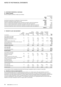#### **16 Investment properties / continued**

#### **e) Property portfolio**

Mirvac's property portfolio is made up as follows:

|                                                                                      |            | Consolidated |
|--------------------------------------------------------------------------------------|------------|--------------|
|                                                                                      | 2010<br>Sm | 2009<br>Sm   |
| Investment properties per statement of financial position                            | 4.226.5    | 3.210.1      |
| Properties classified as assets held for sale                                        | 53.7       |              |
| Owner-occupied hotel management lots classified as property, plant and equipment     | 59.3       | 60.1         |
| Owner-occupied freehold hotels classified as property, plant and equipment           | 61.5       | 26.1         |
| Owner-occupied administration properties classified as property, plant and equipment | 211.2      | 228.8        |
| Investment properties under construction classified as property, plant and equipment |            | 207.5        |
|                                                                                      | 4.612.2    | 3.732.6      |

#### **17 Property, plant and equipment**

|                                                        | Office                       |                          | Owner-<br>occupied hotel | Owner-<br>occupied       | Owner-<br>occupied       | Investment<br>properties       |              |
|--------------------------------------------------------|------------------------------|--------------------------|--------------------------|--------------------------|--------------------------|--------------------------------|--------------|
|                                                        | leasehold                    | Plant and management     |                          |                          | freehold administration  | under                          |              |
| Consolidated                                           | improvements<br>\$m          | equipment<br>\$m         | lots<br>\$m              | hotels<br>\$m            | \$m                      | properties construction<br>\$m | Total<br>\$m |
|                                                        |                              |                          |                          |                          |                          |                                |              |
| Year ended 30 June 2010                                |                              |                          |                          |                          |                          |                                |              |
| Opening net book amount                                | 0.1                          | 26.4                     | 60.1                     | 26.1                     | 228.8                    | 207.5                          | 549.0        |
| Revaluation (decrement)/increment                      |                              |                          | 0.1                      | (19.0)                   | 1.6                      | $\overline{\phantom{m}}$       | (17.3)       |
| Additions                                              |                              | 5.3                      | 0.5                      | 1.5                      |                          |                                | 7.3          |
| Transfers (to)/from other assets                       | (0.1)                        | 2.0                      | (0.1)                    | 54.2                     | (14.0)                   | (207.5)                        | (165.5)      |
| Assets classified as held for sale and other disposals | $\overline{\phantom{0}}$     | (1.3)                    | $\overline{\phantom{0}}$ |                          | $\overline{\phantom{0}}$ | $\qquad \qquad -$              | (1.3)        |
| Exchange differences                                   | $\overline{\phantom{0}}$     |                          | 0.1                      | $\overline{\phantom{m}}$ | $\overline{\phantom{0}}$ | $\overline{\phantom{0}}$       | O.1          |
| Depreciation expenses                                  | -                            | (9.2)                    | (1.4)                    | (1.3)                    | (5.2)                    | -                              | (17.1)       |
| <b>Closing net book amount</b>                         | $\qquad \qquad \blacksquare$ | 23.2                     | 59.3                     | 61.5                     | 211.2                    | $\qquad \qquad \blacksquare$   | 355.2        |
| At 30 June 2010                                        |                              |                          |                          |                          |                          |                                |              |
| Cost or fair value                                     |                              | 77.2                     | 67.1                     | 70.5                     | 226.2                    |                                | 441.0        |
|                                                        | $\overline{\phantom{0}}$     | (54.0)                   | (7.8)                    | (9.0)                    | (15.0)                   | $\overline{\phantom{m}}$       | (85.8)       |
| Accumulated depreciation                               |                              |                          |                          |                          |                          |                                |              |
| Net book amount                                        | $\overline{\phantom{a}}$     | 23.2                     | 59.3                     | 61.5                     | 211.2                    | $\qquad \qquad$                | 355.2        |
| Year ended 30 June 2009                                |                              |                          |                          |                          |                          |                                |              |
| Opening net book amount                                | 0.6                          | 31.5                     | 65.7                     | 33.5                     | 252.3                    | 250.0                          | 633.6        |
| Revaluation decrement                                  |                              |                          | (4.6)                    | (7.0)                    | (19.2)                   | (3.6)                          | (34.4)       |
| Additions                                              | O.1                          | 5.2                      | 0.4                      | 0.3                      | $\overline{\phantom{0}}$ | 69.1                           | 75.1         |
| Transfers (from)/to from other assets                  | (0.6)                        | 0.4                      | $\overline{\phantom{0}}$ |                          | $\overline{\phantom{0}}$ | 10.0                           | 9.8          |
| Assets classified as held for sale and other disposals | $\qquad \qquad -$            | (0.5)                    | $\overline{\phantom{0}}$ |                          | -                        | $\overline{\phantom{m}}$       | (0.5)        |
| Transfers to investment properties                     | $\overline{\phantom{0}}$     |                          | $\overline{\phantom{0}}$ |                          | $\overline{\phantom{0}}$ | (118.0)                        | (118.0)      |
| Exchange differences                                   | $\overline{\phantom{0}}$     | $\overline{\phantom{0}}$ | 0.1                      |                          | $\overline{\phantom{0}}$ | $\equiv$                       | 0.1          |
| Depreciation expenses                                  | $\overline{\phantom{0}}$     | (10.2)                   | (1.5)                    | (0.7)                    | (4.3)                    | $\overline{\phantom{0}}$       | (16.7)       |
| Closing net book amount                                | 0.1                          | 26.4                     | 60.1                     | 26.1                     | 228.8                    | 207.5                          | 549.0        |
| At 30 June 2009                                        |                              |                          |                          |                          |                          |                                |              |
| Cost or fair value                                     | 0.1                          | 77.6                     | 66.5                     | 33.0                     | 240.3                    | 207.5                          | 625.0        |
| Accumulated depreciation                               | $\qquad \qquad -$            | (51.2)                   | (6.4)                    | (6.9)                    | (11.5)                   | $\qquad \qquad -$              | (76.0)       |
| Net book amount                                        | O.1                          | 26.4                     | 60.1                     | 26.1                     | 228.8                    | 207.5                          | 549.0        |

A reconciliation of the revaluation decrement and the asset revaluation reserve is shown in note 25(d).

#### **a) Valuations of owner-occupied properties**

Owner-occupied properties are revalued by external valuers on a rotation basis with approximately one-half of the portfolio (including owner-occupied buildings) being valued annually. The basis of valuation of owner-occupied properties is fair value, being the amounts for which assets could be exchanged between knowledgeable willing parties in an arm's length transaction. Owner-occupied properties not externally valued during the reporting period are carried at management's internal valuation. The revaluation decrement net of applicable deferred income taxes was debited to the asset revaluation reserve in equity (refer to note 25(b)).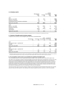#### **18 Intangible assets**

|                                              | Management    | sequestration   |               |                     |
|----------------------------------------------|---------------|-----------------|---------------|---------------------|
|                                              | rights<br>\$m | Goodwill<br>\$m | rights<br>\$m | <b>Total</b><br>\$m |
| 2010                                         |               |                 |               |                     |
| Balance 1 July 2009                          | 13.1          | 45.5            |               | 58.6                |
| Disposal of subsidiary                       | (1.5)         | (1.1)           |               | (2.6)               |
| Extinguished as part of business combination | (1.1)         |                 |               | (1.1)               |
| Balance 30 June 2010                         | 10.5          | 44.4            |               | 54.9                |
| 2009                                         |               |                 |               |                     |
| Balance 1 July 2008                          | 60.3          | 259.5           | 1.0           | 320.8               |
| Disposal of subsidiary                       | 1.7           | 10.1            |               | 11.8                |
| Impairment <sup>1</sup>                      | (48.5)        | (224.1)         | (1.0)         | (273.6)             |
| Amortisation                                 | (0.4)         |                 |               | (0.4)               |
| Balance 30 June 2009                         | 13.1          | 45.5            |               | 58.6                |

1) The impairment of intangible assets has been recognised as a separate line item in the statement of comprehensive income.

#### **a) Allocation of intangible assets by business segment**

A segment level summary of the intangible asset allocations is presented below:

|                                                    | Development<br>Şm | Sm   | Hotel<br>Investment Management Management<br>Şm | Investment<br>Şm | <b>Total</b><br>\$m |
|----------------------------------------------------|-------------------|------|-------------------------------------------------|------------------|---------------------|
| 2010                                               |                   |      |                                                 |                  |                     |
| Management rights $-$ indefinite life <sup>1</sup> |                   |      |                                                 | 10.5             | 10.5                |
| Goodwill                                           |                   | 38.1 | 6.3                                             |                  | 44.4                |
| Balance 30 June 2010                               |                   | 38.1 | 6.3                                             | 10.5             | 54.9                |
| 2009                                               |                   |      |                                                 |                  |                     |
| Management rights $-$ indefinite life <sup>1</sup> |                   |      |                                                 | 13.1             | 13.1                |
| Goodwill                                           |                   | 38.1 | 6.3                                             | 1.1              | 45.5                |
| Balance 30 June 2009                               |                   | 38.1 | 6.3                                             | 14.2             | 58.6                |

1) Management rights are primarily held in relation to funds established or rights established by entities acquired by Mirvac. These funds are considered to be open-ended and therefore have no expiry. The Group also holds strategic stakes in these funds in order to protect its interests.

#### **b) Key assumptions used for value in use calculations for goodwill and intangible assets**

The recoverable amount of CGUs is determined using the higher of fair value less cost to sell, and its value in use.

The value in use calculation is based on financial budgets and forecasts approved by management covering a five year period. For the Hotel Management and Investment Management CGUs, cash flows beyond the five year period are extrapolated using the estimated growth rates stated below. For the Investment and Development CGUs, no forecast growth rate is assumed as the value in use calculations are based on forecast cash flows from existing projects and investment properties. The growth rate has been adjusted to reflect current market conditions and does not exceed the long-term average growth rate for the business in which the CGU operates.

The discount rates used are post-tax (except in relation to the Development and Investment CGUs which use a pre-tax discount rate) and reflect specific risks relating to the relevant segments and the countries in which they operate.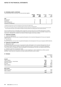#### **18 Intangible assets / continued**

A terminal growth rate of three per cent has also been applied.

|                       | Growth<br>rate <sup>1</sup><br>2010 | <b>Discount</b><br>rate<br>2010 | Growth<br>rate <sup>1</sup><br>2009 | Discount<br>rate<br>2009 |
|-----------------------|-------------------------------------|---------------------------------|-------------------------------------|--------------------------|
| <b>CGU</b>            |                                     |                                 |                                     |                          |
| Development           | $-2$                                | 18                              | $-2$                                | 18                       |
| Investment            | $-3$                                | 10                              | $-3$                                | 10                       |
| Hotel management      |                                     | 13                              |                                     | 13                       |
| Investment management |                                     | 13                              |                                     | 13                       |

1) Weighted average growth rate used to extrapolate cash flows beyond the budget period.

2) No forecast growth rate as value in use calculations based on forecast cash flows of existing projects.

3) The value in use calculation is based on financial budgets and forecasts approved by management covering a five year period. No forecast growth rate is assumed as the value in use calculations are based on forecast cash flows from existing projects and investment properties.

The recoverable amount of intangible assets exceeds the carrying value at 30 June 2010. Management considers that for the carrying value to exceed the recoverable amount, there would have to be unreasonable changes to key assumptions. Management considers the chances of these changes occurring as unlikely.

#### **c) Impairment of goodwill**

#### i) Investment Management

During the year, the carrying value of goodwill attributable to the Investment Management CGU was not impaired (2009: \$100.7m).

#### ii) Development

During the year, the carrying value of goodwill attributable to the Development CGU was not impaired (2009: \$123.4m).

#### **d) Impairment of intangible assets**

#### i) Management rights

During the period, the carrying value of management rights attributable to the Investment Management CGU was not impaired (2009: \$46.0m). However, \$1.1m was transferred to profit or loss as part of a business combination. The carrying value of management rights attributable to the Development CGU were not impaired (2009: \$2.5m).

#### ii) Indefinite useful life of management rights

Management rights are primarily held in relation to funds established or rights established by entities acquired by Mirvac. These funds are considered to be open-ended and therefore have no expiry.

#### **19 Payables**

|                                  | Consolidated |             |
|----------------------------------|--------------|-------------|
|                                  | 2010<br>\$m  | 2009<br>\$m |
| Current                          |              |             |
| Trade creditors                  | 42.2         | 71.6        |
| Employee benefits - annual leave | 13.9         | 17.3        |
| Deferred revenue                 | 36.1         | 58.1        |
| Accruals                         | 101.2        | 88.8        |
| Other creditors                  | 146.6        | 42.6        |
|                                  | 340.0        | 278.4       |
| Non-current                      |              |             |
| Deferred revenue                 |              | 20.2        |
| Other creditors                  | 10.4         | 43.7        |
|                                  | 10.4         | 63.9        |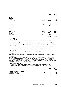#### **20 Borrowings**

| בט החזוניטוויט    |            |             | Consolidated |
|-------------------|------------|-------------|--------------|
|                   | Note       | 2010<br>\$m | 2009<br>\$m  |
| Current           |            |             |              |
| <b>Unsecured</b>  |            |             |              |
| Bank loans        | 20(a)(i)   | 92.9        |              |
| Domestic MTN      | 2O(a)(ii)  | 200.0       | 300.0        |
| <b>Secured</b>    |            |             |              |
| Bank loans        | 20(a)(iii) | 32.5        | 122.5        |
| Lease liabilities | 20(a)(iv)  | 2.3         | 0.1          |
|                   |            | 327.7       | 422.6        |
| Non-current       |            |             |              |
| <b>Unsecured</b>  |            |             |              |
| Bank loans        | 20(a)(i)   | 905.0       | 1,009.1      |
| Domestic MTN      | 20(a)(ii)  | 150.0       | 200.0        |
| Foreign MTN       | 20(a)(v)   | 450.0       | 472.2        |
| <b>Secured</b>    |            |             |              |
| Lease liabilities | 20(a)(iv)  | 11.6        |              |
|                   |            | 1,516.6     | 1,681.3      |

#### **a) Borrowings**

#### i) Unsecured bank loans

Mirvac has an unsecured syndicated loan facility of \$1,917.5m (2009: \$1,917.5m) with a \$1,112.5m (2009: \$1,112.5m) revolving tranche maturing in June 2011 and \$805.0m (2009: \$805.0m) term tranche maturing in January 2012. Mirvac has \$200.0m (2009: \$150.0m) of unsecured bilateral facilities, of which \$150.0m expires in April 2013 and \$50.0m in June 2011. Subject to compliance with the terms, each of these bank loan facilities may be drawn at any time.

#### ii) Domestic MTN

Mirvac has a domestic bond issue of \$200.0m maturing in September 2010. In addition, a new domestic bond issue was completed in March 2010 for \$150.0m maturing in March 2015. Interest is payable either quarterly or semi-annually in arrears in accordance with the terms of the notes.

#### iii) Secured bank loans

A controlled entity has secured bank facilities totalling \$32.5m (2009: \$122.5m) which mature February 2011.

#### iv) Lease liabilities

Lease liabilities are effectively secured as the rights to the leased asset revert to the lessor in the event of default.

#### v) Foreign MTN

Mirvac has a US Private Placement issue made up of US dollar 275.0m maturing in November 2016 and US dollar 100.0m maturing in November 2018. An additional Australian dollar 10.0m maturing in November 2016 was also issued in conjunction with this placement. Interest is payable semi-annually in arrears for all notes. The notes were issued with fixed and floating rate coupons payable in US dollars and swapped back to Australian dollars floating rate coupons through cross currency principal and interest rate swaps.

#### **b) Assets pledged as security**

A controlled entity has debt facilities secured by real property mortgages and a fixed and floating charge. The carrying amounts of assets pledged as security for current and non-current borrowings are as follows:

|                                      |      |                          | Consolidated |
|--------------------------------------|------|--------------------------|--------------|
|                                      | Note | 2010<br>Sm               | 2009<br>\$m  |
| First ranking real property mortgage |      |                          |              |
| Investment properties                | 16   | 59.5                     | 57.8         |
| Development inventories              |      | $\overline{\phantom{a}}$ | 167.3        |
| Total assets pledged as security     |      | 59.5                     | 225.1        |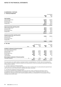#### **20 Borrowings / continued**

#### **c) Financing arrangements**

|                                                 |      |               |                 |               | Consolidated   |  |
|-------------------------------------------------|------|---------------|-----------------|---------------|----------------|--|
|                                                 |      |               |                 | 2010<br>\$m   | 2009<br>\$m    |  |
| <b>Total facilities</b>                         |      |               |                 |               |                |  |
| Unsecured bank loans                            |      |               |                 | 2,117.5       | 2,067.5        |  |
| Domestic MTN                                    |      |               |                 | 350.0         | 500.0          |  |
| Secured bank loans                              |      |               |                 | 32.5          | 122.5          |  |
| Foreign MTN                                     |      |               |                 | 450.0         | 472.2          |  |
|                                                 |      |               |                 | 2,950.0       | 3,162.2        |  |
| Used at end of the reporting period             |      |               |                 |               |                |  |
| Unsecured bank loans                            |      |               |                 | 997.9         | 1,009.1        |  |
| Domestic MTN                                    |      |               |                 | 350.0         | 500.0          |  |
| Secured bank loans                              |      |               |                 | 32.5          | 122.5          |  |
| Foreign MTN                                     |      |               |                 | 450.0         | 472.2          |  |
|                                                 |      |               |                 | 1,830.4       | 2,103.8        |  |
| Unused at end of the reporting period           |      |               |                 |               |                |  |
| Unsecured bank loans                            |      |               |                 | 1,119.6       | 1,058.4        |  |
| Domestic MTN                                    |      |               |                 |               |                |  |
| Secured bank loans                              |      |               |                 |               |                |  |
| Foreign MTN                                     |      |               |                 |               |                |  |
|                                                 |      |               |                 | 1,119.6       | 1,058.4        |  |
| d) Fair value                                   |      |               |                 |               |                |  |
|                                                 |      |               | Carrying amount |               | Fair value     |  |
|                                                 |      | 2010          | 2009            | 2010          | 2009           |  |
|                                                 | Note | \$m           | \$m             | \$m           | \$m            |  |
| Included in statement of financial position     |      |               |                 |               |                |  |
| Non-traded financial liabilities                |      |               |                 |               |                |  |
| Unsecured bank loans                            |      | 997.9         | 1,009.1         | 997.9         | 1,009.1        |  |
| Domestic MTN<br>Secured bank loans              |      | 350.0<br>32.5 | 500.0<br>122.5  | 350.0<br>32.5 | 500.0<br>122.5 |  |
| Foreign MTN                                     |      | 450.0         | 472.2           | 450.0         | 472.2          |  |
| Lease liabilities                               |      | 13.9          | O.1             | 13.9          | O.1            |  |
|                                                 |      |               |                 |               |                |  |
| Not included in statement of financial position | 31   | 62.1          | 88.8            | 62.1          | 88.8           |  |
| Contingent liabilities                          |      |               |                 |               |                |  |

The classes above are readily traded on organised markets in standardised form. The fair value for borrowings less than 12 months to maturity is deemed to equal the carrying amounts. All other borrowings are discounted if the effect of discounting is material.

 **1,906.4** 2,192.7 **1,906.4** 2,192.7

i) Included in statement of financial position

The fair value of borrowings is based upon market prices where a market exists or by discounting the expected future cash flows by the current interest rates for liabilities with similar risk profiles.

ii) Excluded from statement of financial position

The Group has potential financial liabilities which may arise from certain contingencies disclosed in note 31. As explained in note 31, no material losses are anticipated in respect of those contingencies and the fair value disclosed is the estimated amount which would be payable by Mirvac as consideration for the assumption of those contingencies by another party.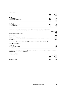## **21 Provisions**

| LI INVIUNUI                     |             | Consolidated |
|---------------------------------|-------------|--------------|
|                                 | 2010<br>\$m | 2009<br>\$m  |
| Current                         |             |              |
| Employee benefits - LSL         | 6.3         | 6.4          |
| Dividends/distributions payable | 65.6        | 3.7          |
|                                 | 71.9        | 10.1         |
| Non-current                     |             |              |
| Asset retirement obligations    | 2.0         | 1.4          |
| Employee benefits - LSL         | 4.1         | 4.4          |
|                                 | 6.1         | 5.8          |

Movements in each class of provision during the year, other than employee benefits, are set out below:

|                                                                                                       | Consolidated |
|-------------------------------------------------------------------------------------------------------|--------------|
|                                                                                                       | 2010         |
| Dividends/distributions payable <sup>1</sup>                                                          | <b>Sm</b>    |
| Balance 1 July                                                                                        | 3.7          |
| Interim and final dividends/distributions                                                             | 241.9        |
| Payments made (including issue of securities under dividends/distributions reinvestment plan ("DRP")) | (180.0)      |
| Balance 30 June                                                                                       | 65.6         |

1) The amounts reported in the provision include dividends/distributions paid/payable to securityholders of the group and NCI.

#### **Asset retirement obligations**

| Balance 1 July              |     |
|-----------------------------|-----|
| Recognition during the year | 0.6 |
| Balance 30 June             |     |

The asset retirement obligations relate to obligations under lease agreements for office space, to return the space to its condition at the commencement of the lease.

#### **22 Other liabilities**

|                      |             | Consolidated |
|----------------------|-------------|--------------|
|                      | 2010<br>\$m | 2009<br>Şm   |
| Monies held in trust | 10.6        | 21.0         |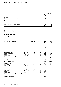#### **23 Derivative financial liabilities**

|                                             |             | Consolidated |
|---------------------------------------------|-------------|--------------|
|                                             | 2010<br>\$m | 2009<br>\$m  |
| Current                                     |             |              |
| Interest rate swap contracts - fair value   | 0.5         |              |
| Non-current                                 |             |              |
| Interest rate collar contracts - fair value | 1.7         | 4.4          |
| Cross currency derivatives - fair value     | 2.8         |              |
| Interest rate swap contracts - fair value   | 47.9        | 38.7         |
|                                             | 52.4        | 43.1         |

#### **a) Instruments used by Mirvac**

Refer to note 36 for information on instruments used by Mirvac.

#### **b) Interest rate and foreign currency risk exposures**

Refer to note 36 for Mirvac's exposure to interest rate and foreign currency risk on cross currency swaps.

#### **24 Contributed equity a) Paid up equity**

| a) Palu up equity                         | 2010                             | 2009    | 2010    | 2009    |
|-------------------------------------------|----------------------------------|---------|---------|---------|
| Consolidated                              | <b>Securities m</b> Securities m |         | \$m     | Sm      |
| Mirvac Limited $-$ ordinary shares issued | 3.254.8                          | 2.789.7 | 1.223.7 | 1.153.7 |
| $MPT$ – ordinary units issued             | 3.254.8                          | 2.789.7 | 4.875.1 | 4.293.7 |
| Total contributed equity                  |                                  |         | 6.098.8 | 5,447.4 |

#### **b) Movements in paid up equity**

Movements in paid up equity of Mirvac for the year ended 30 June 2010 were as follows:

|                                                            |            | Issue price |                   |         | Consolidated securities |
|------------------------------------------------------------|------------|-------------|-------------------|---------|-------------------------|
| Consolidated                                               | Issue date | \$          | Note              | m       | \$m                     |
| Balance 1 July 2009                                        |            |             |                   | 2,789.7 | 5,447.4                 |
| EEP issues at no cost                                      | 22/12/2009 | 1.55        | $\left( c\right)$ | 1.0     |                         |
| Acquisition of MREIT                                       | 07/12/2009 | 1.41        | (e)               | 190.1   | 267.1                   |
| Equity raising                                             | 13/04/2010 | 1.40        | (f)               | 250.0   | 350.0                   |
| Equity raising                                             | 14/05/2010 | 1.40        | (f)               | 18.4    | 25.8                    |
| Less: Transaction costs arising<br>on issues of securities |            |             |                   |         | (12.2)                  |
| LTI and EIS securities converted,<br>sold or forfeited     |            |             | (c)               | 5.6     | 20.7                    |
| Balance 30 June 2010                                       |            |             |                   | 3,254.8 | 6,098.8                 |
| Balance 1 July 2008                                        |            |             |                   | 1,084.3 | 3,771.5                 |
| DRP issues                                                 | 25/07/2008 | 2.62        | (d)               | 34.4    | 90.0                    |
| EEP issues at no cost                                      | 17/10/2008 | 1.98        | $\left( c\right)$ | 0.9     |                         |
| DRP issues                                                 | 24/10/2008 | 2.56        | (d)               | 4.7     | 11.9                    |
| DRP issues                                                 | 30/01/2009 | 1.29        | (d)               | 8.7     | 11.3                    |
| Equity raising                                             | 20/11/2008 | 0.90        | (f)               | 471.2   | 424.1                   |
| Equity raising                                             | 05/11/2008 | 0.90        | (f)               | 84.6    | 76.1                    |
| Equity raising                                             | 24/06/2009 | 1.00        | (f)               | 943.7   | 925.4                   |
| Equity raising                                             | 30/06/2009 | 1.00        | (f)               | 156.3   | 174.6                   |
| Less: Transaction costs arising on issues of securities    |            |             |                   |         | (40.8)                  |
| LTI and EIS securities converted, sold or forfeited        |            |             | $\left( $         | 0.9     | 3.3                     |
| Balance 30 June 2009                                       |            |             |                   | 2,789.7 | 5,447.4                 |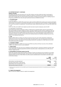#### **24 Contributed equity / continued**

#### **Ordinary securities**

All ordinary securities were fully paid at 30 June 2010. Ordinary securities entitle the holder to participate in dividends/distributions and the proceeds on winding up of Mirvac in proportion to the number of and amount paid on the securities held. On a show of hands, every holder of ordinary securities present at a meeting in person or by proxy, is entitled to one vote, and upon a poll each security is entitled to one vote.

#### **c. LTI and EIS issues**

#### i). Current LTI plan

At 30 June 2010, 22.2m (2009: 9.9m) performance rights and 8.0m (2009: 10.5m) options were issued to participants under the plan. The number of issued rights and options are net of adjustments due to forfeiture of rights and options as a result of termination of employment. 1.3m performance rights vested during the year to 30 June 2010 (2009: \$nil).

#### $ii)$   $FFP$

At 30 June 2010, 2.6m (2009: 1.6m) stapled securities have been issued to employees under the EEP.

#### iii) Superseded LTI and EIS plans

No securities were issued to employees of Mirvac Limited and its controlled entities under the superseded LTI plan and EIS (2009: nil ordinary stapled securities). The total of stapled securities issued to employees under the superseded LTI and EIS at 30 June 2010 was 11.5m (2009: 15.7m). The market price per ordinary stapled security at 30 June 2010 was \$1.32 (2009: \$1.08). Securities issued as part of the superseded LTI plan and EIS are not classified as ordinary securities, until such time as the vesting conditions are satisfied, employee loans are fully repaid or the employee leaves Mirvac.

### **d) DRP**

Under the DRP, holders of ordinary securities may elect to have all or part of their distribution entitlements satisfied by the issue of new ordinary securities rather than being paid in cash. Securities issued under the plan were issued at a two per cent discount to the prevailing market price, calculated on a VWAP basis over the first five business days post record date.

#### **e) Acquisition of MREIT**

As part of the acquisition of MREIT, the Group issued 190.1m securities at \$1.41 per security, to the unitholders of MREIT who opted to receive a scrip component.

#### **f) Equity raising**

In the second half of the year, the Group completed an equity placement, comprising of 250.0m securities under a fully underwritten institutional placement and 18.4m securities under a retail placement, at an offer price of \$1.40 per stapled security.

#### **g) Reconciliation of securities issued on the ASX**

Under AAS, securities issued under the Mirvac employee LTI plans are required to be accounted for as an option and are excluded from total issued equity, until such time as the relevant employee loans are fully repaid or the employee leaves the Group. Total ordinary securities issued as detailed above is reconciled to securities issued on the ASX as follows:

| 2010<br><b>Securities</b>                             | 2009<br>Securities |
|-------------------------------------------------------|--------------------|
| m                                                     | m                  |
| Total ordinary securities disclosed<br>3.254.8        | 2.789.7            |
| Securities issued under LTI plan and EIS<br>11.5      | 15.7               |
| Subscribed for but not issued at 30 June <sup>1</sup> | (156.3)            |
| Total securities issued on the ASX<br>3.266.3         | 2.649.1            |

1) Stapled securities subscribed for at 30 June 2009, as part of the equity raising announced to the ASX on 4 June 2009, that were not issued until 9 July 2009.

#### **h) Capital risk management**

Refer to note 36 for details of Mirvac's capital risk management.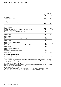## **25 Reserves**

|                                                                         | Consolidated |             |
|-------------------------------------------------------------------------|--------------|-------------|
|                                                                         | 2010<br>\$m  | 2009<br>\$m |
| a) Reserves                                                             |              |             |
| Asset revaluation reserve                                               | 93.8         | 86.5        |
| Capital reserve                                                         | (0.2)        | 1.2         |
| Foreign currency translation reserve                                    | (0.7)        | 0.2         |
| Security based payments reserve                                         | 21.4         | 22.6        |
|                                                                         | 114.3        | 110.5       |
| b) Movements in reserves                                                |              |             |
| <b>Asset revaluation reserve</b>                                        |              |             |
| Balance 1 July                                                          | 86.5         | 118.8       |
| Increment/(decrement) on revaluation of owner-occupied properties       | 0.6          | (32.8)      |
| Deferred tax (refer to note 6)                                          |              | 0.5         |
| Discount on acquisition of MREIT attributable to NCI                    | 7.6          |             |
| Transfers out                                                           | (0.9)        |             |
| Balance 30 June                                                         | 93.8         | 86.5        |
| <b>Capital reserve</b>                                                  |              |             |
| Balance 1 July                                                          | 1.2          | 1.2         |
| Movement in reserve as a result of acquisition of MREIT                 | (1.4)        |             |
| Balance 30 June                                                         | (0.2)        | 1.2         |
| Foreign currency translation reserve                                    |              |             |
| Balance 1 July                                                          | 0.2          | (3.0)       |
| (Decrease)/increase in reserve due to translation of foreign subsidiary | (0.9)        | 3.2         |
| Balance 30 June                                                         | (0.7)        | 0.2         |
| <b>Security based payments reserve</b>                                  |              |             |
| Balance 1 July                                                          | 22.6         | 16.8        |
| Expense relating to security based payments                             | (1.2)        | 5.8         |
| Balance 30 June                                                         | 21.4         | 22.6        |

#### **c) Nature and purpose of reserves**

#### i) Asset revaluation reserve

The asset revaluation reserve is used to record increments and decrements on the revaluation of owner-occupied assets. ii) Capital reserve

The capital reserve was prior to the introduction of IFRS used to record the net revaluation increment or decrement on disposal of investment properties. The balance of the reserve may be transferred to retained earnings and used to satisfy distributions to securityholders.

#### iii) Foreign currency translation reserve

Exchange differences arising on translation of the foreign controlled entities of Mirvac Limited are taken to the foreign currency fluctuation reserve, as described in note 1(e).

#### iv) Security based payments reserve

The security based payments reserve is used to recognise the fair value of securities issued under LTI plans, securities issued under the EEP and any deficit resulting from the sale of securities under LTI plans.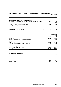## **25 Reserves / Continued**

## **d) Reconciliation of movements between property, plant and equipment to asset revaluation reserve**

|                                                                                                                                                                                           |       |              | Consolidated              |
|-------------------------------------------------------------------------------------------------------------------------------------------------------------------------------------------|-------|--------------|---------------------------|
|                                                                                                                                                                                           | Note  | 2010<br>Sm   | 2009<br>Şm                |
| Revaluation decrement within property, plant and equipment                                                                                                                                | 17    | 17.3         | 34.4                      |
| Items adjusted to statement of comprehensive income<br>Items relating to owner-occupied buildings including fit out and lease amortisation<br>Impairment of construction work in progress |       | (18.2)       | 1.9 <sup>°</sup><br>(3.5) |
| Balance transferred to asset revaluation reserve                                                                                                                                          |       | (0.9)        | 32.8                      |
| Items adjusted directly to reserves<br>NCI in the carrying value on acquisition of MREIT<br>Tax adjustments                                                                               | 39(e) | (6.8)<br>0.4 | (0.5)                     |
| Movement in asset revaluation reserve                                                                                                                                                     | 25(b) | (7.3)        | 32.3                      |

#### **26 Retained earnings**

|                                                                                                                                                                       |                  | Consolidated                |
|-----------------------------------------------------------------------------------------------------------------------------------------------------------------------|------------------|-----------------------------|
|                                                                                                                                                                       | 2010<br>Sm       | 2009<br>\$m                 |
| Balance 1 July<br>Adjustment on change of accounting policy (net of tax) <sup>1</sup>                                                                                 | 762.2            | 435.3<br>(5.2)              |
| Restated balance 1 July<br>Net profit/(loss)<br>Adjustment on change of accounting policy (net of tax) <sup>1</sup>                                                   | (762.2)<br>234.7 | 430.1<br>(1,078.1)<br>(7.1) |
| Items in other comprehensive income recognised directly in retained earnings<br>Movement in equity based compensation<br>Dividends/distributions provided for or paid | 0.1<br>(241.3)   | 0.6<br>(107.7)              |
| Balance 30 June                                                                                                                                                       | (768.7)          | (762.2)                     |

1) Refer to note 1(n) for more details.

#### **27 Non-controlling interests**

|                    |             | Consolidated |
|--------------------|-------------|--------------|
|                    | 2010<br>\$m | 2009<br>\$m  |
| Interest in:       |             |              |
| Contributed equity | 8.2         | 62.9         |
| Retained earnings  | 2.8         | 1.9          |
|                    | <b>11.0</b> | 64.8         |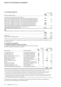#### **28 Dividends/distributions**

|                                                                                   |            | Consolidated |  |
|-----------------------------------------------------------------------------------|------------|--------------|--|
| Ordinary stapled securities                                                       | 2010<br>Sm | 2009<br>\$m  |  |
| Quarterly ordinary distributions paid as follows:                                 |            |              |  |
| 2.000 cents per stapled security paid on 30 October 2009 (unfranked distribution) | 56.1       |              |  |
| 5.000 cents per stapled security paid on 24 October 2008 (unfranked distribution) |            | 56.8         |  |
| 2.000 cents per stapled security paid on 29 January 2010 (unfranked distribution) | 59.9       |              |  |
| 2.800 cents per stapled security paid on 30 January 2009 (unfranked distribution) |            | 47.5         |  |
| 2.000 cents per stapled security paid on 30 April 2010 (unfranked distribution)   | 60.0       |              |  |
| 2.000 cents per stapled security paid on 30 July 2010 (unfranked distribution)    | 65.3       |              |  |
| 0.200 cents per stapled security paid on 31 July 2009 (unfranked distribution)    |            | 3.4          |  |
| Total dividend/distribution 8.000 cents per stapled security                      |            |              |  |
| (2009: 8.000 cents per stapled security)                                          | 241.3      | 107.7        |  |

#### **DRP**

Dividends/distributions actually paid or satisfied by issue of securities under the DRP were as follows:

|                                      | 2010<br>\$m              | 2009<br>Sm |
|--------------------------------------|--------------------------|------------|
| Paid in cash                         | 179.4                    | 137.4      |
| Satisfied by the issue of securities | $\overline{\phantom{0}}$ | 57.4       |
|                                      | 179.4                    | 194.8      |

Franking credits available for subsequent years based on a tax rate of 30 per cent total \$9.0m (2009: \$16.8m on a tax rate of 30 per cent).

#### **29 Investments in associates**

#### **a) Associates accounted for using the equity method**

Investments in associates are accounted for using the equity method of accounting. Information relating to associates is set out below:

|                                             |                                  |                          |      |       | Consolidated |  |
|---------------------------------------------|----------------------------------|--------------------------|------|-------|--------------|--|
|                                             |                                  | 2010                     | 2009 | 2010  | 2009         |  |
| Name of entity                              | Principal activities             | %                        | $\%$ | \$m   | \$m          |  |
| 177 Salmon Street Trust                     | Non-residential development      |                          | 20   |       |              |  |
| Archbold Road Trust                         | Non-residential development      | 20                       | 20   |       |              |  |
| <b>BAC Devco Pty Limited</b>                | Non-residential development      | 33                       | 33   |       | 0.2          |  |
| Mirvac City Regeneration Partnership        | Non-residential development      | 25                       | 20   |       | 4.1          |  |
| Diggers Rest Pty Limited                    | Non-residential development      |                          | 25   |       | O.1          |  |
| Mindarie Keys Joint Venture <sup>1</sup>    | Residential development          | 15                       | 15   | 0.7   | 1.5          |  |
| Mirvac Industrial Trust <sup>2</sup>        | Listed property investment trust | 14                       | 14   |       |              |  |
| Mirvac Wholesale Hotel Fund                 | Hotel investment                 | 49                       | 42   | 109.6 | 100.3        |  |
| MREIT <sup>3</sup>                          | Listed property investment trust | $\overline{\phantom{0}}$ | 25   |       | 60.6         |  |
| New Forests Pty Limited <sup>4</sup>        | Forestry and environmental asset | 13                       | 18   |       | 0.2          |  |
| Panorama Joint Venture                      | Residential development          |                          | 17   |       |              |  |
| Tuckerbox Holdings Pty Limited <sup>5</sup> | Hotel investment                 |                          |      |       | 1.4          |  |
| Universal Portfolio Services Pty Limited    | Non-residential development      |                          | 10   |       |              |  |
|                                             |                                  |                          |      | 110.3 | 168.4        |  |

1) Mirvac equity accounts for these investment as an associate even though it owns less than 20 per cent of the voting or potential voting power due to the fact that it has significant influence over these entities, as a controlled entity of the Group is the project manager.

2) Mirvac equity accounts for these investment as an associate even though it owns less than 20 per cent of the voting or potential voting power due to the fact that it has significant influence over these entities, as a controlled entity of the Group is the responsible entity for the fund.

3) The Group acquired the remaining units of MREIT during the year and it is now a subsidiary of the Group. Refer to note 39.

4) Mirvac equity accounts for these investment as an associate even though it owns less than 20 per cent of the voting or potential voting power due to the fact that it has significant influence over these entities, as the company is manager for funds, which a controlled entity of the Group is the responsible entity and the Group also has a seat on the Board.

5) As part of the MREIT acquisition, the Group acquired a further 49 per cent of this investment and is now accounted for as an investment in joint venture.

All associates were established or incorporated in Australia with the exception of the Mirvac City Regeneration Partnership which was established in the United Kingdom.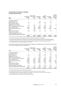## **29 Investments in associates / Continued Associates financial summary**

|                                                   | (37.9)                            | (3.4)                                          | 1.203.9                          | 841.7                                    | 362.2                          | 110.3                                               |
|---------------------------------------------------|-----------------------------------|------------------------------------------------|----------------------------------|------------------------------------------|--------------------------------|-----------------------------------------------------|
| Universal Portfolio Services Pty Limited          |                                   |                                                |                                  |                                          |                                |                                                     |
| Tuckerbox Holdings Pty Limited                    |                                   |                                                |                                  |                                          |                                |                                                     |
| Panorama Joint Venture                            |                                   |                                                |                                  |                                          |                                |                                                     |
| New Forests Pty Limited                           | (2.5)                             | (0.2)                                          | 3.0                              | 0.5                                      | 2.5                            |                                                     |
| <b>MREIT</b>                                      |                                   | 4.6                                            |                                  |                                          |                                |                                                     |
| Mirvac Wholesale Hotel Fund <sup>3</sup>          | (10.1)                            | (5.6)                                          | 500.6                            | 234.1                                    | 266.5                          | 109.6                                               |
| Mirvac Industrial Trust <sup>2</sup>              | (30.6)                            | (3.2)                                          | 490.8                            | 439.2                                    | 51.6                           |                                                     |
| Mirvac City Regeneration Partnership <sup>1</sup> | 1.8                               | 0.4                                            | 73.8                             | 40.6                                     | 33.2                           |                                                     |
| Mindarie Keys Joint Venture                       | 3.6                               | 0.6                                            | 13.1                             | 7.8                                      | 5.3                            | 0.7                                                 |
| Diggers Rest Pty Limited                          |                                   |                                                |                                  |                                          |                                |                                                     |
| <b>BAC Devco Pty Limited</b>                      | (0.1)                             |                                                | 122.5                            | 119.5                                    | 3.0                            |                                                     |
| Archbold Road Trust                               |                                   |                                                | O.1                              |                                          | 0.1                            |                                                     |
| 177 Salmon Street Trust                           |                                   |                                                |                                  |                                          |                                |                                                     |
| 2010<br>Name                                      | (Loss)/profit<br>$(100\%)$<br>\$m | Mirvac share<br>of net (loss)/<br>profit<br>Sm | Total assets<br>$(100\%)$<br>\$m | Total<br>liabilities<br>$(100\%)$<br>\$m | Net assets<br>$(100\%)$<br>\$m | Mirvac<br>carrying<br>value of<br>net assets<br>\$m |

1) The Group has impaired the carrying amount of this investment by \$5.9m. Refer to note 29(c) for further details.

2) The investment was written down to \$nil in 2009 with further write down of \$3.2m in the loan to its investment. The Group did not take up

the full amount of the share of loss in the investment because the net investment and loan to this investment have been fully impaired to \$nil.

3) The Group did not account for a revaluation surplus in its carrying amount of the business which has been accounted for within the

Mirvac Wholesale Hotel Fund. The current revaluation surplus is \$36.0m.

The carrying amounts reported by the Group have been adjusted for unrealised profit from transactions with the Group. The total amount adjusted is \$0.3m (2009: \$5.5m).

| 2009                                              | (Loss)/profit<br>$(100\%)$<br>\$m | Mirvac share<br>of net (loss)/<br>profit<br>Sm | Total assets<br>$(100\%)$<br>\$m | Total<br>liabilities<br>$(100\%)$<br>\$m | Net assets<br>$(100\%)$<br>\$m | Mirvac<br>carrying<br>value of<br>net assets<br>\$m |
|---------------------------------------------------|-----------------------------------|------------------------------------------------|----------------------------------|------------------------------------------|--------------------------------|-----------------------------------------------------|
| 177 Salmon Street Trust                           |                                   |                                                | 0.5                              | 0.4                                      | 0.1                            |                                                     |
| Archbold Road Trust                               |                                   |                                                | 0.1                              |                                          | 0.1                            |                                                     |
| BAC Devco Pty Ltd                                 | (0.9)                             |                                                | 132.5                            | 129.4                                    | 3.1                            | 0.2                                                 |
| Diggers Rest Pty Ltd                              |                                   |                                                | 0.5                              |                                          | 0.5                            | 0.1                                                 |
| Mindarie Keys Joint Venture                       | 10.3                              |                                                | 12.6                             | 3.6                                      | 9.0                            | 1.5                                                 |
| Mirvac City Regeneration Partnership <sup>1</sup> | (0.6)                             | (0.1)                                          | 80.3                             | 45.9                                     | 34.4                           | 4.1                                                 |
| Mirvac Industrial Trust <sup>2</sup>              | (209.1)                           | (29.3)                                         | 578.5                            | 467.5                                    | 111.0                          |                                                     |
| Mirvac Wholesale Hotel Fund <sup>3</sup>          | (27.6)                            | (12.5)                                         | 526.1                            | 246.3                                    | 279.8                          | 100.3                                               |
| MREIT <sup>4</sup>                                | (251.7)                           | (59.5)                                         | 1,028.5                          | 497.3                                    | 531.2                          | 60.6                                                |
| New Forests Pty Limited                           | (2.0)                             | (0.3)                                          | 2.0                              | 0.8                                      | 1.2                            | 0.2                                                 |
| Panorama Joint Venture                            |                                   |                                                |                                  |                                          |                                |                                                     |
| Tuckerbox Holdings Pty Limited                    | 6.5                               | O.1                                            | 378.1                            | 187.0                                    | 191.1                          | 1.4                                                 |
| Universal Portfolio Services Pty Limited          | 0.2                               | 0.4                                            | 0.4                              | 0.1                                      | 0.3                            |                                                     |
|                                                   | (474.9)                           | (101.2)                                        | 2,740.1                          | 1,578.3                                  | 1,161.8                        | 168.4                                               |

1) The Group impaired the carrying amount of the investment by \$2.4m.

2) The investment was written down to zero in 2009 with a further write down of \$7.4m in the loan to its investment.

3) The Group did not account for a revaluation surplus in its carrying amount of the business which has been accounted for within the Mirvac Wholesale Hotel Fund. The current revaluation surplus is \$36.0m.

4) The Group impaired the carrying amount of its investment by \$9.2m in 2009.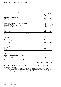#### **29 Investments in associates / Continued**

|                                                                        |                      |           |              |               | Consolidated  |
|------------------------------------------------------------------------|----------------------|-----------|--------------|---------------|---------------|
|                                                                        |                      |           |              | 2010<br>\$m   | 2009<br>\$m   |
| Movements in carrying amounts                                          |                      |           |              |               |               |
| Balance 1 July                                                         |                      |           |              | 168.4         | 284.2         |
| Transfers from joint ventures                                          |                      |           |              | (1.4)         |               |
| Unrealised losses adjustments                                          |                      |           |              | (0.3)         | (0.5)         |
| New investment                                                         |                      |           |              | 2.0           | 3.6           |
| Excess loss over equity invested written off against loans             |                      |           |              | 3.2           | 8.5           |
| Distributions received                                                 |                      |           |              | (8.4)         | (17.1)        |
| Share of loss from ordinary operating activities                       |                      |           |              | (3.4)         | (101.2)       |
| Impairment of investment                                               |                      |           |              | (5.9)         | (11.6)        |
| Increase in equity as a result of MREIT acquisition                    |                      |           |              | 21.1          |               |
| Consolidation of MREIT                                                 |                      |           |              | (63.4)        |               |
| Other                                                                  |                      |           |              | (1.6)         | 2.5           |
| Balance 30 June                                                        |                      |           |              | 110.3         | 168.4         |
| Mirvac's aggregate share of associates' assets and liabilities         |                      |           |              |               |               |
| Current assets                                                         |                      |           |              | 11.2          | 34.3          |
| Non-current assets                                                     |                      |           |              | 359.5         | 587.1         |
| Total assets                                                           |                      |           |              | 370.7         | 621.4         |
| <b>Current liabilities</b><br>Non-current liabilities                  |                      |           |              | 88.8<br>139.4 | 39.6<br>306.6 |
| <b>Total liabilities</b>                                               |                      |           |              | 228.2         | 346.2         |
| Net assets                                                             |                      |           |              | 142.5         | 275.2         |
| Mirvac's aggregate share of associates' revenues, expenses and results |                      |           |              |               |               |
| Revenues                                                               |                      |           |              | 77.6          | 60.7          |
| Expenses                                                               |                      |           |              | (86.2)        | (159.6)       |
| Loss before income tax                                                 |                      |           |              | (8.6)         | (98.9)        |
| Mirvac's aggregate share of associates' expenditure commitments        |                      |           |              |               |               |
| Capital commitments                                                    |                      |           |              |               | 52.3          |
| Fair value of listed investments in associates<br><b>MREIT</b>         |                      |           |              |               | 47.1          |
| Mirvac Industrial Trust                                                |                      |           |              | 1.9           | 4.0           |
|                                                                        |                      |           |              |               |               |
| b) Investment in associates accounted for at fair value                |                      |           |              |               |               |
|                                                                        |                      |           | Interest     |               | Consolidated  |
| Name of entity                                                         | Principal activities | 2010<br>% | 2009<br>$\%$ | 2010<br>Sm    | 2009<br>\$m   |
| James Fielding Infrastructure Yield Fund                               | Infrastructure       | 22        | 22           | 15.3          | 18.5          |
|                                                                        |                      |           |              |               |               |

#### **c) Impairment of investments**

During the year, the carrying value of the investment in Mirvac City Regeneration Fund was impaired by \$5.9m (2009: \$2.4m). The impairment loss was recognised within the 'Impairment of investments including associates and joint ventures' line within profit or loss. Mirvac considers the booking of the impairment provision as prudent based on a number of external factors currently being faced by Mirvac City Regeneration Fund and its two development projects. The Group's position has been made independently of the positions taken by the other investors within the fund. There were no indicators of impairment in respect of other associates.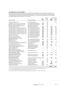#### **30 Investments in joint ventures**

Investments in joint ventures include those in corporations, partnerships and other entities and accounted for in the consolidated financial statements using the equity method of accounting. All joint ventures were incorporated in Australia with the exception of Quadrant Real Estate Advisors LLC which was incorporated in the United States. Information relating to joint ventures is set out below:

|                                                    |                                  |                          | Interest                 |                          | Consolidated             |
|----------------------------------------------------|----------------------------------|--------------------------|--------------------------|--------------------------|--------------------------|
|                                                    |                                  | 2010                     | 2009                     | 2010                     | 2009                     |
| Name of entity                                     | Principal activities             | %                        | $\%$                     | \$m                      | \$m                      |
| 197 Salmon Street Trust <sup>1</sup>               | Investment property              |                          | 50                       | $\overline{\phantom{0}}$ | 45.0                     |
| Australian Centre for Life Long Learning           | Non-residential development      | 50                       | 50                       | -                        |                          |
| Bankstown Airport Development Pty Ltd              | Non-residential development      | 50                       | 50                       | -                        |                          |
| Bargara Lifestyle Development Pty Ltd <sup>2</sup> | Residential development          | $\overline{\phantom{0}}$ | 50                       |                          |                          |
| <b>BL Developments Pty Ltd</b>                     | Residential development          | 50                       | 50                       | 47.1                     | 44.0                     |
| City West Property Investments (No.1) Trust        | Non-residential development      | 50                       | 50                       | 9.2                      | 9.0                      |
| City West Property Investments (No.2) Trust        | Non-residential development      | 50                       | 50                       | 9.2                      | 9.0                      |
| City West Property Investments (No.3) Trust        | Non-residential development      | 50                       | 50                       | 9.2                      | 9.0                      |
| City West Property Investments (No.4) Trust        | Non-residential development      | 50                       | 50                       | 9.2                      | 9.0                      |
| City West Property Investments (No.5) Trust        | Non-residential development      | 50                       | 50                       | 9.2                      | 9.0                      |
| City West Property Investments (No.6) Trust        | Non-residential development      | 50                       | 50                       | 9.2                      | 9.0                      |
| CN Collins Pty Limited                             | Non-residential development      | 50                       | 50                       | 0.2                      | 0.3                      |
| Domaine Investment Trust                           | Non-residential development      | 50                       | 50                       | $\overline{\phantom{0}}$ |                          |
| Ephraim Island Joint Venture                       | Residential development          | 50                       | 50                       | 14.3                     | 11.8                     |
| Fast Track Bromelton Pty Ltd and                   |                                  |                          |                          |                          |                          |
| Nakheel SPV Pty Ltd                                | Non-residential development      | 50                       | 50                       | 27.1                     | 12.8                     |
| High Sky Pty Ltd                                   | Non-residential development      | $\overline{\phantom{a}}$ | 33                       |                          |                          |
| <b>HPAL Freehold Pty Ltd</b>                       | Non-residential development      | 50                       | 50                       | 7.4                      | 4.1                      |
| Infocus Infrastructure Management Pty Ltd          | Investment property              | 50                       | 50                       | 1.2                      | 2.3                      |
| J F Infrastructure Pty Ltd                         | Infrastructure                   | 50                       | 50                       | $\overline{\phantom{0}}$ |                          |
| Leakes Rd Rockbank Unit Trust                      | Residential development          | 50                       | 50                       | 13.8                     | 14.0                     |
| Lifestyle Villages Management Pty Ltd <sup>2</sup> | Residential development          |                          | 50                       | -                        |                          |
| Lifestyle Villages Trust <sup>2</sup>              | Residential development          |                          | 50                       |                          |                          |
| Mirvac AQUA Pty Ltd <sup>2</sup>                   | Debt management                  |                          | 50                       |                          |                          |
| Mirvac 8 Chifley Pty Limited                       |                                  |                          |                          |                          |                          |
| (formerly Mirvac Aust Super Pty Ltd) <sup>3</sup>  | Investment property              |                          | 50                       |                          | 9.6                      |
| Mirvac Lend Lease Village Consortium/              |                                  |                          |                          |                          |                          |
| Newington Olympic Village                          | Residential development          | 50                       | 50                       | 1.0                      | 0.3                      |
| Mirvac Wholesale Residential                       |                                  |                          |                          |                          |                          |
| Development Partnership Trust                      | Residential development          | 20                       | 20                       | 16.3                     | 11.6                     |
| MVIC Finance 2 Pty Limited                         | Residential development          | 50                       | 50                       |                          |                          |
| New Zealand Sustainable                            |                                  |                          |                          |                          |                          |
| Forestry Investors 1 & 2                           | Forestry and environmental asset | 33                       | 33                       | 8.4                      | 8.4                      |
| Old Wallgrove Road Trust <sup>1</sup>              | Investment property              | $\overline{\phantom{0}}$ | 50                       | $\overline{\phantom{0}}$ | 1.9                      |
| Prosaine Management Pty Ltd                        | Investment property              |                          | 50                       | $\overline{\phantom{0}}$ |                          |
| Quadrant Real Estate Advisors LLC                  | Investment property              | 50                       | 50                       | 2.7                      | 2.3                      |
| Swanbourne Joint Venture                           | Residential development          | 50                       | 50                       | 7.0                      | 6.8                      |
| Tucker Box Holdings Pty Limited                    | Hotel investment                 | 50                       | $\overline{\phantom{m}}$ | 98.6                     | $\overline{\phantom{0}}$ |
| Walsh Bay Partnership                              | Residential development          | 50                       | 50                       | $\equiv$                 |                          |
|                                                    |                                  |                          |                          | 300.3                    | 229.2                    |

1) As a result to the MREIT acquisition, these entities have become 100 per cent owned controlled entities by the Group.

2) The Group has disposed of these investments during the year ended 30 June 2010.

3) The Group has acquired the remaining units in the investment and it is now a 100 per cent owned controlled entity.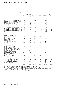#### **30 Investments in joint ventures / Continued**

| 2010<br>Name                                                       | Profit/(loss)<br>$(100\%)$<br>Sm | Mirvac share<br>profit/(loss)<br>Sm | of net Total assets<br>$(100\%)$<br>\$m | Total<br>liabilities<br>$(100\%)$<br>Sm | Net assets<br>$(100\%)$<br>Sm | Mirvac<br>carrying<br>value of<br>net assets<br>\$m |
|--------------------------------------------------------------------|----------------------------------|-------------------------------------|-----------------------------------------|-----------------------------------------|-------------------------------|-----------------------------------------------------|
| 197 Salmon Street Trust                                            |                                  | 1.6                                 |                                         |                                         |                               |                                                     |
| Australian Centre for Life Long Learning                           | (0.1)                            | $\overline{\phantom{0}}$            | 85.0                                    | 105.1                                   | (20.1)                        |                                                     |
| Bankstown Airport Development Pty Ltd                              |                                  |                                     |                                         |                                         |                               |                                                     |
| Bargara Lifestyle Development Pty Ltd                              |                                  |                                     |                                         |                                         |                               |                                                     |
| <b>BL Developments Pty Ltd</b>                                     | 8.7                              | 4.4                                 | 148.9                                   | 35.8                                    | 113.1                         | 47.1                                                |
| City West Property Investments (No.1) Trust                        | 0.2                              | 0.2                                 | 18.5                                    | $\overline{\phantom{0}}$                | 18.5                          | 9.2                                                 |
| City West Property Investments (No.2) Trust                        | 0.2                              | 0.2                                 | 18.5                                    | -                                       | 18.5                          | 9.2                                                 |
| City West Property Investments (No.3) Trust                        | 0.2                              | 0.2                                 | 18.5                                    | $\overline{\phantom{m}}$                | 18.5                          | 9.2                                                 |
| City West Property Investments (No.4) Trust                        | 0.2                              | 0.2                                 | 18.5                                    | $\overline{\phantom{0}}$                | 18.5                          | 9.2                                                 |
| City West Property Investments (No.5) Trust                        | 0.2                              | 0.2                                 | 18.5                                    | $\qquad \qquad$                         | 18.5                          | 9.2                                                 |
| City West Property Investments (No.6) Trust                        | 0.2                              | 0.2                                 | 18.5                                    | $\overline{\phantom{m}}$                | 18.5                          | 9.2                                                 |
| <b>CN Collins Pty Limited</b>                                      | (0.1)                            | $\qquad \qquad -$                   | 36.1                                    | 41.9                                    | (5.8)                         | 0.2                                                 |
| Domaine Investment Trust <sup>1</sup>                              | (1.8)                            | (0.8)                               |                                         | 5.2                                     | (5.2)                         |                                                     |
| Ephraim Island Joint Venture                                       | 5.2                              | 2.6                                 | 60.3                                    | 31.6                                    | 28.7                          | 14.3                                                |
| Fast Track Bromelton Pty Ltd                                       |                                  |                                     |                                         |                                         |                               |                                                     |
| and Nakheel SPV Pty Ltd                                            | 0.1                              |                                     | 64.8                                    | 0.4                                     | 64.4                          | 27.1                                                |
| High Sky Pty Limited                                               | $\overline{\phantom{0}}$         |                                     |                                         |                                         |                               |                                                     |
| <b>HPAL Freehold Pty Limited</b>                                   | 6.2                              | 0.9                                 | 65.2                                    | 50.4                                    | 14.8                          | 7.4                                                 |
| Infocus Infrastructure                                             |                                  |                                     |                                         |                                         |                               |                                                     |
| Management Pty Ltd                                                 | 1.1                              |                                     | 3.6                                     | 1.3                                     | 2.3                           | 1.2                                                 |
| J F Infrastructure Pty Limited <sup>2</sup>                        | (18.3)                           | (9.5)                               | 4.9                                     | 216.1                                   | (211.2)                       |                                                     |
| Leakes Rd Rockbank Unit Trust                                      | (0.3)                            | (0.2)                               | 28.3                                    | 0.7                                     | 27.6                          | 13.8                                                |
| Lifestyle Villages Management Pty Limited                          | $\overline{\phantom{0}}$         |                                     |                                         | $\overline{\phantom{0}}$                |                               |                                                     |
| Lifestyle Villages Trust                                           |                                  |                                     |                                         |                                         |                               |                                                     |
| Mirvac AQUA Pty Limited                                            | (1.0)                            | (0.6)                               |                                         |                                         |                               |                                                     |
| Mirvac 8 Chifley Pty Limited                                       |                                  |                                     |                                         |                                         |                               |                                                     |
| (formerly Mirvac Aust Super Pty Ltd)                               |                                  | (5.5)                               |                                         |                                         |                               |                                                     |
| Mirvac Lend Lease Village Consortium/<br>Newington Olympic Village |                                  | 0.6                                 | 7.5                                     | 5.4                                     | 2.1                           | 1.0                                                 |
| Mirvac Wholesale Residential                                       |                                  |                                     |                                         |                                         |                               |                                                     |
| Development Partnership Trust <sup>3</sup>                         | (12.2)                           | 3.3                                 | 506.5                                   | 310.4                                   | 196.1                         | 16.3                                                |
| MVIC Finance 2 Pty Limited                                         |                                  |                                     | 0.1                                     |                                         | 0.1                           |                                                     |
| New Zealand Sustainable                                            |                                  |                                     |                                         |                                         |                               |                                                     |
| Forestry Investors 1&24                                            | 0.7                              |                                     | 79.7                                    | 33.3                                    | 46.4                          | 8.4                                                 |
| Old Wallgrove Road Trust                                           |                                  |                                     |                                         |                                         |                               |                                                     |
| Prosaine Management Pty Limited                                    |                                  | $\overline{\phantom{0}}$            | —                                       |                                         |                               |                                                     |
| Quadrant Real Estate Advisors LLC <sup>5</sup>                     | 1.1                              | 0.8                                 | 39.2                                    | 48.7                                    | (9.5)                         | 2.7                                                 |
| Swanbourne Joint Venture                                           |                                  | —                                   | 14.6                                    | 0.3                                     | 14.3                          | 7.0                                                 |
| Tucker Box Holdings Pty Limited                                    | 21.7                             | 6.5                                 | 377.3                                   | 179.2                                   | 198.1                         | 98.6                                                |
| Walsh Bay Partnership                                              | $\overline{\phantom{0}}$         | $\overline{\phantom{0}}$            | 0.1                                     | 2.3                                     | (2.2)                         |                                                     |
|                                                                    | 12.2                             | 5.3                                 | 1,633.1                                 | 1,068.1                                 | 565.0                         | 300.3                                               |

1) The Group has written down the loan to the joint venture to cover the Group's share of loss of \$0.8m.

2) The Group has written down the loan to the joint venture to cover the Group's share of loss of \$9.5m (2009: \$11.8m).

3) The Group did not take up the impairment loss in the Group's share of profit of the joint venture, as the carrying value of the investment is already below the 20 per cent ownership of the net assets of the joint venture.

4) The Group has impaired the carrying amount of investment by \$7.4m in 2009.

5) The carrying amount reflects the Group's entitlement to the net assets independent of its financial position.

The carrying amounts reported by the Group have been adjusted for unrealised profit from transactions with the Group. The total amount adjusted is \$40.3m (2009: \$39.8m).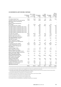#### **30 Investments in joint ventures / Continued**

| 2009                                                                         | Profit/(loss)<br>$(100\%)$<br>\$m | Mirvac share<br>profit/(loss)<br>\$m | of net Total assets<br>$(100\%)$<br>\$m | Total<br>liabilities<br>$(100\%)$<br>\$m | Net assets<br>$(100\%)$<br>\$m | Mirvac<br>carrying<br>value of<br>net assets<br>Şm |
|------------------------------------------------------------------------------|-----------------------------------|--------------------------------------|-----------------------------------------|------------------------------------------|--------------------------------|----------------------------------------------------|
| 197 Salmon Street Trust                                                      | (13.6)                            | (6.8)                                | 94.9                                    | 2.8                                      | 92.1                           | 45.0                                               |
| Australian Centre for Life Long Learning <sup>1</sup>                        | (2.4)                             | (1.2)                                | 84.8                                    | 96.8                                     | (12.0)                         |                                                    |
| Bankstown Airport Development<br>Pty Limited                                 |                                   |                                      |                                         |                                          |                                |                                                    |
| Bargara Lifestyle Development                                                |                                   |                                      |                                         |                                          |                                |                                                    |
| <b>Pty Limited</b>                                                           | 0.1                               | (0.4)                                | 8.8                                     | 10.3                                     | (1.5)                          |                                                    |
| <b>BL Developments Pty Limited</b>                                           | 11.9                              | 5.9                                  | 188.9                                   | 84.6                                     | 104.3                          | 44.0                                               |
| City West Property Investments (No 1) Trust                                  | 0.2                               | $\overline{\phantom{0}}$             | 18.3                                    | $\overline{\phantom{0}}$                 | 18.3                           | 9.0                                                |
| City West Property Investments (No 2) Trust                                  | 0.2                               |                                      | 18.3                                    |                                          | 18.3                           | 9.0                                                |
| City West Property Investments (No 3) Trust                                  | 0.2                               |                                      | 18.3                                    | -                                        | 18.3                           | 9.0                                                |
| City West Property Investments (No 4) Trust                                  | 0.2                               |                                      | 18.3                                    |                                          | 18.3                           | 9.0                                                |
| City West Property Investments (No 5) Trust                                  | 0.2                               |                                      | 18.3                                    |                                          | 18.3                           | 9.0                                                |
| City West Property Investments (No 6) Trust                                  | 0.2                               | $\overline{\phantom{0}}$             | 18.3                                    | $\overline{\phantom{0}}$                 | 18.3                           | 9.0                                                |
| CN Collins Pty Limited <sup>2</sup>                                          | (35.7)                            | (14.6)                               | 35.7                                    | 41.4                                     | (5.7)                          | 0.3                                                |
| Domaine Investment Trust                                                     | (3.4)                             | (1.7)                                | 3.4                                     | 6.8                                      | (3.4)                          | $\overline{\phantom{0}}$                           |
| Ephraim Island Joint Venture <sup>4</sup>                                    | (15.3)                            | (8.2)                                | 90.6                                    | 67.0                                     | 23.6                           | 11.8                                               |
| Fast Track Bromelton Pty Limited<br>and Nakheel SPV Pty Limited <sup>3</sup> | ╾                                 |                                      | 36.1                                    | ╾                                        | 36.1                           | 12.8                                               |
| High Sky Pty Limited                                                         |                                   |                                      |                                         |                                          |                                |                                                    |
| <b>HPAL Freehold Pty Limited</b>                                             |                                   | 3.9                                  | 50.2                                    | 41.5                                     | 8.7                            | 4.1                                                |
| Infocus Infrastructure Management                                            |                                   |                                      |                                         |                                          |                                |                                                    |
| <b>Pty Limited</b>                                                           | 1.3                               | 0.6                                  | 5.3                                     | 1.3                                      | 4.0                            | 2.3                                                |
| JF Infrastructure Pty Limited <sup>5</sup>                                   | (15.8)                            | (11.9)                               | 7.1                                     | 191.2                                    | (184.1)                        |                                                    |
| Leakes Rd Rockbank Unit Trust                                                | (0.3)                             | (0.1)                                | 28.4                                    | 0.5                                      | 27.9                           | 14.0                                               |
| Lifestyle Villages Management<br>Pty Limited                                 |                                   |                                      |                                         |                                          |                                |                                                    |
| Lifestyle Villages Trust <sup>6</sup>                                        |                                   |                                      | 8.1                                     | 6.0                                      | 2.1                            |                                                    |
| Mirvac AQUA Pty Limited <sup>7</sup>                                         | (0.5)                             | (0.3)                                | 0.3                                     | 5.7                                      | (5.4)                          |                                                    |
| Mirvac 8 Chifley Pty Limited                                                 |                                   |                                      |                                         |                                          |                                |                                                    |
| (formerly Mirvac Aust Super Pty Ltd)                                         | (40.2)                            | (20.1)                               | 40.8                                    | 22.2                                     | 18.6                           | 9.6                                                |
| Mirvac Lend Lease Village Consortium/                                        |                                   |                                      |                                         |                                          |                                |                                                    |
| Newington Olympic Village                                                    | 5.6                               | 2.2                                  | 8.0                                     | 5.9                                      | 2.1                            | 0.3                                                |
| Mirvac Wholesale Residential                                                 |                                   |                                      |                                         |                                          |                                |                                                    |
| Development Partnership Trust                                                | 2.3                               | 0.5                                  | 461.2                                   | 252.9                                    | 208.3                          | 11.6                                               |
| MVIC Finance 2 Pty Limited                                                   |                                   |                                      | 0.1                                     |                                          | 0.1                            |                                                    |
| New Zealand Sustainable<br>Forestry Investors 1&2 <sup>8</sup>               | 0.4                               | (1.6)                                | 77.6                                    | 30.6                                     | 47.0                           | 8.4                                                |
| Old Wallgrove Road Trust                                                     | 0.7                               |                                      | 9.3                                     | 0.1                                      | 9.2                            | 1.9                                                |
| Prosaine Management Pty Limited                                              | $\overline{\phantom{0}}$          | 0.2                                  | $\qquad \qquad -$                       | $\overline{\phantom{0}}$                 | $\overline{\phantom{0}}$       |                                                    |
| <b>Quadrant Real Estate Advisors LLC</b>                                     | (0.5)                             | (4.8)                                | 0.4                                     | 5.7                                      | (5.3)                          | 2.3                                                |
| Swanbourne Joint Venture <sup>9</sup>                                        | 4.4                               | 1.6                                  | 10.1                                    | 1.2                                      | 8.9                            | 6.8                                                |
| Walsh Bay Partnership                                                        |                                   |                                      | 0.4                                     | 2.6                                      | (2.2)                          |                                                    |
|                                                                              | (99.8)                            | (56.8)                               | 1,360.3                                 | 877.1                                    | 483.2                          | 229.2                                              |

1) The carrying amount of the investment has been impaired by \$7.6m to \$nil. The Group has further written down its loan to the joint venture by \$15.4m.

3) The Group's share of equity is lower than expected largely due to a \$7.0m procurement fee that is due to be returned to the joint venture partner. The remaining variance represents eliminated unearned income of (\$3.0m).

4) The Group has impaired the carrying amount of its investment by \$7.7m.

5) In 2009, the Group have further written down its loan to the joint venture to cover the loss of \$11.8m.

6) The Group impaired the carrying amount of its investment by \$2.1m.

7) The carrying amount of the investment has been impaired to \$nil.

8) The Group impaired the carrying amount of its investment by \$7.4m.

9) The variance is due to a timing difference of a distribution received from its investment.

<sup>2)</sup> The Group's carrying value includes a future management fee of \$3.1m recoverable from the investment.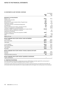#### **30 Investments in joint ventures / Continued**

|                                                                            |            | Consolidated |
|----------------------------------------------------------------------------|------------|--------------|
|                                                                            | 2010<br>Sm | 2009<br>Sm   |
| Movement in carrying amounts                                               |            |              |
| Balance 1 July                                                             | 229.2      | 316.0        |
| Transfers from associates                                                  | 1.4        |              |
| New investment                                                             | 15.6       | 29.4         |
| Excess loss over equity invested written off against loans                 | 10.7       | 10.1         |
| Distributions received                                                     | (10.5)     | (14.5)       |
| Joint venture partners' (contributions)/repayments                         | 2.7        | 1.7          |
| Unrealised loss                                                            | (0.1)      | (6.8)        |
| Share of profit/(loss) from ordinary operating activities                  | 5.3        | (56.8)       |
| Transfers to investments in controlled entities                            |            | (28.6)       |
| Acquisition of MREIT including the remeasurement of equity interest        | (104.6)    |              |
| Provision for deferred settlements recognised                              |            | 9.8          |
| Impairment of investment                                                   |            | (17.8)       |
| Increase in equity as a result of the acquisition of MREIT                 | 148.0      |              |
| Transfers to inventories                                                   |            | (11.5)       |
| Other                                                                      | 2.6        | (1.8)        |
| Balance 30 June                                                            | 300.3      | 229.2        |
| Mirvac's aggregate share of joint ventures' assets and liabilities         |            |              |
| Current assets                                                             | 188.9      | 120.6        |
| Non-current assets                                                         | 462.4      | 408.0        |
| Total assets                                                               | 651.3      | 528.6        |
| Current liabilities                                                        | 293.6      | 176.3        |
| Non-current liabilities                                                    | 141.9      | 181.2        |
| Total liabilities                                                          | 435.5      | 357.5        |
| Net assets                                                                 | 215.8      | 171.1        |
| Mirvac's aggregate share of joint ventures' revenues, expenses and results |            |              |
| Revenues                                                                   | 199.2      | 98.6         |
| Expenses                                                                   | (189.6)    | (143.0)      |
| Profit/(loss) before income tax                                            | 9.6        | (44.4)       |
| Mirvac's aggregate share of joint ventures' expenditure commitments        |            |              |
| Capital commitments                                                        |            |              |

#### **a) Impairment of investments**

In the year ended 30 June 2010 no impairment provision (2009: \$7.4m) was taken against the carrying value of the investment in New Zealand Sustainable Forestry Investors ("NZSFI").

Investments in joint ventures are reviewed at the end of each reporting period for any impairment and written off to the extent that the future benefits are no longer probable and do not support the carrying value in the investment.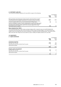#### **31 Contingent liabilities**

The Group had contingent liabilities at 30 June 2010 in respect of the following:

|                                                                                                                                                                                                                                                       |             | Consolidated |
|-------------------------------------------------------------------------------------------------------------------------------------------------------------------------------------------------------------------------------------------------------|-------------|--------------|
|                                                                                                                                                                                                                                                       | 2010<br>\$m | 2009<br>\$m  |
| Bank quarantees and performance bonds issued by external parties in respect<br>of certain performance obligations granted in the normal course of business                                                                                            | 60.3        | 85.0         |
| Asset performance guarantees. The Group has provided guarantees to owners<br>of some managed assets as to the future performance of these assets                                                                                                      | 1.5         | 3.6          |
| Claims for damages in respect of injury sustained due to health and safety issues<br>have been made during the year. The potential effect of these claims indicated<br>by legal advice is that if the claims were to be successful against the Group, |             |              |
| they would result in a liability                                                                                                                                                                                                                      | 0.3         | 0.2          |

#### **Mirvac Industrial Trust ("MIX")**

The Group guarantees part of MIX foreign exchange hedging. MIX is required to pay any shortfall between the contracted rate and the spot rate on the termination of these foreign exchange hedges. In the event that MIX was unable to pay any shortfall then the Group, as guarantor, is required to pay the shortfall amount. The amount varies daily as the spot rate changes and can be either an asset or liability. No liability existed at 30 June 2010.

#### **32 Commitments**

### **a) Capital commitments**

|                                                   |             | Consolidated |
|---------------------------------------------------|-------------|--------------|
|                                                   | 2010<br>\$m | 2009<br>\$m  |
| <b>Investment properties</b>                      |             |              |
| Not later than one year                           | 29.8        | 55.1         |
| Later than one year but not later than five years |             | 28.5         |
| Later than five years                             |             |              |
|                                                   | 29.8        | 83.6         |
| Property, plant and equipment                     |             |              |
| Not later than one year                           | 0.6         | 2.7          |
| Later than one year but not later than five years |             |              |
| Later than five years                             |             |              |
|                                                   | 0.6         | 2.7          |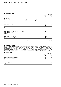## **32 Commitments / continued**

#### **b) Lease commitments**

|                                                                                                                                                                             |            | Consolidated |
|-----------------------------------------------------------------------------------------------------------------------------------------------------------------------------|------------|--------------|
|                                                                                                                                                                             | 2010<br>Sm | 2009<br>\$m  |
| <b>Operating leases</b>                                                                                                                                                     |            |              |
| Commitments in relation to non-cancellable operating leases contracted for at the<br>end of the reporting period but not recognised as liabilities, are payable as follows: |            |              |
| Not later than one year                                                                                                                                                     | 9.0        | 9.0          |
| Later than one year but not later than five years                                                                                                                           | 30.5       | 25.8         |
| Later than five years                                                                                                                                                       | $1.5\,$    | 2.0          |
|                                                                                                                                                                             | 41.0       | 36.8         |
| <b>Finance leases</b>                                                                                                                                                       |            |              |
| Commitments in relation to finance leases are payable as follows:                                                                                                           |            |              |
| Not later than one year                                                                                                                                                     | 3.5        | 0.1          |
| Later than one year but not later than five years                                                                                                                           | 13.1       |              |
| Later than five years                                                                                                                                                       |            |              |
| Residual                                                                                                                                                                    |            |              |
| Minimum lease payments                                                                                                                                                      | 16.6       | 0.1          |
| Less: Future finance charges                                                                                                                                                | (2.7)      |              |
| Representing lease liabilities (refer to note 20)                                                                                                                           | 13.9       | 0.1          |

Mirvac leases various plant and equipment with a carrying value of \$0.1m (2009: \$0.1m) under finance leases expiring in less than five years.

#### **33 Key management personnel**

#### **a) Determination of KMP**

In previous years, the KMP were determined as being members of the Executive Committee who were also business unit heads and had delegated authority from the Board. During 2009, the Board approved the creation of the ELT. For the year ended 30 June 2010 the ELT consisted of the Managing Director, the Chief Financial Officer, the Chief Operating Officer, the Chief Executive Officer — Development and the Chief Executive Officer — Investment (effective 1 July 2010). In addition, the Board also approved the transfer of the authority limits held by the Executive Committee to the ELT.

#### **b) KMP compensation**

|                                | Consolidated |             |
|--------------------------------|--------------|-------------|
|                                | 2010<br>Şm   | 2009<br>\$m |
| Short-term employment benefits | 11.7         | 10.7        |
| Post-employment benefits       | 0.2          | 0.5         |
| Security based payments        | 3.2          | 2.5         |
| Termination benefits           | 1.2          | 4.4         |
| Other long-term benefits       | 0.1          | 0.1         |
| Total                          | 16.4         | 18.2        |

Detailed remuneration disclosures are provided in the remuneration report on pages 9 to 23.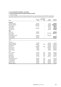## **33 Key management personnel / continued**

## **c) Equity instrument disclosures relating to Directors and KMP**

## i) Security holdings

The number of ordinary securities in Mirvac held during the year by each Director and other KMP, including their personally-related parties, are set out below. There were no securities granted during the year as compensation.

|                                     |                      | Securities                  |                          |                           |
|-------------------------------------|----------------------|-----------------------------|--------------------------|---------------------------|
| 2010                                | 1 July               | Balance issued under<br>EEP | Other<br>changes         | <b>Balance</b><br>30 June |
|                                     |                      |                             |                          |                           |
| <b>Directors</b><br>James MacKenzie |                      |                             |                          |                           |
| Nicholas Collishaw                  | 119,200              |                             | 10,714                   | 129,914                   |
| <b>Peter Hawkins</b>                | 2,027,436<br>442,547 |                             | 28,568<br>153,570        | 2,056,004<br>596,117      |
| James Millar                        |                      |                             |                          |                           |
|                                     | 208,994              | -                           | 40,714                   | 40,714                    |
| Penny Morris                        |                      | -                           | 32,142<br>25,000         | 241,136<br>25,000         |
| John Mulcahy                        |                      |                             |                          |                           |
| <b>KMP</b>                          |                      |                             |                          |                           |
| John Carfi                          | 128,913              |                             |                          | 128,913                   |
| <b>Brett Draffen</b>                | 380,272              | -                           | (100, 000)               | 280,272                   |
| <b>Gary Flowers</b>                 |                      |                             |                          |                           |
| Christopher Freeman                 | 320,724              | -                           | (320, 724)               |                           |
| <b>Grant Hodgetts</b>               | 139,440              |                             | $\overline{\phantom{0}}$ | 139,440                   |
| Justin Mitchell                     | 164,637              |                             |                          | 164,637                   |
| 2009                                |                      |                             |                          |                           |
| <b>Directors</b>                    |                      |                             |                          |                           |
| James MacKenzie                     | 55,978               |                             | 63,222                   | 119,200                   |
| Nicholas Collishaw                  | 1,461,255            | 505                         | 565,676                  | 2,027,436                 |
| Paul Biancardi                      | 8,041                |                             | 95,238                   | 103,279                   |
| <b>Adrian Fini</b>                  | 8,816,781            | 505                         | (125, 110)               | 8,692,176                 |
| <b>Peter Hawkins</b>                | 18,684               |                             | 423,863                  | 442,547                   |
| Penny Morris                        | 42,841               |                             | 166,153                  | 208,994                   |
| Richard Turner                      | 69,241               |                             | 161,704                  | 230,945                   |
| <b>KMP</b>                          |                      |                             |                          |                           |
| Evan Campbell                       | 85,543               | 505                         | 103,617                  | 189,665                   |
| John Carfi                          | 90,472               | 505                         | 37,936                   | 128,913                   |
| <b>Greg Collins</b>                 | 164,764              | 505                         | 76,290                   | 241,559                   |
| <b>Brett Draffen</b>                | 136,730              | 505                         | 243,037                  | 380,272                   |
| <b>Gary Flowers</b>                 |                      |                             |                          |                           |
| Christopher Freeman                 | 320,219              | 505                         |                          | 320,724                   |
| <b>Grant Hodgetts</b>               | 95,892               | 505                         | 43,043                   | 139,440                   |
| Justin Mitchell                     | 115,684              | 505                         | 48,448                   | 164,637                   |
| Andrew Turner                       | 390,301              | 505                         | 162,964                  | 553,770                   |
| <b>Matthew Wallace</b>              | 103,291              | 505                         | 50,000                   | 153,796                   |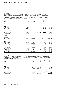#### **33 Key management personnel / continued**

#### ii) Options

Details of options granted as remuneration and stapled securities issued on the exercise of such options, together with terms and conditions of the options, are provided on pages 9 to 23 in the remuneration report.

The number of options over ordinary securities in Mirvac held during the year by each Director and other KMP, including their personally-related parties, is set out below:

| 2010                   | <b>Balance</b><br>1 July | Options<br>issued<br>under LTP | Other<br>changes | <b>Balance</b><br>30 June | Unvested  |
|------------------------|--------------------------|--------------------------------|------------------|---------------------------|-----------|
| <b>Director</b>        |                          |                                |                  |                           |           |
| Nicholas Collishaw     | 2,336,340                |                                |                  | 2,336,340                 | 2,336,340 |
| <b>KMP</b>             |                          |                                |                  |                           |           |
| John Carfi             | 368,600                  |                                |                  | 368,600                   | 368,600   |
| <b>Brett Draffen</b>   | 796,780                  |                                |                  | 796,780                   | 796,780   |
| <b>Gary Flowers</b>    | 192,300                  |                                |                  | 192,300                   | 192,300   |
| Christopher Freeman    |                          |                                |                  |                           |           |
| <b>Grant Hodgetts</b>  | 587,030                  |                                | (319, 610)       | 267,420                   | 267,420   |
| Justin Mitchell        | 471,050                  |                                |                  | 471,050                   | 471,050   |
| 2009                   |                          |                                |                  |                           |           |
| <b>Directors</b>       |                          |                                |                  |                           |           |
| Nicholas Collishaw     | 413,240                  | 1,923,100                      |                  | 2,336,340                 | 2,336,340 |
| Adrian Fini            | 413,240                  |                                | (137, 609)       | 275,631                   | 275,631   |
| <b>KMP</b>             |                          |                                |                  |                           |           |
| Evan Campbell          | 225,990                  | 416,700                        |                  | 642,690                   | 642,690   |
| John Carfi             |                          | 368,600                        |                  | 368,600                   | 368,600   |
| <b>Gregory Collins</b> | 225,990                  | 416,700                        | -                | 642.690                   | 642,690   |
| <b>Brett Draffen</b>   | 258,280                  | 538,500                        |                  | 796,780                   | 796,780   |
| <b>Gary Flowers</b>    |                          | 192,300                        |                  | 192,300                   | 192,300   |
| <b>Grant Hodgetts</b>  | 215,230                  | 371,800                        | -                | 587,030                   | 587,030   |
| Justin Mitchell        | 137,750                  | 333,300                        |                  | 471.050                   | 471,050   |
| Andrew Turner          | 204,470                  | 304,500                        |                  | 508,970                   | 508,970   |
| <b>Matthew Wallace</b> |                          | 336,500                        | -                | 336,500                   | 336,500   |

#### iii) Performance rights

Details of performance rights granted as remuneration and stapled securities issued on the exercise of such rights, together with terms and conditions of the rights are provided on pages 9 to 23 of the remuneration report. The number of performance rights in Mirvac held during the year by each Director and other KMP, including their personally-related parties, are set out below:

| 2010                  | <b>Balance</b><br>  July | Rights<br>issued<br>under LTP | Other<br>changes | <b>Balance</b><br>30 June |
|-----------------------|--------------------------|-------------------------------|------------------|---------------------------|
| <b>Director</b>       |                          |                               |                  |                           |
| Nicholas Collishaw    | 985,960                  | 2,213,600                     |                  | 3,199,560                 |
| <b>KMP</b>            |                          |                               |                  |                           |
| John Carfi            | 193,970                  | 295,700                       | -                | 489,670                   |
| <b>Brett Draffen</b>  | 316,230                  | 589,900                       | -                | 906,130                   |
| Gary Flowers          | 87,000                   | 264,800                       |                  | 351,800                   |
| Christopher Freeman   | 1,304,300                | -                             | (1,304,300)      |                           |
| <b>Grant Hodgetts</b> | 228.710                  | -                             | (132, 270)       | 96,440                    |
| Justin Mitchell       | 189,490                  | 275,000                       |                  | 464,490                   |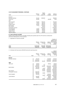# **33 Key management personnel / continued**

| 33 RET MANAGEMENT FERSONNEL / CONTINUED |                          |                               |                  |                           |
|-----------------------------------------|--------------------------|-------------------------------|------------------|---------------------------|
| 2009                                    | <b>Balance</b><br>1 July | Rights<br>issued<br>under LTP | Other<br>changes | <b>Balance</b><br>30 June |
| Directors                               |                          |                               |                  |                           |
| Nicholas Collishaw                      | 116,360                  | 869,600                       |                  | 985,960                   |
| Adrian Fini                             | 116,360                  |                               | (38,748)         | 77,612                    |
| KMP                                     |                          |                               |                  |                           |
| Evan Campbell                           | 63,640                   | 188,400                       |                  | 252,040                   |
| John Carfi                              | 27,270                   | 166,700                       |                  | 193,970                   |
| <b>Gregory Collins</b>                  | 63.640                   | 188,400                       |                  | 252,040                   |
| <b>Brett Draffen</b>                    | 72,730                   | 243,500                       |                  | 316,230                   |
| <b>Gary Flowers</b>                     |                          | 87,000                        |                  | 87,000                    |
| Christopher Freeman                     |                          | 1,304,300                     | -                | 1,304,000                 |
| <b>Grant Hodgetts</b>                   | 60,610                   | 168,100                       | -                | 228,710                   |
| Justin Mitchell                         | 38,790                   | 150,700                       | -                | 189,490                   |
| Andrew Turner                           | 57,580                   | 137,700                       |                  | 195,280                   |
| Matthew Wallace                         | 25,450                   | 152,200                       |                  | 177,650                   |

# **d) Loans to Directors and KMP**

Details of loans made to Directors and KMP (including loans granted under the LTIP and EIS), including their personally-related parties, are set out below:

# i) Aggregates for Directors and KMP

|      | Balance<br>1 Julv | Interest not<br>charged <sup>(d)</sup> | 30 June            | Number of<br>Directors and<br>KMP at end of<br>Balance the reporting<br>period<br>Number |
|------|-------------------|----------------------------------------|--------------------|------------------------------------------------------------------------------------------|
| 2010 | 9,341,460         |                                        | 501,435 15,704,246 |                                                                                          |
| 2009 | 10,262,732        | 294.112                                | 12,526,390         | 11                                                                                       |

# ii) Individuals with loans above \$100,000 during the reporting period:

| $^{\prime\prime}$<br>marriagais min ioans above gloopoo aaring the reporting period. |             |                          |                                        | Highest<br>indebtedness<br>during the |                     |  |  |
|--------------------------------------------------------------------------------------|-------------|--------------------------|----------------------------------------|---------------------------------------|---------------------|--|--|
| 2010                                                                                 | <b>Note</b> | <b>Balance</b><br>1 July | Interest not<br>charged <sup>(d)</sup> | <b>Balance</b><br>30 June             | reporting<br>period |  |  |
| <b>Director</b>                                                                      |             |                          |                                        |                                       |                     |  |  |
| Nicholas Collishaw                                                                   | (a)         | 974,470                  |                                        | 963,959                               | 974,470             |  |  |
|                                                                                      | (c)         | 1,004,500                |                                        | 1,004,500                             | 1,004,500           |  |  |
|                                                                                      | (e)         | 2,000,000                | 116,430                                | 1,900,000                             | 2,000,000           |  |  |
| <b>KMP</b>                                                                           |             |                          |                                        |                                       |                     |  |  |
| John Carfi                                                                           | (a)         | 326,921                  |                                        | 323,123                               | 326,921             |  |  |
|                                                                                      | (b)         | 80,000                   | 795                                    |                                       | 80,000              |  |  |
|                                                                                      | (e)         | 1,500,000                | 102,967                                | 1,900,000                             | 2,000,000           |  |  |
| <b>Brett Draffen</b>                                                                 | (a)         | 540,358                  |                                        | 534,609                               | 540,358             |  |  |
|                                                                                      | (b)         | 500,000                  | 27,719                                 | 450,000                               | 500,000             |  |  |
|                                                                                      | (e)         |                          | 63,780                                 | 1,900,000                             | 2,000,000           |  |  |
| Gary Flowers                                                                         | (e)         |                          | 36,774                                 | 1,000,000                             | 1,000,000           |  |  |
| Christopher Freeman                                                                  | (a)         | 1,083,596                |                                        | 1,083,596                             | 1,083,596           |  |  |
|                                                                                      | (b)         | 480,000                  | 12,924                                 |                                       | 480,000             |  |  |
| <b>Grant Hodgetts</b>                                                                | (a)         | 403,478                  |                                        | 399,490                               | 403,478             |  |  |
|                                                                                      | (e)         |                          | 70,175                                 | 1,900,000                             | 2,000,000           |  |  |
| Justin Mitchell                                                                      | (a)         | 290,287                  |                                        | 287,119                               | 290,287             |  |  |
|                                                                                      | (c)         | 157,850                  |                                        | 157,850                               | 157,850             |  |  |
|                                                                                      | (e)         |                          | 69,871                                 | 1,900,000                             | 2,000,000           |  |  |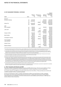# **33 Key management personnel / continued**

|                        |      | <b>Balance</b><br>1 July | Interest not<br>charged <sup>(d)</sup> | Balance<br>30 June | Highest<br>indebtedness<br>during the<br>year<br>\$ |
|------------------------|------|--------------------------|----------------------------------------|--------------------|-----------------------------------------------------|
| 2009                   | Note |                          | Ş                                      | \$                 |                                                     |
| <b>Directors</b>       |      |                          |                                        |                    |                                                     |
| Nicholas Collishaw     | (a)  | 1,001,459                |                                        | 974,470            | 1,001,459                                           |
|                        | (c)  | 1,004,500                |                                        | 1,004,500          | 1,004,500                                           |
|                        | (e)  |                          | 89,827                                 | 2,000,000          | 2,000,000                                           |
| Adrian Fini            | (a)  | 1,046,608                |                                        | 1,017,174          | 1,046,608                                           |
|                        | (b)  | 680,000                  | 45,922                                 |                    | 680,000                                             |
| <b>KMP</b>             |      |                          |                                        |                    |                                                     |
| Evan Campbell          | (a)  | 329,200                  |                                        | 320,032            | 329,200                                             |
|                        | (b)  | 80,000                   | 1,203                                  |                    | 80,000                                              |
| John Carfi             | (a)  | 336,743                  |                                        | 326,921            | 336,743                                             |
|                        | (b)  | 140,000                  | 7,474                                  | 80,000             | 140,000                                             |
|                        | (e)  |                          | 36,302                                 | 1,500,000          | 1,500,000                                           |
| <b>Gregory Collins</b> | (a)  | 463,042                  |                                        | 447,420            | 463,042                                             |
|                        | (b)  | 80,000                   | 1,203                                  |                    | 80,000                                              |
| <b>Brett Draffen</b>   | (a)  | 555,217                  |                                        | 540,358            | 555,217                                             |
|                        | (b)  | 500,000                  | 41,073                                 | 500,000            | 500,000                                             |
| Christopher Freeman    | (a)  | 1,118,430                |                                        | 1,083,596          | 1,118,430                                           |
|                        | (b)  | 480,000                  | 39,430                                 | 480,000            | 480,000                                             |
| <b>Grant Hodgetts</b>  | (a)  | 413,784                  |                                        | 403,478            | 413,784                                             |
| Justin Mitchell        | (a)  | 298,478                  |                                        | 290,287            | 298,478                                             |
|                        | (c)  | 157,850                  |                                        | 157,850            | 157,850                                             |
| Andrew Turner          | (a)  | 730,092                  |                                        | 704,123            | 730,092                                             |
|                        | (b)  | 420,000                  | 30,475                                 | 360,000            | 420,000                                             |
| <b>Matthew Wallace</b> | (a)  | 347,329                  |                                        | 336,181            | 347,329                                             |
|                        | (b)  | 80,000                   | 1,203                                  |                    | 80,000                                              |

a) Securities purchased under the LTIP, EIS and former James Fielding Group ("JFG") EIS are funded by interest-free employee loans. The loans are non-recourse to the employee in the event of a shortfall on disposal. The securities issued are held as security until the loans are repaid.

b) Loans made under the employee loan scheme are interest free, repayable over periods from six to 10 years, and repayable in full upon cessation of employment. The loans are secured by mortgage over the property or securities purchased. Loans issued under the employee loan scheme are subject to a periodic forgiveness schedule and may also be subject to terms set out in service agreements.

c) Securities issued under the former JFG EIS and converted to Mirvac securities are interest bearing employee loans. The loans are non-recourse in the event of disposal. The stapled securities issued are held as security until the loans are repaid.

d) Interest not charged excludes loans issued under the LTIP and EIS.

e) During the year ended 30 June 2009, several employees were invited to participate in an interest-free loan program which has since been closed to further entry, consistent with Mirvac's intention to eliminate the use of loan plans as part of employee reward. The amounts of the loans range from \$500,000 to \$2,000,000 and must be secured against property, or unconditional bank guarantee. Each loan was granted on a full recourse basis. A progressively increasing forgiveness schedule allows for no more than 50 per cent of the total loan balance to be forgiven after five years of continued service. The repayment date of the loan is the earlier of 12 months after the participant ceases to be employed by Mirvac, or 12 months after the fifth anniversary of the loan. Interest is payable for any period in which the loan remains unpaid after the repayment date.

f) Loan repayments are made partly from distributions and from sales of underlying securities. Other than loans forgiven to specified executives as disclosed in the remuneration report, no write downs or provision for impairment for receivables have been recognised in relation to any loans made to Directors or specified executives.

#### **e) Other transactions with Directors and KMP**

There are a number of transactions between Directors and KMP with the Group. The terms and conditions of these transactions are considered to be no more favourable than in similar transactions on an arm's length basis.

On occasions, Directors and KMP may purchase goods and services from Mirvac. These purchases are on terms and conditions available to Mirvac employees generally.

As set out in the Directors' report, a number of the Directors of Mirvac are also Directors of other companies. On occasions, the Group may purchase goods and services from or supply good and services to these entities. These transactions are undertaken on normal commercial terms and conditions and the Director or KMP does not directly influence these transactions.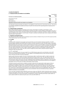# **34 Employee benefits**

### **a) Employee benefits and related on-cost liabilities**

| a) Employee Benents and related on eost naphries            | Consolidated |            |  |
|-------------------------------------------------------------|--------------|------------|--|
| Provision for employee benefits                             | 2010<br>Sm   | 2009<br>Şm |  |
| Annual leave accrual                                        | 13.9         | 17.3       |  |
| Current LSL                                                 | 6.3          | 6.4        |  |
| Non-current LSL                                             | 4.1          | 4.4        |  |
| Aggregate employee benefits and related on-cost liabilities | 24.3         | 28.1       |  |

The aggregate employee benefits and related on-cost liabilities include amounts for annual leave and LSL. The amount for LSL that is expected to be settled more than 12 months from the end of the reporting period is measured at its present value.

### **b) Superannuation commitments**

Mirvac offers employees based in Australia as part of their remuneration, the ability to participate in a staff superannuation plan managed by AustralianSuper. Employees are able to choose whether to participate in this plan or a qualifying plan of their choice. The plan provides lump sum benefits on retirement, disability or death for employees who are invited by their employer to join the plan. The plan is a defined contribution plan, which complies with relevant superannuation requirements.

# **c) Employee security/unit issues**

The total of all securities issued under all employee security schemes is limited to five per cent of the issued securities of the stapled group in any five year period.

### **d) LTI plans**

### i) EEP

The Mirvac EEP is designed to encourage security ownership across the broader employee population. The EEP provides eligible employees with \$1,000 worth of Mirvac securities annually at nil cost. The plan is open to Australian based employees with more than 12 months of continuous service, who do not participate in other Mirvac equity plans. Securities acquired under this plan must be held for a minimum of three years (or earlier at cessation of employment with the Group) during which time the securities are subject to a restriction on disposal. Otherwise, holders enjoy the same rights and benefits as other holders of Mirvac's stapled securities. On termination, employees retain any securities granted to them. At 30 June 2010, 2,634,713 stapled securities (2009: 1,614,783) had been issued to employees under the general EEP.

# ii) LTP — current plan

Mirvac's LTP was introduced in the year ended 30 June 2008 following approval by securityholders at the 2007 Annual General Meeting/General Meeting. This plan applies to the Managing Director, other Executive Directors, senior executives and other executive employees.

Awards under this plan are made in the form of performance rights. A performance right is a right to acquire one fully paid stapled security in Mirvac provided a specified performance hurdle is met. The rights offered under the scheme can only be exercised if and when these performance conditions are achieved over a three year period. If the performance rights vest and are exercised, entitlements will be satisfied by either an allotment of new securities or by purchase on market of existing securities, at the Board's discretion. Non-Executive Directors are not eligible to participate in this LTP. No loans are made to participants under this plan.

The Board reviews the performance conditions annually to determine the appropriate hurdles based on Mirvac's strategy and prevailing market practice. The Board determined, on the recommendation of the HRC, that the performance conditions to apply to the vesting of the grants made during the year ended 30 June 2010 would be Relative TSR and ROE. TSR was chosen given that it is an objective measure of securityholder value creation and has a wide level of understanding and acceptance of the measure among various key stakeholders. ROE was chosen because it measures how well management has used securityholder funds and reinvested earnings to generate additional earnings for securityholders.

At 30 June 2010, 22,238,221 (2009: 9,923,912) performance rights and 7,995,367 (2009: 10,464,491) options had been issued to participants under the plan. The number of issued rights and options are net of adjustments due to forfeiture of rights and options as a result of termination of employment. A total of 1,304,300 performance rights (2009: nil) and no options (2009: nil) vested during the year to 30 June 2010 (2009: nil).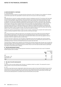# Notes to the Financial Statements

# **34 Employee benefits / continued**

#### iii) Superseded plans

Two previous LTIP were closed for new grants with the introduction of the LTP. Subject to the conditions for disposal of securities issued under the superseded LTI and EIS, loans are non-recourse in the event of disposal.

#### $FIS$

Until 2006, Mirvac's long-term variable remuneration scheme for employees was its EIS. The scheme, which was open to all permanent employees, was designed to share the benefits of the Group's performance through the provision of loans to purchase Mirvac stapled securities. Allocations were made annually, were unrestricted and fully vested on allotment. The loans were repayable via distributions received on the securities or upon their sale. Loans were provided on a recourse basis to Executive Directors but were provided on a non-recourse basis to other participants in the scheme. If the loan value is greater than the value of securities, the remaining balance is written off and the securities are forfeited. If an employee resigns or is dismissed, the outstanding loan balance is required to be paid when employment ceases. In the event of redundancy, retirement or death, the employee has 12 months after employment ceases in which to repay the loan. If the loan value is greater than the value of securities when the loan balance is due, the remaining balance is written off and the securities are forfeited.

The EIS was closed to new participants in 2006 as it was no longer considered to be consistent with market practice. However, existing arrangements remain in place until all current loans are repaid.

#### LTIP

The LTIP was introduced in 2006 and approved by securityholders at the Group's 2006 Annual General Meeting/ General Meeting. Participation in the plan was open to the Managing Director, other Executive Directors, other executives and eligible employees. Under this plan, participants were offered a loan which was applied to fund the acquisition of Mirvac's stapled securities at market value.

The term of the loan is eight years. Any loan balance outstanding at the end of the eighth year must be repaid at that time. The loan is reduced annually by applying the after-tax amounts of any distributions paid by Mirvac to the outstanding principal. The loans are interest free and non-recourse over their term.

Two performance conditions were required to be met before the securities acquired under the plan vest in full with the participant: Relative TSR and Absolute EPS growth. The satisfaction of each condition was given an equal weighting in terms of the total number of securities that may vest (that is 50 per cent of the total securities held by a participant was subject to each performance condition).

#### **e) Security based payment expense**

Total expenses arising from security based payment transactions recognised during the year as part of employee benefits expenses were as follows:

|                    |     | Consolidated |
|--------------------|-----|--------------|
| 2010               | \$m | 2009<br>\$m  |
| EEP                | 1.6 | 1.9          |
| Current plan - LTP | 7.1 | 4.8          |
| Superseded LTIP    |     | 0.4          |
| Total<br>8.7       |     | 7.1          |

# **f) Fair value of security based payment**

#### $i)$   $FFD$

The nature of the securities allotted under this plan is in substance similar to an option. The assessed fair value is taken to profit or loss as the securities vest immediately.

#### ii) LTP

Fair value at grant date has been independently determined using an option pricing model that takes into account the exercise price, the term of the securities, the current price of the underlying securities, the expected volatility of the security price, the expected dividend yield and the risk-free interest rate for the term of the security. The fair value of the security based payments is calculated using the binomial option pricing model.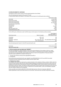# **34 Employee benefits / continued**

Assumptions used for the fair value of security based payments are as follows:

# Security based payment inputs for the current LTP plan

In valuing rights linked to the Relative TSR measure, the key inputs for the 2010 grant were as follows:

|                              | Performance rights  |
|------------------------------|---------------------|
| Grant date                   | 8 June 2010         |
| Performance hurdle           | <b>Relative TSR</b> |
| Performance period start     | 1 July 2009         |
| Performance testing date     | 30 June 2012        |
| Security price at grant date | \$1.28              |
| Exercise price               | <b>Snil</b>         |
| Expected life                | 2.1 years           |
| Volatility                   | 68%                 |
| Risk-free interest rate      | 4.45%               |
| Dividend/distribution yield  | 6.1%                |

For the 2010 grant, entitlements under the ROE measure will be based on the following vesting schedule:

| Performance level                                                                  | Return on equity      | Percentage of<br>securities subject to<br>this criterion to vest |
|------------------------------------------------------------------------------------|-----------------------|------------------------------------------------------------------|
| <threshold< td=""><td><math>\langle</math> CPI + 3.0</td><td>Nil</td></threshold<> | $\langle$ CPI + 3.0   | Nil                                                              |
| Threshold                                                                          | $CPI + 3.0$           | 50                                                               |
| Threshold $-$ maximum                                                              |                       | $CPI + 3.0$ to $CPI + 5.5$ Pro-rata between 50 and 100           |
| Maximum                                                                            | $CPI + 5.5$ and above | 100                                                              |
|                                                                                    |                       |                                                                  |

Security based payment inputs for the EEP issued during the year

| Grant date               | 23 December 2009 |
|--------------------------|------------------|
| Spot price at grant date | \$1.52           |

# **g) Mirvac executive share and option plan ("MESOP")**

The plan was adopted by a special resolution at the Annual General Meeting of the members of Mirvac Limited on 6 November 1996. The MESOP is limited to executives of Mirvac Limited approved by the Board. Participating executives do not receive benefits unless targets are achieved. Funds for the acquisition of fully paid ordinary securities under the MESOP are limited to the lesser of:

i) five per cent of Mirvac annual pre-tax aggregated net profit; or

ii) \$2,000,000.

No securities were acquired during the year ended 30 June 2010 (2009: \$nil). At 30 June 2010, the number of acquired securities outstanding under the MESOP was \$nil (2009: 1,841).

#### **h) Employee loan scheme**

The employee loan scheme was approved by a special resolution of the members of Mirvac Limited in 2002. Under the terms of the loan scheme, loans are only made to eligible employees (including Executive Directors), under terms and conditions at the discretion of the Directors of Mirvac Limited. Eligibility under the loan scheme is at the discretion of the Directors of Mirvac Limited. The total of all loans issued under the loan scheme shall not exceed 2.5 per cent of the total contributed equity and reserves of Mirvac Limited and its controlled entities. Loans are immediately repayable upon the member ceasing to be an employee.

At 30 June 2010, loans totalling \$820,000 (2009: \$1,821,560) had been offered to employees, \$820,000 (2009: \$1,821,560) of which were drawn down at 30 June 2010. These loans have a periodic forgiveness schedule.

EEP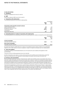# Notes to the Financial Statements

# **35 Related parties**

# **a) Subsidiaries**

Interests in subsidiaries are set out in note 15.

#### **b) KMP**

Disclosures relating to KMP are set out in note 33.

# **c) Transactions with related parties**

The following transactions occurred with related parties:

|                                                 | Consolidated |             |
|-------------------------------------------------|--------------|-------------|
|                                                 | 2010<br>Şm   | 2009<br>\$m |
| Transactions with associates and joint ventures |              |             |
| Project development fees                        | 1.8          | 6.3         |
| Management and service fees                     | 41.3         | 49.0        |
| Construction billings                           | 227.6        | 130.2       |
| Commissions                                     |              | 0.4         |
| Responsible entity fees                         | 17.7         | 24.5        |

#### **d) Outstanding balances in relation to transactions with related parties**

The following balances are outstanding at the end of the reporting period in relation to transactions with related parties:

|                                                             | Consolidated |             |
|-------------------------------------------------------------|--------------|-------------|
|                                                             | 2010<br>\$m  | 2009<br>\$m |
| <b>Current receivables</b><br>Associates and joint ventures | 63.4         | 18.6        |
| Non-current receivables<br>Associates and joint ventures    | 107.0        | 105.6       |
|                                                             |              |             |

No impairment allowance (2009: \$42.7m) in respect of receivables has been raised in relation to any outstanding balances, and no other expense has been recognised in respect of impaired receivables due from related parties.

#### **e) Terms and conditions**

Transactions relating to dividends/distributions are on the same terms and conditions that applied to other securityholders.

The terms of the tax funding agreement are set out note 6(d).

All other transactions were made on normal commercial terms and conditions and at market rates, except that there are no fixed terms for the repayment of loans between the parties, and the loans are interest free.

# **36 Financial risk management**

Mirvac's activities expose it to a variety of financial risks: market risk (including currency risk, interest rate risk and price risk), credit risk, liquidity risk and cash flow interest rate risk. Mirvac's overall risk management program seeks to minimise potential adverse effects on the financial performance of Mirvac. The Group uses various derivative financial instruments to manage certain risk exposures, specifically in relation to interest rate and foreign exchange risks on borrowings. Derivatives are exclusively used for hedging purposes and are not held for trading or speculative purposes.

Financial risk management is carried out by a central treasury department ("Mirvac Group Treasury") under policies approved by the Board. The Board provides written principles for overall risk management, as well as written policies covering specific areas, such as mitigating foreign exchange, interest rate and credit risks, use of derivative financial instruments and investing excess liquidity. Mirvac Group Treasury identifies, evaluates, reports and manages financial risks in close cooperation with the Group's operating units in accordance with Board policy.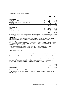The Group hold the following financial instruments:

|                                                             |      |             | Consolidated |
|-------------------------------------------------------------|------|-------------|--------------|
|                                                             | Note | 2010<br>\$m | 2009<br>\$m  |
| <b>Financial assets</b>                                     |      |             |              |
| Cash and cash equivalents                                   | 38   | 582.0       | 896.5        |
| Receivables                                                 | 8    | 386.0       | 452.6        |
| Other financial assets at fair value through profit or loss | 10   | 15.3        | 18.5         |
| Derivative financial assets                                 | 14   | 16.0        | 13.0         |
|                                                             |      | 999.3       | 1,380.6      |
| <b>Financial liabilities</b>                                |      |             |              |
| Payables                                                    | 19   | 350.4       | 342.3        |
| <b>Borrowings</b>                                           | 20   | 1,844.3     | 2,103.9      |
| Derivative financial liabilities                            | 23   | 52.9        | 43.1         |
|                                                             |      | 2,247.6     | 2.489.3      |

The carrying values of trade receivables (less impairment allowance) and payables are assumed to approximate their fair values due to their short-term nature. Derivative financial assets and liabilities are valued based upon valuation techniques.

### **a) Market risk**

Market risk is the risk that the fair value or future cash flows of a financial asset or financial liability will fluctuate because of changes in market prices. Market risk comprises currency risk, interest rate risk and price risk.

#### i) Currency risk

Foreign exchange risk refers to the change in value between foreign currencies and the Australian dollar. This change affects the assets and liabilities of Mirvac which are denominated in currencies other than Australian dollars. Mirvac foreign exchange risks arise mainly from:

- borrowings denominated in currencies other than Australian dollars which are predominately US dollars;
- investments in offshore operations which are located in the United States and New Zealand:
- $-$  receipts and payments which are denominated in other currencies; and
- foreign exchange risk on derivatives.

Mirvac manages its foreign exchange risk for its assets and liabilities denominated in other currencies by borrowing in the same currency as that in which the offshore business operates to form a natural hedge against the movement in exchange rates.

Mirvac manages its foreign currency note borrowings with cross currency swaps which swap the obligations to pay fixed or floating US dollar principal and interest payments to floating Australian dollar interest payments. Cross currency swaps in place cover 100 per cent of the US dollar denominated note principal outstanding. These swaps have the same maturity profiles as the underlying note obligations. This removes exposure to interest rates in the US market while creating floating exposures in the domestic market that have been managed to meet Mirvac's target interest rate profile. The foreign currency exchange rate has been fixed for all swaps to AUD/USD 0.7456.

At 30 June 2010, the notional amounts and periods of expiry of the cross currency swap contracts for the Group were:

|                         | 2010<br>\$m | 2009<br>Sm |
|-------------------------|-------------|------------|
| Greater than five years | 503.0       | 503.0      |

All swaps require settlement on a quarterly basis.

Translation gains or losses on the net investment in foreign operations are recorded through the foreign currency translation reserve.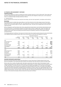#### **Sensitivity analysis**

Cross currency swaps are in place to manage the foreign exchange exposure on the US dollar debt. These swaps have the same notional principal and maturity profiles as the underlying note obligations. Based upon current exposures, there is no material foreign exchange sensitivity in Mirvac.

# ii) Interest rate risk

Mirvac's interest rate risk arises from long-term borrowings, cash and cash equivalents, receivables and derivatives.

# **Borrowings**

Borrowings issued at variable rates expose Mirvac to cash flow interest rate risk. Borrowings issued at fixed rates expose Mirvac to fair value interest rate risk. The Group's policy is to have a minimum of 50 per cent and a target of 65 per cent of borrowings subject to fixed or capped interest rates. This policy was complied with at the end of the reporting period.

Mirvac manages its cash flow interest rate risk by using interest rate derivatives. Such interest rate derivatives have the economic effect of converting borrowings from floating rates to fixed or capped rates. Under the interest rate derivatives, Mirvac agrees with other parties to exchange, at specified intervals (mainly quarterly), the difference between fixed contract rates and floating rate interest amounts calculated by reference to the agreed notional principal amounts.

The following table sets out Mirvac's net exposure to interest rate risk by maturity periods. Exposures arise predominately from liabilities bearing variable interest rates as the Group intends to hold fixed rate liabilities to maturity.

|                      |                                  | Fixed interest maturing in |                               |                             |                             |                              |                        |              |
|----------------------|----------------------------------|----------------------------|-------------------------------|-----------------------------|-----------------------------|------------------------------|------------------------|--------------|
|                      | Floating<br>interest rate<br>\$m | 1 year<br>or less<br>\$m   | Over 1 to 2<br>year(s)<br>\$m | Over 2 to 3<br>years<br>\$m | Over 3 to 4<br>years<br>\$m | Over 4 to 5<br>years<br>\$m  | Over 5<br>years<br>\$m | Total<br>\$m |
| 2010                 |                                  |                            |                               |                             |                             |                              |                        |              |
| Unsecured bank loans | 997.9                            |                            |                               |                             | -                           |                              |                        | 997.9        |
| Domestic MTN         | 100.0                            | 100.0                      |                               |                             | -                           | 150.0                        |                        | 350.0        |
| Foreign MTN          | 440.0                            |                            |                               |                             |                             |                              | 10.0                   | 450.0        |
| Secured bank loans   | 32.5                             |                            |                               | -                           |                             |                              |                        | 32.5         |
| Interest rate swaps  | (1, 132.5)                       | (50.0)                     | 332.5                         |                             | 100.0                       | (150.0)                      | 900.0                  |              |
| Lease liabilities    |                                  | 2.3                        | 2.8                           | 3.0                         | 3.2                         | 2.6                          |                        | 13.9         |
| Total                | 437.9                            | 52.3                       | 335.3                         | 3.0                         | 103.2                       | 2.6                          | 910.0                  | 1,844.3      |
| 2009                 |                                  |                            |                               |                             |                             |                              |                        |              |
| Unsecured bank loans | 1,009.1                          |                            |                               |                             |                             |                              |                        | 1,009.1      |
| Domestic MTN         | 265.0                            | 135.0                      | 100.0                         |                             |                             |                              |                        | 500.0        |
| Foreign MTN          | 462.2                            |                            |                               |                             |                             |                              | 10.0                   | 472.2        |
| Secured bank loans   | 122.5                            |                            |                               |                             |                             |                              |                        | 122.5        |
| Interest rate swaps  | (1,047.5)                        | (135.0)                    | (50.0)                        | 332.5                       |                             | $\qquad \qquad \blacksquare$ | 900.0                  |              |
| Lease liabilities    |                                  | 0.1                        |                               |                             |                             |                              |                        | 0.1          |
| Total                | 811.3                            | 0.1                        | 50.0                          | 332.5                       |                             |                              | 910.0                  | 2,103.9      |

# **Derivative instruments used by Mirvac**

Mirvac has at times entered into interest rate derivatives to convert fixed rates to floating interest rates to give Mirvac the flexibility to use existing derivative positions and maintain fixed rate exposures within the target range.

Mirvac enters into a variety of bought and/or sold option agreements which allow rates to float between certain ranges and agreements which allow the relevant bank to cancel options if certain conditions arise, the benefit of which is lower fixed rates. The rates will revert to no worse than the floating rate payable as if no derivative was entered into. These derivatives are recorded on the statement of financial position at fair value in accordance with AASB 139 Financial Instruments: Recognition and Measurement. Derivatives currently in place cover approximately 68.3 per cent (2009: 60.3 per cent) of the loan principal outstanding. The fixed interest rates range between 4.25 and 7.00 per cent (2009: 4.25 and 7.00 per cent) per annum. At 30 June 2010, the notional principal amounts, interest rates and periods of expiry of the interest rate swap contracts held by the Group were as follows: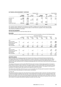|                      | Floating to fixed       |             |                         |            |                                |             | Fixed to floating       |             |  |
|----------------------|-------------------------|-------------|-------------------------|------------|--------------------------------|-------------|-------------------------|-------------|--|
|                      | Interest<br>rates (%pa) | 2010<br>\$m | Interest<br>rates (%pa) | 2009<br>Sm | <b>Interest</b><br>rates (%pa) | 2010<br>\$m | Interest<br>rates (%pa) | 2009<br>\$m |  |
|                      |                         |             |                         |            |                                |             |                         |             |  |
| Less than 1 year     | 5.95                    | 50.0        |                         |            | 6.75                           | 100.0       | 7.00                    | 135.0       |  |
| $1-2$ year(s)        | 4.25-7.00               | 332.5       | 5.95                    | 50.0       | -                              |             | 6.75                    | 100.0       |  |
| 2-3 years            |                         | -           | 4.25-7.00               | 332.5      | ۰                              |             |                         |             |  |
| 3-4 years            | 5.5                     | 100.0       |                         |            | -                              |             |                         |             |  |
| 4-5 years            |                         |             |                         |            | 8.25                           | 150.0       |                         |             |  |
| Greater than 5 years | 5.67-6.40               | 900.0       | $5.67 - 6.40$           | 900.0      |                                |             |                         |             |  |
|                      |                         | 1,382.5     |                         | 1,282.5    |                                | 250.0       |                         | 235.0       |  |

The contracts require settlement of net interest receivable or payable each reset date (generally 90 days). The settlement dates generally coincide with the dates on which interest is payable on the underlying debt.

The contracts are settled on a net basis.

#### **Cash and cash equivalents**

Cash held exposes Mirvac to cash flow interest rate risk.

### **Receivables**

The Group's exposure to interest rate risk for current and non-current receivables is set out in the following tables:

|                                                 |      |                                  |                          |                               | Fixed interest maturing in  |                             |                              |                        |              |
|-------------------------------------------------|------|----------------------------------|--------------------------|-------------------------------|-----------------------------|-----------------------------|------------------------------|------------------------|--------------|
|                                                 | Note | Floating<br>interest rate<br>\$m | 1 year<br>or less<br>\$m | Over 1 to 2<br>year(s)<br>\$m | Over 2 to 3<br>years<br>\$m | Over 3 to 4<br>years<br>\$m | Over 4 to 5<br>years<br>\$m  | Over 5<br>years<br>\$m | Total<br>\$m |
| 2010                                            |      |                                  |                          |                               |                             |                             |                              |                        |              |
| Trade receivables                               | 8    |                                  |                          |                               |                             |                             |                              | 50.5                   | 50.5         |
| Related party receivables<br>Loans to Directors | 8    | 14.0                             | 36.8                     | 3.9                           | 14.4                        | 8.1                         | $\qquad \qquad$              | 104.2                  | 181.4        |
| and employees                                   | 8    |                                  |                          |                               |                             |                             |                              | 19.4                   | 19.4         |
| Other receivables                               | 8    | 34.3                             | 41.4                     | 2.7                           | 3.0                         | 2.5                         |                              | 50.8                   | 134.7        |
|                                                 |      | 48.3                             | 78.2                     | 6.6                           | 17.4                        | 10.6                        |                              | 224.9                  | 386.0        |
| 2009                                            |      |                                  |                          |                               |                             |                             |                              |                        |              |
| Trade receivables                               | 8    |                                  |                          |                               |                             |                             |                              | 85.1                   | 85.1         |
| Related party receivables                       | 8    | 25.0                             | -                        | 24.3                          | -                           | 9.0                         | $\qquad \qquad \blacksquare$ | 100.0                  | 158.3        |
| Loans to Directors<br>and employees             | 8    |                                  |                          |                               |                             |                             |                              | 7.5                    | 7.5          |
| Other receivables                               | 8    |                                  | 0.2                      | 20.4                          | 2.5                         | -                           |                              | 178.6                  | 201.7        |
|                                                 |      | 25.0                             | 0.2                      | 44.7                          | 2.5                         | 9.0                         |                              | 371.2                  | 452.6        |

#### **Sensitivity analysis**

Mirvac's interest rate risk exposure arises from long-term borrowings, cash held with financial institutions and receivables. Based upon a 50 (2009: 100) basis point increase or decrease in Australian interest rates, the impact on profit after tax has been calculated taking into account all underlying exposures and related derivatives. This sensitivity has been selected as this is considered reasonable given the current level of both short-term and long-term interest rates.

The impact on the Group's result of a 50 (2009: 100) basis point increase in interest rates would be an increase in profit of \$16.7m (2009: increase of \$29.4m). The impact on Mirvac's result of a 50 (2009: 100) basis point decrease in interest rates would be a decrease in profit of \$15.0m (2009: decrease of \$35.1m). The impact on the Group of a movement in US dollar interest rates would not be material to profit of the Group.

The interest rate sensitivities of the Group vary on an increase/decrease 50 basis point movement in interest rates due to the interest rate optionality of a small number of derivatives.

### iii) Price risk

The Group is exposed to equity price risk arising from an equity investment (refer to note 10). The equity investment is held for the purpose of selling in the near term. As this investment is not listed, the fund manager provides a unit price each six months. At the end of the reporting period, if the unit price had been five per cent higher or lower, the effect on net profit for the year would have been \$0.7m (2009: \$0.9m). This investment represents less than one per cent of Mirvac's net assets and therefore represents minimal risk to the Group.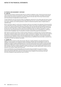# Notes to the Financial Statements

### **36 Financial risk management / continued**

#### **b) Credit risk**

Credit risk is the risk that a contracting entity will not complete its obligations under a financial instrument and will cause a financial loss. Mirvac has exposures to credit risk on cash and cash equivalents, receivables and derivative financial assets, the maximum exposure to credit risk is based on the total value of the Group's financial assets, net of any provision for impairment, as shown in note 8.

To help manage this risk, the Group has a policy for establishing credit limits for the entities dealt with which is based on the size or previous trading experience of the entity. Based upon the size or previous trading experience, Mirvac may require collateral, such as bank guarantees in relation to investment properties, leases or deposits taken on residential sales.

Mirvac may also be subject to credit risk for transactions which are not included in the statement of financial position, such as when Mirvac provides a guarantee for another party. Details of the Group's contingent liabilities are disclosed in note 31. The credit risk arising from derivatives transactions and cash held with financial institutions exposes the Group if the contracting entity is unable to complete its obligations under the contracts. Mirvac's policy is to spread the amount of net credit exposure among major financial institutions which are rated the equivalent A or above from the major rating agencies. Mirvac's net exposure and the credit ratings of its counterparties are continuously monitored and the aggregate value of transactions concluded is spread among approved counterparties.

With regard to mezzanine loans, Mirvac monitors all loans advanced on a continuous basis. Formal procedures are in place, which include the regular review of each loan's status, monitoring of compliance with loan terms and conditions, consideration of historical performance and future outlook of borrowers for realisation. These procedures include the process for the realisation of loans, review and determination of the appropriate carrying value of investments and regular dialogue with the borrowers to ensure material issues are identified as they arise. Refer to note 8 for the management of credit risk relating to receivables.

## **c) Liquidity risk**

Liquidity risk is the risk that an entity will encounter difficulty in meeting obligations associated with financial liabilities. Prudent liquidity risk management implies maintaining sufficient cash and marketable securities, the availability of funding through an adequate amount of committed credit facilities and the ability to close-out market positions, the ability to raise funds through the issue of new securities through various means including placements and/or Mirvac's DRP. Mirvac prepares and updates regular forecasts of the Group's liquidity requirements to ensure that committed credit lines are kept available in order to take advantage of growth opportunities. Surplus funds are generally only invested in highly liquid instruments.

At 30 June 2010, Mirvac has minimal liquidity risk due to there being only \$327.7m of current borrowings (which expire between September 2010 and February 2011) and undrawn facilities of \$1,119.6m. It is expected that these expiring facilities will be paid out of cash balances held. In addition in the second half of the year the Group completed an equity placement (refer to note 24).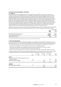# **d) Capital risk**

Mirvac's objectives when managing capital are to safeguard the Group's ability to continue as a going concern, so that it can continue to provide returns for securityholders and benefits for other stakeholders, and to maintain an optimal capital structure including maintaining an investment grade credit rating of BBB to reduce the cost of capital having regard to the real estate activities the Group invests in. The capital structure of the Group consists of debt and equity. The mix of debt and equity is measured by reference to the Group's target gearing ratio of 20 to 25 per cent. At 30 June 2010, the gearing ratio (net debt including cross currency swaps to total assets less cash) was 18.1 per cent (2009: 19.4 per cent). In order to maintain or adjust the capital structure, the Group may adjust the amount of dividends/distributions paid to securityholders, return capital to securityholders or issue new stapled securities. Mirvac prepares quarterly statements of financial position, statements of comprehensive income and cash flow updates for the current year and five year forecasts. These forecasts are used to monitor the Group's capital structure and future capital requirements, taking into account future market conditions.

Australian financial services license ratio and Queensland Building licences ratios were complied with at 30 June 2010. Mirvac also complied with all its borrowing covenant ratios at 30 June 2010. The gearing ratios were as follows:

|                                                  | Consolidated |            |  |
|--------------------------------------------------|--------------|------------|--|
|                                                  | 2010<br>Sm   | 2009<br>Şm |  |
| Net interest bearing debt less cash <sup>1</sup> | 1.311.4      | 1.248.1    |  |
| Total tangible assets less cash                  | 7.250.6      | 6.418.7    |  |
| Gearing ratio (per cent)                         | 18.1         | 19.4       |  |

1) US dollar denominated borrowings translated at cross currency instrument rate excluding leases.

### **e) Fair value measurement**

The fair value of financial assets and financial liabilities must be estimated for recognition and measurement or for disclosure purposes. As of 1 July 2009, Mirvac adopted the amendment to AASB 7 Financial Instruments: Disclosures which requires disclosure of fair value measurements by level of the following fair value measurement hierarchy:

- quoted prices (unadjusted) in active markets for identical assets or liabilities (level one);
- inputs other than quoted prices included within level one that are observable for the asset or liability, either directly (as prices) or indirectly (derived from prices) (level two); and
- inputs for the asset or liability that are not based on observable market data (unobservable inputs) (level three).

The following table presents the Group's assets and liabilities measured and recognised at fair value at 30 June 2010. Comparative information has not been provided as permitted by the transitional provisions of the new rules.

|                                                       | Note | Level one<br>\$m | Level two<br>\$m | Level three<br>\$m | Total<br>\$m |
|-------------------------------------------------------|------|------------------|------------------|--------------------|--------------|
| <b>Assets</b>                                         |      |                  |                  |                    |              |
| Financial assets at fair value through profit or loss |      |                  |                  |                    |              |
| $-$ unlisted securities                               | 10   |                  |                  | 15.3               | 15.3         |
| Derivatives used for hedging                          | 14   |                  | 16.0             |                    | 16.0         |
|                                                       |      |                  | 16.0             | 15.3               | 31.3         |
| <b>Liabilities</b>                                    |      |                  |                  |                    |              |
| Derivatives used for hedging                          | 23   |                  | 52.9             |                    | 52.9         |
|                                                       |      |                  | 52.9             |                    | 52.9         |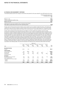The following table presents the changes in level three instruments for the year ended 30 June 2010 held by the Group:

|                                                                                                                                      | Financial assets at fair value<br>through profit or loss<br>Sm. |
|--------------------------------------------------------------------------------------------------------------------------------------|-----------------------------------------------------------------|
| Balance 1 July                                                                                                                       | 18.5                                                            |
| Losses recognised in profit or loss                                                                                                  | (3.2)                                                           |
| Balance 30 June                                                                                                                      | 15.3                                                            |
| Total losses for the year included in loss on financial instruments<br>that relate to assets held at the end of the reporting period | (3.2)                                                           |

The fair value of financial instruments traded in active markets (such as publicly traded derivatives, and trading and available for sale securities) is based on quoted market prices at the end of the reporting period. The quoted market price used for financial assets held by the Group is the current bid price. These instruments are included in level one.

The fair value of financial instruments that are not traded in an active market (for example, over-the-counter derivatives) is determined using valuation techniques. Mirvac uses a variety of methods and makes assumptions that are based on market conditions existing at the end of each reporting period. Quoted market prices or dealer quotes for similar instruments are used to estimate fair value for long-term debt for disclosure purposes. Other techniques, such as estimated DCF, are used to determine fair value for the remaining financial instruments. The fair value of interest rate swaps is calculated as the present value of the estimated future cash flows. The fair value of forward exchange contracts is determined using forward exchange market rates at the end of the reporting period. These instruments are included in level two and comprise debt investments and derivative financial instruments. In the circumstances where a valuation technique for these instruments is based on significant unobservable inputs, such instruments are included in level three. Mirvac's maturity of net and gross settled derivative and non derivative financial instruments is provided in the following table. The amounts disclosed in the table are the contractual undiscounted cash flows:

|                                      | Maturing in:             |                               |                             |                             |                             |                        |              |
|--------------------------------------|--------------------------|-------------------------------|-----------------------------|-----------------------------|-----------------------------|------------------------|--------------|
| 2010                                 | 1 year<br>or less<br>\$m | Over 1 to 2<br>year(s)<br>\$m | Over 2 to 3<br>years<br>\$m | Over 3 to 4<br>years<br>\$m | Over 4 to 5<br>years<br>\$m | Over 5<br>years<br>\$m | Total<br>\$m |
| Non-interest bearing                 |                          |                               |                             |                             |                             |                        |              |
| Payables                             | 340.0                    | 10.4                          |                             |                             |                             |                        | 350.4        |
| Interest bearing                     |                          |                               |                             |                             |                             |                        |              |
| Unsecured bank loans                 | 137.1                    | 829.8                         | 103.7                       |                             |                             |                        | 1,070.6      |
| Domestic MTN                         | 215.3                    | 12.4                          | 12.4                        | 12.4                        | 162.4                       |                        | 414.9        |
| Foreign MTN                          | 23.1                     | 23.3                          | 23.8                        | 24.3                        | 24.7                        | 491.5                  | 610.7        |
| Secured bank loans                   | 32.5                     | -                             |                             |                             |                             |                        | 32.5         |
| <b>Derivatives</b>                   |                          |                               |                             |                             |                             |                        |              |
| Net settled (interest rate swaps)    | 14.9                     | 12.6                          | 9.8                         | 7.4                         | 5.0                         | 5.0                    | 54.7         |
| Fixed to floating swaps              | (4.9)                    | (4.9)                         | (4.7)                       | (4.3)                       | (3.9)                       |                        | (22.7)       |
| Gross settled (cross currency swaps) |                          |                               |                             |                             |                             |                        |              |
| - Outflow                            | 24.2                     | 24.7                          | 25.1                        | 26.6                        | 28.0                        | 563.5                  | 692.1        |
| $-$ (Inflow)                         | (23.1)                   | (23.3)                        | (23.8)                      | (24.3)                      | (24.7)                      | (491.5)                | (610.7)      |
|                                      | 759.1                    | 885.0                         | 146.3                       | 42.1                        | 191.5                       | 568.5                  | 2,592.5      |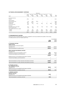|                                      | Maturing in:             |                               |                             |                             |                             |                        |              |
|--------------------------------------|--------------------------|-------------------------------|-----------------------------|-----------------------------|-----------------------------|------------------------|--------------|
| 2009                                 | 1 year<br>or less<br>\$m | Over 1 to 2<br>year(s)<br>\$m | Over 2 to 3<br>years<br>\$m | Over 3 to 4<br>years<br>\$m | Over 4 to 5<br>years<br>\$m | Over 5<br>years<br>\$m | Total<br>\$m |
| Non-interest bearing                 |                          |                               |                             |                             |                             |                        |              |
| Payables                             | 278.4                    | 63.9                          |                             |                             |                             |                        | 342.3        |
| Interest bearing                     |                          |                               |                             |                             |                             |                        |              |
| Unsecured bank loans                 | 31.9                     | 149.9                         | 932.0                       |                             |                             |                        | 1,113.8      |
| Domestic MTN                         | 323.7                    | 204.4                         |                             |                             |                             |                        | 528.1        |
| Foreign MTN                          | 25.2                     | 25.6                          | 26.4                        | 26.9                        | 27.1                        | 546.7                  | 677.9        |
| Secured bank loans                   | 126.1                    |                               |                             |                             |                             |                        | 126.1        |
| Derivatives                          |                          |                               |                             |                             |                             |                        |              |
| Net settled (interest rate swaps)    | 32.6                     | 15.0                          | (2.1)                       | (5.4)                       | (3.9)                       | (8.8)                  | 27.4         |
| Fixed to floating swaps              | (9.4)                    | (2.3)                         |                             |                             |                             |                        | (11.7)       |
| Gross settled (cross currency swaps) |                          |                               |                             |                             |                             |                        |              |
| - Outflow                            | 22.1                     | 28.7                          | 35.7                        | 38.6                        | 38.0                        | 616.4                  | 779.5        |
| $-$ (Inflow)                         | (25.2)                   | (25.6)                        | (26.4)                      | (26.9)                      | (27.1)                      | (546.7)                | (677.9)      |
|                                      | 805.4                    | 459.6                         | 965.6                       | 33.2                        | 34.1                        | 607.6                  | 2,905.5      |

# **37 Remuneration of auditors**

During the year, the following fees were paid or payable for services provided by the auditor of the Group, its related practices and non-related audit firms:

|                                                               | Consolidated  |               |  |
|---------------------------------------------------------------|---------------|---------------|--|
|                                                               | 2010<br>\$000 | 2009<br>\$000 |  |
|                                                               |               |               |  |
| a) Assurance services<br><b>Audit services</b>                |               |               |  |
| Audit and review of financial reports                         |               |               |  |
| Australian firm                                               | 1,850.0       | 1,500.0       |  |
| Total remuneration for audit services                         | 1,850.0       | 1,500.0       |  |
| Other assurance and advisory services                         |               |               |  |
| Australian firm                                               |               |               |  |
| Compliance services and regulatory returns                    | 316.1         | 404.0         |  |
| Financial due diligence and transactions                      | 993.3         | 411.3         |  |
|                                                               | 1,309.4       | 815.3         |  |
| Related practices of PricewaterhouseCoopers Australia         |               |               |  |
| Financial due diligence and transactions                      |               |               |  |
|                                                               |               |               |  |
| Total remuneration for other assurance and advisory services  | 1,309.4       | 815.3         |  |
| Total remuneration for audit, assurance and advisory services | 3,159.4       | 2,315.3       |  |
| b) Taxation services                                          |               |               |  |
| <b>Tax compliance services</b>                                |               |               |  |
| Australian firm                                               | 282.8         | 146.7         |  |
| Related practices of PricewaterhouseCoopers Australia         |               |               |  |
| Total remuneration for taxation services                      | 282.8         | 146.7         |  |
| c) Advisory services                                          |               |               |  |
| <b>Advisory services</b>                                      |               |               |  |
| Australian firm                                               | 64.0          |               |  |
| Related practices of PricewaterhouseCoopers Australia         |               |               |  |
| Total remuneration for advisory services                      | 64.0          |               |  |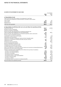# Notes to the Financial Statements

# **38 Notes to the statement of cash flows**

|                                                                                                                               |                          | Consolidated |
|-------------------------------------------------------------------------------------------------------------------------------|--------------------------|--------------|
|                                                                                                                               | 2010                     | 2009         |
|                                                                                                                               | \$m                      | Sm           |
| a) Reconciliation of cash                                                                                                     |                          |              |
| Cash at the end of the year as shown in the statement of cash flows                                                           |                          |              |
| is the same as the statement of financial position, the detail of which follows:                                              |                          |              |
| Cash on hand                                                                                                                  | 0.2                      | 0.2          |
| Cash at bank                                                                                                                  | 216.2                    | 150.1        |
| Deposits at call                                                                                                              | 365.6                    | 746.2        |
| Cash and cash equivalents                                                                                                     | 582.0                    | 896.5        |
|                                                                                                                               |                          |              |
| b) Reconciliation of profit/(loss) after tax to net cash inflows from operating activities                                    |                          |              |
| Profit/(loss) after tax                                                                                                       | 234.7                    | (1,078.1)    |
| Net gain on sale of investments                                                                                               | (10.4)                   |              |
| Discount on business combination                                                                                              | (150.7)                  |              |
| Net loss from fair value adjustments on investment properties and<br>owner-occupied hotel management lots and freehold hotels | 6.9                      | 487.2        |
| Net loss from fair value adjustments on investment properties under construction                                              | 112.8                    |              |
| Net loss of sale of investment properties                                                                                     | 0.2                      |              |
| Loss/(profit) on sale of non-current assets                                                                                   | 1.1                      | (0.9)        |
| Depreciation and amortisation                                                                                                 | 31.2                     | 28.3         |
| Impairment of goodwill, management rights and other intangible assets                                                         | $\overline{\phantom{0}}$ | 273.6        |
| Impairment of investments including associates and joint ventures                                                             | 6.2                      | 41.6         |
| Impairment of loans                                                                                                           | 5.9                      | 59.4         |
| Provision for loss on inventories                                                                                             |                          | 186.5        |
| Security based payments expense                                                                                               | 8.7                      | 7.1          |
| Business combination transaction costs                                                                                        | 19.4                     |              |
| Unrealised loss on financial instruments                                                                                      | 11.0                     | 38.0         |
| Unrealised (gain)/loss on foreign exchange                                                                                    | (21.5)                   | 72.6         |
| Share of net (gain)/loss of associates and joint ventures not received as dividends/distributions                             | (1.9)                    | 158.0        |
| Distributions from joint venture partnerships                                                                                 | 19.7                     | 39.3         |
| Change in operating assets and liabilities, net of effects from purchase of subsidiary:                                       |                          |              |
| - Increase in income taxes payable                                                                                            | 13.0                     | 56.9         |
| - Decrease in tax effected balances                                                                                           | (14.5)                   | (83.8)       |
| - Decrease in receivables                                                                                                     | 103.0                    | 61.2         |
| - Decrease/(increase) in inventories                                                                                          | 29.2                     | (88.2)       |
| - Decrease/(increase) in other assets/liabilities                                                                             | 2.9                      | (7.2)        |
| - Increase in financial assets                                                                                                | (2.1)                    | (26.3)       |
| - Decrease in creditors                                                                                                       | (65.0)                   | (156.2)      |
| - Increase/(decrease) in provisions for employee benefits                                                                     | 0.2                      | (20.9)       |
| Net cash inflows from operating activities                                                                                    | 340.0                    | 48.1         |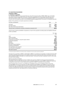# **39 Acquisition of businesses**

#### **Acquisition of MREIT**

### **a) Summary of acquisition**

On 7 December 2009, the Group acquired 75.4 per cent of the issued securities of MREIT. MREIT was a diversified real estate investment trust, listed on the ASX. At the date of acquisition, the Group already held 24.6 per cent of the issued securities of MREIT. As part of the acquisition of MREIT, the Group acquired the remaining additional 33.3 per cent of the issued securities of the Springfield Regional Shopping Centre Trust which is a transaction with NCI.

Details of the preliminary net assets acquired are as follows:

| Purchase consideration                                                | Note  | Sm    |
|-----------------------------------------------------------------------|-------|-------|
| Cash paid                                                             | 39(b) | 59.4  |
| Securities issued                                                     | 39(c) | 149.2 |
| Fair value of previously held interest                                | 39(d) | 91.9  |
| Total purchase consideration excluding consideration allocated to NCI |       | 300.5 |

The fair value of assets and liabilities recognised as a result of the acquisition excluding assets and liabilities allocated to NCI is as follows:

|                                                   | Fair value<br>\$m |
|---------------------------------------------------|-------------------|
|                                                   |                   |
| Cash                                              | 55.2              |
| Trade receivables                                 | 4.1               |
| Other financial assets                            | 30.4              |
| Investments accounted for using the equity method | 148.4             |
| Investment properties                             | 690.7             |
| Payables                                          | (32.0)            |
| <b>Borrowings</b>                                 | (452.5)           |
| Derivative financial liabilities                  | (17.7)            |
| Provision for distribution                        | (6.3)             |
| Net identifiable assets acquired                  | 420.3             |
| Less: Discount on acquisition                     | (119.8)           |
| Net assets acquired <sup>1</sup>                  | 300.5             |

1) Net assets acquired of \$300.5m is the total purchase consideration for the net assets acquired excluding NCI.

The discount on acquisition of MREIT is attributable to MREIT's circumstances at acquisition, including short-term debt maturities, potential covenant breaches and capital constraints which would have been likely to adversely impact the value realisable by MREIT unitholders on a stand alone basis. The discount has been recognised in profit or loss, under the other income heading.

# Revenue and profit contribution

The acquired business contributed revenues of \$61.1m and a net loss of \$53.7m to the Group for the period from 7 December to 30 June 2010. The loss was a result of acquisition transaction costs in MREIT of \$8.2m and expensing of prepaid borrowing costs of \$4.2m following the repayment of MREIT's syndicated borrowing facility.

If the acquisition had occurred on 1 July 2009, the consolidated revenue and consolidated profit for the Group (including MREIT) for the year ended 30 June 2010 would have been \$1,759.1m and of \$185.4m respectively. These amounts have been calculated using the Group's accounting policies and by adjusting the results of the subsidiary to reflect the additional amortisation of lease incentives in respect of investment properties that would have been charged assuming the fair value adjustments to investment properties.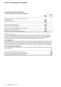# **39 Acquisition of businesses / continued**

# **b) Purchase consideration — cash outflow on acquisition**

|                                                             | Consolidated      |             |
|-------------------------------------------------------------|-------------------|-------------|
|                                                             | 2010<br><b>Sm</b> | 2009<br>\$m |
| Outflow of cash to acquire subsidiary, net of cash acquired |                   |             |
| Cash consideration                                          | (59.4)            |             |
| Less: Balance acquired                                      | 55.2              |             |
|                                                             | (4.2)             |             |
| Direct costs relating to acquisition                        | (15.2)            |             |
| Outflow of cash $-$ investing activities                    | (19.4)            |             |
| Acquisition of additional ownership interest in subsidiary  | (13.7)            |             |
| Outflow of $cash$ - financing activities                    | (13.7)            |             |
| Total outflow of cash to acquire subsidiary and NCI         | (33.1)            |             |
|                                                             |                   |             |

# Acquisition related costs

The total business combination transaction costs for the year were \$19.4m. Costs relating to acquisition of MREIT of \$18.3m, (including the post acquisition write off of \$4.2m for prepaid borrowing costs on the extinguishing MREIT's debt) and other business acquisition costs of \$1.1m are included in other expenses in the consolidated statement of comprehensive income and in investing cash flows in the consolidated statement of cash flows.

# **c) Securities issued**

As part of the acquisition, the Group issued 190.1m securities, the fair value of which was determined to be the market value of \$1.405 per security, being the market value of Mirvac securities at the acquisition date. The total fair value was \$267.1m. Of the total securities issued, \$83.5m were in relation to the previously held (24.6 per cent) interests and \$34.4m was attributed to the acquisition of the NCI, and accordingly the net amount of securities issued was \$149.2m.

# **d) Fair value of previously held interest**

Prior to the acquisition, the Group held 24.6 per cent of the securities of MREIT. The table below sets out the fair value of these securities:

|                                                              | Sm   |
|--------------------------------------------------------------|------|
| Carrying value of securities prior to the acquisition        | 61.0 |
| Gain on revaluing securities held as part of the acquisition | 30.9 |
| Fair value of securities held at the time of acquisition     | 91.9 |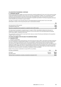# **39 Acquisition of businesses / continued**

# **e) Transactions with NCI**

As part of the acquisition of MREIT, the Group acquired the remaining additional 33.3 per cent of the issued securities of Springfield Regional Shopping Centre Trust, for a purchase consideration of \$48.1m. The consideration consisted of \$13.7m in cash and \$34.4m in securities issued by the consolidated entity. The carrying amount of the NCI in Springfield Regional Shopping Centre Trust on the date of acquisition was \$54.9m. The Group recognised a decrease in NCI of \$54.9m and an increase in equity of \$6.8m.

The effect of changes in the ownership interest of Springfield Regional Shopping Centre Trust on the equity attributable to owners of the Group during the year is summarised as follows:

|                                                                            | Sm.    |
|----------------------------------------------------------------------------|--------|
| Carrying amount of NCI acquired                                            | 54.9   |
| Consideration paid to NCI                                                  | (48.1) |
| Discount on acquisition and recognised in a separate reserve within equity | 6.8    |

The total amount recognised in a separate reserve in equity is \$7.6m, being \$6.8m relating to the discount on acquisition of the NCI and \$0.9m being the difference in the carrying value of the Springfield Regional Shopping Centre held by MREIT compared to the Group.

The consideration paid for the NCI is less than the fair value as a result of the discount attributed on the acquisition of MREIT (refer to note 39(a)).

# **40 Events occurring after the end of the reporting period**

# **a) Acquisition of WOT**

# i) Summary of acquisition

On 4 August 2010 the Group acquired 100 per cent of the issued securities in WOT, a ASX listed real estate investment trust, for consideration of approximately \$404.1m. The acquisition is expected to increase the Group's market share and reduce cost through economies of scale. The financial effects of this transaction have not been brought to account at 30 June 2010. The information provided below represents amounts disclosed in the 30 June 2010 financial statements of WOT, lodged with ASIC on 3 August 2010. Due to the timing of this acquisition the exercise to identify any adjustments to the fair value of the assets and liabilities attained on acquisition date has not been finalised, and therefore the initial accounting for the business combination remains incomplete.

Details of the purchase consideration to acquire WOT are as follows:

Purchase consideration Note **\$m**

| T di chase consideration.                                             | 13 U L C   | ◡     |
|-----------------------------------------------------------------------|------------|-------|
| Cash paid                                                             | 40(a)(iii) | 200.0 |
| Securities issued                                                     | 40(a)(v)   | 204.1 |
| Total purchase consideration excluding consideration allocated to NCI |            | 404.1 |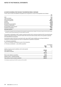# **40 Events occurring after the end of the reporting period / continued**

The fair value of assets and liabilities anticipated to be recognised as a result of the acquisition are as follows:

|                                      | \$m     |
|--------------------------------------|---------|
| Cash                                 | 17.4    |
| Trade receivables                    | 2.6     |
| Other financial assets               | 22.2    |
| Investment properties                | 1,107.8 |
| Payables                             | (6.4)   |
| <b>Borrowings</b>                    | (721.9) |
| Derivative financial liabilities     | (20.1)  |
| Provision for distribution           | (8.0)   |
| Net identifiable assets acquired     | 393.6   |
| Goodwill on acquisition <sup>1</sup> | 10.5    |
| Net assets acquired                  | 404.1   |

1) The goodwill on acquisition will not be finalised until the acquisition accounting has been completed. This amount is based on the fair values of assets disclosed in the WOT financial statements for the year ended 30 June 2010.

The goodwill is attributable to WOT's quality investment portfolio which comprises properties which are predominantly leased to high quality tenants on long term leases with structured rental increases. None of the goodwill is expected to be deductible for tax purposes.

As previously noted an exercise to ascertain the fair value of WOT assets, liabilities and contingent liabilities to calculate the resultant goodwill may result in an adjustment to goodwill on acquisition.

ii) Contingent consideration

There is no contingent consideration as part of this transaction.

 $iii)$  Purchase consideration  $-$  cash outflow acquisition

|                                                             | Consolidated |             |
|-------------------------------------------------------------|--------------|-------------|
|                                                             | 2010<br>\$m  | 2009<br>\$m |
| Outflow of cash to acquire subsidiary, net of cash acquired |              |             |
| Cash consideration                                          | (200.0)      |             |
| Less: Balance acquired <sup>1</sup>                         | 17.4         |             |
|                                                             | (182.6)      |             |
| Direct costs relating to acquisition                        | (40.1)       |             |
| Outflow of cash $-$ investing activities                    | (222.7)      |             |
| Total outflow of cash to acquire subsidiary                 | (222.7)      |             |
|                                                             |              |             |

1) Cash balance acquired as per the WOT accounts as at 30 June 2010.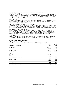# **40 Events occurring after the end of the reporting period / continued**

### iv) Acquisition related costs

Acquisition related costs of \$40.1m are expected to be incurred (including \$25.1m of transaction costs relating directly to the acquisition and \$15.0m for Westpac giving up its opportunity to earn future management fees). These amounts are based on the information contained in the Explanatory Memorandum ("EM") lodged with ASIC on 16 June 2010, and may be materially different to what has been assumed.

# v) Securities issued

As part of the acquisition, the Group issued 149.1m securities, the fair value of which was determined to be the market value of \$1.37 per security, being the market value of Mirvac securities at the acquisition date. The total fair value of securities issued as part of the acquisition was \$204.1m.

# vi) Acquistion of remaining interest in North Ryde Office Trust ("NROT")

The Group acquired the remaining 50 per cent interest in NROT, for a purchase consideration of \$22.5m. NROT owns the Westpac Data Centre at 50-60 Talavera and Khartoum Roads at Macquarie Park, NSW. The Group acquired the other 50 per cent interest in NROT through its acquisition of WOT. As a result, Mirvac now holds all of the units in NROT.

# vii) Information not disclosed as not yet available

At the time the financial statements were authorised for issue, the Group had not yet completed the accounting for the acquisition of WOT. In particular, the fair values of the assets and liabilities disclosed above are based on WOT's financial statements at 30 June 2010 and are subject to change. It is also not yet possible to provide detailed information about each class of acquired receivables and any contingent liabilities of the acquired entity.

# **b) Other events**

No other circumstances have arisen since the end of the year which have significantly affected or may significantly affect the operations of Mirvac, the results of those operations, or the state of affairs of Mirvac in future years.

# **41 Parent entity financial information**

### **a) Summary financial information**

The individual financial statements for the parent entity show the following aggregate amounts:

| Statement of financial position   | 2010<br>\$m | 2009<br>\$m |
|-----------------------------------|-------------|-------------|
|                                   |             |             |
| <b>Current assets</b>             | 3,299.3     | 3,107.9     |
| <b>Total assets</b>               | 3,745.3     | 3,468.7     |
| <b>Current liabilities</b>        | 1,779.0     | 1,570.8     |
| <b>Total liabilities</b>          | 2,445.7     | 2,222.5     |
| <b>Equity</b>                     |             |             |
| Issued capital                    | 1,223.7     | 1,153.7     |
| Reserves                          |             |             |
| Security based payments reserve   | 16.7        | 19.3        |
| Capital reserve                   | (0.2)       |             |
| Retained earnings                 | 59.4        | 73.2        |
|                                   | 1,299.6     | 1,246.2     |
| Loss for the year                 | (13.8)      | (7.8)       |
| <b>Total comprehensive income</b> | (13.8)      | (7.8)       |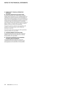# Notes to the Financial Statements

# **41 Parent entity financial information / CONTINUED**

# **b) Guarantees entered into by the parent entity**

The parent guarantees part of MIX foreign exchange hedging. MIX is required to pay any shortfall between the contracted rate and the spot rate on the termination of these foreign exchange hedges. In the event that MIX was unable to pay any shortfall then the parent, as guarantor, is required to pay the shortfall amount. The amount varies daily as the spot rate changes and can be either an asset or liability. The parent does not expect a material liability to arise as a result of this guarantee.

The parent is party to a deed of cross guarantee, with members of the closed group. Further details are disclosed in note 15(c).

The parent entity did not provide any other guarantees at 30 June 2010 or 30 June 2009.

**c) Contingent liabilities of the parent entity**

The parent entity did not have any other contingent liabilities other than the item referred to in 41(b) at 30 June 2010 or 30 June 2009.

# **d) Contractual commitments for the acquisition of property, plant and equipment**

The parent entity did not have any contractual commitments for the acquisition of property, plant and equipment at 30 June 2010 or 30 June 2009.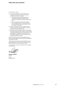# Directors' Declaration

In the Directors' opinion:

- a) the financial statements and the notes set out on pages 39 to 126 are in accordance with the Corporations Act 2001, including:
	- i) complying with Accounting Standards, the Corporations Regulations 2001 and other mandatory professional reporting requirements; and
	- ii) giving a true and fair view of the company's and consolidated entity's financial position at 30 June 2010 and of their performance for the year ended on that date;
- b) there are reasonable grounds to believe that the company will be able to pay its debts as and when they become due and payable; and
- (c) at the date of this declaration, there are reasonable grounds to believe that the members of the extended closed group identified in note 15 will be able to meet any obligations or liabilities to which they are, or may become, subject by virtue of the deed of cross guarantee described in note 15.

Note 1(b) confirms that the financial statements also comply with International Financial Reporting Standards as issued by the IASB.

The Directors have been given the declarations by the Managing Director and Chief Financial Officer required by section 295A of the Corporations Act 2001.

This declaration is made in accordance with a resolution of the Directors.

**Nicholas Collishaw** Director Sydney 24 August 2010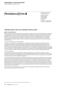# **PRICEWATERHOUSE COPERS**

PricewaterhouseCoopers ABN 52 780 433 757 Darling Park Tower 2 201 Sussex Street GPO BOX 2650 Sydney NSW 1171 DX 77 Sydney Australia

Telephone +61 2 8266 0000 Facsimile +61 2 8266 9999

# **Independent auditor's report to the shareholders of Mirvac Limited**

# **Report on the financial report**

We have audited the accompanying financial report of Mirvac Limited (the company), which comprises the statement of financial position as at 30 June 2010 and the statement of comprehensive income, statement of changes in equity and statement of cash flows for the year ended on that date, a summary of significant accounting policies, other explanatory notes and the directors' declaration for the Mirvac Group (the consolidated entity). The consolidated entity comprises the company and the entities it controlled at the year's end, including Mirvac Funds Limited as responsible entity for Mirvac Property Trust and the entities it controlled at year's end, or from time to time during the financial year.

# Directors' responsibility for the financial report

The directors of the company are responsible for the preparation and fair presentation of the financial report in accordance with Australian Accounting Standards (including the Australian Accounting Interpretations) and the Corporations Act 2001. This responsibility includes establishing and maintaining internal controls relevant to the preparation and fair presentation of the financial report that is free from material misstatement, whether due to fraud or error; selecting and applying appropriate accounting policies; and making accounting estimates that are reasonable in the circumstances. In Note 1, the directors also state, in accordance with Accounting Standard AASB 101 Presentation of Financial Statements, that the financial statements comply with International Financial Reporting Standards.

# Auditor's responsibility

Our responsibility is to express an opinion on the financial report based on our audit. We conducted our audit in accordance with Australian Auditing Standards. These Auditing Standards require that we comply with relevant ethical requirements relating to audit engagements and plan and perform the audit to obtain reasonable assurance whether the financial report is free from material misstatement.

An audit involves performing procedures to obtain audit evidence about the amounts and disclosures in the financial report. The procedures selected depend on the auditor's judgement, including the assessment of the risks of material misstatement of the financial report, whether due to fraud or error. In making those risk assessments, the auditor considers internal control relevant to the entity's preparation and fair presentation of the financial report in order to design audit procedures that are appropriate in the circumstances, but not for the purpose of expressing an opinion on the effectiveness of the entity's internal control. An audit also includes evaluating the appropriateness of accounting policies used and the reasonableness of accounting estimates made by the directors, as well as evaluating the overall presentation of the financial report.

Our procedures include reading the other information in the Annual Report to determine whether it contains any material inconsistencies with the financial report.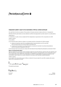# **PRICEWATERHOUSE COPERS IS**

# **Independent auditor's report to the shareholders of Mirvac Limited (continued)**

Our audit did not involve an analysis of the prudence of business decisions made by directors or management.

We believe that the audit evidence we have obtained is sufficient and appropriate to provide a basis for our audit opinions. Independence

In conducting our audit, we have complied with the independence requirements of the Corporations Act 2001.

#### Auditor's opinion

In our opinion:

(a) the financial report of Mirvac Limited is in accordance with the Corporations Act 2001, including:

- (i) giving a true and fair view of the consolidated entity's financial position as at 30 June 2010 and of its performance for the year ended on that date; and
- (ii) complying with Australian Accounting Standards (including the Australian Accounting Interpretations) and the Corporations Regulations 2001; and

(b) the financial report and notes also comply with International Financial Reporting Standards as disclosed in Note 1.

# **Report on the Remuneration Report**

We have audited the remuneration report included in pages 9 to 23 of the directors' report for the year ended 30 June 2010. The directors of the company are responsible for the preparation and presentation of the remuneration report in accordance with section 300A of the Corporations Act 2001. Our responsibility is to express an opinion on the remuneration report, based on our audit conducted in accordance with Australian Auditing Standards.

#### Auditor's opinion

In our opinion, the remuneration report of Mirvac Limited for the year ended 30 June 2010, complies with section 300A of the Corporations Act 2001.

moturnal en po

PricewaterhouseCoopers

トド・サイ

R L Gavin Sydney Partner 2010 **Partner** 24 August 2010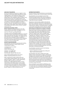#### **Stapling of securities**

Mirvac was originally formed by the "stapling" of the securities of three listed entities being Mirvac Limited, Capital Property Trust and Mirvac Property Trust in June 1999, by way of a scheme of arrangement. In 2001/02 Mirvac was simplified by Mirvac Property Trust acquiring all the units in the Capital Property Trust (which by then had been renamed Mirvac Commercial Trust), such that the resulting stapled structure consisted of one Mirvac Limited share stapled to one Mirvac Property Trust unit. This stapled structure remains in place today. Further details may be found under History in the Investor Information section of Mirvac's website: www.mirvac.com.

# **Securities exchange listing**

Mirvac's stapled securities are quoted on the ASX, trading under the code: MGR. The stapled securities cannot be dealt with or traded separately.

There are currently 3,415,314,823 stapled

securities on issue. The stapled security price is reported daily in the Industrial Share table in the Market trading data published in daily newspapers. The stapled security price may also be accessed on Mirvac's website or at www.asx.com.au. For the purpose of ASX Listing Rule 4.10, unless otherwise stated, the information in this section is current at 11 August 2010.

# **Securityholder enquires**

Securityholders with queries concerning their holding, distribution payments or related matters should contact Mirvac's registry:

Link Market Services Limited Locked Bag A14 Sydney South NSW 1235

Telephone +61 2 8280 7107 Facsimile +61 2 9287 0303 Securityholder enquiries 1800 356 444

Email registrars@linkmarketservices.com.au Website www.linkmarketservices.com.au

When contacting the registry please quote your current address details together with your Security Reference Number ("SRN") or Holder Identification Number ("HIN") as shown on your Issuer Sponsored or CHESS statement. Mirvac's website, in the Investor Information section, is also a useful reference point for securityholders. Securityholders who wish to advise the registry of a change of address or change of other details should do so in writing to Mirvac's registry or online at www.mirvac.com.

#### **Distribution payments**

Directors propose to pay distributions to securityholders quarterly in January, April, July and October of each year.

Securityholders are encouraged to receive their distributions electronically, rather than by cheque, as a secure and efficient means of payment. Distributions can be paid directly into any bank, building society or credit union account in Australia.

Payments are electronically credited on the day the distribution is paid and confirmed by mailed payment advice. Securityholders wishing to use this facility should contact Mirvac's registry. A distribution history is available in the Investor Information section of Mirvac's website.

# **Provision of information to securityholders**

Mirvac publishes, and posts to its website, its Annual Report each year. Full financial statements are lodged with ASX and ASIC (under dual lodgement) and are also available within the Investor Information section of Mirvac's website. Other reports available within this section include Mirvac's Preliminary Final Report ("Appendix 4E") released in August of each year, Half Year Reports released in February of each year, Property Compendium and other relevant reports and presentations. Mirvac is very conscious of the environmental impact of printing and dispatching hard copies of its Annual Report and encourages all securityholders to receive communications from the Group by email if possible. The provision of information by Mirvac to its securityholders by email is immediate and secure, as well as providing significant cost savings particularly in printing and postage.

Securityholders can elect to receive the following communications electronically:

- Notices of Meetings and online proxy voting; and

- Major market announcements.

Securityholders who wish to register their email address should contact Mirvac's registry. Following the changes to the Corporations Act 2001 (Cth) enacted by the Federal Government in 2007, and consistent with Mirvac's commitment to the environment and sustainable practices, the Group now provides its Annual Report to all securityholders online, with a hard copy of the Report only provided to securityholders who specifically request to receive a copy in this form.

All securityholders receive Notices of Meetings, proxy forms and other communications either electronically or in hard copy form, as requested, regardless of whether or not they have elected to receive the Annual Report in hard copy.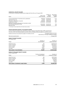# **Substantial securityholders**

As disclosed in substantial holding notices lodged with the ASX as at 11 August 2010:

| Name                                                                                  | Date of last<br>notice received | Number of<br>stapled<br>securities | Percentage<br>of issued<br>capital <sup>1</sup> |
|---------------------------------------------------------------------------------------|---------------------------------|------------------------------------|-------------------------------------------------|
| Commonwealth Bank of Australia and its subsidiaries                                   | 4/9/2009                        | 177,668,390                        | 6.33                                            |
| Vanguard Group, Inc.                                                                  | 1/3/2010                        | 186.167.992                        | 6.21                                            |
| ING and its related Body Corporate                                                    | 19/4/2010                       | 189,513,841                        | 5.84                                            |
| AusBil Dexia Limited                                                                  | 15/10/2009                      | 144.991.690                        | 5.17                                            |
| BlackRock Investment Management (Australia) Limited<br>and associated BlackRock Group | 31/12/2009                      | 154.704.716                        | 5.16                                            |
| <b>Barclays Group</b>                                                                 | 7/10/2009                       | 137.805.294                        | 4.91                                            |

1) Percentage of issued capital held as at the date notice provided.

# **Stapled securities subject to voluntary escrow**

As part of the trust scheme under which Mirvac Funds Limited as responsible entity of MPT acquired all of the units in WOT, the following stapled securities held by a Westpac entity are subject to voluntary escrow:

| Number and class of securities the subject of voluntary escrow | 22,248,914 stapled securities<br>(held directly or through instalment receipts) |
|----------------------------------------------------------------|---------------------------------------------------------------------------------|
| Date escrow period ends                                        | 4 August 2011                                                                   |
|                                                                |                                                                                 |

#### **Range of securityholders** At 11 August 2010

| Range<br>securityholders<br>376<br>100,001 and over<br>10,001 to 100,000<br>8,026<br>7,548<br>5,001 to 10,000 | 39,347,363<br>3,228,288         |
|---------------------------------------------------------------------------------------------------------------|---------------------------------|
|                                                                                                               | 188,059,257<br>54,937,641       |
|                                                                                                               | 3,129,742,274                   |
| Number of                                                                                                     | Number of<br>stapled securities |

#### **Range of instalment receipt holders** As at 11 August 2010

| As at it August Ebio                       |                                          |                                  |
|--------------------------------------------|------------------------------------------|----------------------------------|
| Range                                      | Number of instalment<br>receipts holders | Number of<br>instalment receipts |
| 100,001 and over                           | 184                                      | 80,372,464                       |
| 10,001 to 100,000                          | 1,513                                    | 45,138,549                       |
| 5,001 to 10,000                            | 531                                      | 3,753,784                        |
| 1,001 to 5,000                             | 492                                      | 1,387,421                        |
| 1 to 1,000                                 | 66                                       | 40,202                           |
| Total number of instalment receipt holders | 2,786                                    | 130,692,420                      |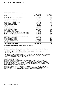# **20 largest securityholders**

The 20 largest securityholders on Mirvac's register at 11 August 2010 are:

| Name                                                       | Number of<br>stapled securities | Percentage of<br>issued equity |
|------------------------------------------------------------|---------------------------------|--------------------------------|
| HSBC Custody Nominees (Australia) Limited                  | 911,964,796                     | 26.70                          |
| National Nominees Limited                                  | 675,429,653                     | 19.78                          |
| J P Morgan Nominees Australia Limited                      | 622,472,632                     | 18.23                          |
| Citicorp Nominees Pty Limited                              | 155,349,643                     | 4.55                           |
| Westpac Custodian Nominees Limited                         | 122,416,440                     | 3.58                           |
| Cogent Nominees Pty Limited                                | 89,473,743                      | 2.62                           |
| Citicorp Nominees Pty Limited                              | 48,679,945                      | 1.43                           |
| AMP Life Limited                                           | 47,797,714                      | 1.40                           |
| ANZ Nominees Limited                                       | 46,518,736                      | 1.36                           |
| Cogent Nominees Pty Limited                                | 29,883,026                      | 0.87                           |
| Citicorp Nominees Pty Limited                              | 21,867,478                      | 0.64                           |
| <b>Bond Street Custodians Limited</b>                      | 21,012,032                      | 0.62                           |
| Queensland Investment Corporation                          | 20,045,006                      | 0.59                           |
| RBC Dexia Investor Services Australia Nominees Pty Limited | 19,316,462                      | 0.57                           |
| RBC Dexia Investor Services Australia Nominees Pty Limited | 19,219,303                      | 0.56                           |
| Citicorp Nominees Pty Limited                              | 15,609,277                      | 0.46                           |
| UBS Wealth Management Australia Nominees Pty Limited       | 15,502,518                      | 0.45                           |
| <b>Bond Street Custodians Limited</b>                      | 13,426,860                      | 0.39                           |
| Citicorp Nominees Pty Limited                              | 13,230,000                      | 0.38                           |
| Citicorp Nominees Pty Limited                              | 9,575,628                       | 0.28                           |
| Total for 20 largest security holders                      | 2,918,790,892                   | 85.46                          |
| Total other investors                                      | 496,523,931                     | 14.54                          |
| Total stapled securities on issue                          | 3,415,314,823                   | 100                            |

Number of securityholders holding less than a marketable parcel: 2,784.

# **Voting rights**

Subject to the Constitutions of Mirvac Limited and of MPT and to any rights or restrictions for the time being attached to any class of shares or stapled securities:

- on a show of hands, each Member present in person and each other person present as a proxy, Attorney or Representative of a Member has one vote; and
- on a poll, each Member present in person has one vote for each fully paid stapled security held by the Member, and each person present as proxy, Attorney or Representative of a Member has one vote for each fully paid stapled security held by the Member that the person represents.

# Instalment receipt voting rights

Instalment receipt holders have full beneficial ownership of stapled securities and their rights as owners of the stapled securities is evidenced by the issue to instalment receipt holders on the basis of one instalment receipt for each stapled security. The only change to holders' normal rights as an owner of stapled securities is that registration of their stapled securities is recorded in the name of Westpac Custodian Nominees Limited, the security trustee, until the final instalment is paid.

Instalment receipt holders are entitled to receive notices and attend meetings of Mirvac and exercise voting rights on securityholder resolutions put forward. Furthermore, on a show of hands, instalment receipt holders have one vote each. On a poll, instalment receipt holders have one vote per instalment receipt held.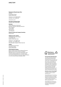# **DIRECTORY**

#### **Registered office/principal office**

Level 26 60 Margaret Street Sydney NSW 2000

Telephone +61 2 9080 8000 Facsimile +61 2 9080 8111

www.mirvac.com

#### **Securities exchange listing** Australia (ASX Code: MGR)

### **Directors**

James Mac Kenzie ( Chairman) Nicholas Collishaw ( Managing Director) Peter Hawkins James Millar Penny Morris John Mulcahy

**General Counsel and Company Secretary** Sonya Harris

# **Stapled security registry**

Link Market Services Limited Locked Bag A14 Sydney South NSW 1235

Telephone +61 2 8280 7107 Facsimile +61 2 9287 0303 Securityholder enquiries 1800 356 444

#### **Auditor**

PricewaterhouseCoopers 201 Sussex Street Sydney NSW 2000

#### **Annual general meeting**

Mirvac's 2010 Annual General Meeting/General Meeting will be held at 10.00 am (Eastern Standard Time) on Thursday 11 November 2010 in the Presidential Ballroom, The Sebel Tower, The Sebel & Citigate King George Square Brisbane, Crn Ann & Roma Streets, Brisbane 4000





**100%**

#### **Environmentally Responsible Paper**

This report is printed on eco Star, an environmentally responsible paper made carbon neutral ("CN") and manufactured from Forest Stewardship Council ("FSC") certified 100 per cent post consumer recycled paper, in a process chlorine free environment under the ISO 14001 environmental management system. The greenhouse gas emissions of the manufacturing process, including transportation of the finished product to the paper suppliers warehouse, have been measured by the Edinburgh Centre for Carbon Management ("ECCM") and offset by the Carbon Neutral Company.

#### **Electronic version of Annual Report**

A n electronic version of this report is available on Mirvac's website www.mirvac.com.

Securityholders who do not require a printed Annual Report, or who receive more than one copy due to multiple holdings, can help reduce the number of copies printed by advising the registry in writing of changes to their report mailing preferences.

Securityholders who choose not to receive printed reports will continue to receive all other securityholder information, including Notices of Meetings.